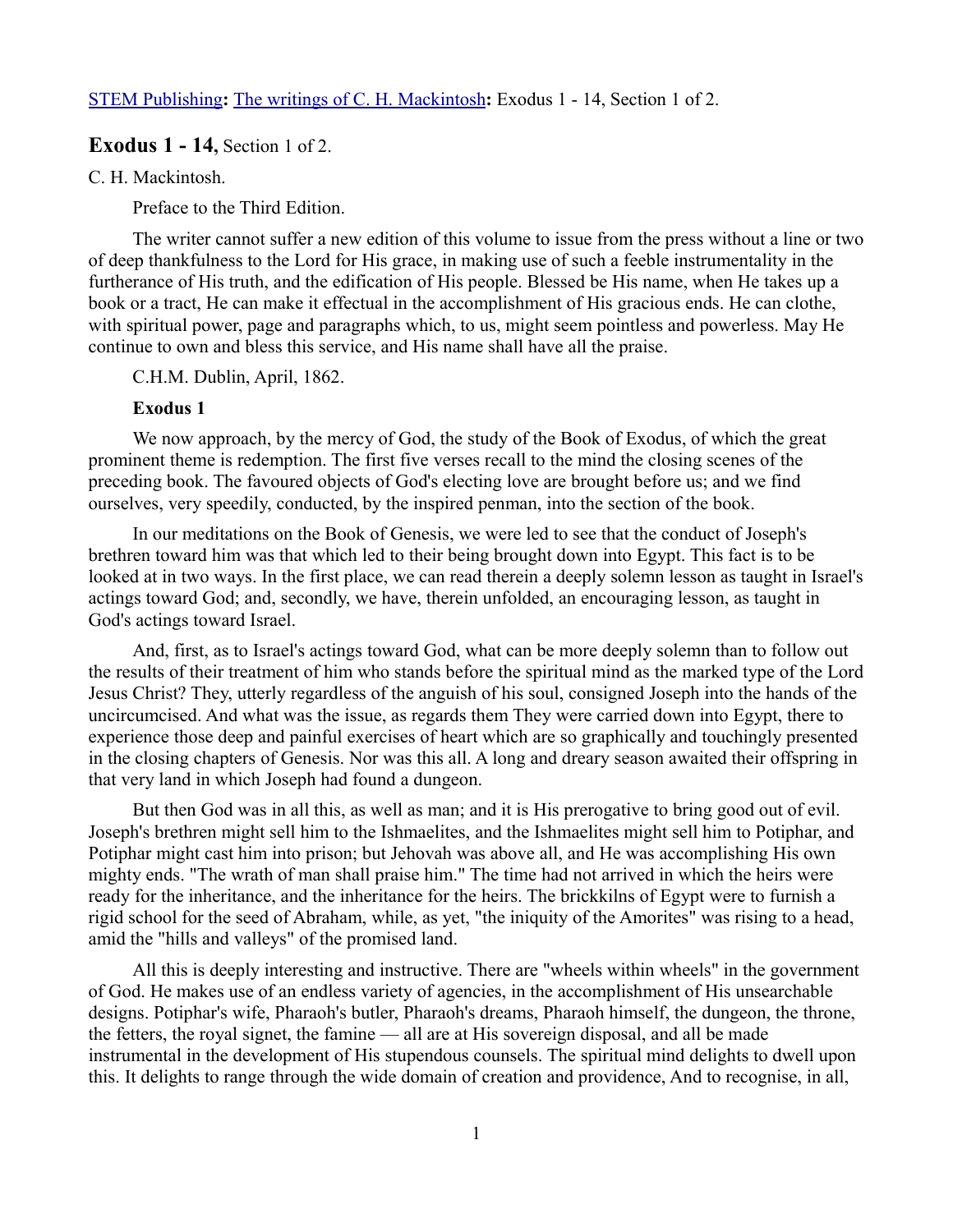[STEM Publishing](http://www.stempublishing.com/)**:** [The writings of C. H. Mackintosh](http://www.stempublishing.com/authors/mackintosh/index.html)**:** Exodus 1 - 14, Section 1 of 2.

# **Exodus 1 - 14**, Section 1 of 2.

C. H. Mackintosh.

Preface to the Third Edition.

The writer cannot suffer a new edition of this volume to issue from the press without a line or two of deep thankfulness to the Lord for His grace, in making use of such a feeble instrumentality in the furtherance of His truth, and the edification of His people. Blessed be His name, when He takes up a book or a tract, He can make it effectual in the accomplishment of His gracious ends. He can clothe, with spiritual power, page and paragraphs which, to us, might seem pointless and powerless. May He continue to own and bless this service, and His name shall have all the praise.

#### C.H.M. Dublin, April, 1862.

#### **Exodus 1**

We now approach, by the mercy of God, the study of the Book of Exodus, of which the great prominent theme is redemption. The first five verses recall to the mind the closing scenes of the preceding book. The favoured objects of God's electing love are brought before us; and we find ourselves, very speedily, conducted, by the inspired penman, into the section of the book.

In our meditations on the Book of Genesis, we were led to see that the conduct of Joseph's brethren toward him was that which led to their being brought down into Egypt. This fact is to be looked at in two ways. In the first place, we can read therein a deeply solemn lesson as taught in Israel's actings toward God; and, secondly, we have, therein unfolded, an encouraging lesson, as taught in God's actings toward Israel.

And, first, as to Israel's actings toward God, what can be more deeply solemn than to follow out the results of their treatment of him who stands before the spiritual mind as the marked type of the Lord Jesus Christ? They, utterly regardless of the anguish of his soul, consigned Joseph into the hands of the uncircumcised. And what was the issue, as regards them They were carried down into Egypt, there to experience those deep and painful exercises of heart which are so graphically and touchingly presented in the closing chapters of Genesis. Nor was this all. A long and dreary season awaited their offspring in that very land in which Joseph had found a dungeon.

But then God was in all this, as well as man; and it is His prerogative to bring good out of evil. Joseph's brethren might sell him to the Ishmaelites, and the Ishmaelites might sell him to Potiphar, and Potiphar might cast him into prison; but Jehovah was above all, and He was accomplishing His own mighty ends. "The wrath of man shall praise him." The time had not arrived in which the heirs were ready for the inheritance, and the inheritance for the heirs. The brickkilns of Egypt were to furnish a rigid school for the seed of Abraham, while, as yet, "the iniquity of the Amorites" was rising to a head, amid the "hills and valleys" of the promised land.

All this is deeply interesting and instructive. There are "wheels within wheels" in the government of God. He makes use of an endless variety of agencies, in the accomplishment of His unsearchable designs. Potiphar's wife, Pharaoh's butler, Pharaoh's dreams, Pharaoh himself, the dungeon, the throne, the fetters, the royal signet, the famine — all are at His sovereign disposal, and all be made instrumental in the development of His stupendous counsels. The spiritual mind delights to dwell upon this. It delights to range through the wide domain of creation and providence, And to recognise, in all,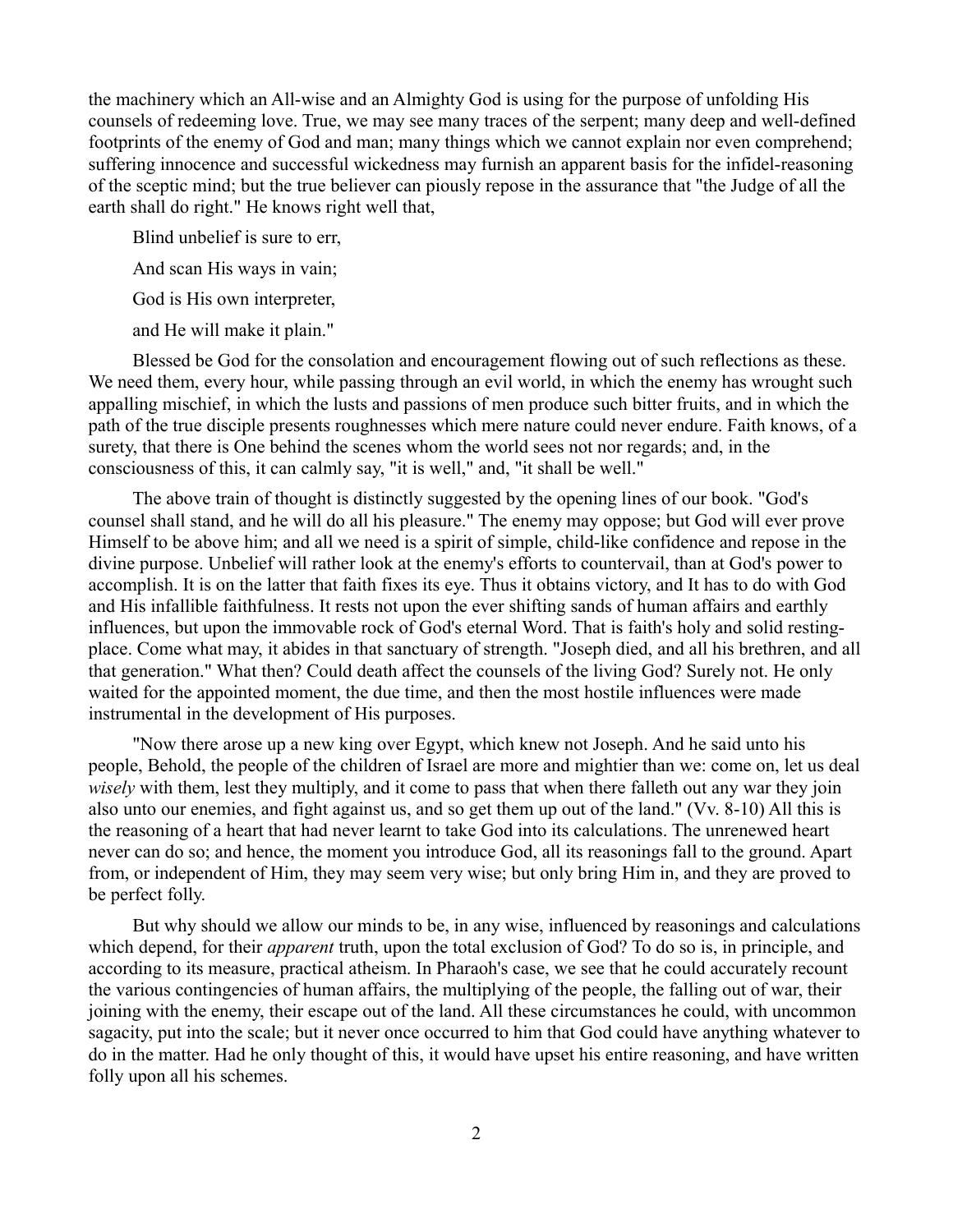the machinery which an All-wise and an Almighty God is using for the purpose of unfolding His counsels of redeeming love. True, we may see many traces of the serpent; many deep and well-defined footprints of the enemy of God and man; many things which we cannot explain nor even comprehend; suffering innocence and successful wickedness may furnish an apparent basis for the infidel-reasoning of the sceptic mind; but the true believer can piously repose in the assurance that "the Judge of all the earth shall do right." He knows right well that,

Blind unbelief is sure to err,

And scan His ways in vain;

God is His own interpreter,

and He will make it plain."

Blessed be God for the consolation and encouragement flowing out of such reflections as these. We need them, every hour, while passing through an evil world, in which the enemy has wrought such appalling mischief, in which the lusts and passions of men produce such bitter fruits, and in which the path of the true disciple presents roughnesses which mere nature could never endure. Faith knows, of a surety, that there is One behind the scenes whom the world sees not nor regards; and, in the consciousness of this, it can calmly say, "it is well," and, "it shall be well."

The above train of thought is distinctly suggested by the opening lines of our book. "God's counsel shall stand, and he will do all his pleasure." The enemy may oppose; but God will ever prove Himself to be above him; and all we need is a spirit of simple, child-like confidence and repose in the divine purpose. Unbelief will rather look at the enemy's efforts to countervail, than at God's power to accomplish. It is on the latter that faith fixes its eye. Thus it obtains victory, and It has to do with God and His infallible faithfulness. It rests not upon the ever shifting sands of human affairs and earthly influences, but upon the immovable rock of God's eternal Word. That is faith's holy and solid restingplace. Come what may, it abides in that sanctuary of strength. "Joseph died, and all his brethren, and all that generation." What then? Could death affect the counsels of the living God? Surely not. He only waited for the appointed moment, the due time, and then the most hostile influences were made instrumental in the development of His purposes.

"Now there arose up a new king over Egypt, which knew not Joseph. And he said unto his people, Behold, the people of the children of Israel are more and mightier than we: come on, let us deal *wisely* with them, lest they multiply, and it come to pass that when there falleth out any war they join also unto our enemies, and fight against us, and so get them up out of the land." (Vv. 8-10) All this is the reasoning of a heart that had never learnt to take God into its calculations. The unrenewed heart never can do so; and hence, the moment you introduce God, all its reasonings fall to the ground. Apart from, or independent of Him, they may seem very wise; but only bring Him in, and they are proved to be perfect folly.

But why should we allow our minds to be, in any wise, influenced by reasonings and calculations which depend, for their *apparent* truth, upon the total exclusion of God? To do so is, in principle, and according to its measure, practical atheism. In Pharaoh's case, we see that he could accurately recount the various contingencies of human affairs, the multiplying of the people, the falling out of war, their joining with the enemy, their escape out of the land. All these circumstances he could, with uncommon sagacity, put into the scale; but it never once occurred to him that God could have anything whatever to do in the matter. Had he only thought of this, it would have upset his entire reasoning, and have written folly upon all his schemes.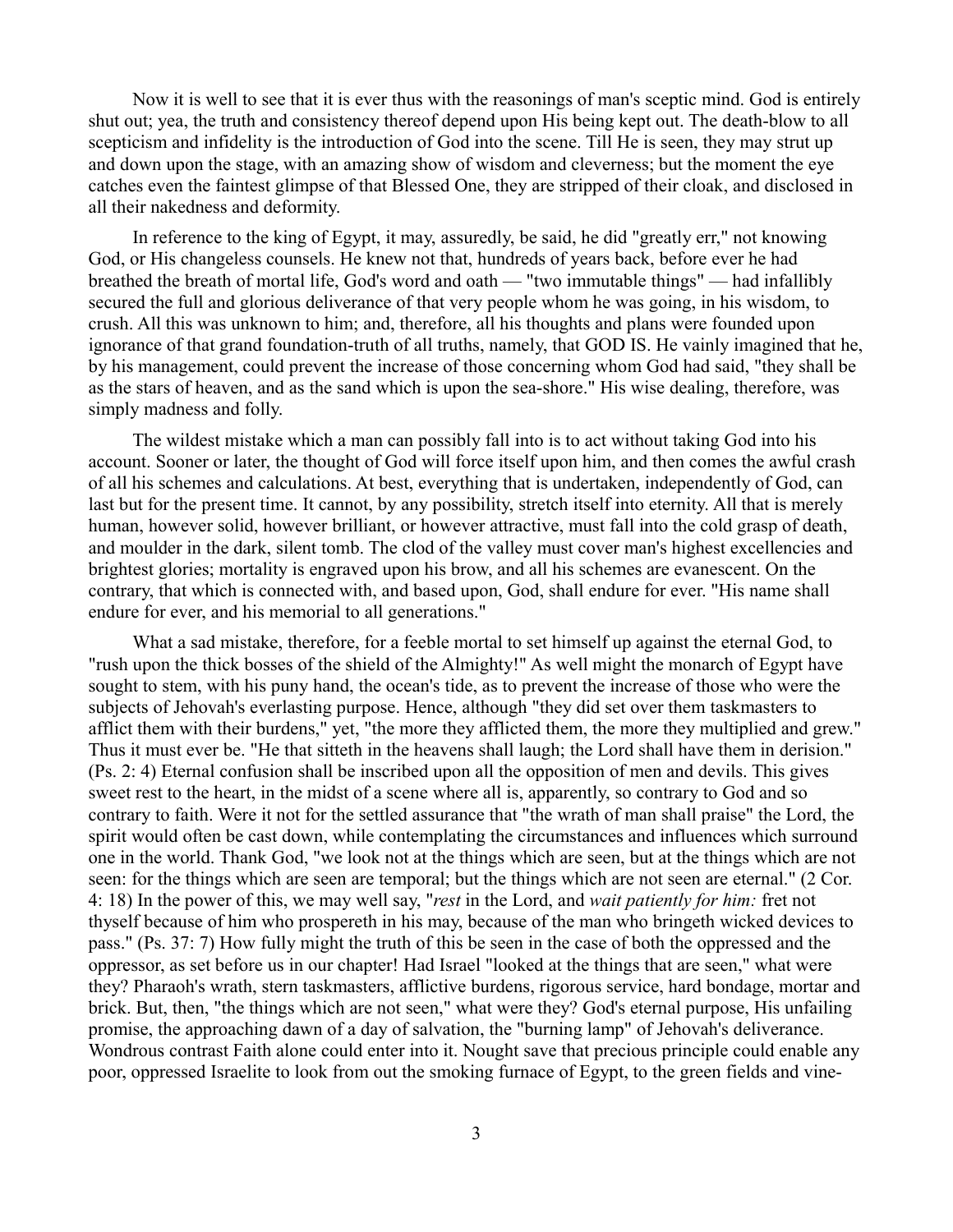Now it is well to see that it is ever thus with the reasonings of man's sceptic mind. God is entirely shut out; yea, the truth and consistency thereof depend upon His being kept out. The death-blow to all scepticism and infidelity is the introduction of God into the scene. Till He is seen, they may strut up and down upon the stage, with an amazing show of wisdom and cleverness; but the moment the eye catches even the faintest glimpse of that Blessed One, they are stripped of their cloak, and disclosed in all their nakedness and deformity.

In reference to the king of Egypt, it may, assuredly, be said, he did "greatly err," not knowing God, or His changeless counsels. He knew not that, hundreds of years back, before ever he had breathed the breath of mortal life, God's word and oath — "two immutable things" — had infallibly secured the full and glorious deliverance of that very people whom he was going, in his wisdom, to crush. All this was unknown to him; and, therefore, all his thoughts and plans were founded upon ignorance of that grand foundation-truth of all truths, namely, that GOD IS. He vainly imagined that he, by his management, could prevent the increase of those concerning whom God had said, "they shall be as the stars of heaven, and as the sand which is upon the sea-shore." His wise dealing, therefore, was simply madness and folly.

The wildest mistake which a man can possibly fall into is to act without taking God into his account. Sooner or later, the thought of God will force itself upon him, and then comes the awful crash of all his schemes and calculations. At best, everything that is undertaken, independently of God, can last but for the present time. It cannot, by any possibility, stretch itself into eternity. All that is merely human, however solid, however brilliant, or however attractive, must fall into the cold grasp of death, and moulder in the dark, silent tomb. The clod of the valley must cover man's highest excellencies and brightest glories; mortality is engraved upon his brow, and all his schemes are evanescent. On the contrary, that which is connected with, and based upon, God, shall endure for ever. "His name shall endure for ever, and his memorial to all generations."

What a sad mistake, therefore, for a feeble mortal to set himself up against the eternal God, to "rush upon the thick bosses of the shield of the Almighty!" As well might the monarch of Egypt have sought to stem, with his puny hand, the ocean's tide, as to prevent the increase of those who were the subjects of Jehovah's everlasting purpose. Hence, although "they did set over them taskmasters to afflict them with their burdens," yet, "the more they afflicted them, the more they multiplied and grew." Thus it must ever be. "He that sitteth in the heavens shall laugh; the Lord shall have them in derision." (Ps. 2: 4) Eternal confusion shall be inscribed upon all the opposition of men and devils. This gives sweet rest to the heart, in the midst of a scene where all is, apparently, so contrary to God and so contrary to faith. Were it not for the settled assurance that "the wrath of man shall praise" the Lord, the spirit would often be cast down, while contemplating the circumstances and influences which surround one in the world. Thank God, "we look not at the things which are seen, but at the things which are not seen: for the things which are seen are temporal; but the things which are not seen are eternal." (2 Cor. 4: 18) In the power of this, we may well say, "*rest* in the Lord, and *wait patiently for him:* fret not thyself because of him who prospereth in his may, because of the man who bringeth wicked devices to pass." (Ps. 37: 7) How fully might the truth of this be seen in the case of both the oppressed and the oppressor, as set before us in our chapter! Had Israel "looked at the things that are seen," what were they? Pharaoh's wrath, stern taskmasters, afflictive burdens, rigorous service, hard bondage, mortar and brick. But, then, "the things which are not seen," what were they? God's eternal purpose, His unfailing promise, the approaching dawn of a day of salvation, the "burning lamp" of Jehovah's deliverance. Wondrous contrast Faith alone could enter into it. Nought save that precious principle could enable any poor, oppressed Israelite to look from out the smoking furnace of Egypt, to the green fields and vine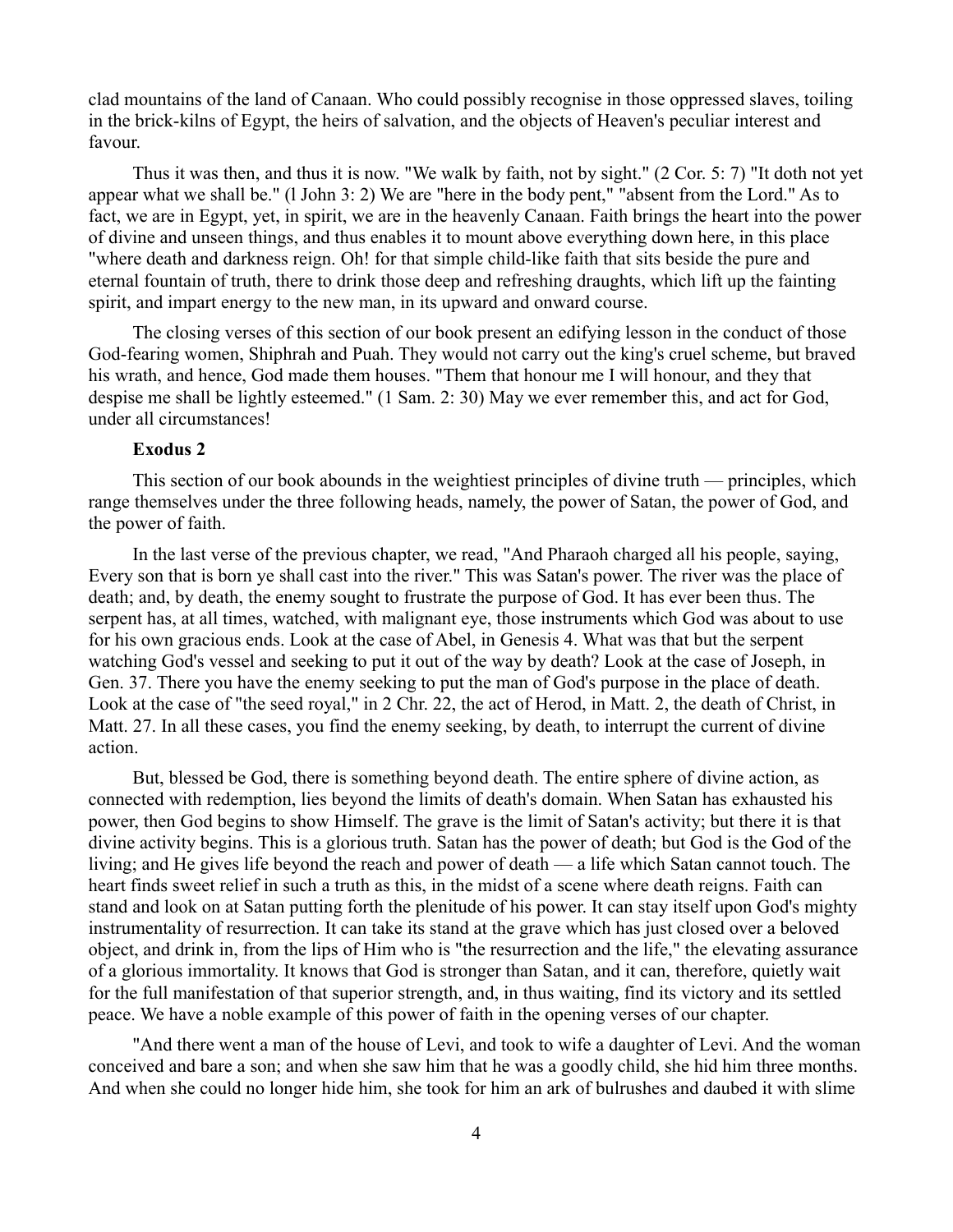clad mountains of the land of Canaan. Who could possibly recognise in those oppressed slaves, toiling in the brick-kilns of Egypt, the heirs of salvation, and the objects of Heaven's peculiar interest and favour.

Thus it was then, and thus it is now. "We walk by faith, not by sight." (2 Cor. 5: 7) "It doth not yet appear what we shall be." (l John 3: 2) We are "here in the body pent," "absent from the Lord." As to fact, we are in Egypt, yet, in spirit, we are in the heavenly Canaan. Faith brings the heart into the power of divine and unseen things, and thus enables it to mount above everything down here, in this place "where death and darkness reign. Oh! for that simple child-like faith that sits beside the pure and eternal fountain of truth, there to drink those deep and refreshing draughts, which lift up the fainting spirit, and impart energy to the new man, in its upward and onward course.

The closing verses of this section of our book present an edifying lesson in the conduct of those God-fearing women, Shiphrah and Puah. They would not carry out the king's cruel scheme, but braved his wrath, and hence, God made them houses. "Them that honour me I will honour, and they that despise me shall be lightly esteemed." (1 Sam. 2: 30) May we ever remember this, and act for God, under all circumstances!

### **Exodus 2**

This section of our book abounds in the weightiest principles of divine truth — principles, which range themselves under the three following heads, namely, the power of Satan, the power of God, and the power of faith.

In the last verse of the previous chapter, we read, "And Pharaoh charged all his people, saying, Every son that is born ye shall cast into the river." This was Satan's power. The river was the place of death; and, by death, the enemy sought to frustrate the purpose of God. It has ever been thus. The serpent has, at all times, watched, with malignant eye, those instruments which God was about to use for his own gracious ends. Look at the case of Abel, in Genesis 4. What was that but the serpent watching God's vessel and seeking to put it out of the way by death? Look at the case of Joseph, in Gen. 37. There you have the enemy seeking to put the man of God's purpose in the place of death. Look at the case of "the seed royal," in 2 Chr. 22, the act of Herod, in Matt. 2, the death of Christ, in Matt. 27. In all these cases, you find the enemy seeking, by death, to interrupt the current of divine action.

But, blessed be God, there is something beyond death. The entire sphere of divine action, as connected with redemption, lies beyond the limits of death's domain. When Satan has exhausted his power, then God begins to show Himself. The grave is the limit of Satan's activity; but there it is that divine activity begins. This is a glorious truth. Satan has the power of death; but God is the God of the living; and He gives life beyond the reach and power of death — a life which Satan cannot touch. The heart finds sweet relief in such a truth as this, in the midst of a scene where death reigns. Faith can stand and look on at Satan putting forth the plenitude of his power. It can stay itself upon God's mighty instrumentality of resurrection. It can take its stand at the grave which has just closed over a beloved object, and drink in, from the lips of Him who is "the resurrection and the life," the elevating assurance of a glorious immortality. It knows that God is stronger than Satan, and it can, therefore, quietly wait for the full manifestation of that superior strength, and, in thus waiting, find its victory and its settled peace. We have a noble example of this power of faith in the opening verses of our chapter.

"And there went a man of the house of Levi, and took to wife a daughter of Levi. And the woman conceived and bare a son; and when she saw him that he was a goodly child, she hid him three months. And when she could no longer hide him, she took for him an ark of bulrushes and daubed it with slime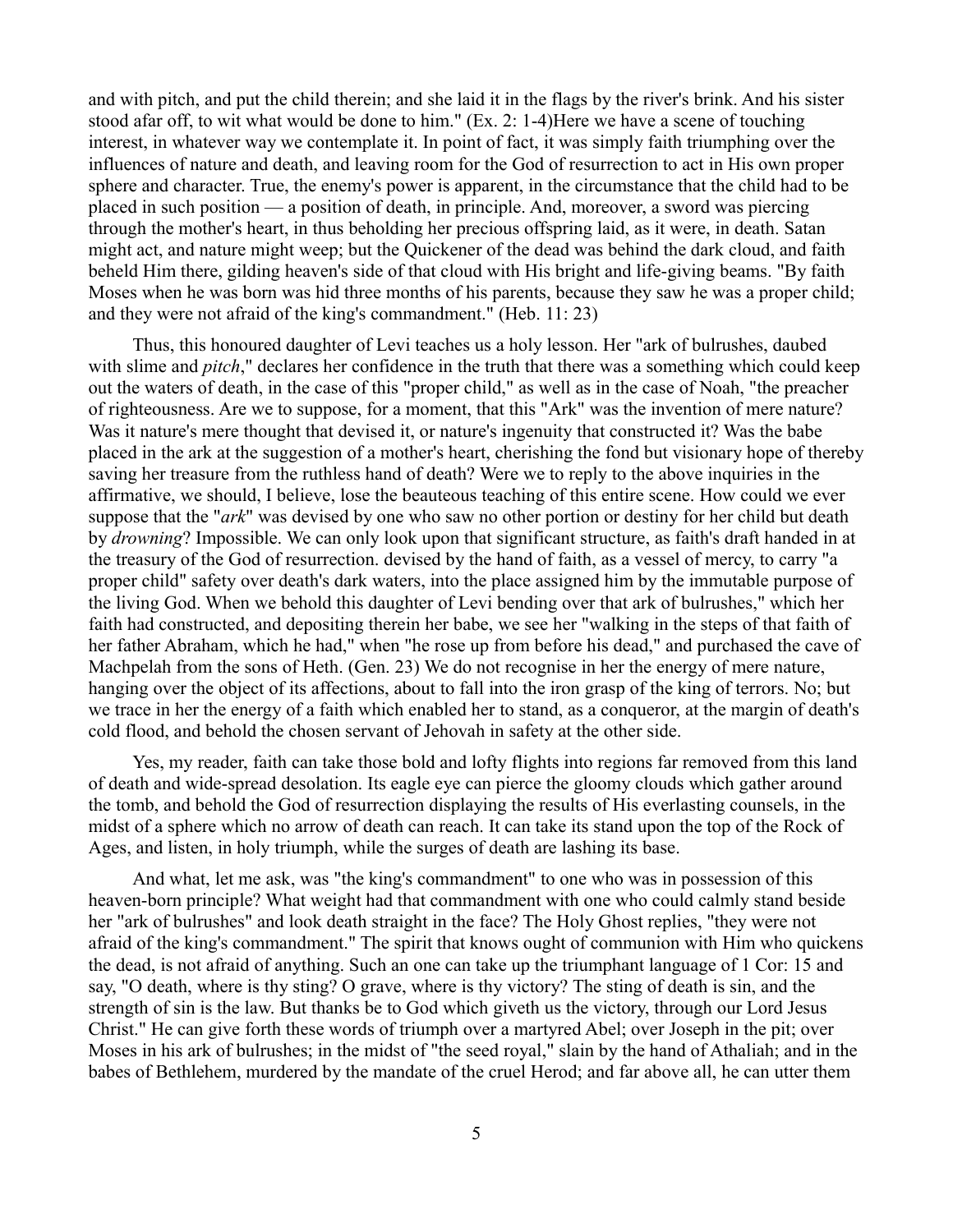and with pitch, and put the child therein; and she laid it in the flags by the river's brink. And his sister stood afar off, to wit what would be done to him." (Ex. 2: 1-4)Here we have a scene of touching interest, in whatever way we contemplate it. In point of fact, it was simply faith triumphing over the influences of nature and death, and leaving room for the God of resurrection to act in His own proper sphere and character. True, the enemy's power is apparent, in the circumstance that the child had to be placed in such position — a position of death, in principle. And, moreover, a sword was piercing through the mother's heart, in thus beholding her precious offspring laid, as it were, in death. Satan might act, and nature might weep; but the Quickener of the dead was behind the dark cloud, and faith beheld Him there, gilding heaven's side of that cloud with His bright and life-giving beams. "By faith Moses when he was born was hid three months of his parents, because they saw he was a proper child; and they were not afraid of the king's commandment." (Heb. 11: 23)

Thus, this honoured daughter of Levi teaches us a holy lesson. Her "ark of bulrushes, daubed with slime and *pitch*," declares her confidence in the truth that there was a something which could keep out the waters of death, in the case of this "proper child," as well as in the case of Noah, "the preacher of righteousness. Are we to suppose, for a moment, that this "Ark" was the invention of mere nature? Was it nature's mere thought that devised it, or nature's ingenuity that constructed it? Was the babe placed in the ark at the suggestion of a mother's heart, cherishing the fond but visionary hope of thereby saving her treasure from the ruthless hand of death? Were we to reply to the above inquiries in the affirmative, we should, I believe, lose the beauteous teaching of this entire scene. How could we ever suppose that the "*ark*" was devised by one who saw no other portion or destiny for her child but death by *drowning*? Impossible. We can only look upon that significant structure, as faith's draft handed in at the treasury of the God of resurrection. devised by the hand of faith, as a vessel of mercy, to carry "a proper child" safety over death's dark waters, into the place assigned him by the immutable purpose of the living God. When we behold this daughter of Levi bending over that ark of bulrushes," which her faith had constructed, and depositing therein her babe, we see her "walking in the steps of that faith of her father Abraham, which he had," when "he rose up from before his dead," and purchased the cave of Machpelah from the sons of Heth. (Gen. 23) We do not recognise in her the energy of mere nature, hanging over the object of its affections, about to fall into the iron grasp of the king of terrors. No; but we trace in her the energy of a faith which enabled her to stand, as a conqueror, at the margin of death's cold flood, and behold the chosen servant of Jehovah in safety at the other side.

Yes, my reader, faith can take those bold and lofty flights into regions far removed from this land of death and wide-spread desolation. Its eagle eye can pierce the gloomy clouds which gather around the tomb, and behold the God of resurrection displaying the results of His everlasting counsels, in the midst of a sphere which no arrow of death can reach. It can take its stand upon the top of the Rock of Ages, and listen, in holy triumph, while the surges of death are lashing its base.

And what, let me ask, was "the king's commandment" to one who was in possession of this heaven-born principle? What weight had that commandment with one who could calmly stand beside her "ark of bulrushes" and look death straight in the face? The Holy Ghost replies, "they were not afraid of the king's commandment." The spirit that knows ought of communion with Him who quickens the dead, is not afraid of anything. Such an one can take up the triumphant language of 1 Cor: 15 and say, "O death, where is thy sting? O grave, where is thy victory? The sting of death is sin, and the strength of sin is the law. But thanks be to God which giveth us the victory, through our Lord Jesus Christ." He can give forth these words of triumph over a martyred Abel; over Joseph in the pit; over Moses in his ark of bulrushes; in the midst of "the seed royal," slain by the hand of Athaliah; and in the babes of Bethlehem, murdered by the mandate of the cruel Herod; and far above all, he can utter them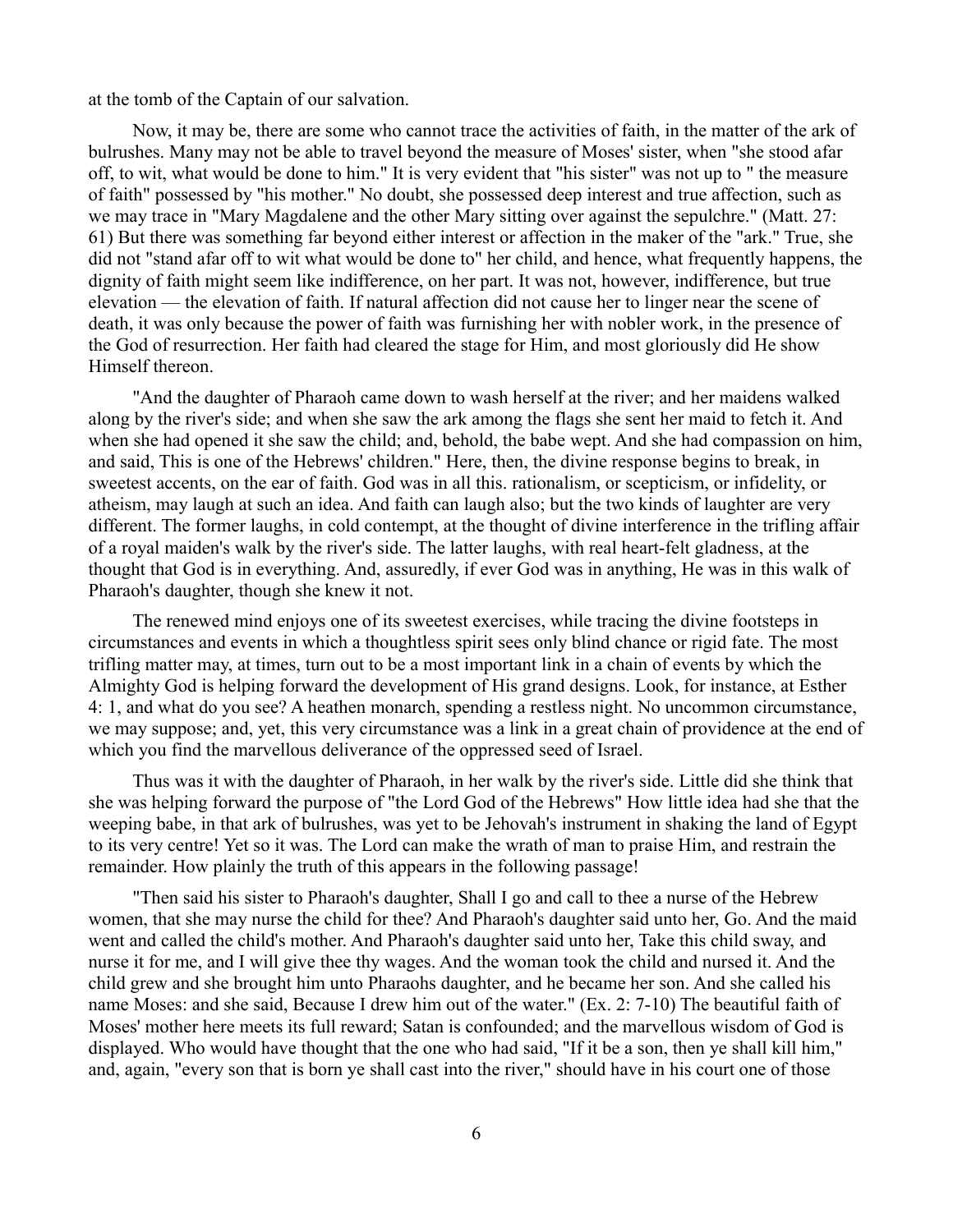at the tomb of the Captain of our salvation.

Now, it may be, there are some who cannot trace the activities of faith, in the matter of the ark of bulrushes. Many may not be able to travel beyond the measure of Moses' sister, when "she stood afar off, to wit, what would be done to him." It is very evident that "his sister" was not up to " the measure of faith" possessed by "his mother." No doubt, she possessed deep interest and true affection, such as we may trace in "Mary Magdalene and the other Mary sitting over against the sepulchre." (Matt. 27: 61) But there was something far beyond either interest or affection in the maker of the "ark." True, she did not "stand afar off to wit what would be done to" her child, and hence, what frequently happens, the dignity of faith might seem like indifference, on her part. It was not, however, indifference, but true elevation — the elevation of faith. If natural affection did not cause her to linger near the scene of death, it was only because the power of faith was furnishing her with nobler work, in the presence of the God of resurrection. Her faith had cleared the stage for Him, and most gloriously did He show Himself thereon.

"And the daughter of Pharaoh came down to wash herself at the river; and her maidens walked along by the river's side; and when she saw the ark among the flags she sent her maid to fetch it. And when she had opened it she saw the child; and, behold, the babe wept. And she had compassion on him, and said, This is one of the Hebrews' children." Here, then, the divine response begins to break, in sweetest accents, on the ear of faith. God was in all this. rationalism, or scepticism, or infidelity, or atheism, may laugh at such an idea. And faith can laugh also; but the two kinds of laughter are very different. The former laughs, in cold contempt, at the thought of divine interference in the trifling affair of a royal maiden's walk by the river's side. The latter laughs, with real heart-felt gladness, at the thought that God is in everything. And, assuredly, if ever God was in anything, He was in this walk of Pharaoh's daughter, though she knew it not.

The renewed mind enjoys one of its sweetest exercises, while tracing the divine footsteps in circumstances and events in which a thoughtless spirit sees only blind chance or rigid fate. The most trifling matter may, at times, turn out to be a most important link in a chain of events by which the Almighty God is helping forward the development of His grand designs. Look, for instance, at Esther 4: 1, and what do you see? A heathen monarch, spending a restless night. No uncommon circumstance, we may suppose; and, yet, this very circumstance was a link in a great chain of providence at the end of which you find the marvellous deliverance of the oppressed seed of Israel.

Thus was it with the daughter of Pharaoh, in her walk by the river's side. Little did she think that she was helping forward the purpose of "the Lord God of the Hebrews" How little idea had she that the weeping babe, in that ark of bulrushes, was yet to be Jehovah's instrument in shaking the land of Egypt to its very centre! Yet so it was. The Lord can make the wrath of man to praise Him, and restrain the remainder. How plainly the truth of this appears in the following passage!

"Then said his sister to Pharaoh's daughter, Shall I go and call to thee a nurse of the Hebrew women, that she may nurse the child for thee? And Pharaoh's daughter said unto her, Go. And the maid went and called the child's mother. And Pharaoh's daughter said unto her, Take this child sway, and nurse it for me, and I will give thee thy wages. And the woman took the child and nursed it. And the child grew and she brought him unto Pharaohs daughter, and he became her son. And she called his name Moses: and she said, Because I drew him out of the water." (Ex. 2: 7-10) The beautiful faith of Moses' mother here meets its full reward; Satan is confounded; and the marvellous wisdom of God is displayed. Who would have thought that the one who had said, "If it be a son, then ye shall kill him," and, again, "every son that is born ye shall cast into the river," should have in his court one of those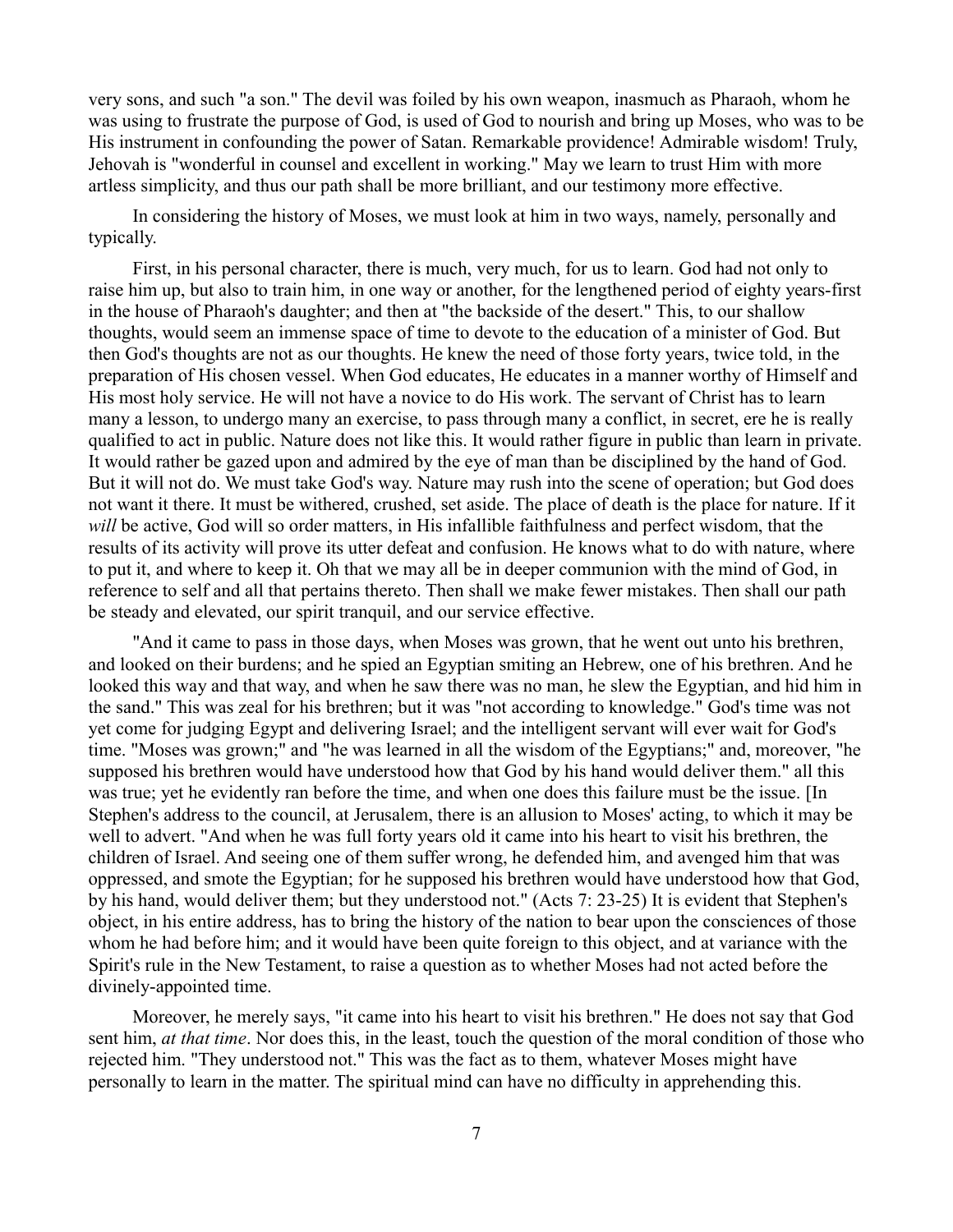very sons, and such "a son." The devil was foiled by his own weapon, inasmuch as Pharaoh, whom he was using to frustrate the purpose of God, is used of God to nourish and bring up Moses, who was to be His instrument in confounding the power of Satan. Remarkable providence! Admirable wisdom! Truly, Jehovah is "wonderful in counsel and excellent in working." May we learn to trust Him with more artless simplicity, and thus our path shall be more brilliant, and our testimony more effective.

In considering the history of Moses, we must look at him in two ways, namely, personally and typically.

First, in his personal character, there is much, very much, for us to learn. God had not only to raise him up, but also to train him, in one way or another, for the lengthened period of eighty years-first in the house of Pharaoh's daughter; and then at "the backside of the desert." This, to our shallow thoughts, would seem an immense space of time to devote to the education of a minister of God. But then God's thoughts are not as our thoughts. He knew the need of those forty years, twice told, in the preparation of His chosen vessel. When God educates, He educates in a manner worthy of Himself and His most holy service. He will not have a novice to do His work. The servant of Christ has to learn many a lesson, to undergo many an exercise, to pass through many a conflict, in secret, ere he is really qualified to act in public. Nature does not like this. It would rather figure in public than learn in private. It would rather be gazed upon and admired by the eye of man than be disciplined by the hand of God. But it will not do. We must take God's way. Nature may rush into the scene of operation; but God does not want it there. It must be withered, crushed, set aside. The place of death is the place for nature. If it *will* be active, God will so order matters, in His infallible faithfulness and perfect wisdom, that the results of its activity will prove its utter defeat and confusion. He knows what to do with nature, where to put it, and where to keep it. Oh that we may all be in deeper communion with the mind of God, in reference to self and all that pertains thereto. Then shall we make fewer mistakes. Then shall our path be steady and elevated, our spirit tranquil, and our service effective.

"And it came to pass in those days, when Moses was grown, that he went out unto his brethren, and looked on their burdens; and he spied an Egyptian smiting an Hebrew, one of his brethren. And he looked this way and that way, and when he saw there was no man, he slew the Egyptian, and hid him in the sand." This was zeal for his brethren; but it was "not according to knowledge." God's time was not yet come for judging Egypt and delivering Israel; and the intelligent servant will ever wait for God's time. "Moses was grown;" and "he was learned in all the wisdom of the Egyptians;" and, moreover, "he supposed his brethren would have understood how that God by his hand would deliver them." all this was true; yet he evidently ran before the time, and when one does this failure must be the issue. [In Stephen's address to the council, at Jerusalem, there is an allusion to Moses' acting, to which it may be well to advert. "And when he was full forty years old it came into his heart to visit his brethren, the children of Israel. And seeing one of them suffer wrong, he defended him, and avenged him that was oppressed, and smote the Egyptian; for he supposed his brethren would have understood how that God, by his hand, would deliver them; but they understood not." (Acts 7: 23-25) It is evident that Stephen's object, in his entire address, has to bring the history of the nation to bear upon the consciences of those whom he had before him; and it would have been quite foreign to this object, and at variance with the Spirit's rule in the New Testament, to raise a question as to whether Moses had not acted before the divinely-appointed time.

Moreover, he merely says, "it came into his heart to visit his brethren." He does not say that God sent him, *at that time*. Nor does this, in the least, touch the question of the moral condition of those who rejected him. "They understood not." This was the fact as to them, whatever Moses might have personally to learn in the matter. The spiritual mind can have no difficulty in apprehending this.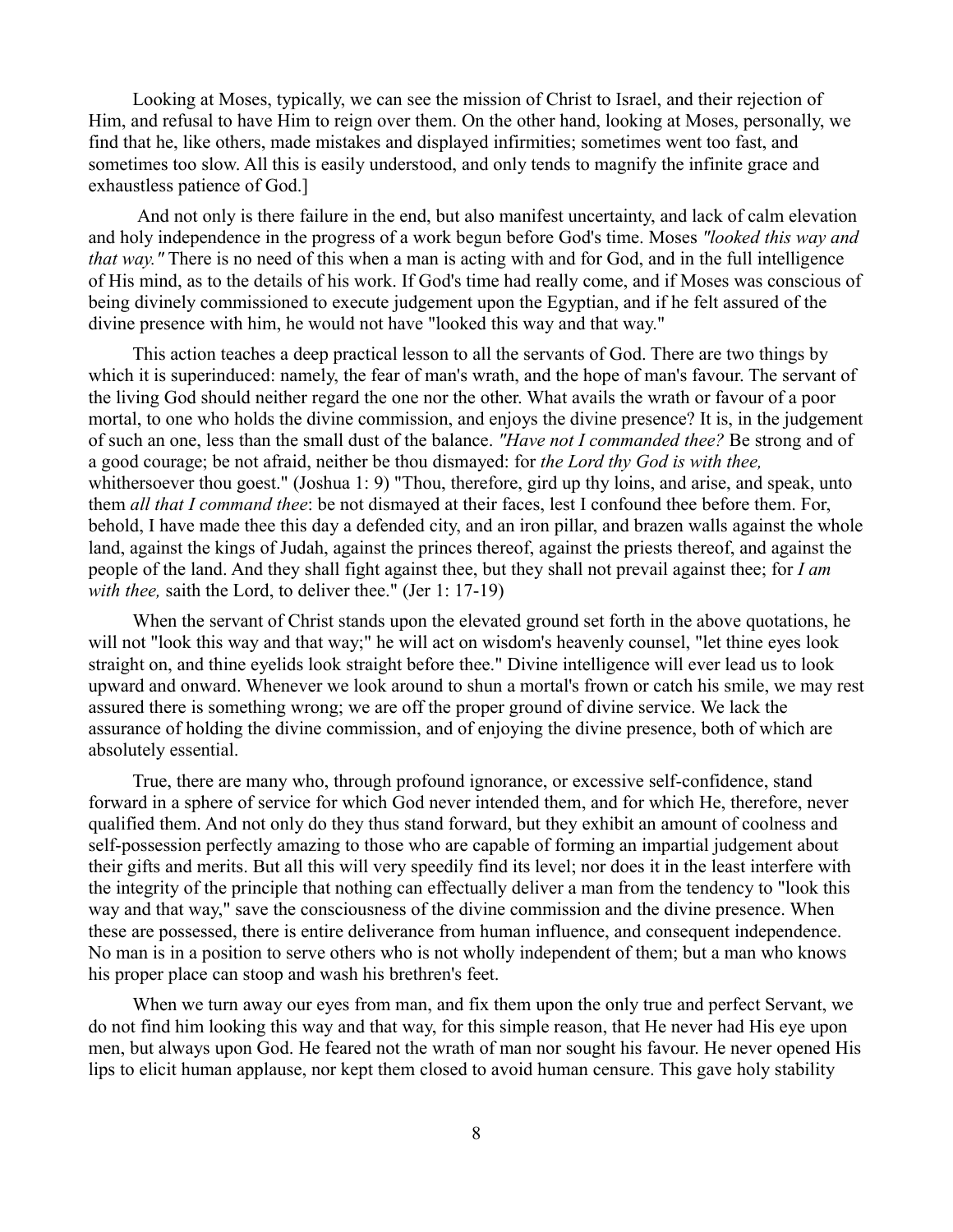Looking at Moses, typically, we can see the mission of Christ to Israel, and their rejection of Him, and refusal to have Him to reign over them. On the other hand, looking at Moses, personally, we find that he, like others, made mistakes and displayed infirmities; sometimes went too fast, and sometimes too slow. All this is easily understood, and only tends to magnify the infinite grace and exhaustless patience of God.]

And not only is there failure in the end, but also manifest uncertainty, and lack of calm elevation and holy independence in the progress of a work begun before God's time. Moses *"looked this way and that way.* "There is no need of this when a man is acting with and for God, and in the full intelligence of His mind, as to the details of his work. If God's time had really come, and if Moses was conscious of being divinely commissioned to execute judgement upon the Egyptian, and if he felt assured of the divine presence with him, he would not have "looked this way and that way."

This action teaches a deep practical lesson to all the servants of God. There are two things by which it is superinduced: namely, the fear of man's wrath, and the hope of man's favour. The servant of the living God should neither regard the one nor the other. What avails the wrath or favour of a poor mortal, to one who holds the divine commission, and enjoys the divine presence? It is, in the judgement of such an one, less than the small dust of the balance. *"Have not I commanded thee?* Be strong and of a good courage; be not afraid, neither be thou dismayed: for *the Lord thy God is with thee,* whithersoever thou goest." (Joshua 1: 9) "Thou, therefore, gird up thy loins, and arise, and speak, unto them *all that I command thee*: be not dismayed at their faces, lest I confound thee before them. For, behold, I have made thee this day a defended city, and an iron pillar, and brazen walls against the whole land, against the kings of Judah, against the princes thereof, against the priests thereof, and against the people of the land. And they shall fight against thee, but they shall not prevail against thee; for *I am with thee,* saith the Lord, to deliver thee." (Jer 1: 17-19)

When the servant of Christ stands upon the elevated ground set forth in the above quotations, he will not "look this way and that way;" he will act on wisdom's heavenly counsel, "let thine eyes look straight on, and thine eyelids look straight before thee." Divine intelligence will ever lead us to look upward and onward. Whenever we look around to shun a mortal's frown or catch his smile, we may rest assured there is something wrong; we are off the proper ground of divine service. We lack the assurance of holding the divine commission, and of enjoying the divine presence, both of which are absolutely essential.

True, there are many who, through profound ignorance, or excessive self-confidence, stand forward in a sphere of service for which God never intended them, and for which He, therefore, never qualified them. And not only do they thus stand forward, but they exhibit an amount of coolness and self-possession perfectly amazing to those who are capable of forming an impartial judgement about their gifts and merits. But all this will very speedily find its level; nor does it in the least interfere with the integrity of the principle that nothing can effectually deliver a man from the tendency to "look this way and that way," save the consciousness of the divine commission and the divine presence. When these are possessed, there is entire deliverance from human influence, and consequent independence. No man is in a position to serve others who is not wholly independent of them; but a man who knows his proper place can stoop and wash his brethren's feet.

When we turn away our eyes from man, and fix them upon the only true and perfect Servant, we do not find him looking this way and that way, for this simple reason, that He never had His eye upon men, but always upon God. He feared not the wrath of man nor sought his favour. He never opened His lips to elicit human applause, nor kept them closed to avoid human censure. This gave holy stability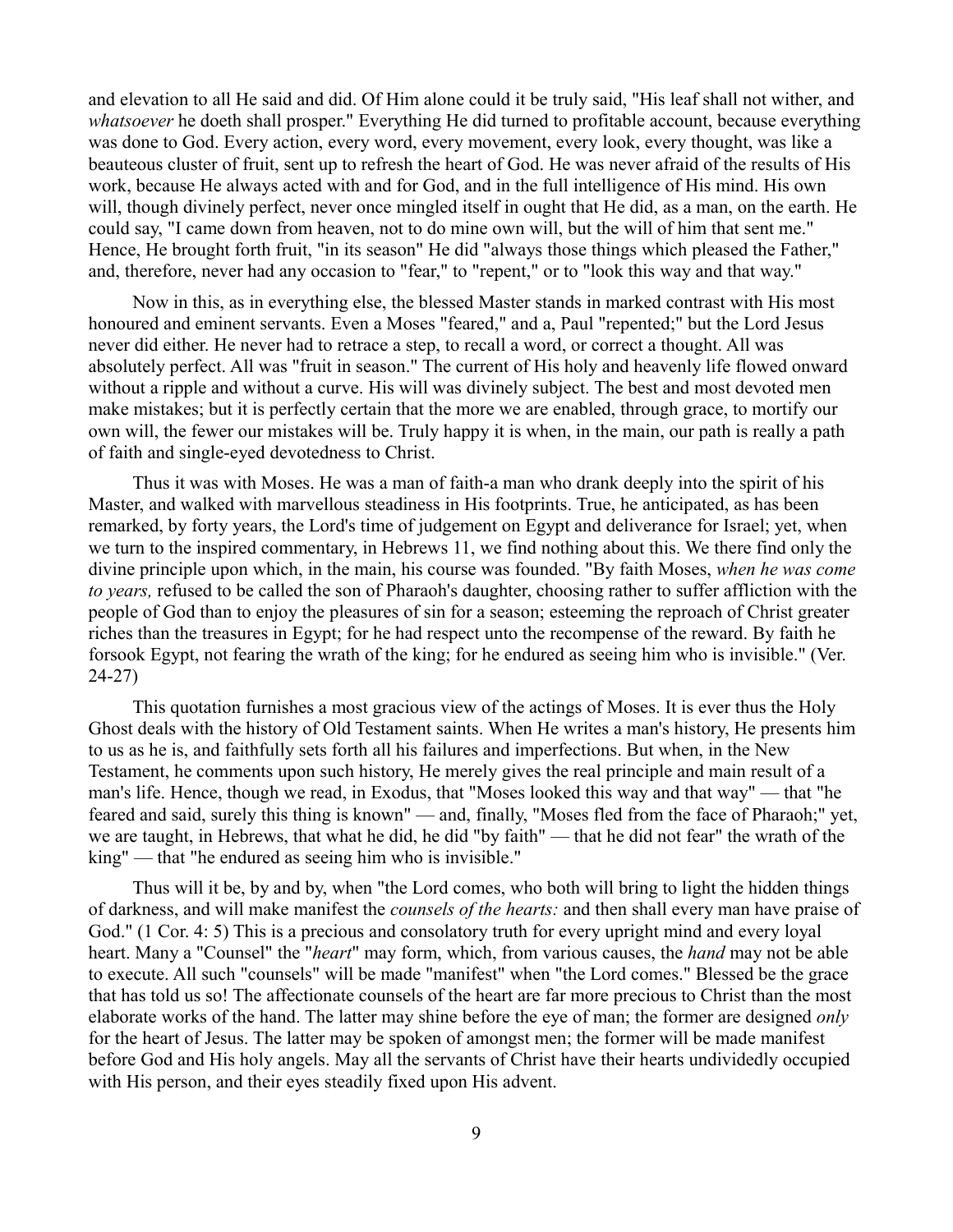and elevation to all He said and did. Of Him alone could it be truly said, "His leaf shall not wither, and *whatsoever* he doeth shall prosper." Everything He did turned to profitable account, because everything was done to God. Every action, every word, every movement, every look, every thought, was like a beauteous cluster of fruit, sent up to refresh the heart of God. He was never afraid of the results of His work, because He always acted with and for God, and in the full intelligence of His mind. His own will, though divinely perfect, never once mingled itself in ought that He did, as a man, on the earth. He could say, "I came down from heaven, not to do mine own will, but the will of him that sent me." Hence, He brought forth fruit, "in its season" He did "always those things which pleased the Father," and, therefore, never had any occasion to "fear," to "repent," or to "look this way and that way."

Now in this, as in everything else, the blessed Master stands in marked contrast with His most honoured and eminent servants. Even a Moses "feared," and a, Paul "repented;" but the Lord Jesus never did either. He never had to retrace a step, to recall a word, or correct a thought. All was absolutely perfect. All was "fruit in season." The current of His holy and heavenly life flowed onward without a ripple and without a curve. His will was divinely subject. The best and most devoted men make mistakes; but it is perfectly certain that the more we are enabled, through grace, to mortify our own will, the fewer our mistakes will be. Truly happy it is when, in the main, our path is really a path of faith and single-eyed devotedness to Christ.

Thus it was with Moses. He was a man of faith-a man who drank deeply into the spirit of his Master, and walked with marvellous steadiness in His footprints. True, he anticipated, as has been remarked, by forty years, the Lord's time of judgement on Egypt and deliverance for Israel; yet, when we turn to the inspired commentary, in Hebrews 11, we find nothing about this. We there find only the divine principle upon which, in the main, his course was founded. "By faith Moses, *when he was come to years,* refused to be called the son of Pharaoh's daughter, choosing rather to suffer affliction with the people of God than to enjoy the pleasures of sin for a season; esteeming the reproach of Christ greater riches than the treasures in Egypt; for he had respect unto the recompense of the reward. By faith he forsook Egypt, not fearing the wrath of the king; for he endured as seeing him who is invisible." (Ver. 24-27)

This quotation furnishes a most gracious view of the actings of Moses. It is ever thus the Holy Ghost deals with the history of Old Testament saints. When He writes a man's history, He presents him to us as he is, and faithfully sets forth all his failures and imperfections. But when, in the New Testament, he comments upon such history, He merely gives the real principle and main result of a man's life. Hence, though we read, in Exodus, that "Moses looked this way and that way" — that "he feared and said, surely this thing is known" — and, finally, "Moses fled from the face of Pharaoh;" yet, we are taught, in Hebrews, that what he did, he did "by faith" — that he did not fear" the wrath of the king" — that "he endured as seeing him who is invisible."

Thus will it be, by and by, when "the Lord comes, who both will bring to light the hidden things of darkness, and will make manifest the *counsels of the hearts:* and then shall every man have praise of God." (1 Cor. 4: 5) This is a precious and consolatory truth for every upright mind and every loyal heart. Many a "Counsel" the "*heart*" may form, which, from various causes, the *hand* may not be able to execute. All such "counsels" will be made "manifest" when "the Lord comes." Blessed be the grace that has told us so! The affectionate counsels of the heart are far more precious to Christ than the most elaborate works of the hand. The latter may shine before the eye of man; the former are designed *only* for the heart of Jesus. The latter may be spoken of amongst men; the former will be made manifest before God and His holy angels. May all the servants of Christ have their hearts undividedly occupied with His person, and their eyes steadily fixed upon His advent.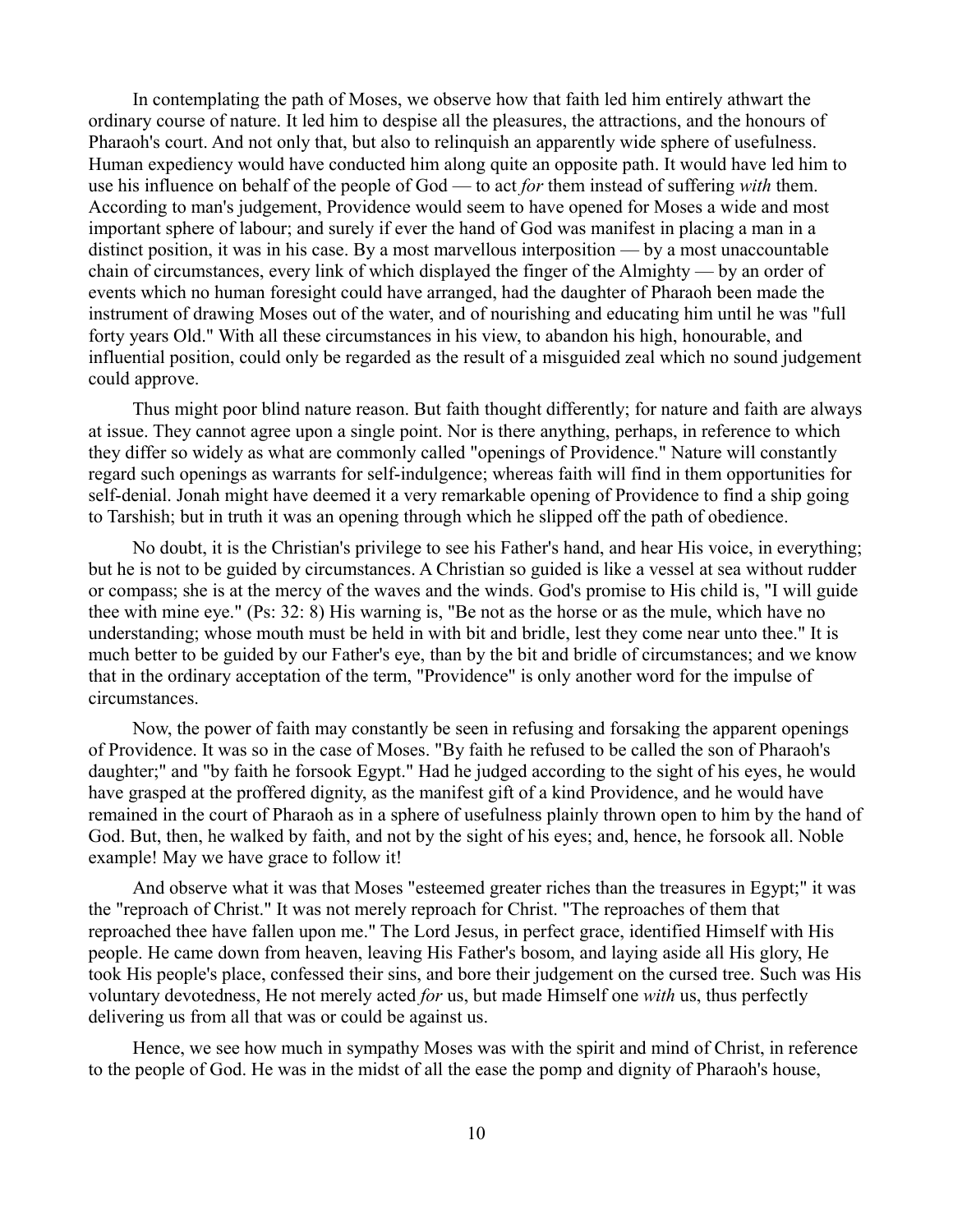In contemplating the path of Moses, we observe how that faith led him entirely athwart the ordinary course of nature. It led him to despise all the pleasures, the attractions, and the honours of Pharaoh's court. And not only that, but also to relinquish an apparently wide sphere of usefulness. Human expediency would have conducted him along quite an opposite path. It would have led him to use his influence on behalf of the people of God — to act *for* them instead of suffering *with* them. According to man's judgement, Providence would seem to have opened for Moses a wide and most important sphere of labour; and surely if ever the hand of God was manifest in placing a man in a distinct position, it was in his case. By a most marvellous interposition — by a most unaccountable chain of circumstances, every link of which displayed the finger of the Almighty — by an order of events which no human foresight could have arranged, had the daughter of Pharaoh been made the instrument of drawing Moses out of the water, and of nourishing and educating him until he was "full forty years Old." With all these circumstances in his view, to abandon his high, honourable, and influential position, could only be regarded as the result of a misguided zeal which no sound judgement could approve.

Thus might poor blind nature reason. But faith thought differently; for nature and faith are always at issue. They cannot agree upon a single point. Nor is there anything, perhaps, in reference to which they differ so widely as what are commonly called "openings of Providence." Nature will constantly regard such openings as warrants for self-indulgence; whereas faith will find in them opportunities for self-denial. Jonah might have deemed it a very remarkable opening of Providence to find a ship going to Tarshish; but in truth it was an opening through which he slipped off the path of obedience.

No doubt, it is the Christian's privilege to see his Father's hand, and hear His voice, in everything; but he is not to be guided by circumstances. A Christian so guided is like a vessel at sea without rudder or compass; she is at the mercy of the waves and the winds. God's promise to His child is, "I will guide thee with mine eye." (Ps: 32: 8) His warning is, "Be not as the horse or as the mule, which have no understanding; whose mouth must be held in with bit and bridle, lest they come near unto thee." It is much better to be guided by our Father's eye, than by the bit and bridle of circumstances; and we know that in the ordinary acceptation of the term, "Providence" is only another word for the impulse of circumstances.

Now, the power of faith may constantly be seen in refusing and forsaking the apparent openings of Providence. It was so in the case of Moses. "By faith he refused to be called the son of Pharaoh's daughter;" and "by faith he forsook Egypt." Had he judged according to the sight of his eyes, he would have grasped at the proffered dignity, as the manifest gift of a kind Providence, and he would have remained in the court of Pharaoh as in a sphere of usefulness plainly thrown open to him by the hand of God. But, then, he walked by faith, and not by the sight of his eyes; and, hence, he forsook all. Noble example! May we have grace to follow it!

And observe what it was that Moses "esteemed greater riches than the treasures in Egypt;" it was the "reproach of Christ." It was not merely reproach for Christ. "The reproaches of them that reproached thee have fallen upon me." The Lord Jesus, in perfect grace, identified Himself with His people. He came down from heaven, leaving His Father's bosom, and laying aside all His glory, He took His people's place, confessed their sins, and bore their judgement on the cursed tree. Such was His voluntary devotedness, He not merely acted *for* us, but made Himself one *with* us, thus perfectly delivering us from all that was or could be against us.

Hence, we see how much in sympathy Moses was with the spirit and mind of Christ, in reference to the people of God. He was in the midst of all the ease the pomp and dignity of Pharaoh's house,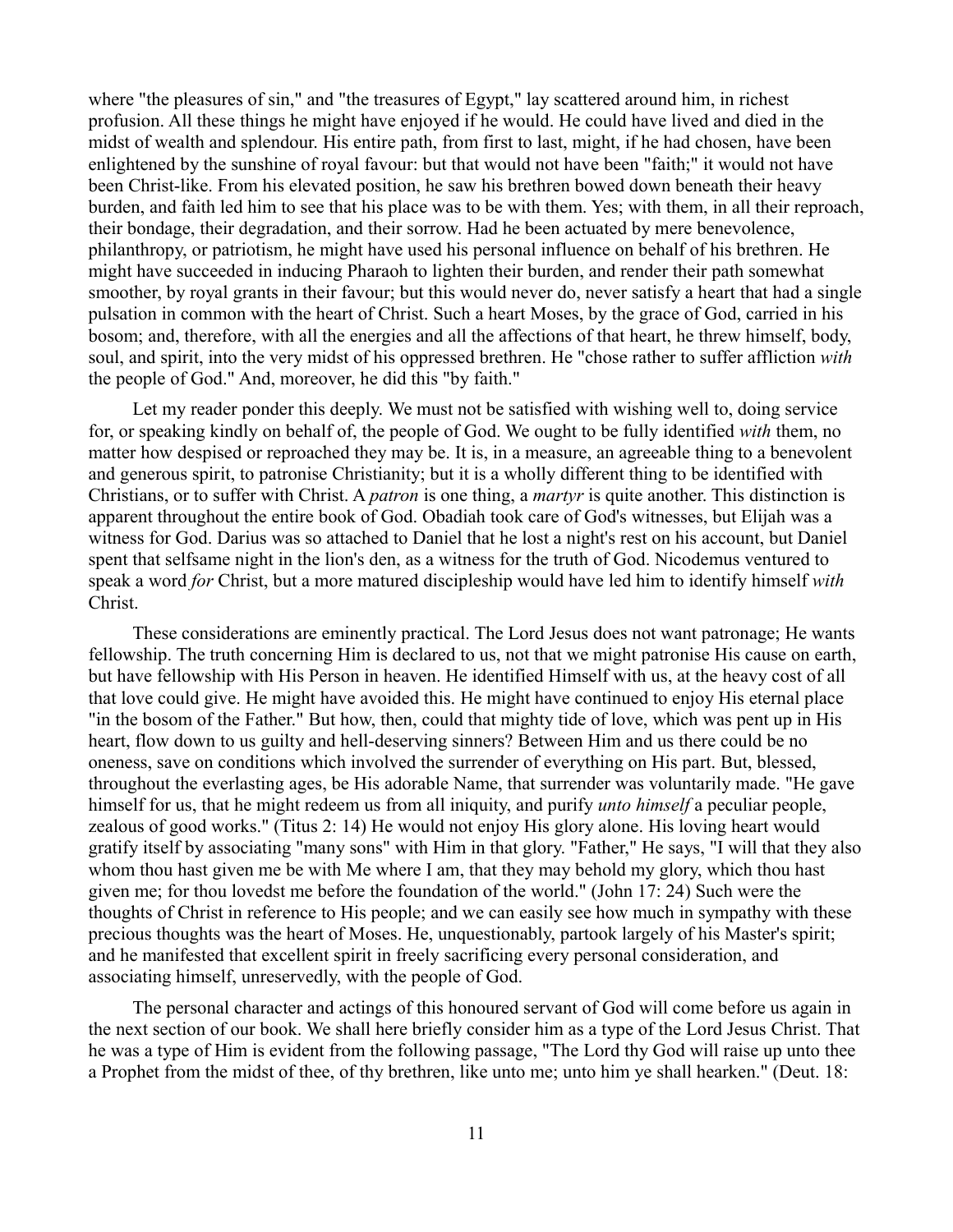where "the pleasures of sin," and "the treasures of Egypt," lay scattered around him, in richest profusion. All these things he might have enjoyed if he would. He could have lived and died in the midst of wealth and splendour. His entire path, from first to last, might, if he had chosen, have been enlightened by the sunshine of royal favour: but that would not have been "faith;" it would not have been Christ-like. From his elevated position, he saw his brethren bowed down beneath their heavy burden, and faith led him to see that his place was to be with them. Yes; with them, in all their reproach, their bondage, their degradation, and their sorrow. Had he been actuated by mere benevolence, philanthropy, or patriotism, he might have used his personal influence on behalf of his brethren. He might have succeeded in inducing Pharaoh to lighten their burden, and render their path somewhat smoother, by royal grants in their favour; but this would never do, never satisfy a heart that had a single pulsation in common with the heart of Christ. Such a heart Moses, by the grace of God, carried in his bosom; and, therefore, with all the energies and all the affections of that heart, he threw himself, body, soul, and spirit, into the very midst of his oppressed brethren. He "chose rather to suffer affliction *with* the people of God." And, moreover, he did this "by faith."

Let my reader ponder this deeply. We must not be satisfied with wishing well to, doing service for, or speaking kindly on behalf of, the people of God. We ought to be fully identified *with* them, no matter how despised or reproached they may be. It is, in a measure, an agreeable thing to a benevolent and generous spirit, to patronise Christianity; but it is a wholly different thing to be identified with Christians, or to suffer with Christ. A *patron* is one thing, a *martyr* is quite another. This distinction is apparent throughout the entire book of God. Obadiah took care of God's witnesses, but Elijah was a witness for God. Darius was so attached to Daniel that he lost a night's rest on his account, but Daniel spent that selfsame night in the lion's den, as a witness for the truth of God. Nicodemus ventured to speak a word *for* Christ, but a more matured discipleship would have led him to identify himself *with* Christ.

These considerations are eminently practical. The Lord Jesus does not want patronage; He wants fellowship. The truth concerning Him is declared to us, not that we might patronise His cause on earth, but have fellowship with His Person in heaven. He identified Himself with us, at the heavy cost of all that love could give. He might have avoided this. He might have continued to enjoy His eternal place "in the bosom of the Father." But how, then, could that mighty tide of love, which was pent up in His heart, flow down to us guilty and hell-deserving sinners? Between Him and us there could be no oneness, save on conditions which involved the surrender of everything on His part. But, blessed, throughout the everlasting ages, be His adorable Name, that surrender was voluntarily made. "He gave himself for us, that he might redeem us from all iniquity, and purify *unto himself* a peculiar people, zealous of good works." (Titus 2: 14) He would not enjoy His glory alone. His loving heart would gratify itself by associating "many sons" with Him in that glory. "Father," He says, "I will that they also whom thou hast given me be with Me where I am, that they may behold my glory, which thou hast given me; for thou lovedst me before the foundation of the world." (John 17: 24) Such were the thoughts of Christ in reference to His people; and we can easily see how much in sympathy with these precious thoughts was the heart of Moses. He, unquestionably, partook largely of his Master's spirit; and he manifested that excellent spirit in freely sacrificing every personal consideration, and associating himself, unreservedly, with the people of God.

The personal character and actings of this honoured servant of God will come before us again in the next section of our book. We shall here briefly consider him as a type of the Lord Jesus Christ. That he was a type of Him is evident from the following passage, "The Lord thy God will raise up unto thee a Prophet from the midst of thee, of thy brethren, like unto me; unto him ye shall hearken." (Deut. 18: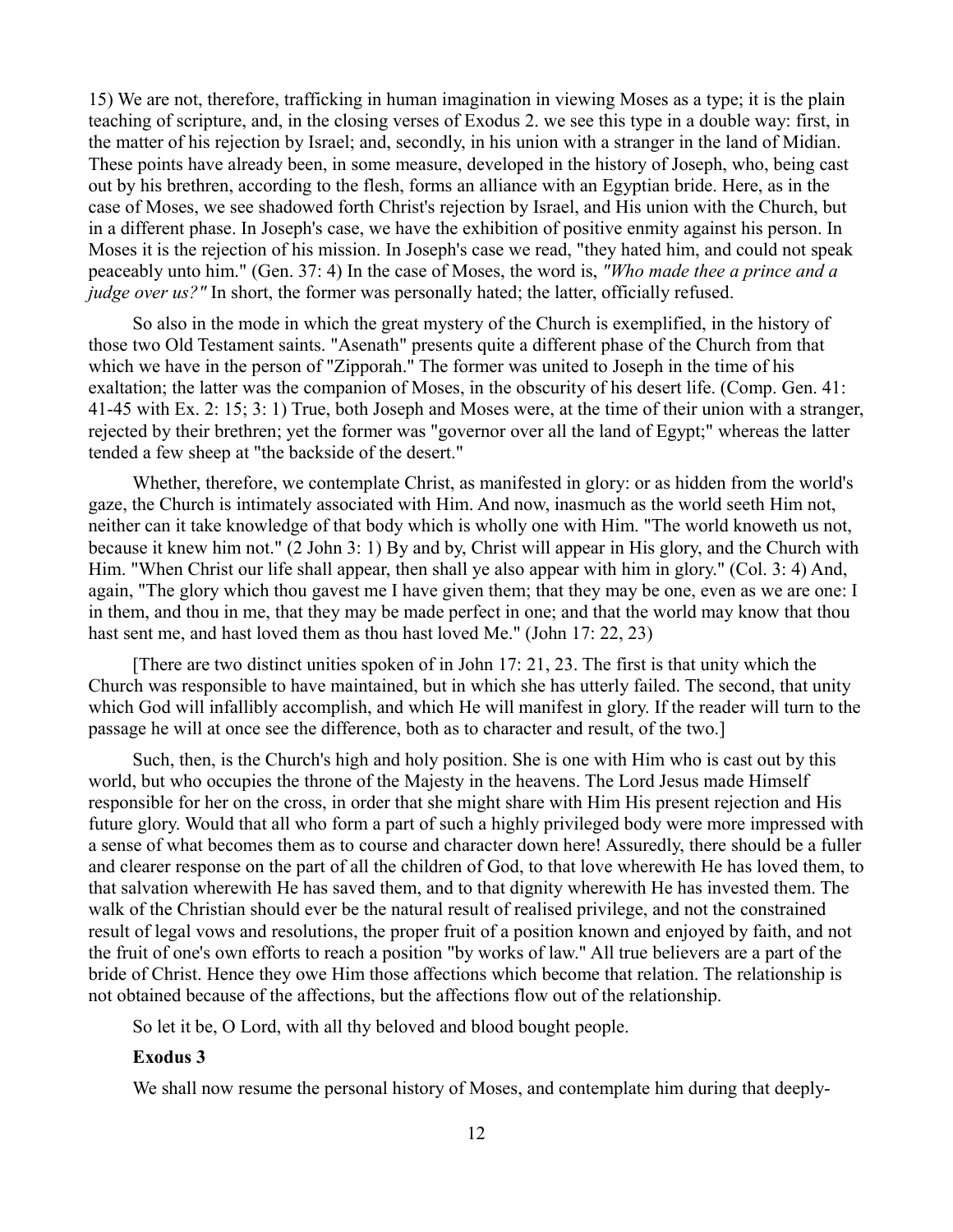15) We are not, therefore, trafficking in human imagination in viewing Moses as a type; it is the plain teaching of scripture, and, in the closing verses of Exodus 2. we see this type in a double way: first, in the matter of his rejection by Israel; and, secondly, in his union with a stranger in the land of Midian. These points have already been, in some measure, developed in the history of Joseph, who, being cast out by his brethren, according to the flesh, forms an alliance with an Egyptian bride. Here, as in the case of Moses, we see shadowed forth Christ's rejection by Israel, and His union with the Church, but in a different phase. In Joseph's case, we have the exhibition of positive enmity against his person. In Moses it is the rejection of his mission. In Joseph's case we read, "they hated him, and could not speak peaceably unto him." (Gen. 37: 4) In the case of Moses, the word is, *"Who made thee a prince and a judge over us?"* In short, the former was personally hated; the latter, officially refused.

So also in the mode in which the great mystery of the Church is exemplified, in the history of those two Old Testament saints. "Asenath" presents quite a different phase of the Church from that which we have in the person of "Zipporah." The former was united to Joseph in the time of his exaltation; the latter was the companion of Moses, in the obscurity of his desert life. (Comp. Gen. 41: 41-45 with Ex. 2: 15; 3: 1) True, both Joseph and Moses were, at the time of their union with a stranger, rejected by their brethren; yet the former was "governor over all the land of Egypt;" whereas the latter tended a few sheep at "the backside of the desert."

Whether, therefore, we contemplate Christ, as manifested in glory: or as hidden from the world's gaze, the Church is intimately associated with Him. And now, inasmuch as the world seeth Him not, neither can it take knowledge of that body which is wholly one with Him. "The world knoweth us not, because it knew him not." (2 John 3: 1) By and by, Christ will appear in His glory, and the Church with Him. "When Christ our life shall appear, then shall ye also appear with him in glory." (Col. 3: 4) And, again, "The glory which thou gavest me I have given them; that they may be one, even as we are one: I in them, and thou in me, that they may be made perfect in one; and that the world may know that thou hast sent me, and hast loved them as thou hast loved Me." (John 17: 22, 23)

[There are two distinct unities spoken of in John 17: 21, 23. The first is that unity which the Church was responsible to have maintained, but in which she has utterly failed. The second, that unity which God will infallibly accomplish, and which He will manifest in glory. If the reader will turn to the passage he will at once see the difference, both as to character and result, of the two.]

Such, then, is the Church's high and holy position. She is one with Him who is cast out by this world, but who occupies the throne of the Majesty in the heavens. The Lord Jesus made Himself responsible for her on the cross, in order that she might share with Him His present rejection and His future glory. Would that all who form a part of such a highly privileged body were more impressed with a sense of what becomes them as to course and character down here! Assuredly, there should be a fuller and clearer response on the part of all the children of God, to that love wherewith He has loved them, to that salvation wherewith He has saved them, and to that dignity wherewith He has invested them. The walk of the Christian should ever be the natural result of realised privilege, and not the constrained result of legal vows and resolutions, the proper fruit of a position known and enjoyed by faith, and not the fruit of one's own efforts to reach a position "by works of law." All true believers are a part of the bride of Christ. Hence they owe Him those affections which become that relation. The relationship is not obtained because of the affections, but the affections flow out of the relationship.

So let it be, O Lord, with all thy beloved and blood bought people.

#### **Exodus 3**

We shall now resume the personal history of Moses, and contemplate him during that deeply-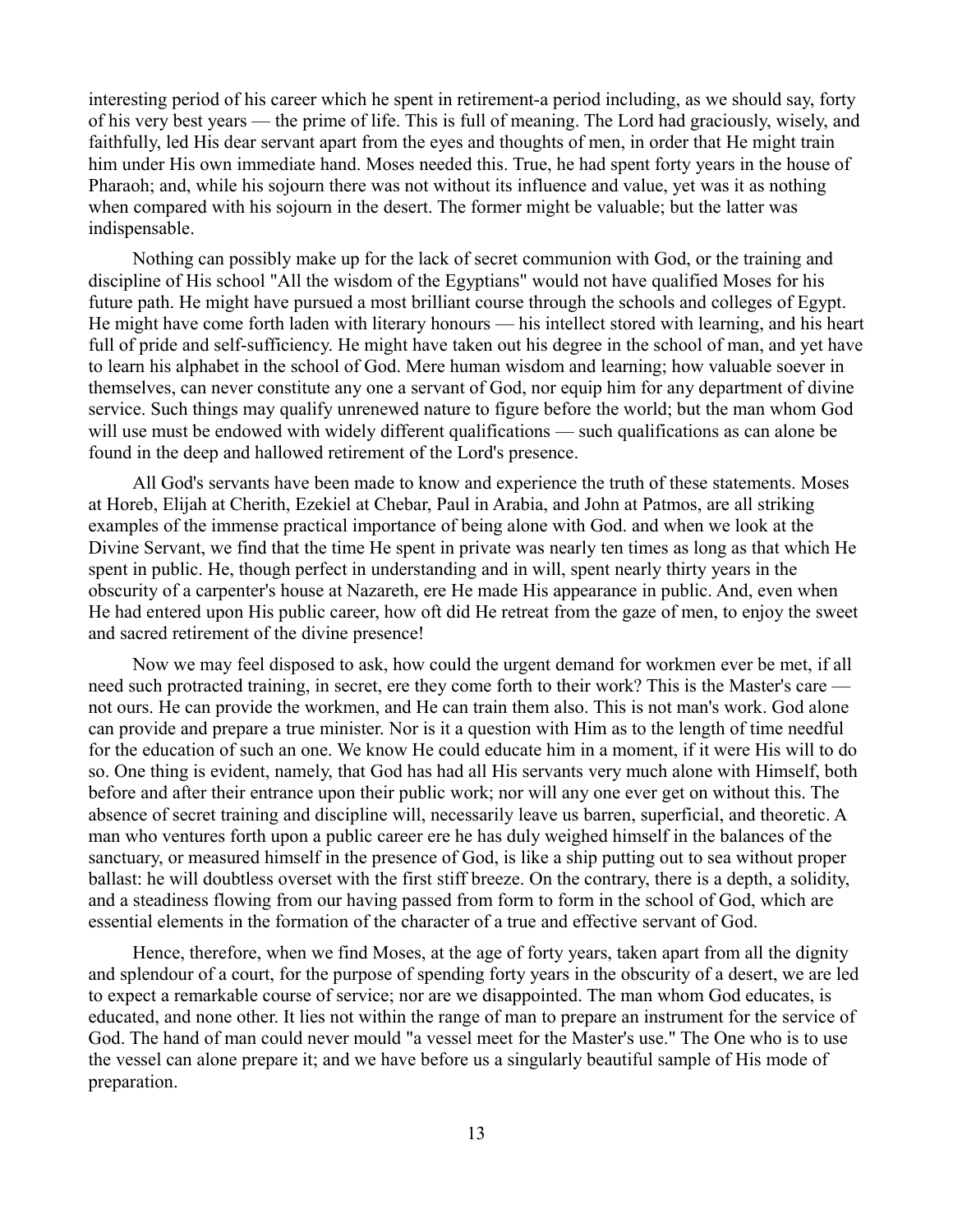interesting period of his career which he spent in retirement-a period including, as we should say, forty of his very best years — the prime of life. This is full of meaning. The Lord had graciously, wisely, and faithfully, led His dear servant apart from the eyes and thoughts of men, in order that He might train him under His own immediate hand. Moses needed this. True, he had spent forty years in the house of Pharaoh; and, while his sojourn there was not without its influence and value, yet was it as nothing when compared with his sojourn in the desert. The former might be valuable; but the latter was indispensable.

Nothing can possibly make up for the lack of secret communion with God, or the training and discipline of His school "All the wisdom of the Egyptians" would not have qualified Moses for his future path. He might have pursued a most brilliant course through the schools and colleges of Egypt. He might have come forth laden with literary honours — his intellect stored with learning, and his heart full of pride and self-sufficiency. He might have taken out his degree in the school of man, and yet have to learn his alphabet in the school of God. Mere human wisdom and learning; how valuable soever in themselves, can never constitute any one a servant of God, nor equip him for any department of divine service. Such things may qualify unrenewed nature to figure before the world; but the man whom God will use must be endowed with widely different qualifications — such qualifications as can alone be found in the deep and hallowed retirement of the Lord's presence.

All God's servants have been made to know and experience the truth of these statements. Moses at Horeb, Elijah at Cherith, Ezekiel at Chebar, Paul in Arabia, and John at Patmos, are all striking examples of the immense practical importance of being alone with God. and when we look at the Divine Servant, we find that the time He spent in private was nearly ten times as long as that which He spent in public. He, though perfect in understanding and in will, spent nearly thirty years in the obscurity of a carpenter's house at Nazareth, ere He made His appearance in public. And, even when He had entered upon His public career, how oft did He retreat from the gaze of men, to enjoy the sweet and sacred retirement of the divine presence!

Now we may feel disposed to ask, how could the urgent demand for workmen ever be met, if all need such protracted training, in secret, ere they come forth to their work? This is the Master's care not ours. He can provide the workmen, and He can train them also. This is not man's work. God alone can provide and prepare a true minister. Nor is it a question with Him as to the length of time needful for the education of such an one. We know He could educate him in a moment, if it were His will to do so. One thing is evident, namely, that God has had all His servants very much alone with Himself, both before and after their entrance upon their public work; nor will any one ever get on without this. The absence of secret training and discipline will, necessarily leave us barren, superficial, and theoretic. A man who ventures forth upon a public career ere he has duly weighed himself in the balances of the sanctuary, or measured himself in the presence of God, is like a ship putting out to sea without proper ballast: he will doubtless overset with the first stiff breeze. On the contrary, there is a depth, a solidity, and a steadiness flowing from our having passed from form to form in the school of God, which are essential elements in the formation of the character of a true and effective servant of God.

Hence, therefore, when we find Moses, at the age of forty years, taken apart from all the dignity and splendour of a court, for the purpose of spending forty years in the obscurity of a desert, we are led to expect a remarkable course of service; nor are we disappointed. The man whom God educates, is educated, and none other. It lies not within the range of man to prepare an instrument for the service of God. The hand of man could never mould "a vessel meet for the Master's use." The One who is to use the vessel can alone prepare it; and we have before us a singularly beautiful sample of His mode of preparation.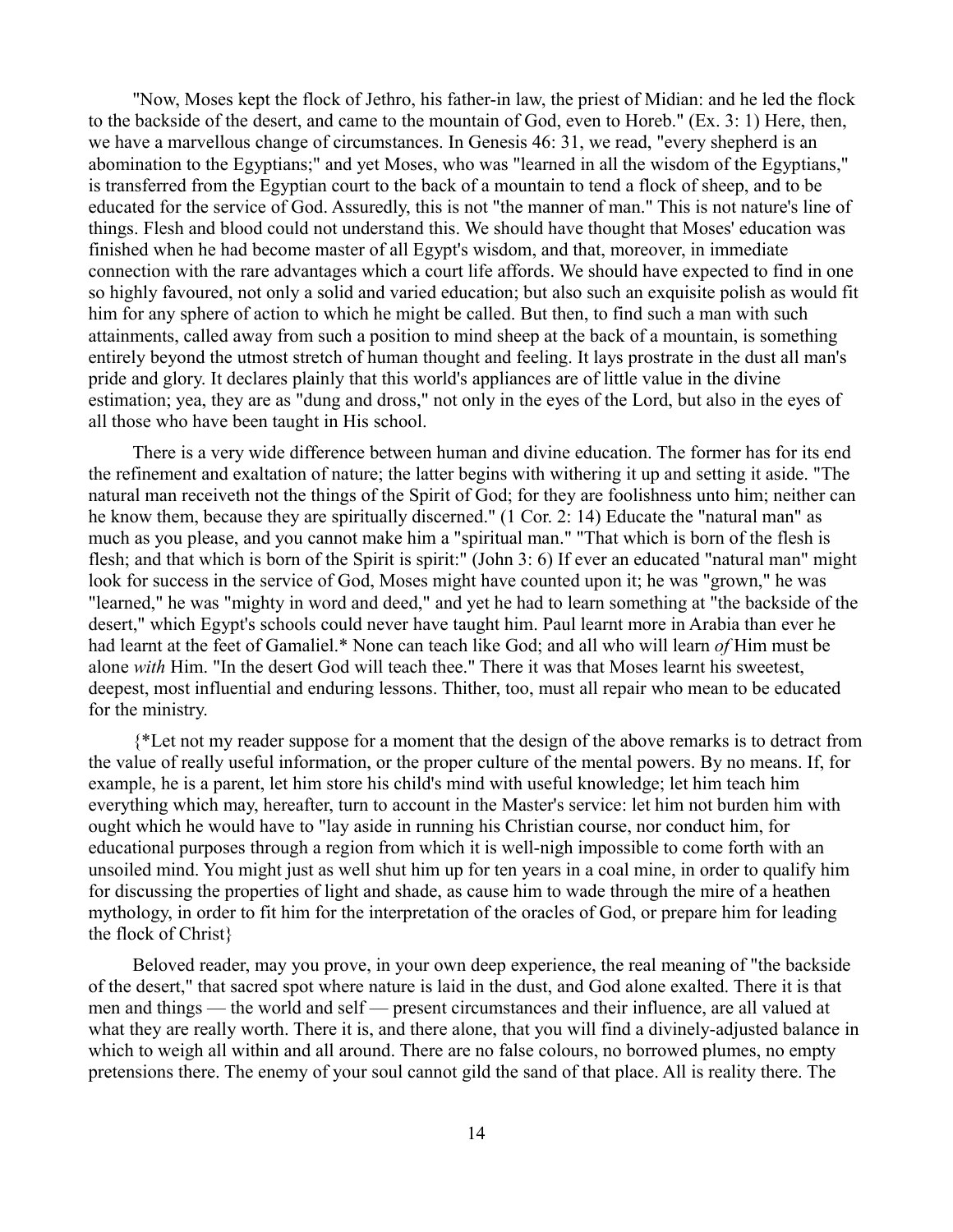"Now, Moses kept the flock of Jethro, his father-in law, the priest of Midian: and he led the flock to the backside of the desert, and came to the mountain of God, even to Horeb." (Ex. 3: 1) Here, then, we have a marvellous change of circumstances. In Genesis 46: 31, we read, "every shepherd is an abomination to the Egyptians;" and yet Moses, who was "learned in all the wisdom of the Egyptians," is transferred from the Egyptian court to the back of a mountain to tend a flock of sheep, and to be educated for the service of God. Assuredly, this is not "the manner of man." This is not nature's line of things. Flesh and blood could not understand this. We should have thought that Moses' education was finished when he had become master of all Egypt's wisdom, and that, moreover, in immediate connection with the rare advantages which a court life affords. We should have expected to find in one so highly favoured, not only a solid and varied education; but also such an exquisite polish as would fit him for any sphere of action to which he might be called. But then, to find such a man with such attainments, called away from such a position to mind sheep at the back of a mountain, is something entirely beyond the utmost stretch of human thought and feeling. It lays prostrate in the dust all man's pride and glory. It declares plainly that this world's appliances are of little value in the divine estimation; yea, they are as "dung and dross," not only in the eyes of the Lord, but also in the eyes of all those who have been taught in His school.

There is a very wide difference between human and divine education. The former has for its end the refinement and exaltation of nature; the latter begins with withering it up and setting it aside. "The natural man receiveth not the things of the Spirit of God; for they are foolishness unto him; neither can he know them, because they are spiritually discerned." (1 Cor. 2: 14) Educate the "natural man" as much as you please, and you cannot make him a "spiritual man." "That which is born of the flesh is flesh; and that which is born of the Spirit is spirit:" (John 3: 6) If ever an educated "natural man" might look for success in the service of God, Moses might have counted upon it; he was "grown," he was "learned," he was "mighty in word and deed," and yet he had to learn something at "the backside of the desert," which Egypt's schools could never have taught him. Paul learnt more in Arabia than ever he had learnt at the feet of Gamaliel.\* None can teach like God; and all who will learn *of* Him must be alone *with* Him. "In the desert God will teach thee." There it was that Moses learnt his sweetest, deepest, most influential and enduring lessons. Thither, too, must all repair who mean to be educated for the ministry.

{\*Let not my reader suppose for a moment that the design of the above remarks is to detract from the value of really useful information, or the proper culture of the mental powers. By no means. If, for example, he is a parent, let him store his child's mind with useful knowledge; let him teach him everything which may, hereafter, turn to account in the Master's service: let him not burden him with ought which he would have to "lay aside in running his Christian course, nor conduct him, for educational purposes through a region from which it is well-nigh impossible to come forth with an unsoiled mind. You might just as well shut him up for ten years in a coal mine, in order to qualify him for discussing the properties of light and shade, as cause him to wade through the mire of a heathen mythology, in order to fit him for the interpretation of the oracles of God, or prepare him for leading the flock of Christ}

Beloved reader, may you prove, in your own deep experience, the real meaning of "the backside of the desert," that sacred spot where nature is laid in the dust, and God alone exalted. There it is that men and things — the world and self — present circumstances and their influence, are all valued at what they are really worth. There it is, and there alone, that you will find a divinely-adjusted balance in which to weigh all within and all around. There are no false colours, no borrowed plumes, no empty pretensions there. The enemy of your soul cannot gild the sand of that place. All is reality there. The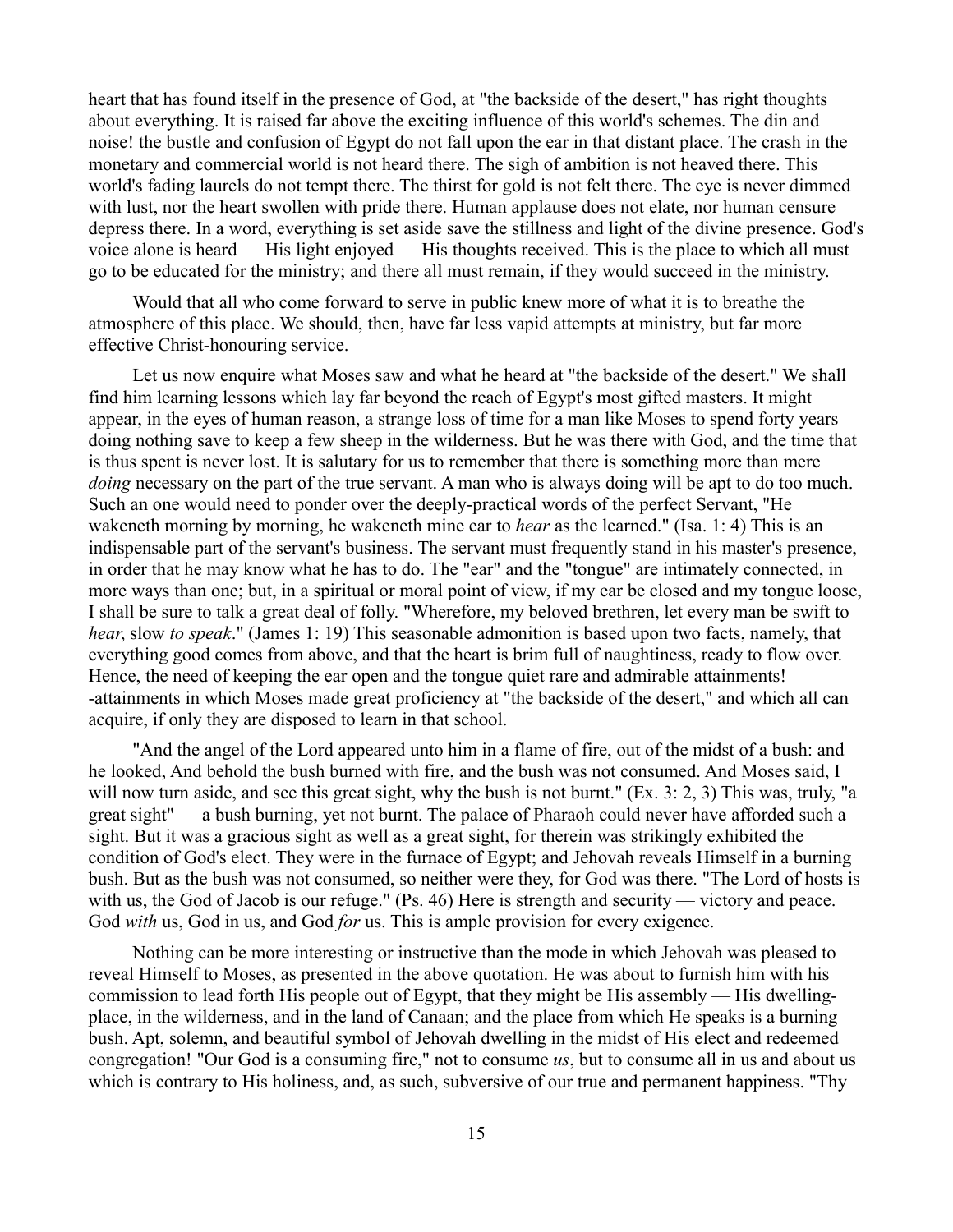heart that has found itself in the presence of God, at "the backside of the desert," has right thoughts about everything. It is raised far above the exciting influence of this world's schemes. The din and noise! the bustle and confusion of Egypt do not fall upon the ear in that distant place. The crash in the monetary and commercial world is not heard there. The sigh of ambition is not heaved there. This world's fading laurels do not tempt there. The thirst for gold is not felt there. The eye is never dimmed with lust, nor the heart swollen with pride there. Human applause does not elate, nor human censure depress there. In a word, everything is set aside save the stillness and light of the divine presence. God's voice alone is heard — His light enjoyed — His thoughts received. This is the place to which all must go to be educated for the ministry; and there all must remain, if they would succeed in the ministry.

Would that all who come forward to serve in public knew more of what it is to breathe the atmosphere of this place. We should, then, have far less vapid attempts at ministry, but far more effective Christ-honouring service.

Let us now enquire what Moses saw and what he heard at "the backside of the desert." We shall find him learning lessons which lay far beyond the reach of Egypt's most gifted masters. It might appear, in the eyes of human reason, a strange loss of time for a man like Moses to spend forty years doing nothing save to keep a few sheep in the wilderness. But he was there with God, and the time that is thus spent is never lost. It is salutary for us to remember that there is something more than mere *doing* necessary on the part of the true servant. A man who is always doing will be apt to do too much. Such an one would need to ponder over the deeply-practical words of the perfect Servant, "He wakeneth morning by morning, he wakeneth mine ear to *hear* as the learned." (Isa. 1: 4) This is an indispensable part of the servant's business. The servant must frequently stand in his master's presence, in order that he may know what he has to do. The "ear" and the "tongue" are intimately connected, in more ways than one; but, in a spiritual or moral point of view, if my ear be closed and my tongue loose, I shall be sure to talk a great deal of folly. "Wherefore, my beloved brethren, let every man be swift to *hear*, slow *to speak*." (James 1: 19) This seasonable admonition is based upon two facts, namely, that everything good comes from above, and that the heart is brim full of naughtiness, ready to flow over. Hence, the need of keeping the ear open and the tongue quiet rare and admirable attainments! -attainments in which Moses made great proficiency at "the backside of the desert," and which all can acquire, if only they are disposed to learn in that school.

"And the angel of the Lord appeared unto him in a flame of fire, out of the midst of a bush: and he looked, And behold the bush burned with fire, and the bush was not consumed. And Moses said, I will now turn aside, and see this great sight, why the bush is not burnt." (Ex. 3: 2, 3) This was, truly, "a great sight" — a bush burning, yet not burnt. The palace of Pharaoh could never have afforded such a sight. But it was a gracious sight as well as a great sight, for therein was strikingly exhibited the condition of God's elect. They were in the furnace of Egypt; and Jehovah reveals Himself in a burning bush. But as the bush was not consumed, so neither were they, for God was there. "The Lord of hosts is with us, the God of Jacob is our refuge." (Ps. 46) Here is strength and security — victory and peace. God *with* us, God in us, and God *for* us. This is ample provision for every exigence.

Nothing can be more interesting or instructive than the mode in which Jehovah was pleased to reveal Himself to Moses, as presented in the above quotation. He was about to furnish him with his commission to lead forth His people out of Egypt, that they might be His assembly — His dwellingplace, in the wilderness, and in the land of Canaan; and the place from which He speaks is a burning bush. Apt, solemn, and beautiful symbol of Jehovah dwelling in the midst of His elect and redeemed congregation! "Our God is a consuming fire," not to consume *us*, but to consume all in us and about us which is contrary to His holiness, and, as such, subversive of our true and permanent happiness. "Thy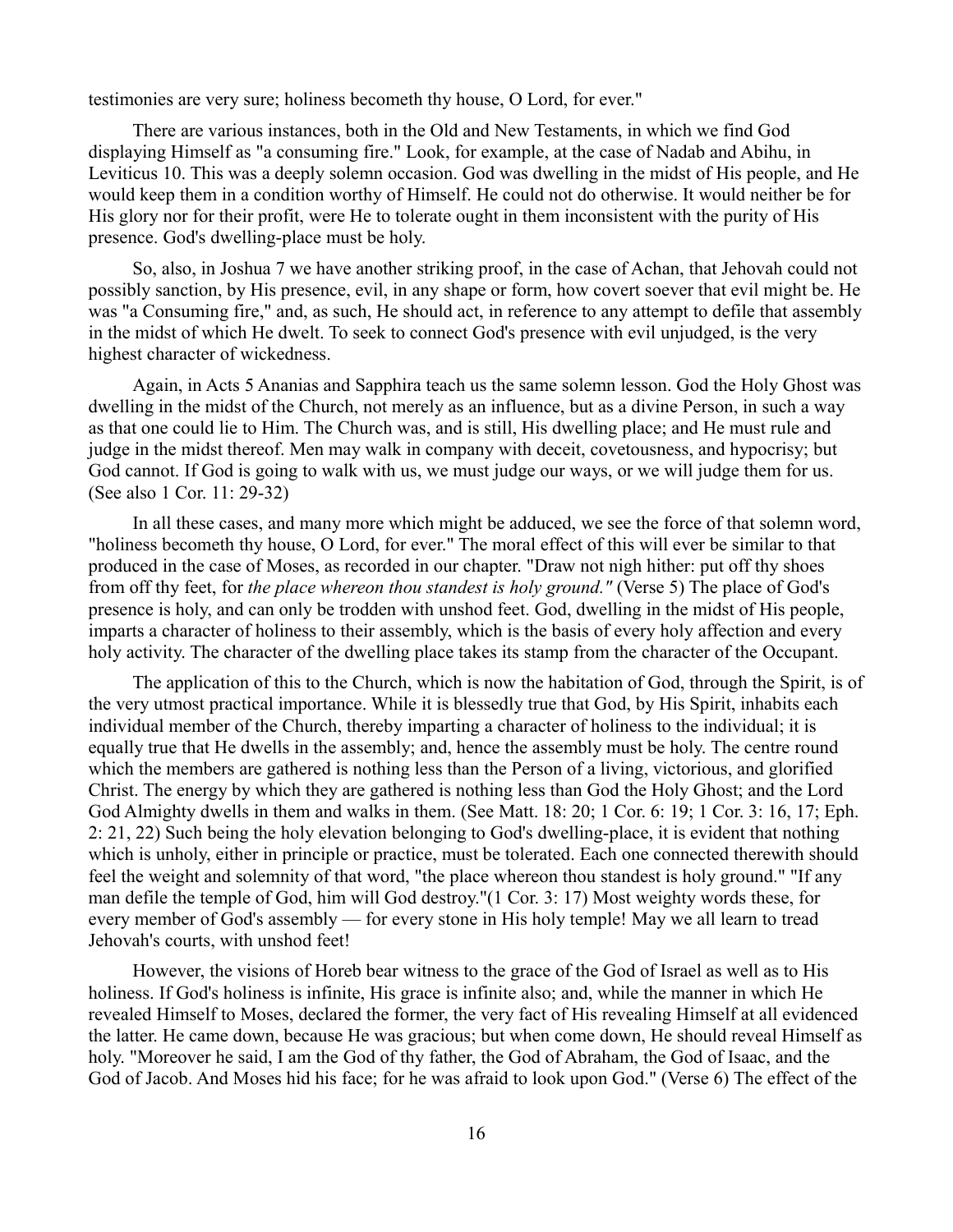testimonies are very sure; holiness becometh thy house, O Lord, for ever."

There are various instances, both in the Old and New Testaments, in which we find God displaying Himself as "a consuming fire." Look, for example, at the case of Nadab and Abihu, in Leviticus 10. This was a deeply solemn occasion. God was dwelling in the midst of His people, and He would keep them in a condition worthy of Himself. He could not do otherwise. It would neither be for His glory nor for their profit, were He to tolerate ought in them inconsistent with the purity of His presence. God's dwelling-place must be holy.

So, also, in Joshua 7 we have another striking proof, in the case of Achan, that Jehovah could not possibly sanction, by His presence, evil, in any shape or form, how covert soever that evil might be. He was "a Consuming fire," and, as such, He should act, in reference to any attempt to defile that assembly in the midst of which He dwelt. To seek to connect God's presence with evil unjudged, is the very highest character of wickedness.

Again, in Acts 5 Ananias and Sapphira teach us the same solemn lesson. God the Holy Ghost was dwelling in the midst of the Church, not merely as an influence, but as a divine Person, in such a way as that one could lie to Him. The Church was, and is still, His dwelling place; and He must rule and judge in the midst thereof. Men may walk in company with deceit, covetousness, and hypocrisy; but God cannot. If God is going to walk with us, we must judge our ways, or we will judge them for us. (See also 1 Cor. 11: 29-32)

In all these cases, and many more which might be adduced, we see the force of that solemn word, "holiness becometh thy house, O Lord, for ever." The moral effect of this will ever be similar to that produced in the case of Moses, as recorded in our chapter. "Draw not nigh hither: put off thy shoes from off thy feet, for *the place whereon thou standest is holy ground."* (Verse 5) The place of God's presence is holy, and can only be trodden with unshod feet. God, dwelling in the midst of His people, imparts a character of holiness to their assembly, which is the basis of every holy affection and every holy activity. The character of the dwelling place takes its stamp from the character of the Occupant.

The application of this to the Church, which is now the habitation of God, through the Spirit, is of the very utmost practical importance. While it is blessedly true that God, by His Spirit, inhabits each individual member of the Church, thereby imparting a character of holiness to the individual; it is equally true that He dwells in the assembly; and, hence the assembly must be holy. The centre round which the members are gathered is nothing less than the Person of a living, victorious, and glorified Christ. The energy by which they are gathered is nothing less than God the Holy Ghost; and the Lord God Almighty dwells in them and walks in them. (See Matt. 18: 20; 1 Cor. 6: 19; 1 Cor. 3: 16, 17; Eph. 2: 21, 22) Such being the holy elevation belonging to God's dwelling-place, it is evident that nothing which is unholy, either in principle or practice, must be tolerated. Each one connected therewith should feel the weight and solemnity of that word, "the place whereon thou standest is holy ground." "If any man defile the temple of God, him will God destroy."(1 Cor. 3: 17) Most weighty words these, for every member of God's assembly — for every stone in His holy temple! May we all learn to tread Jehovah's courts, with unshod feet!

However, the visions of Horeb bear witness to the grace of the God of Israel as well as to His holiness. If God's holiness is infinite, His grace is infinite also; and, while the manner in which He revealed Himself to Moses, declared the former, the very fact of His revealing Himself at all evidenced the latter. He came down, because He was gracious; but when come down, He should reveal Himself as holy. "Moreover he said, I am the God of thy father, the God of Abraham, the God of Isaac, and the God of Jacob. And Moses hid his face; for he was afraid to look upon God." (Verse 6) The effect of the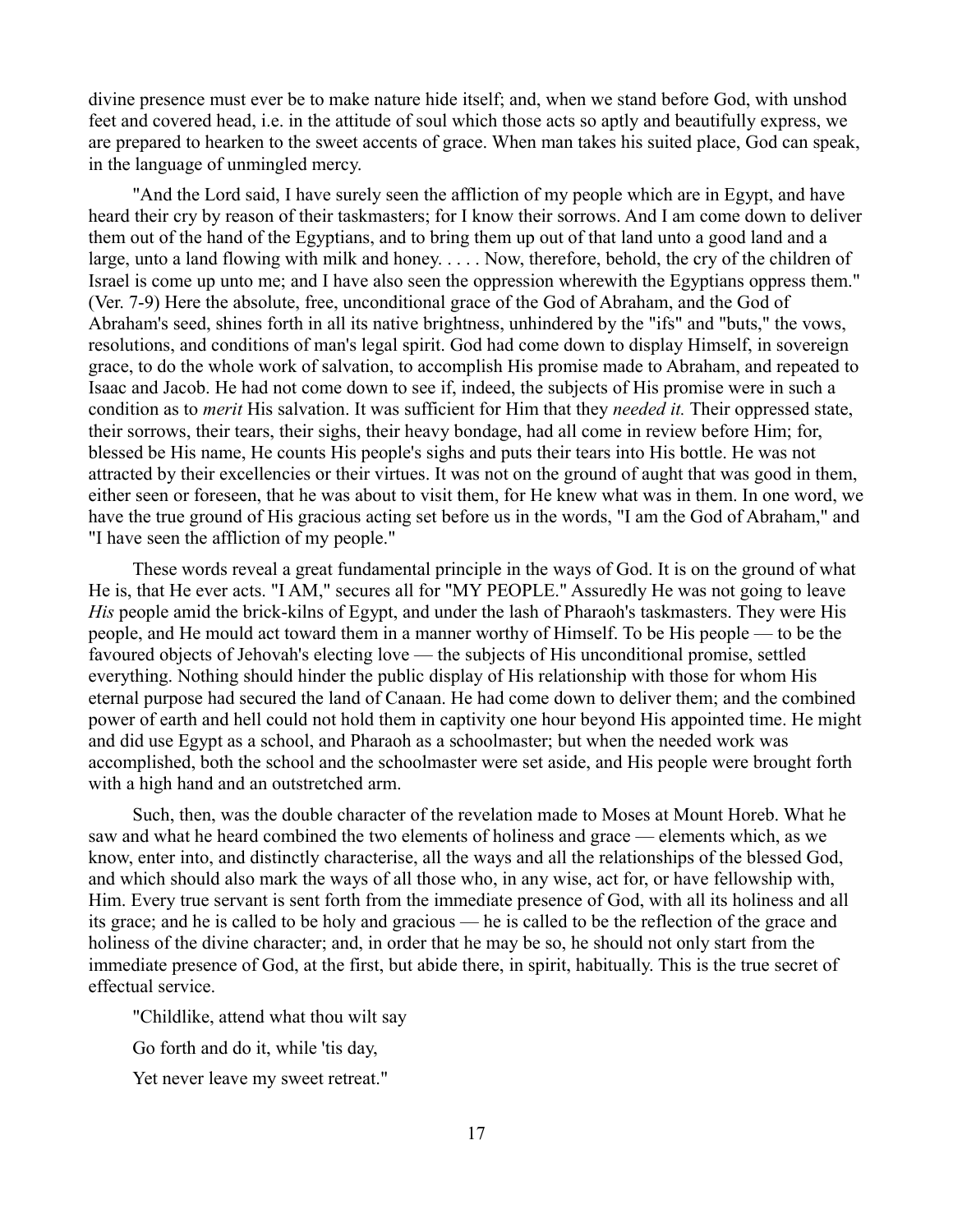divine presence must ever be to make nature hide itself; and, when we stand before God, with unshod feet and covered head, i.e. in the attitude of soul which those acts so aptly and beautifully express, we are prepared to hearken to the sweet accents of grace. When man takes his suited place, God can speak, in the language of unmingled mercy.

"And the Lord said, I have surely seen the affliction of my people which are in Egypt, and have heard their cry by reason of their taskmasters; for I know their sorrows. And I am come down to deliver them out of the hand of the Egyptians, and to bring them up out of that land unto a good land and a large, unto a land flowing with milk and honey. . . . . Now, therefore, behold, the cry of the children of Israel is come up unto me; and I have also seen the oppression wherewith the Egyptians oppress them." (Ver. 7-9) Here the absolute, free, unconditional grace of the God of Abraham, and the God of Abraham's seed, shines forth in all its native brightness, unhindered by the "ifs" and "buts," the vows, resolutions, and conditions of man's legal spirit. God had come down to display Himself, in sovereign grace, to do the whole work of salvation, to accomplish His promise made to Abraham, and repeated to Isaac and Jacob. He had not come down to see if, indeed, the subjects of His promise were in such a condition as to *merit* His salvation. It was sufficient for Him that they *needed it.* Their oppressed state, their sorrows, their tears, their sighs, their heavy bondage, had all come in review before Him; for, blessed be His name, He counts His people's sighs and puts their tears into His bottle. He was not attracted by their excellencies or their virtues. It was not on the ground of aught that was good in them, either seen or foreseen, that he was about to visit them, for He knew what was in them. In one word, we have the true ground of His gracious acting set before us in the words, "I am the God of Abraham," and "I have seen the affliction of my people."

These words reveal a great fundamental principle in the ways of God. It is on the ground of what He is, that He ever acts. "I AM," secures all for "MY PEOPLE." Assuredly He was not going to leave *His* people amid the brick-kilns of Egypt, and under the lash of Pharaoh's taskmasters. They were His people, and He mould act toward them in a manner worthy of Himself. To be His people — to be the favoured objects of Jehovah's electing love — the subjects of His unconditional promise, settled everything. Nothing should hinder the public display of His relationship with those for whom His eternal purpose had secured the land of Canaan. He had come down to deliver them; and the combined power of earth and hell could not hold them in captivity one hour beyond His appointed time. He might and did use Egypt as a school, and Pharaoh as a schoolmaster; but when the needed work was accomplished, both the school and the schoolmaster were set aside, and His people were brought forth with a high hand and an outstretched arm.

Such, then, was the double character of the revelation made to Moses at Mount Horeb. What he saw and what he heard combined the two elements of holiness and grace — elements which, as we know, enter into, and distinctly characterise, all the ways and all the relationships of the blessed God, and which should also mark the ways of all those who, in any wise, act for, or have fellowship with, Him. Every true servant is sent forth from the immediate presence of God, with all its holiness and all its grace; and he is called to be holy and gracious — he is called to be the reflection of the grace and holiness of the divine character; and, in order that he may be so, he should not only start from the immediate presence of God, at the first, but abide there, in spirit, habitually. This is the true secret of effectual service.

"Childlike, attend what thou wilt say

Go forth and do it, while 'tis day,

Yet never leave my sweet retreat."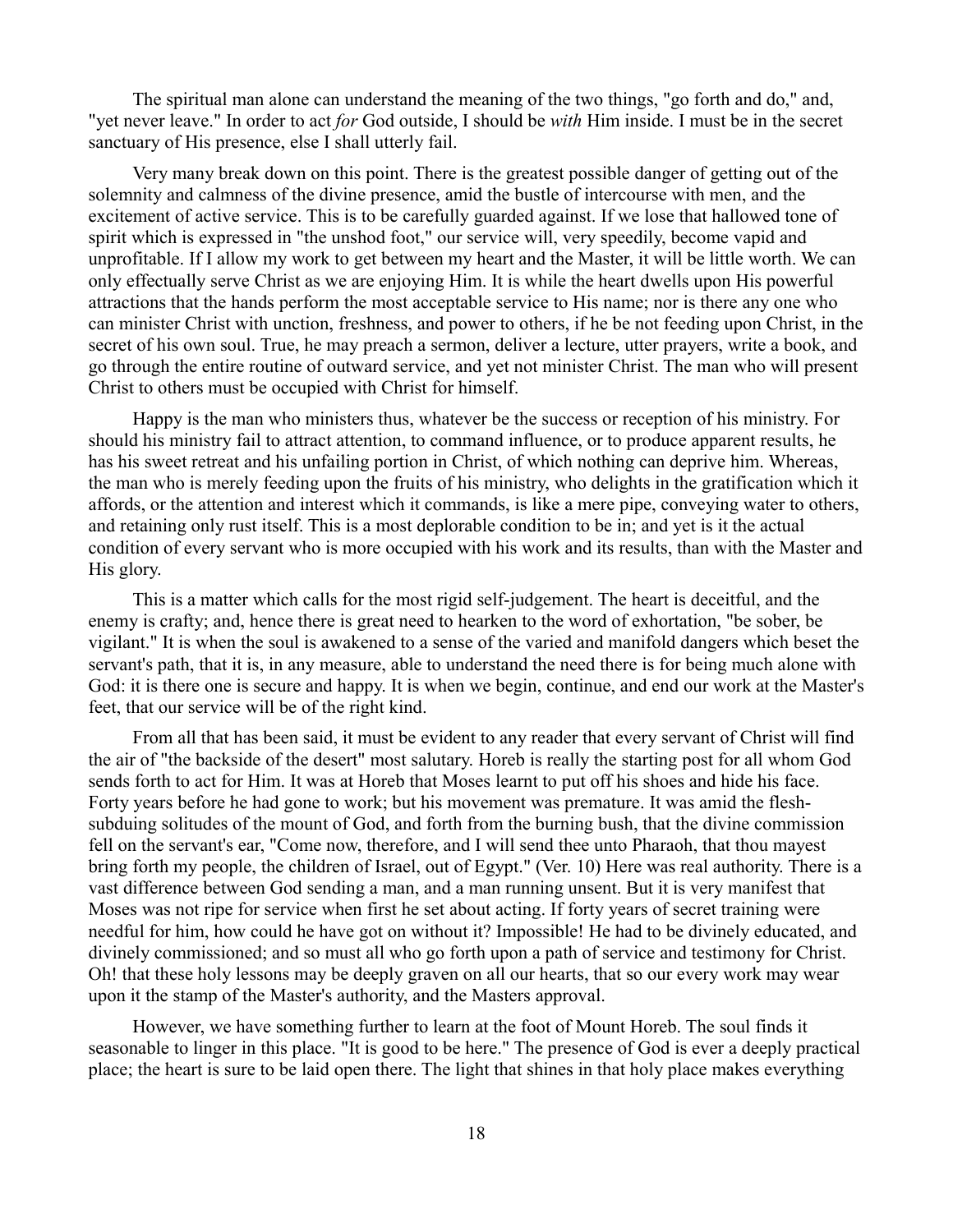The spiritual man alone can understand the meaning of the two things, "go forth and do," and, "yet never leave." In order to act *for* God outside, I should be *with* Him inside. I must be in the secret sanctuary of His presence, else I shall utterly fail.

Very many break down on this point. There is the greatest possible danger of getting out of the solemnity and calmness of the divine presence, amid the bustle of intercourse with men, and the excitement of active service. This is to be carefully guarded against. If we lose that hallowed tone of spirit which is expressed in "the unshod foot," our service will, very speedily, become vapid and unprofitable. If I allow my work to get between my heart and the Master, it will be little worth. We can only effectually serve Christ as we are enjoying Him. It is while the heart dwells upon His powerful attractions that the hands perform the most acceptable service to His name; nor is there any one who can minister Christ with unction, freshness, and power to others, if he be not feeding upon Christ, in the secret of his own soul. True, he may preach a sermon, deliver a lecture, utter prayers, write a book, and go through the entire routine of outward service, and yet not minister Christ. The man who will present Christ to others must be occupied with Christ for himself.

Happy is the man who ministers thus, whatever be the success or reception of his ministry. For should his ministry fail to attract attention, to command influence, or to produce apparent results, he has his sweet retreat and his unfailing portion in Christ, of which nothing can deprive him. Whereas, the man who is merely feeding upon the fruits of his ministry, who delights in the gratification which it affords, or the attention and interest which it commands, is like a mere pipe, conveying water to others, and retaining only rust itself. This is a most deplorable condition to be in; and yet is it the actual condition of every servant who is more occupied with his work and its results, than with the Master and His glory.

This is a matter which calls for the most rigid self-judgement. The heart is deceitful, and the enemy is crafty; and, hence there is great need to hearken to the word of exhortation, "be sober, be vigilant." It is when the soul is awakened to a sense of the varied and manifold dangers which beset the servant's path, that it is, in any measure, able to understand the need there is for being much alone with God: it is there one is secure and happy. It is when we begin, continue, and end our work at the Master's feet, that our service will be of the right kind.

From all that has been said, it must be evident to any reader that every servant of Christ will find the air of "the backside of the desert" most salutary. Horeb is really the starting post for all whom God sends forth to act for Him. It was at Horeb that Moses learnt to put off his shoes and hide his face. Forty years before he had gone to work; but his movement was premature. It was amid the fleshsubduing solitudes of the mount of God, and forth from the burning bush, that the divine commission fell on the servant's ear, "Come now, therefore, and I will send thee unto Pharaoh, that thou mayest bring forth my people, the children of Israel, out of Egypt." (Ver. 10) Here was real authority. There is a vast difference between God sending a man, and a man running unsent. But it is very manifest that Moses was not ripe for service when first he set about acting. If forty years of secret training were needful for him, how could he have got on without it? Impossible! He had to be divinely educated, and divinely commissioned; and so must all who go forth upon a path of service and testimony for Christ. Oh! that these holy lessons may be deeply graven on all our hearts, that so our every work may wear upon it the stamp of the Master's authority, and the Masters approval.

However, we have something further to learn at the foot of Mount Horeb. The soul finds it seasonable to linger in this place. "It is good to be here." The presence of God is ever a deeply practical place; the heart is sure to be laid open there. The light that shines in that holy place makes everything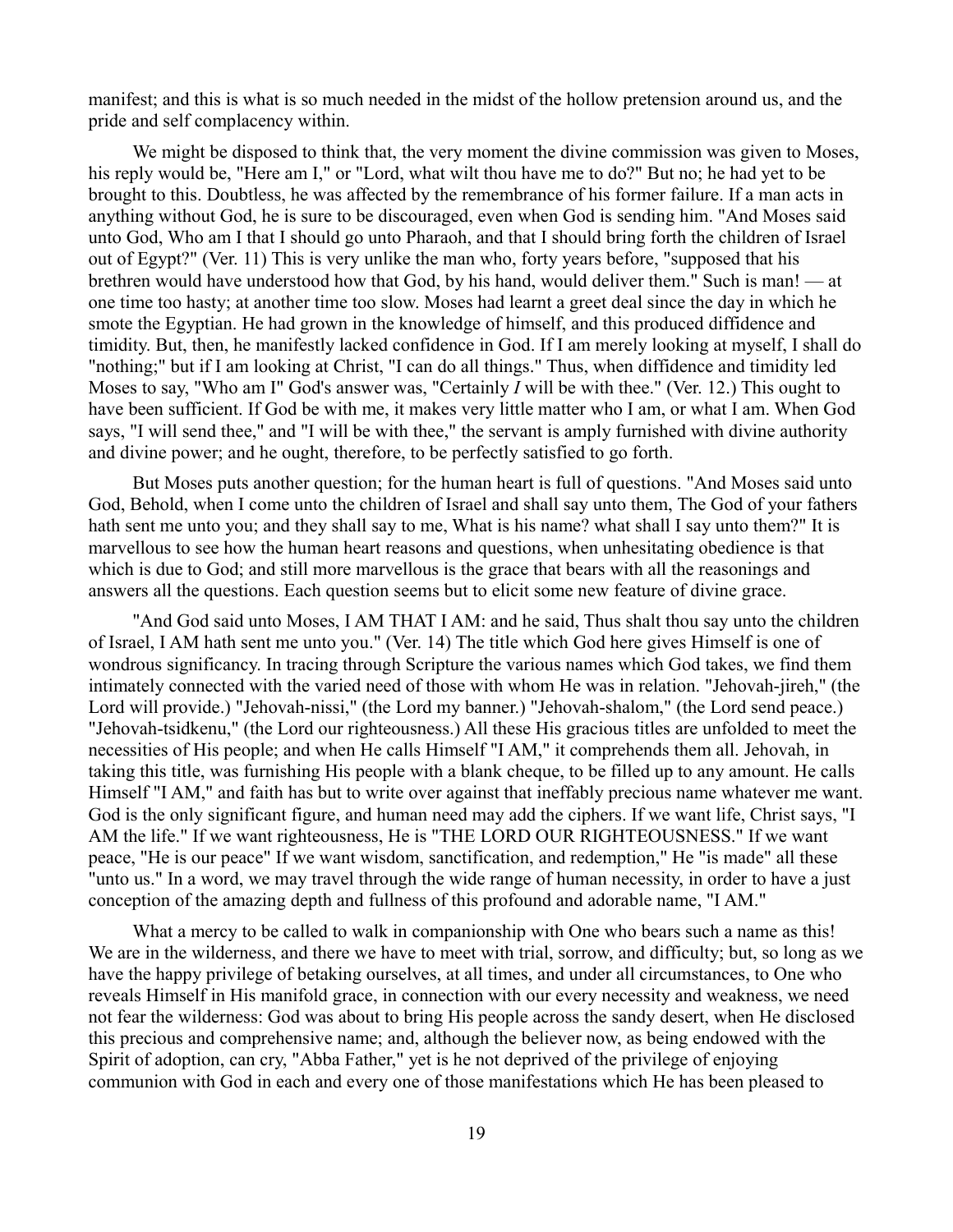manifest; and this is what is so much needed in the midst of the hollow pretension around us, and the pride and self complacency within.

We might be disposed to think that, the very moment the divine commission was given to Moses, his reply would be, "Here am I," or "Lord, what wilt thou have me to do?" But no; he had yet to be brought to this. Doubtless, he was affected by the remembrance of his former failure. If a man acts in anything without God, he is sure to be discouraged, even when God is sending him. "And Moses said unto God, Who am I that I should go unto Pharaoh, and that I should bring forth the children of Israel out of Egypt?" (Ver. 11) This is very unlike the man who, forty years before, "supposed that his brethren would have understood how that God, by his hand, would deliver them." Such is man! — at one time too hasty; at another time too slow. Moses had learnt a greet deal since the day in which he smote the Egyptian. He had grown in the knowledge of himself, and this produced diffidence and timidity. But, then, he manifestly lacked confidence in God. If I am merely looking at myself, I shall do "nothing;" but if I am looking at Christ, "I can do all things." Thus, when diffidence and timidity led Moses to say, "Who am I" God's answer was, "Certainly *I* will be with thee." (Ver. 12.) This ought to have been sufficient. If God be with me, it makes very little matter who I am, or what I am. When God says, "I will send thee," and "I will be with thee," the servant is amply furnished with divine authority and divine power; and he ought, therefore, to be perfectly satisfied to go forth.

But Moses puts another question; for the human heart is full of questions. "And Moses said unto God, Behold, when I come unto the children of Israel and shall say unto them, The God of your fathers hath sent me unto you; and they shall say to me, What is his name? what shall I say unto them?" It is marvellous to see how the human heart reasons and questions, when unhesitating obedience is that which is due to God; and still more marvellous is the grace that bears with all the reasonings and answers all the questions. Each question seems but to elicit some new feature of divine grace.

"And God said unto Moses, I AM THAT I AM: and he said, Thus shalt thou say unto the children of Israel, I AM hath sent me unto you." (Ver. 14) The title which God here gives Himself is one of wondrous significancy. In tracing through Scripture the various names which God takes, we find them intimately connected with the varied need of those with whom He was in relation. "Jehovah-jireh," (the Lord will provide.) "Jehovah-nissi," (the Lord my banner.) "Jehovah-shalom," (the Lord send peace.) "Jehovah-tsidkenu," (the Lord our righteousness.) All these His gracious titles are unfolded to meet the necessities of His people; and when He calls Himself "I AM," it comprehends them all. Jehovah, in taking this title, was furnishing His people with a blank cheque, to be filled up to any amount. He calls Himself "I AM," and faith has but to write over against that ineffably precious name whatever me want. God is the only significant figure, and human need may add the ciphers. If we want life, Christ says, "I AM the life." If we want righteousness, He is "THE LORD OUR RIGHTEOUSNESS." If we want peace, "He is our peace" If we want wisdom, sanctification, and redemption," He "is made" all these "unto us." In a word, we may travel through the wide range of human necessity, in order to have a just conception of the amazing depth and fullness of this profound and adorable name, "I AM."

What a mercy to be called to walk in companionship with One who bears such a name as this! We are in the wilderness, and there we have to meet with trial, sorrow, and difficulty; but, so long as we have the happy privilege of betaking ourselves, at all times, and under all circumstances, to One who reveals Himself in His manifold grace, in connection with our every necessity and weakness, we need not fear the wilderness: God was about to bring His people across the sandy desert, when He disclosed this precious and comprehensive name; and, although the believer now, as being endowed with the Spirit of adoption, can cry, "Abba Father," yet is he not deprived of the privilege of enjoying communion with God in each and every one of those manifestations which He has been pleased to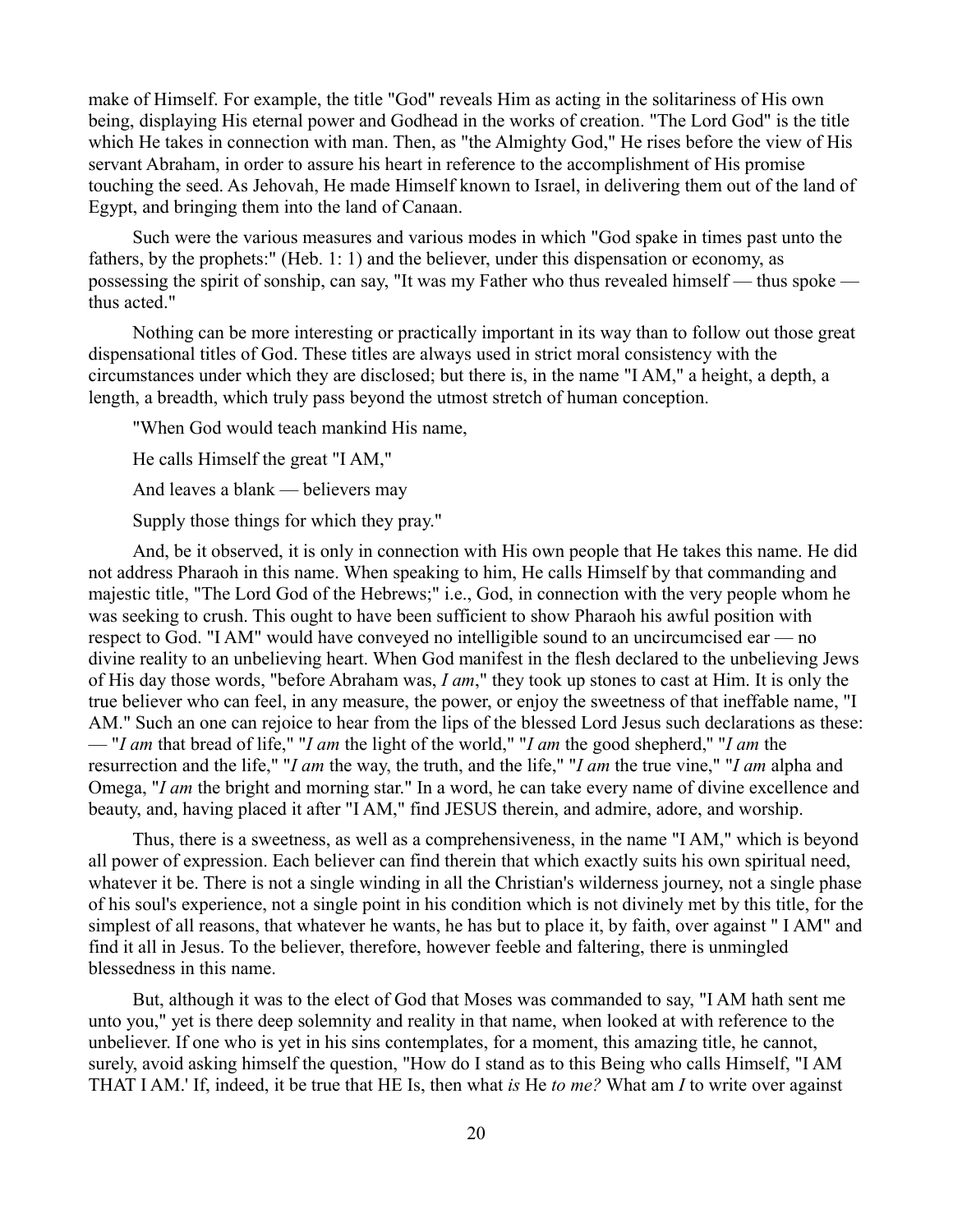make of Himself. For example, the title "God" reveals Him as acting in the solitariness of His own being, displaying His eternal power and Godhead in the works of creation. "The Lord God" is the title which He takes in connection with man. Then, as "the Almighty God," He rises before the view of His servant Abraham, in order to assure his heart in reference to the accomplishment of His promise touching the seed. As Jehovah, He made Himself known to Israel, in delivering them out of the land of Egypt, and bringing them into the land of Canaan.

Such were the various measures and various modes in which "God spake in times past unto the fathers, by the prophets:" (Heb. 1: 1) and the believer, under this dispensation or economy, as possessing the spirit of sonship, can say, "It was my Father who thus revealed himself — thus spoke thus acted."

Nothing can be more interesting or practically important in its way than to follow out those great dispensational titles of God. These titles are always used in strict moral consistency with the circumstances under which they are disclosed; but there is, in the name "I AM," a height, a depth, a length, a breadth, which truly pass beyond the utmost stretch of human conception.

"When God would teach mankind His name,

He calls Himself the great "I AM,"

And leaves a blank — believers may

Supply those things for which they pray."

And, be it observed, it is only in connection with His own people that He takes this name. He did not address Pharaoh in this name. When speaking to him, He calls Himself by that commanding and majestic title, "The Lord God of the Hebrews;" i.e., God, in connection with the very people whom he was seeking to crush. This ought to have been sufficient to show Pharaoh his awful position with respect to God. "I AM" would have conveyed no intelligible sound to an uncircumcised ear — no divine reality to an unbelieving heart. When God manifest in the flesh declared to the unbelieving Jews of His day those words, "before Abraham was, *I am*," they took up stones to cast at Him. It is only the true believer who can feel, in any measure, the power, or enjoy the sweetness of that ineffable name, "I AM." Such an one can rejoice to hear from the lips of the blessed Lord Jesus such declarations as these: — "*I am* that bread of life," "*I am* the light of the world," "*I am* the good shepherd,'' "*I am* the resurrection and the life," "*I am* the way, the truth, and the life," "*I am* the true vine," "*I am* alpha and Omega, "*I am* the bright and morning star." In a word, he can take every name of divine excellence and beauty, and, having placed it after "I AM," find JESUS therein, and admire, adore, and worship.

Thus, there is a sweetness, as well as a comprehensiveness, in the name "I AM," which is beyond all power of expression. Each believer can find therein that which exactly suits his own spiritual need, whatever it be. There is not a single winding in all the Christian's wilderness journey, not a single phase of his soul's experience, not a single point in his condition which is not divinely met by this title, for the simplest of all reasons, that whatever he wants, he has but to place it, by faith, over against " I AM" and find it all in Jesus. To the believer, therefore, however feeble and faltering, there is unmingled blessedness in this name.

But, although it was to the elect of God that Moses was commanded to say, "I AM hath sent me unto you," yet is there deep solemnity and reality in that name, when looked at with reference to the unbeliever. If one who is yet in his sins contemplates, for a moment, this amazing title, he cannot, surely, avoid asking himself the question, "How do I stand as to this Being who calls Himself, "I AM THAT I AM.' If, indeed, it be true that HE Is, then what *is* He *to me?* What am *I* to write over against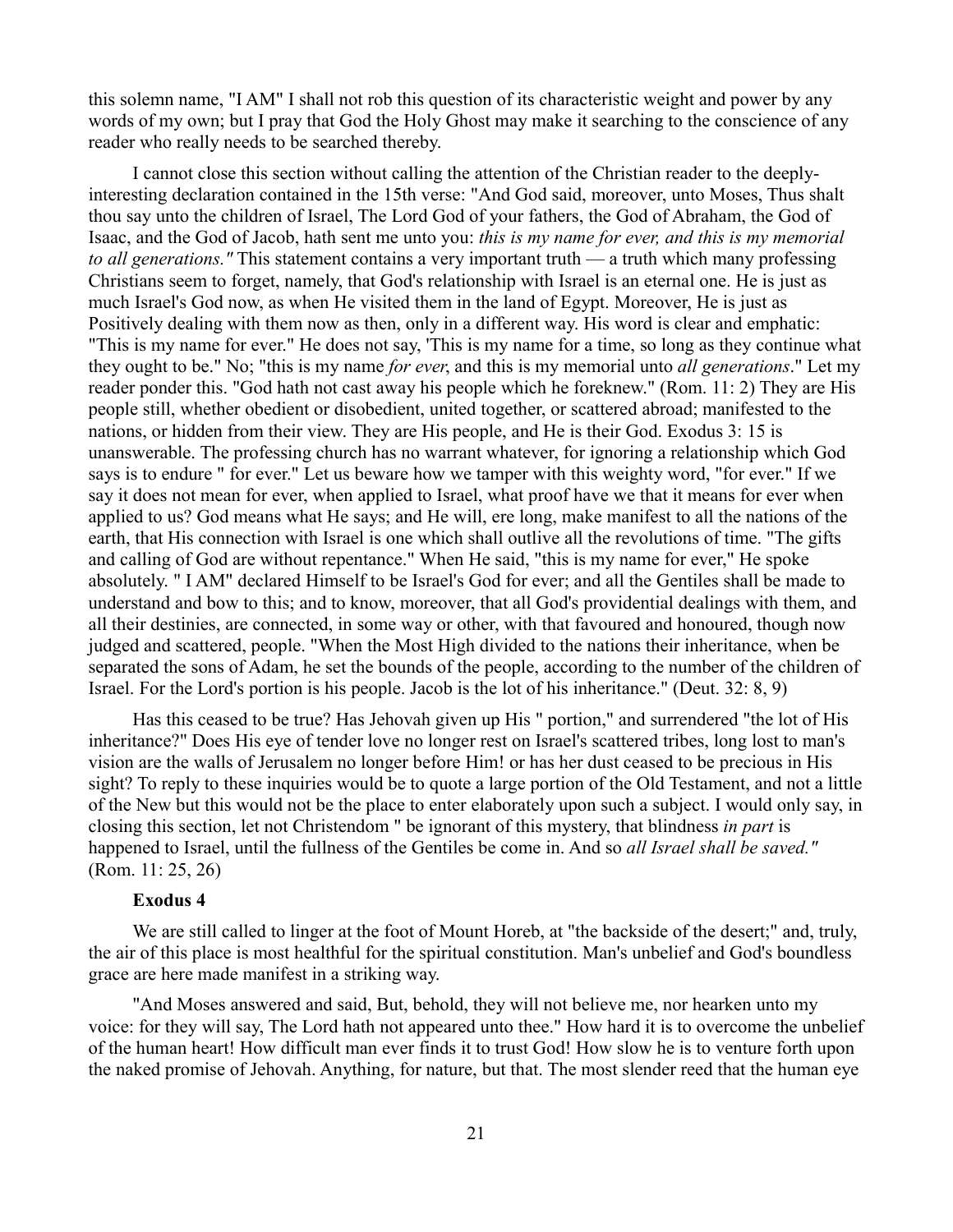this solemn name, "I AM" I shall not rob this question of its characteristic weight and power by any words of my own; but I pray that God the Holy Ghost may make it searching to the conscience of any reader who really needs to be searched thereby.

I cannot close this section without calling the attention of the Christian reader to the deeplyinteresting declaration contained in the 15th verse: "And God said, moreover, unto Moses, Thus shalt thou say unto the children of Israel, The Lord God of your fathers, the God of Abraham, the God of Isaac, and the God of Jacob, hath sent me unto you: *this is my name for ever, and this is my memorial to all generations."* This statement contains a very important truth — a truth which many professing Christians seem to forget, namely, that God's relationship with Israel is an eternal one. He is just as much Israel's God now, as when He visited them in the land of Egypt. Moreover, He is just as Positively dealing with them now as then, only in a different way. His word is clear and emphatic: "This is my name for ever." He does not say, 'This is my name for a time, so long as they continue what they ought to be." No; "this is my name *for ever*, and this is my memorial unto *all generations*." Let my reader ponder this. "God hath not cast away his people which he foreknew." (Rom. 11: 2) They are His people still, whether obedient or disobedient, united together, or scattered abroad; manifested to the nations, or hidden from their view. They are His people, and He is their God. Exodus 3: 15 is unanswerable. The professing church has no warrant whatever, for ignoring a relationship which God says is to endure " for ever." Let us beware how we tamper with this weighty word, "for ever." If we say it does not mean for ever, when applied to Israel, what proof have we that it means for ever when applied to us? God means what He says; and He will, ere long, make manifest to all the nations of the earth, that His connection with Israel is one which shall outlive all the revolutions of time. "The gifts and calling of God are without repentance." When He said, "this is my name for ever," He spoke absolutely. " I AM" declared Himself to be Israel's God for ever; and all the Gentiles shall be made to understand and bow to this; and to know, moreover, that all God's providential dealings with them, and all their destinies, are connected, in some way or other, with that favoured and honoured, though now judged and scattered, people. "When the Most High divided to the nations their inheritance, when be separated the sons of Adam, he set the bounds of the people, according to the number of the children of Israel. For the Lord's portion is his people. Jacob is the lot of his inheritance." (Deut. 32: 8, 9)

Has this ceased to be true? Has Jehovah given up His " portion," and surrendered "the lot of His inheritance?" Does His eye of tender love no longer rest on Israel's scattered tribes, long lost to man's vision are the walls of Jerusalem no longer before Him! or has her dust ceased to be precious in His sight? To reply to these inquiries would be to quote a large portion of the Old Testament, and not a little of the New but this would not be the place to enter elaborately upon such a subject. I would only say, in closing this section, let not Christendom " be ignorant of this mystery, that blindness *in part* is happened to Israel, until the fullness of the Gentiles be come in. And so *all Israel shall be saved."* (Rom. 11: 25, 26)

# **Exodus 4**

We are still called to linger at the foot of Mount Horeb, at "the backside of the desert;" and, truly, the air of this place is most healthful for the spiritual constitution. Man's unbelief and God's boundless grace are here made manifest in a striking way.

"And Moses answered and said, But, behold, they will not believe me, nor hearken unto my voice: for they will say, The Lord hath not appeared unto thee." How hard it is to overcome the unbelief of the human heart! How difficult man ever finds it to trust God! How slow he is to venture forth upon the naked promise of Jehovah. Anything, for nature, but that. The most slender reed that the human eye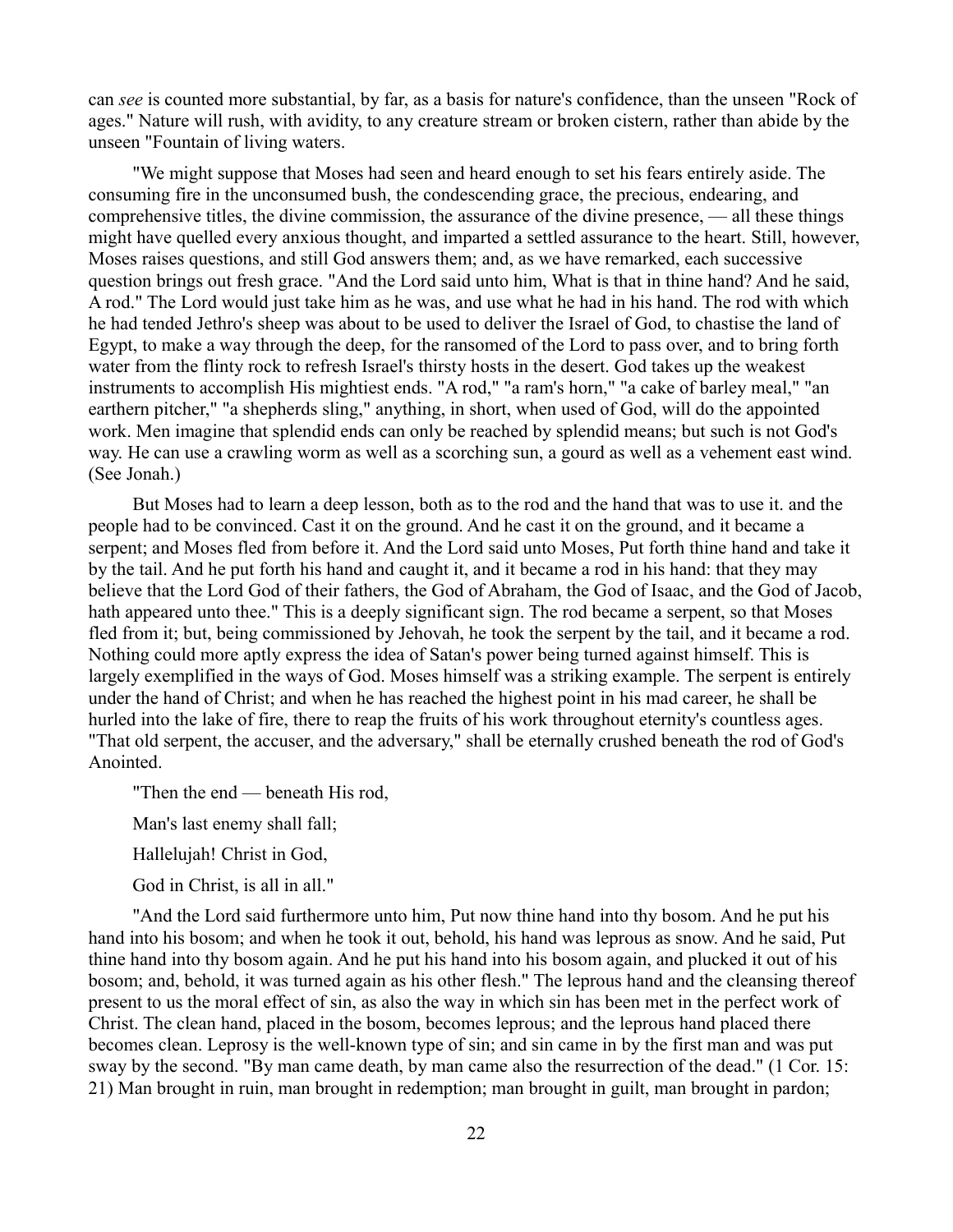can *see* is counted more substantial, by far, as a basis for nature's confidence, than the unseen "Rock of ages." Nature will rush, with avidity, to any creature stream or broken cistern, rather than abide by the unseen "Fountain of living waters.

"We might suppose that Moses had seen and heard enough to set his fears entirely aside. The consuming fire in the unconsumed bush, the condescending grace, the precious, endearing, and comprehensive titles, the divine commission, the assurance of the divine presence, — all these things might have quelled every anxious thought, and imparted a settled assurance to the heart. Still, however, Moses raises questions, and still God answers them; and, as we have remarked, each successive question brings out fresh grace. "And the Lord said unto him, What is that in thine hand? And he said, A rod." The Lord would just take him as he was, and use what he had in his hand. The rod with which he had tended Jethro's sheep was about to be used to deliver the Israel of God, to chastise the land of Egypt, to make a way through the deep, for the ransomed of the Lord to pass over, and to bring forth water from the flinty rock to refresh Israel's thirsty hosts in the desert. God takes up the weakest instruments to accomplish His mightiest ends. "A rod," "a ram's horn," "a cake of barley meal," "an earthern pitcher," "a shepherds sling," anything, in short, when used of God, will do the appointed work. Men imagine that splendid ends can only be reached by splendid means; but such is not God's way. He can use a crawling worm as well as a scorching sun, a gourd as well as a vehement east wind. (See Jonah.)

But Moses had to learn a deep lesson, both as to the rod and the hand that was to use it. and the people had to be convinced. Cast it on the ground. And he cast it on the ground, and it became a serpent; and Moses fled from before it. And the Lord said unto Moses, Put forth thine hand and take it by the tail. And he put forth his hand and caught it, and it became a rod in his hand: that they may believe that the Lord God of their fathers, the God of Abraham, the God of Isaac, and the God of Jacob, hath appeared unto thee." This is a deeply significant sign. The rod became a serpent, so that Moses fled from it; but, being commissioned by Jehovah, he took the serpent by the tail, and it became a rod. Nothing could more aptly express the idea of Satan's power being turned against himself. This is largely exemplified in the ways of God. Moses himself was a striking example. The serpent is entirely under the hand of Christ; and when he has reached the highest point in his mad career, he shall be hurled into the lake of fire, there to reap the fruits of his work throughout eternity's countless ages. "That old serpent, the accuser, and the adversary," shall be eternally crushed beneath the rod of God's Anointed.

"Then the end — beneath His rod,

Man's last enemy shall fall;

Hallelujah! Christ in God,

God in Christ, is all in all."

"And the Lord said furthermore unto him, Put now thine hand into thy bosom. And he put his hand into his bosom; and when he took it out, behold, his hand was leprous as snow. And he said, Put thine hand into thy bosom again. And he put his hand into his bosom again, and plucked it out of his bosom; and, behold, it was turned again as his other flesh." The leprous hand and the cleansing thereof present to us the moral effect of sin, as also the way in which sin has been met in the perfect work of Christ. The clean hand, placed in the bosom, becomes leprous; and the leprous hand placed there becomes clean. Leprosy is the well-known type of sin; and sin came in by the first man and was put sway by the second. "By man came death, by man came also the resurrection of the dead." (1 Cor. 15: 21) Man brought in ruin, man brought in redemption; man brought in guilt, man brought in pardon;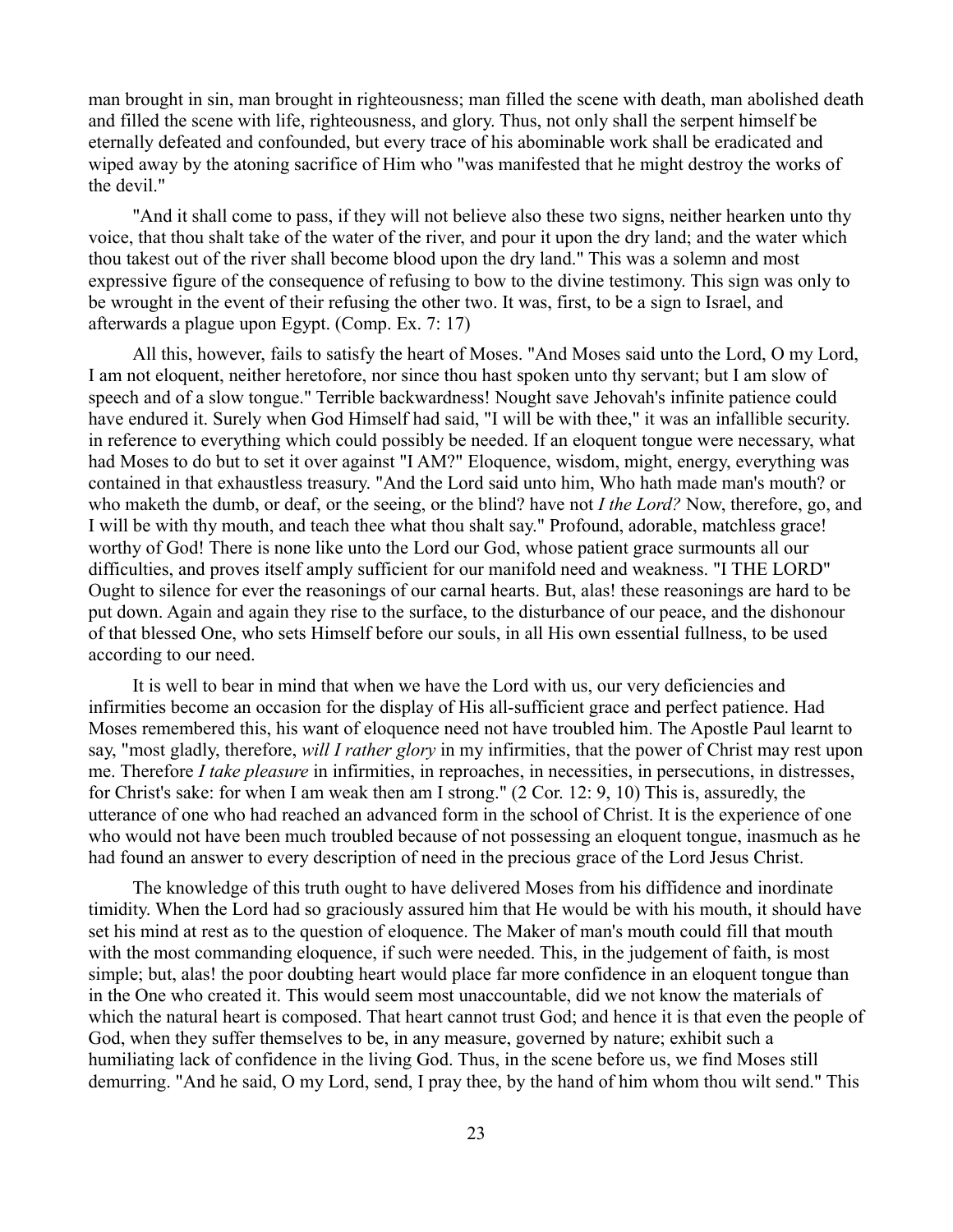man brought in sin, man brought in righteousness; man filled the scene with death, man abolished death and filled the scene with life, righteousness, and glory. Thus, not only shall the serpent himself be eternally defeated and confounded, but every trace of his abominable work shall be eradicated and wiped away by the atoning sacrifice of Him who "was manifested that he might destroy the works of the devil."

"And it shall come to pass, if they will not believe also these two signs, neither hearken unto thy voice, that thou shalt take of the water of the river, and pour it upon the dry land; and the water which thou takest out of the river shall become blood upon the dry land." This was a solemn and most expressive figure of the consequence of refusing to bow to the divine testimony. This sign was only to be wrought in the event of their refusing the other two. It was, first, to be a sign to Israel, and afterwards a plague upon Egypt. (Comp. Ex. 7: 17)

All this, however, fails to satisfy the heart of Moses. "And Moses said unto the Lord, O my Lord, I am not eloquent, neither heretofore, nor since thou hast spoken unto thy servant; but I am slow of speech and of a slow tongue." Terrible backwardness! Nought save Jehovah's infinite patience could have endured it. Surely when God Himself had said, "I will be with thee," it was an infallible security. in reference to everything which could possibly be needed. If an eloquent tongue were necessary, what had Moses to do but to set it over against "I AM?" Eloquence, wisdom, might, energy, everything was contained in that exhaustless treasury. "And the Lord said unto him, Who hath made man's mouth? or who maketh the dumb, or deaf, or the seeing, or the blind? have not *I the Lord?* Now, therefore, go, and I will be with thy mouth, and teach thee what thou shalt say." Profound, adorable, matchless grace! worthy of God! There is none like unto the Lord our God, whose patient grace surmounts all our difficulties, and proves itself amply sufficient for our manifold need and weakness. "I THE LORD" Ought to silence for ever the reasonings of our carnal hearts. But, alas! these reasonings are hard to be put down. Again and again they rise to the surface, to the disturbance of our peace, and the dishonour of that blessed One, who sets Himself before our souls, in all His own essential fullness, to be used according to our need.

It is well to bear in mind that when we have the Lord with us, our very deficiencies and infirmities become an occasion for the display of His all-sufficient grace and perfect patience. Had Moses remembered this, his want of eloquence need not have troubled him. The Apostle Paul learnt to say, "most gladly, therefore, *will I rather glory* in my infirmities, that the power of Christ may rest upon me. Therefore *I take pleasure* in infirmities, in reproaches, in necessities, in persecutions, in distresses, for Christ's sake: for when I am weak then am I strong." (2 Cor. 12: 9, 10) This is, assuredly, the utterance of one who had reached an advanced form in the school of Christ. It is the experience of one who would not have been much troubled because of not possessing an eloquent tongue, inasmuch as he had found an answer to every description of need in the precious grace of the Lord Jesus Christ.

The knowledge of this truth ought to have delivered Moses from his diffidence and inordinate timidity. When the Lord had so graciously assured him that He would be with his mouth, it should have set his mind at rest as to the question of eloquence. The Maker of man's mouth could fill that mouth with the most commanding eloquence, if such were needed. This, in the judgement of faith, is most simple; but, alas! the poor doubting heart would place far more confidence in an eloquent tongue than in the One who created it. This would seem most unaccountable, did we not know the materials of which the natural heart is composed. That heart cannot trust God; and hence it is that even the people of God, when they suffer themselves to be, in any measure, governed by nature; exhibit such a humiliating lack of confidence in the living God. Thus, in the scene before us, we find Moses still demurring. "And he said, O my Lord, send, I pray thee, by the hand of him whom thou wilt send." This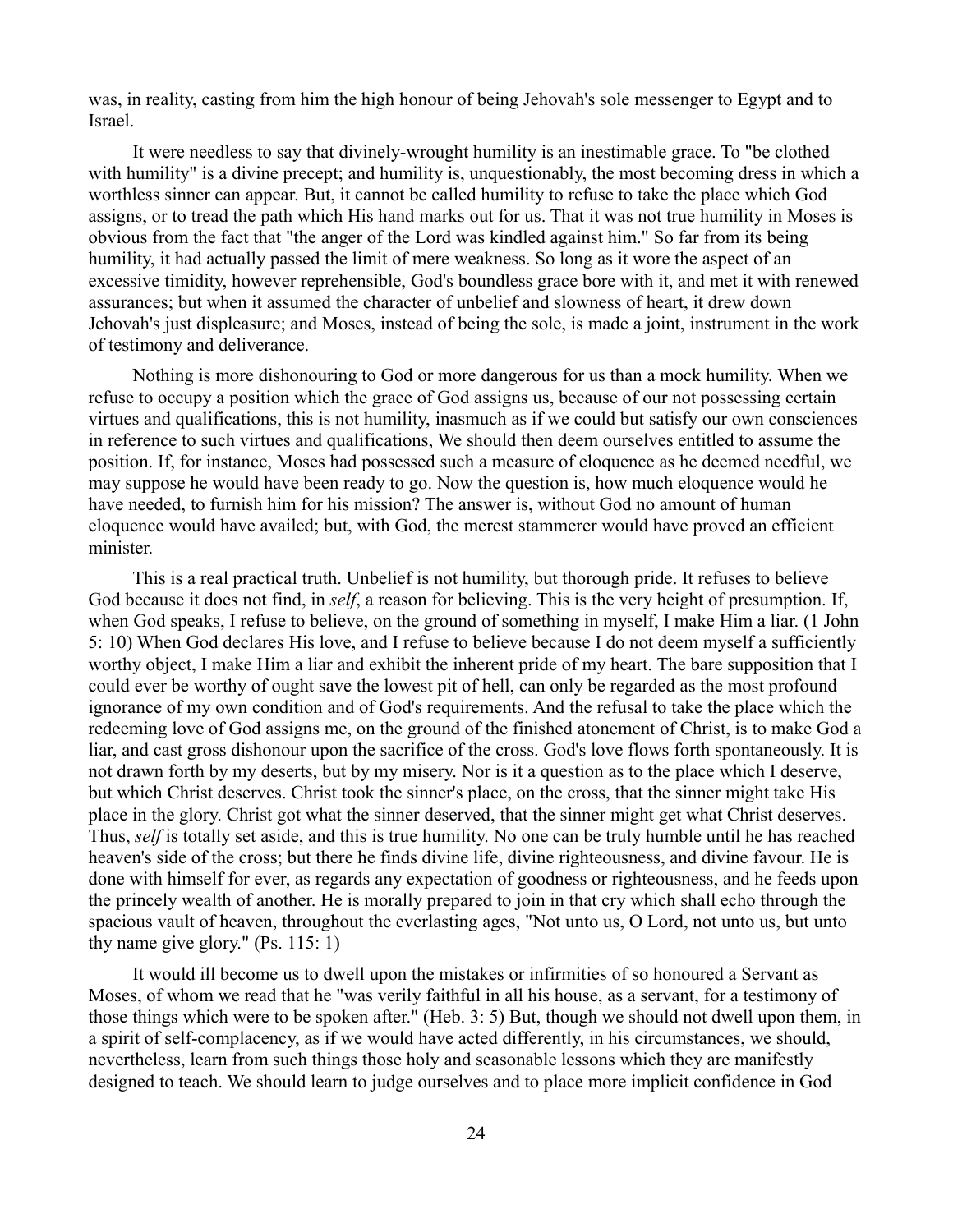was, in reality, casting from him the high honour of being Jehovah's sole messenger to Egypt and to Israel.

It were needless to say that divinely-wrought humility is an inestimable grace. To "be clothed with humility" is a divine precept; and humility is, unquestionably, the most becoming dress in which a worthless sinner can appear. But, it cannot be called humility to refuse to take the place which God assigns, or to tread the path which His hand marks out for us. That it was not true humility in Moses is obvious from the fact that "the anger of the Lord was kindled against him." So far from its being humility, it had actually passed the limit of mere weakness. So long as it wore the aspect of an excessive timidity, however reprehensible, God's boundless grace bore with it, and met it with renewed assurances; but when it assumed the character of unbelief and slowness of heart, it drew down Jehovah's just displeasure; and Moses, instead of being the sole, is made a joint, instrument in the work of testimony and deliverance.

Nothing is more dishonouring to God or more dangerous for us than a mock humility. When we refuse to occupy a position which the grace of God assigns us, because of our not possessing certain virtues and qualifications, this is not humility, inasmuch as if we could but satisfy our own consciences in reference to such virtues and qualifications, We should then deem ourselves entitled to assume the position. If, for instance, Moses had possessed such a measure of eloquence as he deemed needful, we may suppose he would have been ready to go. Now the question is, how much eloquence would he have needed, to furnish him for his mission? The answer is, without God no amount of human eloquence would have availed; but, with God, the merest stammerer would have proved an efficient minister.

This is a real practical truth. Unbelief is not humility, but thorough pride. It refuses to believe God because it does not find, in *self*, a reason for believing. This is the very height of presumption. If, when God speaks, I refuse to believe, on the ground of something in myself, I make Him a liar. (1 John 5: 10) When God declares His love, and I refuse to believe because I do not deem myself a sufficiently worthy object, I make Him a liar and exhibit the inherent pride of my heart. The bare supposition that I could ever be worthy of ought save the lowest pit of hell, can only be regarded as the most profound ignorance of my own condition and of God's requirements. And the refusal to take the place which the redeeming love of God assigns me, on the ground of the finished atonement of Christ, is to make God a liar, and cast gross dishonour upon the sacrifice of the cross. God's love flows forth spontaneously. It is not drawn forth by my deserts, but by my misery. Nor is it a question as to the place which I deserve, but which Christ deserves. Christ took the sinner's place, on the cross, that the sinner might take His place in the glory. Christ got what the sinner deserved, that the sinner might get what Christ deserves. Thus, *self* is totally set aside, and this is true humility. No one can be truly humble until he has reached heaven's side of the cross; but there he finds divine life, divine righteousness, and divine favour. He is done with himself for ever, as regards any expectation of goodness or righteousness, and he feeds upon the princely wealth of another. He is morally prepared to join in that cry which shall echo through the spacious vault of heaven, throughout the everlasting ages, "Not unto us, O Lord, not unto us, but unto thy name give glory." (Ps. 115: 1)

It would ill become us to dwell upon the mistakes or infirmities of so honoured a Servant as Moses, of whom we read that he "was verily faithful in all his house, as a servant, for a testimony of those things which were to be spoken after." (Heb. 3: 5) But, though we should not dwell upon them, in a spirit of self-complacency, as if we would have acted differently, in his circumstances, we should, nevertheless, learn from such things those holy and seasonable lessons which they are manifestly designed to teach. We should learn to judge ourselves and to place more implicit confidence in God —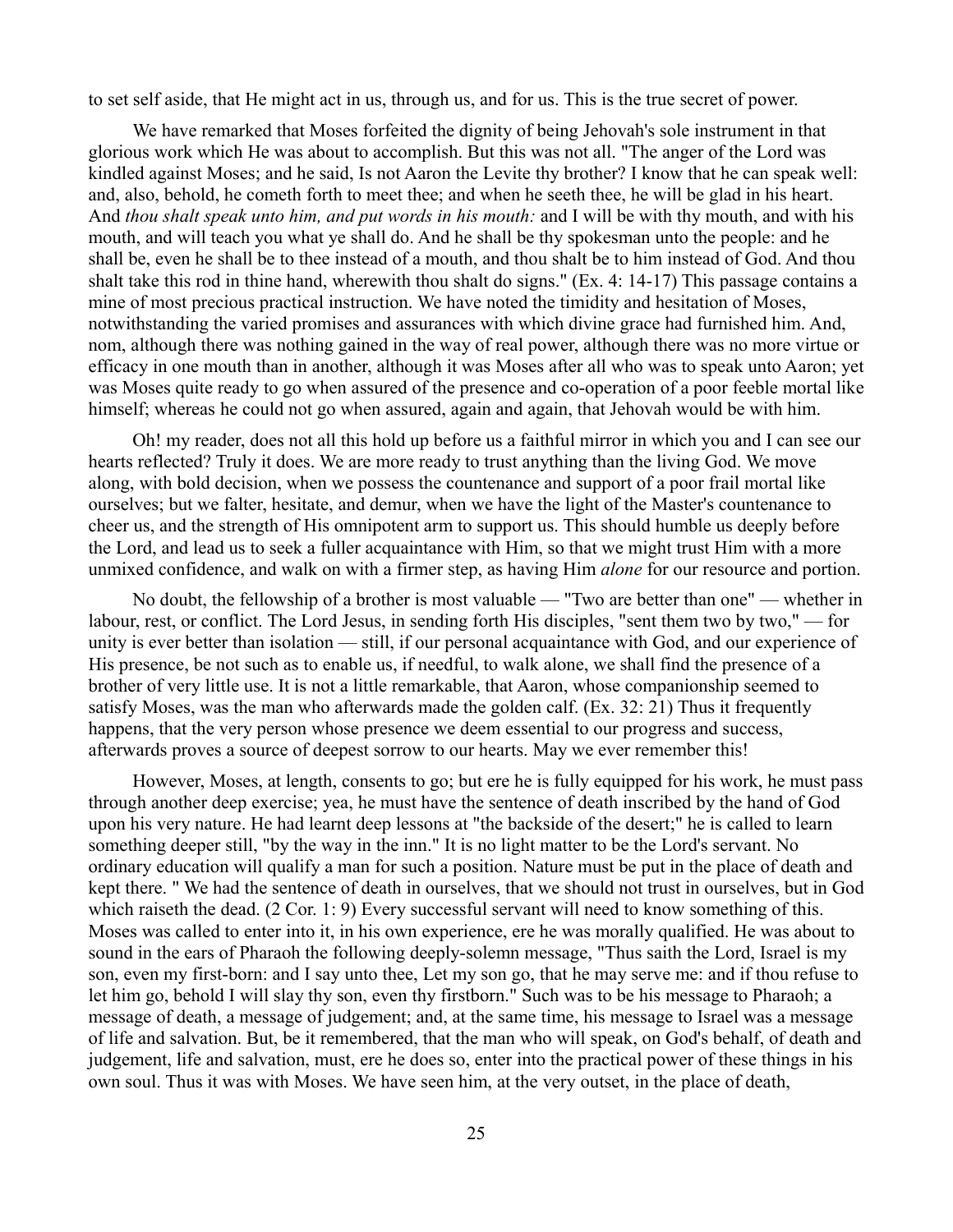to set self aside, that He might act in us, through us, and for us. This is the true secret of power.

We have remarked that Moses forfeited the dignity of being Jehovah's sole instrument in that glorious work which He was about to accomplish. But this was not all. "The anger of the Lord was kindled against Moses; and he said, Is not Aaron the Levite thy brother? I know that he can speak well: and, also, behold, he cometh forth to meet thee; and when he seeth thee, he will be glad in his heart. And *thou shalt speak unto him, and put words in his mouth:* and I will be with thy mouth, and with his mouth, and will teach you what ye shall do. And he shall be thy spokesman unto the people: and he shall be, even he shall be to thee instead of a mouth, and thou shalt be to him instead of God. And thou shalt take this rod in thine hand, wherewith thou shalt do signs." (Ex. 4: 14-17) This passage contains a mine of most precious practical instruction. We have noted the timidity and hesitation of Moses, notwithstanding the varied promises and assurances with which divine grace had furnished him. And, nom, although there was nothing gained in the way of real power, although there was no more virtue or efficacy in one mouth than in another, although it was Moses after all who was to speak unto Aaron; yet was Moses quite ready to go when assured of the presence and co-operation of a poor feeble mortal like himself; whereas he could not go when assured, again and again, that Jehovah would be with him.

Oh! my reader, does not all this hold up before us a faithful mirror in which you and I can see our hearts reflected? Truly it does. We are more ready to trust anything than the living God. We move along, with bold decision, when we possess the countenance and support of a poor frail mortal like ourselves; but we falter, hesitate, and demur, when we have the light of the Master's countenance to cheer us, and the strength of His omnipotent arm to support us. This should humble us deeply before the Lord, and lead us to seek a fuller acquaintance with Him, so that we might trust Him with a more unmixed confidence, and walk on with a firmer step, as having Him *alone* for our resource and portion.

No doubt, the fellowship of a brother is most valuable — "Two are better than one" — whether in labour, rest, or conflict. The Lord Jesus, in sending forth His disciples, "sent them two by two," — for unity is ever better than isolation — still, if our personal acquaintance with God, and our experience of His presence, be not such as to enable us, if needful, to walk alone, we shall find the presence of a brother of very little use. It is not a little remarkable, that Aaron, whose companionship seemed to satisfy Moses, was the man who afterwards made the golden calf. (Ex. 32: 21) Thus it frequently happens, that the very person whose presence we deem essential to our progress and success, afterwards proves a source of deepest sorrow to our hearts. May we ever remember this!

However, Moses, at length, consents to go; but ere he is fully equipped for his work, he must pass through another deep exercise; yea, he must have the sentence of death inscribed by the hand of God upon his very nature. He had learnt deep lessons at "the backside of the desert;" he is called to learn something deeper still, "by the way in the inn." It is no light matter to be the Lord's servant. No ordinary education will qualify a man for such a position. Nature must be put in the place of death and kept there. " We had the sentence of death in ourselves, that we should not trust in ourselves, but in God which raiseth the dead. (2 Cor. 1: 9) Every successful servant will need to know something of this. Moses was called to enter into it, in his own experience, ere he was morally qualified. He was about to sound in the ears of Pharaoh the following deeply-solemn message, "Thus saith the Lord, Israel is my son, even my first-born: and I say unto thee, Let my son go, that he may serve me: and if thou refuse to let him go, behold I will slay thy son, even thy firstborn." Such was to be his message to Pharaoh; a message of death, a message of judgement; and, at the same time, his message to Israel was a message of life and salvation. But, be it remembered, that the man who will speak, on God's behalf, of death and judgement, life and salvation, must, ere he does so, enter into the practical power of these things in his own soul. Thus it was with Moses. We have seen him, at the very outset, in the place of death,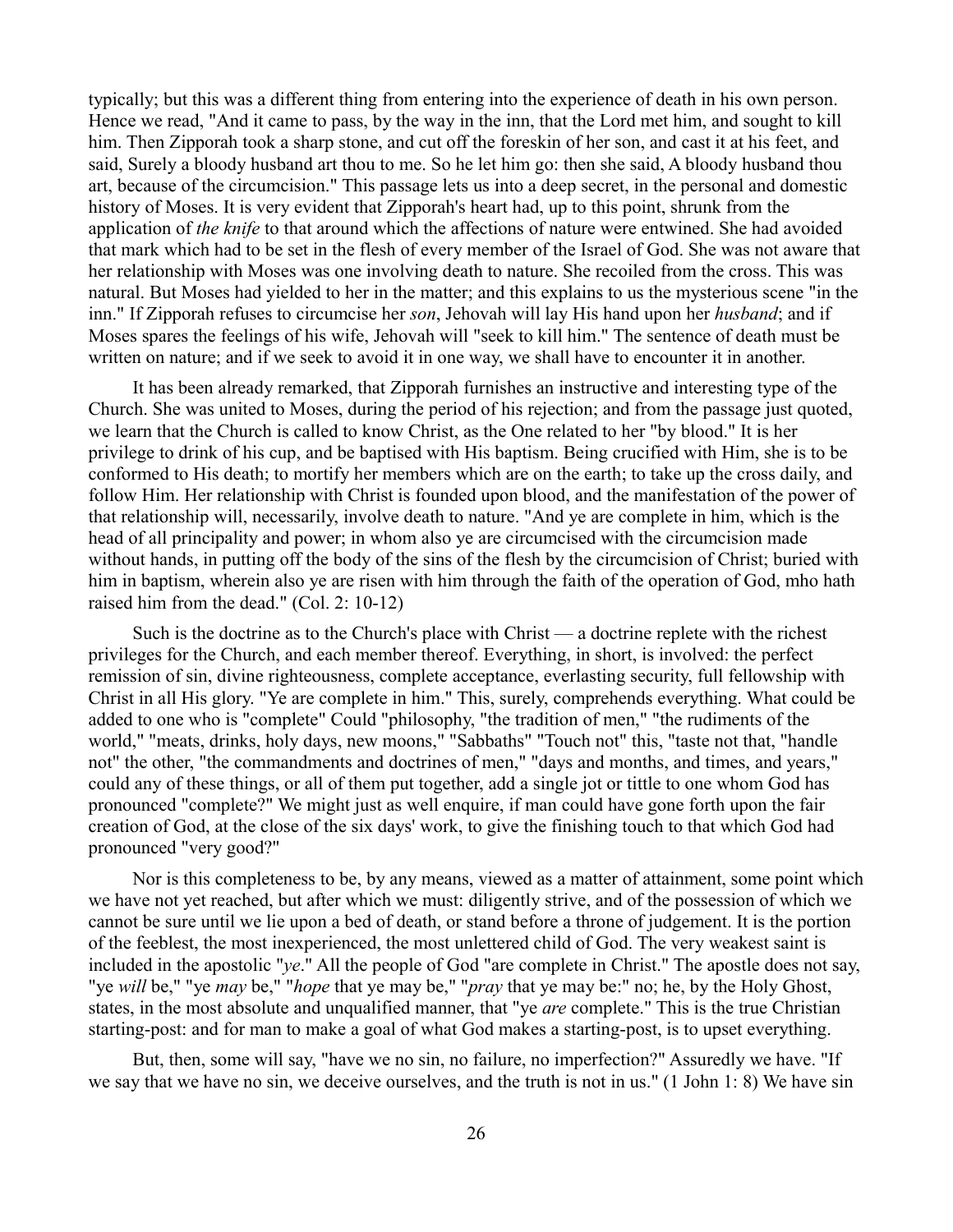typically; but this was a different thing from entering into the experience of death in his own person. Hence we read, "And it came to pass, by the way in the inn, that the Lord met him, and sought to kill him. Then Zipporah took a sharp stone, and cut off the foreskin of her son, and cast it at his feet, and said, Surely a bloody husband art thou to me. So he let him go: then she said, A bloody husband thou art, because of the circumcision." This passage lets us into a deep secret, in the personal and domestic history of Moses. It is very evident that Zipporah's heart had, up to this point, shrunk from the application of *the knife* to that around which the affections of nature were entwined. She had avoided that mark which had to be set in the flesh of every member of the Israel of God. She was not aware that her relationship with Moses was one involving death to nature. She recoiled from the cross. This was natural. But Moses had yielded to her in the matter; and this explains to us the mysterious scene "in the inn." If Zipporah refuses to circumcise her *son*, Jehovah will lay His hand upon her *husband*; and if Moses spares the feelings of his wife, Jehovah will "seek to kill him." The sentence of death must be written on nature; and if we seek to avoid it in one way, we shall have to encounter it in another.

It has been already remarked, that Zipporah furnishes an instructive and interesting type of the Church. She was united to Moses, during the period of his rejection; and from the passage just quoted, we learn that the Church is called to know Christ, as the One related to her "by blood." It is her privilege to drink of his cup, and be baptised with His baptism. Being crucified with Him, she is to be conformed to His death; to mortify her members which are on the earth; to take up the cross daily, and follow Him. Her relationship with Christ is founded upon blood, and the manifestation of the power of that relationship will, necessarily, involve death to nature. "And ye are complete in him, which is the head of all principality and power; in whom also ye are circumcised with the circumcision made without hands, in putting off the body of the sins of the flesh by the circumcision of Christ; buried with him in baptism, wherein also ye are risen with him through the faith of the operation of God, mho hath raised him from the dead." (Col. 2: 10-12)

Such is the doctrine as to the Church's place with Christ — a doctrine replete with the richest privileges for the Church, and each member thereof. Everything, in short, is involved: the perfect remission of sin, divine righteousness, complete acceptance, everlasting security, full fellowship with Christ in all His glory. "Ye are complete in him." This, surely, comprehends everything. What could be added to one who is "complete" Could "philosophy, "the tradition of men," "the rudiments of the world," "meats, drinks, holy days, new moons," "Sabbaths" "Touch not" this, "taste not that, "handle not" the other, "the commandments and doctrines of men," "days and months, and times, and years," could any of these things, or all of them put together, add a single jot or tittle to one whom God has pronounced "complete?" We might just as well enquire, if man could have gone forth upon the fair creation of God, at the close of the six days' work, to give the finishing touch to that which God had pronounced "very good?"

Nor is this completeness to be, by any means, viewed as a matter of attainment, some point which we have not yet reached, but after which we must: diligently strive, and of the possession of which we cannot be sure until we lie upon a bed of death, or stand before a throne of judgement. It is the portion of the feeblest, the most inexperienced, the most unlettered child of God. The very weakest saint is included in the apostolic "*ye*." All the people of God "are complete in Christ." The apostle does not say, "ye *will* be," "ye *may* be," "*hope* that ye may be," "*pray* that ye may be:" no; he, by the Holy Ghost, states, in the most absolute and unqualified manner, that "ye *are* complete." This is the true Christian starting-post: and for man to make a goal of what God makes a starting-post, is to upset everything.

But, then, some will say, "have we no sin, no failure, no imperfection?" Assuredly we have. "If we say that we have no sin, we deceive ourselves, and the truth is not in us." (1 John 1: 8) We have sin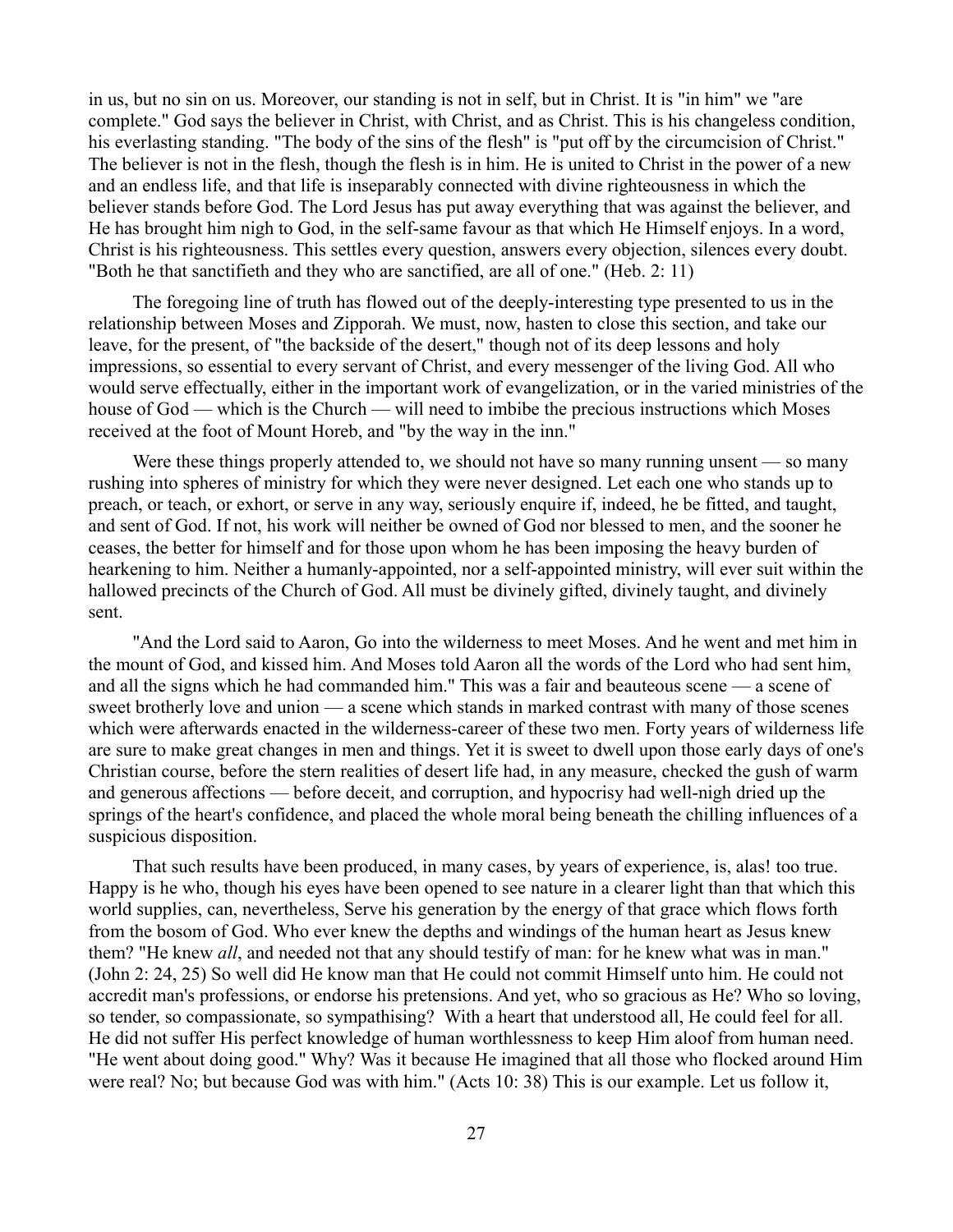in us, but no sin on us. Moreover, our standing is not in self, but in Christ. It is "in him" we "are complete." God says the believer in Christ, with Christ, and as Christ. This is his changeless condition, his everlasting standing. "The body of the sins of the flesh" is "put off by the circumcision of Christ." The believer is not in the flesh, though the flesh is in him. He is united to Christ in the power of a new and an endless life, and that life is inseparably connected with divine righteousness in which the believer stands before God. The Lord Jesus has put away everything that was against the believer, and He has brought him nigh to God, in the self-same favour as that which He Himself enjoys. In a word, Christ is his righteousness. This settles every question, answers every objection, silences every doubt. "Both he that sanctifieth and they who are sanctified, are all of one." (Heb. 2: 11)

The foregoing line of truth has flowed out of the deeply-interesting type presented to us in the relationship between Moses and Zipporah. We must, now, hasten to close this section, and take our leave, for the present, of "the backside of the desert," though not of its deep lessons and holy impressions, so essential to every servant of Christ, and every messenger of the living God. All who would serve effectually, either in the important work of evangelization, or in the varied ministries of the house of God — which is the Church — will need to imbibe the precious instructions which Moses received at the foot of Mount Horeb, and "by the way in the inn."

Were these things properly attended to, we should not have so many running unsent — so many rushing into spheres of ministry for which they were never designed. Let each one who stands up to preach, or teach, or exhort, or serve in any way, seriously enquire if, indeed, he be fitted, and taught, and sent of God. If not, his work will neither be owned of God nor blessed to men, and the sooner he ceases, the better for himself and for those upon whom he has been imposing the heavy burden of hearkening to him. Neither a humanly-appointed, nor a self-appointed ministry, will ever suit within the hallowed precincts of the Church of God. All must be divinely gifted, divinely taught, and divinely sent.

"And the Lord said to Aaron, Go into the wilderness to meet Moses. And he went and met him in the mount of God, and kissed him. And Moses told Aaron all the words of the Lord who had sent him, and all the signs which he had commanded him." This was a fair and beauteous scene — a scene of sweet brotherly love and union — a scene which stands in marked contrast with many of those scenes which were afterwards enacted in the wilderness-career of these two men. Forty years of wilderness life are sure to make great changes in men and things. Yet it is sweet to dwell upon those early days of one's Christian course, before the stern realities of desert life had, in any measure, checked the gush of warm and generous affections — before deceit, and corruption, and hypocrisy had well-nigh dried up the springs of the heart's confidence, and placed the whole moral being beneath the chilling influences of a suspicious disposition.

That such results have been produced, in many cases, by years of experience, is, alas! too true. Happy is he who, though his eyes have been opened to see nature in a clearer light than that which this world supplies, can, nevertheless, Serve his generation by the energy of that grace which flows forth from the bosom of God. Who ever knew the depths and windings of the human heart as Jesus knew them? "He knew *all*, and needed not that any should testify of man: for he knew what was in man." (John 2: 24, 25) So well did He know man that He could not commit Himself unto him. He could not accredit man's professions, or endorse his pretensions. And yet, who so gracious as He? Who so loving, so tender, so compassionate, so sympathising? With a heart that understood all, He could feel for all. He did not suffer His perfect knowledge of human worthlessness to keep Him aloof from human need. "He went about doing good." Why? Was it because He imagined that all those who flocked around Him were real? No; but because God was with him." (Acts 10: 38) This is our example. Let us follow it,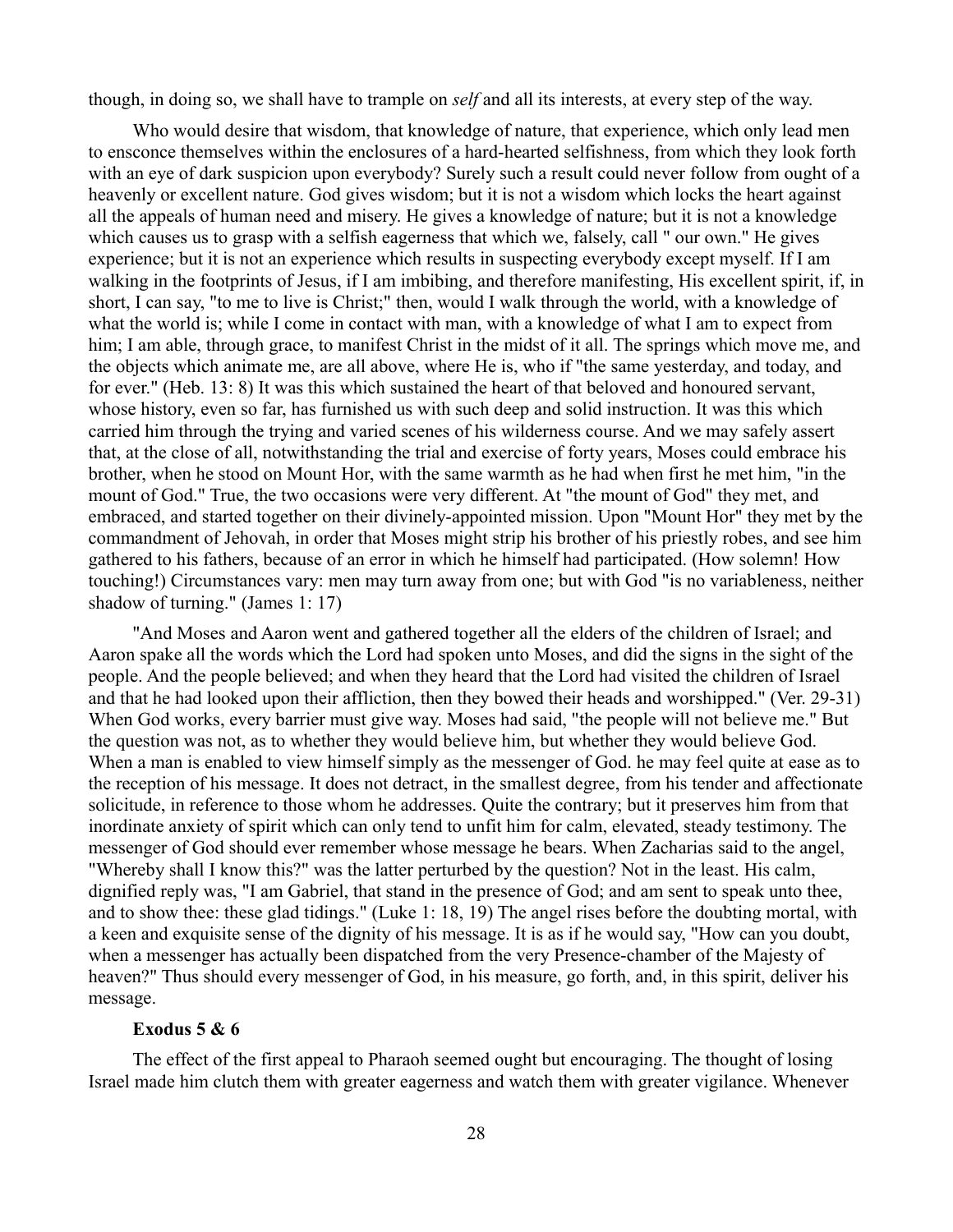though, in doing so, we shall have to trample on *self* and all its interests, at every step of the way.

Who would desire that wisdom, that knowledge of nature, that experience, which only lead men to ensconce themselves within the enclosures of a hard-hearted selfishness, from which they look forth with an eye of dark suspicion upon everybody? Surely such a result could never follow from ought of a heavenly or excellent nature. God gives wisdom; but it is not a wisdom which locks the heart against all the appeals of human need and misery. He gives a knowledge of nature; but it is not a knowledge which causes us to grasp with a selfish eagerness that which we, falsely, call " our own." He gives experience; but it is not an experience which results in suspecting everybody except myself. If I am walking in the footprints of Jesus, if I am imbibing, and therefore manifesting, His excellent spirit, if, in short, I can say, "to me to live is Christ;" then, would I walk through the world, with a knowledge of what the world is; while I come in contact with man, with a knowledge of what I am to expect from him; I am able, through grace, to manifest Christ in the midst of it all. The springs which move me, and the objects which animate me, are all above, where He is, who if "the same yesterday, and today, and for ever." (Heb. 13: 8) It was this which sustained the heart of that beloved and honoured servant, whose history, even so far, has furnished us with such deep and solid instruction. It was this which carried him through the trying and varied scenes of his wilderness course. And we may safely assert that, at the close of all, notwithstanding the trial and exercise of forty years, Moses could embrace his brother, when he stood on Mount Hor, with the same warmth as he had when first he met him, "in the mount of God." True, the two occasions were very different. At "the mount of God" they met, and embraced, and started together on their divinely-appointed mission. Upon "Mount Hor" they met by the commandment of Jehovah, in order that Moses might strip his brother of his priestly robes, and see him gathered to his fathers, because of an error in which he himself had participated. (How solemn! How touching!) Circumstances vary: men may turn away from one; but with God "is no variableness, neither shadow of turning." (James 1: 17)

"And Moses and Aaron went and gathered together all the elders of the children of Israel; and Aaron spake all the words which the Lord had spoken unto Moses, and did the signs in the sight of the people. And the people believed; and when they heard that the Lord had visited the children of Israel and that he had looked upon their affliction, then they bowed their heads and worshipped." (Ver. 29-31) When God works, every barrier must give way. Moses had said, "the people will not believe me." But the question was not, as to whether they would believe him, but whether they would believe God. When a man is enabled to view himself simply as the messenger of God. he may feel quite at ease as to the reception of his message. It does not detract, in the smallest degree, from his tender and affectionate solicitude, in reference to those whom he addresses. Quite the contrary; but it preserves him from that inordinate anxiety of spirit which can only tend to unfit him for calm, elevated, steady testimony. The messenger of God should ever remember whose message he bears. When Zacharias said to the angel, "Whereby shall I know this?" was the latter perturbed by the question? Not in the least. His calm, dignified reply was, "I am Gabriel, that stand in the presence of God; and am sent to speak unto thee, and to show thee: these glad tidings." (Luke 1: 18, 19) The angel rises before the doubting mortal, with a keen and exquisite sense of the dignity of his message. It is as if he would say, "How can you doubt, when a messenger has actually been dispatched from the very Presence-chamber of the Majesty of heaven?" Thus should every messenger of God, in his measure, go forth, and, in this spirit, deliver his message.

### **Exodus 5 & 6**

The effect of the first appeal to Pharaoh seemed ought but encouraging. The thought of losing Israel made him clutch them with greater eagerness and watch them with greater vigilance. Whenever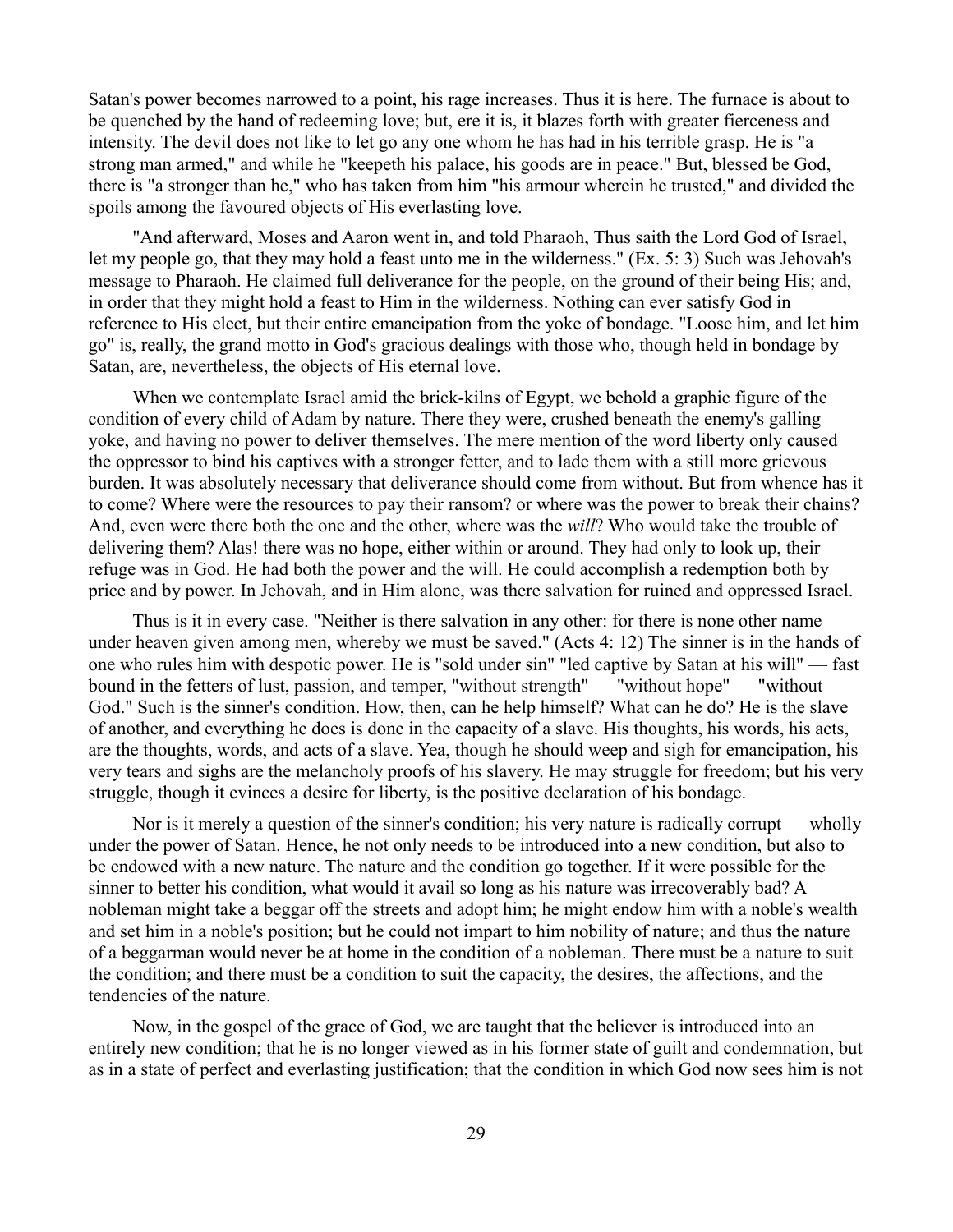Satan's power becomes narrowed to a point, his rage increases. Thus it is here. The furnace is about to be quenched by the hand of redeeming love; but, ere it is, it blazes forth with greater fierceness and intensity. The devil does not like to let go any one whom he has had in his terrible grasp. He is "a strong man armed," and while he "keepeth his palace, his goods are in peace." But, blessed be God, there is "a stronger than he," who has taken from him "his armour wherein he trusted," and divided the spoils among the favoured objects of His everlasting love.

"And afterward, Moses and Aaron went in, and told Pharaoh, Thus saith the Lord God of Israel, let my people go, that they may hold a feast unto me in the wilderness." (Ex. 5: 3) Such was Jehovah's message to Pharaoh. He claimed full deliverance for the people, on the ground of their being His; and, in order that they might hold a feast to Him in the wilderness. Nothing can ever satisfy God in reference to His elect, but their entire emancipation from the yoke of bondage. "Loose him, and let him go" is, really, the grand motto in God's gracious dealings with those who, though held in bondage by Satan, are, nevertheless, the objects of His eternal love.

When we contemplate Israel amid the brick-kilns of Egypt, we behold a graphic figure of the condition of every child of Adam by nature. There they were, crushed beneath the enemy's galling yoke, and having no power to deliver themselves. The mere mention of the word liberty only caused the oppressor to bind his captives with a stronger fetter, and to lade them with a still more grievous burden. It was absolutely necessary that deliverance should come from without. But from whence has it to come? Where were the resources to pay their ransom? or where was the power to break their chains? And, even were there both the one and the other, where was the *will*? Who would take the trouble of delivering them? Alas! there was no hope, either within or around. They had only to look up, their refuge was in God. He had both the power and the will. He could accomplish a redemption both by price and by power. In Jehovah, and in Him alone, was there salvation for ruined and oppressed Israel.

Thus is it in every case. "Neither is there salvation in any other: for there is none other name under heaven given among men, whereby we must be saved." (Acts 4: 12) The sinner is in the hands of one who rules him with despotic power. He is "sold under sin" "led captive by Satan at his will" — fast bound in the fetters of lust, passion, and temper, "without strength" — "without hope" — "without God." Such is the sinner's condition. How, then, can he help himself? What can he do? He is the slave of another, and everything he does is done in the capacity of a slave. His thoughts, his words, his acts, are the thoughts, words, and acts of a slave. Yea, though he should weep and sigh for emancipation, his very tears and sighs are the melancholy proofs of his slavery. He may struggle for freedom; but his very struggle, though it evinces a desire for liberty, is the positive declaration of his bondage.

Nor is it merely a question of the sinner's condition; his very nature is radically corrupt — wholly under the power of Satan. Hence, he not only needs to be introduced into a new condition, but also to be endowed with a new nature. The nature and the condition go together. If it were possible for the sinner to better his condition, what would it avail so long as his nature was irrecoverably bad? A nobleman might take a beggar off the streets and adopt him; he might endow him with a noble's wealth and set him in a noble's position; but he could not impart to him nobility of nature; and thus the nature of a beggarman would never be at home in the condition of a nobleman. There must be a nature to suit the condition; and there must be a condition to suit the capacity, the desires, the affections, and the tendencies of the nature.

Now, in the gospel of the grace of God, we are taught that the believer is introduced into an entirely new condition; that he is no longer viewed as in his former state of guilt and condemnation, but as in a state of perfect and everlasting justification; that the condition in which God now sees him is not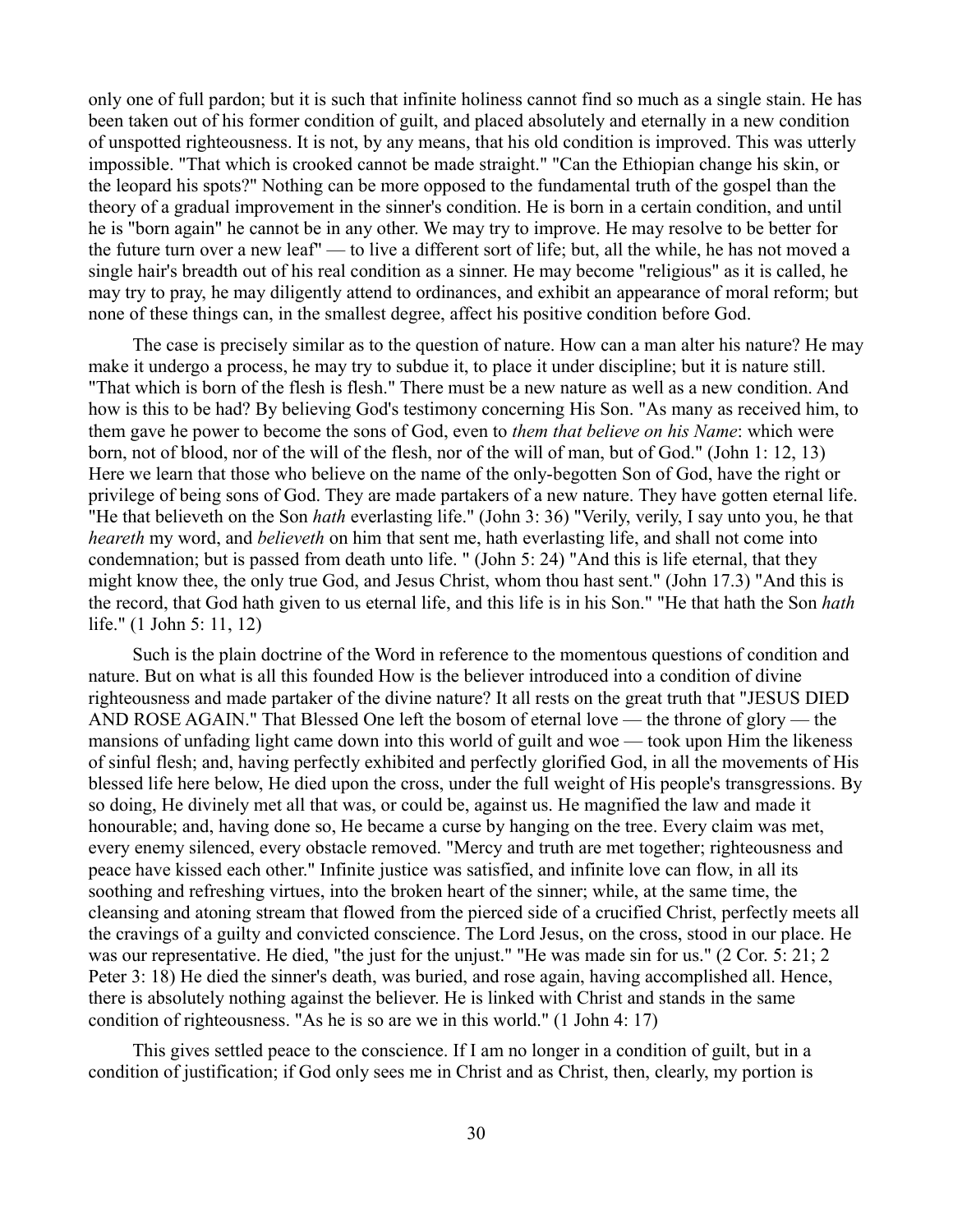only one of full pardon; but it is such that infinite holiness cannot find so much as a single stain. He has been taken out of his former condition of guilt, and placed absolutely and eternally in a new condition of unspotted righteousness. It is not, by any means, that his old condition is improved. This was utterly impossible. "That which is crooked cannot be made straight." "Can the Ethiopian change his skin, or the leopard his spots?" Nothing can be more opposed to the fundamental truth of the gospel than the theory of a gradual improvement in the sinner's condition. He is born in a certain condition, and until he is "born again" he cannot be in any other. We may try to improve. He may resolve to be better for the future turn over a new leaf" — to live a different sort of life; but, all the while, he has not moved a single hair's breadth out of his real condition as a sinner. He may become "religious" as it is called, he may try to pray, he may diligently attend to ordinances, and exhibit an appearance of moral reform; but none of these things can, in the smallest degree, affect his positive condition before God.

The case is precisely similar as to the question of nature. How can a man alter his nature? He may make it undergo a process, he may try to subdue it, to place it under discipline; but it is nature still. "That which is born of the flesh is flesh." There must be a new nature as well as a new condition. And how is this to be had? By believing God's testimony concerning His Son. "As many as received him, to them gave he power to become the sons of God, even to *them that believe on his Name*: which were born, not of blood, nor of the will of the flesh, nor of the will of man, but of God." (John 1: 12, 13) Here we learn that those who believe on the name of the only-begotten Son of God, have the right or privilege of being sons of God. They are made partakers of a new nature. They have gotten eternal life. "He that believeth on the Son *hath* everlasting life." (John 3: 36) "Verily, verily, I say unto you, he that *heareth* my word, and *believeth* on him that sent me, hath everlasting life, and shall not come into condemnation; but is passed from death unto life. " (John 5: 24) "And this is life eternal, that they might know thee, the only true God, and Jesus Christ, whom thou hast sent." (John 17.3) "And this is the record, that God hath given to us eternal life, and this life is in his Son." "He that hath the Son *hath* life." (1 John 5: 11, 12)

Such is the plain doctrine of the Word in reference to the momentous questions of condition and nature. But on what is all this founded How is the believer introduced into a condition of divine righteousness and made partaker of the divine nature? It all rests on the great truth that "JESUS DIED AND ROSE AGAIN." That Blessed One left the bosom of eternal love — the throne of glory — the mansions of unfading light came down into this world of guilt and woe — took upon Him the likeness of sinful flesh; and, having perfectly exhibited and perfectly glorified God, in all the movements of His blessed life here below, He died upon the cross, under the full weight of His people's transgressions. By so doing, He divinely met all that was, or could be, against us. He magnified the law and made it honourable; and, having done so, He became a curse by hanging on the tree. Every claim was met, every enemy silenced, every obstacle removed. "Mercy and truth are met together; righteousness and peace have kissed each other." Infinite justice was satisfied, and infinite love can flow, in all its soothing and refreshing virtues, into the broken heart of the sinner; while, at the same time, the cleansing and atoning stream that flowed from the pierced side of a crucified Christ, perfectly meets all the cravings of a guilty and convicted conscience. The Lord Jesus, on the cross, stood in our place. He was our representative. He died, "the just for the unjust." "He was made sin for us." (2 Cor. 5: 21; 2 Peter 3: 18) He died the sinner's death, was buried, and rose again, having accomplished all. Hence, there is absolutely nothing against the believer. He is linked with Christ and stands in the same condition of righteousness. "As he is so are we in this world." (1 John 4: 17)

This gives settled peace to the conscience. If I am no longer in a condition of guilt, but in a condition of justification; if God only sees me in Christ and as Christ, then, clearly, my portion is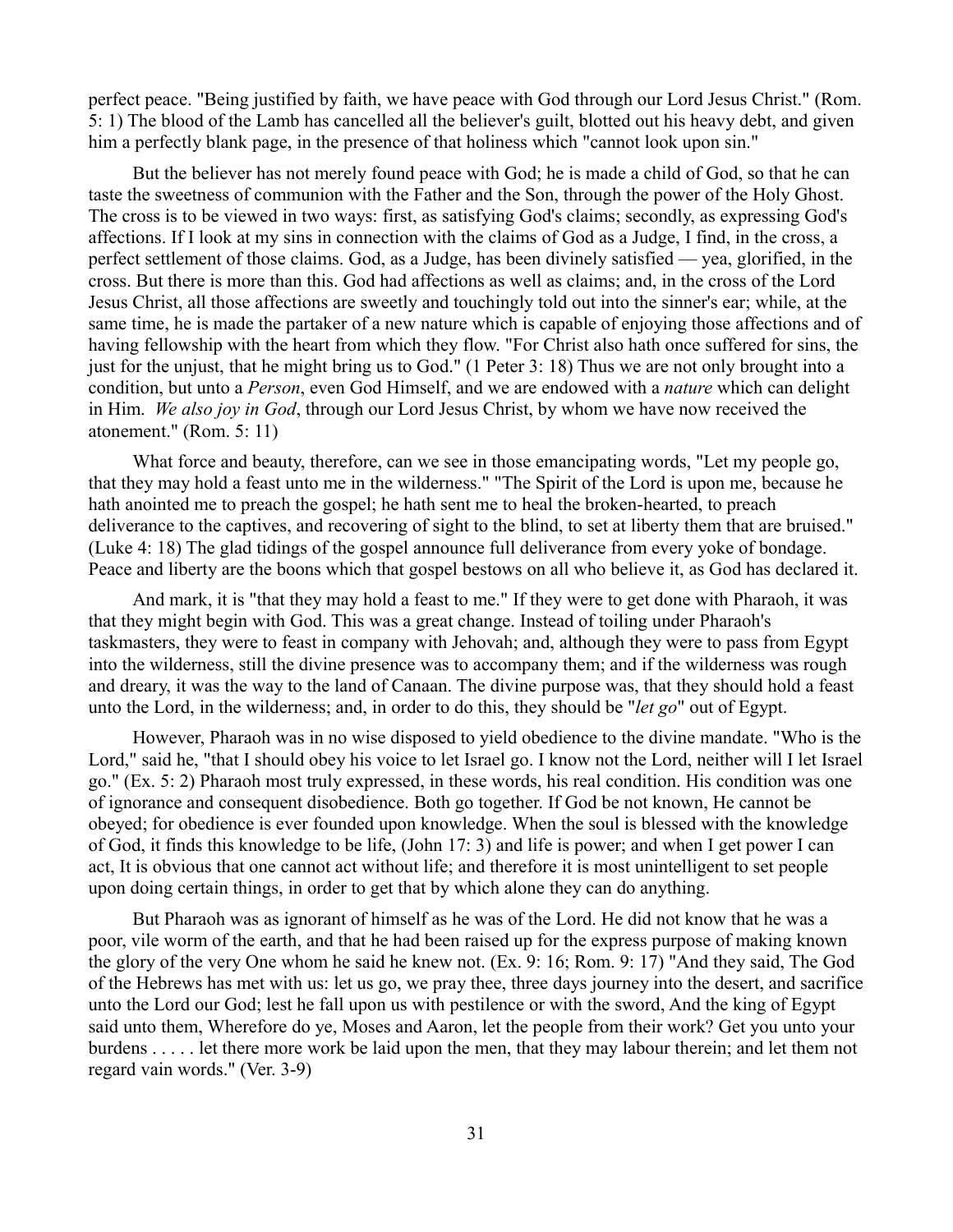perfect peace. "Being justified by faith, we have peace with God through our Lord Jesus Christ." (Rom. 5: 1) The blood of the Lamb has cancelled all the believer's guilt, blotted out his heavy debt, and given him a perfectly blank page, in the presence of that holiness which "cannot look upon sin."

But the believer has not merely found peace with God; he is made a child of God, so that he can taste the sweetness of communion with the Father and the Son, through the power of the Holy Ghost. The cross is to be viewed in two ways: first, as satisfying God's claims; secondly, as expressing God's affections. If I look at my sins in connection with the claims of God as a Judge, I find, in the cross, a perfect settlement of those claims. God, as a Judge, has been divinely satisfied — yea, glorified, in the cross. But there is more than this. God had affections as well as claims; and, in the cross of the Lord Jesus Christ, all those affections are sweetly and touchingly told out into the sinner's ear; while, at the same time, he is made the partaker of a new nature which is capable of enjoying those affections and of having fellowship with the heart from which they flow. "For Christ also hath once suffered for sins, the just for the unjust, that he might bring us to God." (1 Peter 3: 18) Thus we are not only brought into a condition, but unto a *Person*, even God Himself, and we are endowed with a *nature* which can delight in Him. *We also joy in God*, through our Lord Jesus Christ, by whom we have now received the atonement." (Rom. 5: 11)

What force and beauty, therefore, can we see in those emancipating words, "Let my people go, that they may hold a feast unto me in the wilderness." "The Spirit of the Lord is upon me, because he hath anointed me to preach the gospel; he hath sent me to heal the broken-hearted, to preach deliverance to the captives, and recovering of sight to the blind, to set at liberty them that are bruised." (Luke 4: 18) The glad tidings of the gospel announce full deliverance from every yoke of bondage. Peace and liberty are the boons which that gospel bestows on all who believe it, as God has declared it.

And mark, it is "that they may hold a feast to me." If they were to get done with Pharaoh, it was that they might begin with God. This was a great change. Instead of toiling under Pharaoh's taskmasters, they were to feast in company with Jehovah; and, although they were to pass from Egypt into the wilderness, still the divine presence was to accompany them; and if the wilderness was rough and dreary, it was the way to the land of Canaan. The divine purpose was, that they should hold a feast unto the Lord, in the wilderness; and, in order to do this, they should be "*let go*" out of Egypt.

However, Pharaoh was in no wise disposed to yield obedience to the divine mandate. "Who is the Lord," said he, "that I should obey his voice to let Israel go. I know not the Lord, neither will I let Israel go." (Ex. 5: 2) Pharaoh most truly expressed, in these words, his real condition. His condition was one of ignorance and consequent disobedience. Both go together. If God be not known, He cannot be obeyed; for obedience is ever founded upon knowledge. When the soul is blessed with the knowledge of God, it finds this knowledge to be life, (John 17: 3) and life is power; and when I get power I can act, It is obvious that one cannot act without life; and therefore it is most unintelligent to set people upon doing certain things, in order to get that by which alone they can do anything.

But Pharaoh was as ignorant of himself as he was of the Lord. He did not know that he was a poor, vile worm of the earth, and that he had been raised up for the express purpose of making known the glory of the very One whom he said he knew not. (Ex. 9: 16; Rom. 9: 17) "And they said, The God of the Hebrews has met with us: let us go, we pray thee, three days journey into the desert, and sacrifice unto the Lord our God; lest he fall upon us with pestilence or with the sword, And the king of Egypt said unto them, Wherefore do ye, Moses and Aaron, let the people from their work? Get you unto your burdens . . . . . let there more work be laid upon the men, that they may labour therein; and let them not regard vain words." (Ver. 3-9)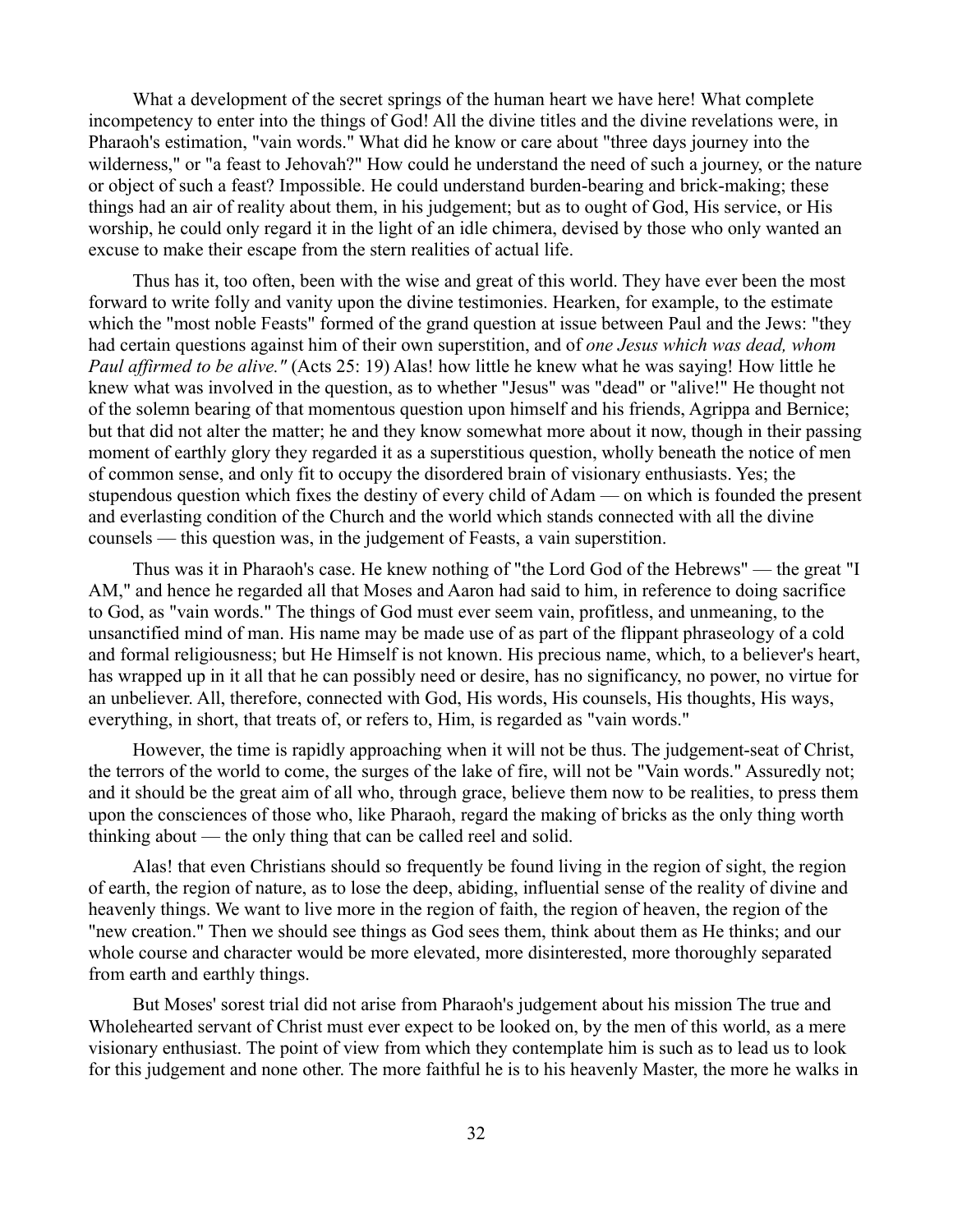What a development of the secret springs of the human heart we have here! What complete incompetency to enter into the things of God! All the divine titles and the divine revelations were, in Pharaoh's estimation, "vain words." What did he know or care about "three days journey into the wilderness," or "a feast to Jehovah?" How could he understand the need of such a journey, or the nature or object of such a feast? Impossible. He could understand burden-bearing and brick-making; these things had an air of reality about them, in his judgement; but as to ought of God, His service, or His worship, he could only regard it in the light of an idle chimera, devised by those who only wanted an excuse to make their escape from the stern realities of actual life.

Thus has it, too often, been with the wise and great of this world. They have ever been the most forward to write folly and vanity upon the divine testimonies. Hearken, for example, to the estimate which the "most noble Feasts" formed of the grand question at issue between Paul and the Jews: "they had certain questions against him of their own superstition, and of *one Jesus which was dead, whom Paul affirmed to be alive."* (Acts 25: 19) Alas! how little he knew what he was saying! How little he knew what was involved in the question, as to whether "Jesus" was "dead" or "alive!" He thought not of the solemn bearing of that momentous question upon himself and his friends, Agrippa and Bernice; but that did not alter the matter; he and they know somewhat more about it now, though in their passing moment of earthly glory they regarded it as a superstitious question, wholly beneath the notice of men of common sense, and only fit to occupy the disordered brain of visionary enthusiasts. Yes; the stupendous question which fixes the destiny of every child of Adam — on which is founded the present and everlasting condition of the Church and the world which stands connected with all the divine counsels — this question was, in the judgement of Feasts, a vain superstition.

Thus was it in Pharaoh's case. He knew nothing of "the Lord God of the Hebrews" — the great "I AM," and hence he regarded all that Moses and Aaron had said to him, in reference to doing sacrifice to God, as "vain words." The things of God must ever seem vain, profitless, and unmeaning, to the unsanctified mind of man. His name may be made use of as part of the flippant phraseology of a cold and formal religiousness; but He Himself is not known. His precious name, which, to a believer's heart, has wrapped up in it all that he can possibly need or desire, has no significancy, no power, no virtue for an unbeliever. All, therefore, connected with God, His words, His counsels, His thoughts, His ways, everything, in short, that treats of, or refers to, Him, is regarded as "vain words."

However, the time is rapidly approaching when it will not be thus. The judgement-seat of Christ, the terrors of the world to come, the surges of the lake of fire, will not be "Vain words." Assuredly not; and it should be the great aim of all who, through grace, believe them now to be realities, to press them upon the consciences of those who, like Pharaoh, regard the making of bricks as the only thing worth thinking about — the only thing that can be called reel and solid.

Alas! that even Christians should so frequently be found living in the region of sight, the region of earth, the region of nature, as to lose the deep, abiding, influential sense of the reality of divine and heavenly things. We want to live more in the region of faith, the region of heaven, the region of the "new creation." Then we should see things as God sees them, think about them as He thinks; and our whole course and character would be more elevated, more disinterested, more thoroughly separated from earth and earthly things.

But Moses' sorest trial did not arise from Pharaoh's judgement about his mission The true and Wholehearted servant of Christ must ever expect to be looked on, by the men of this world, as a mere visionary enthusiast. The point of view from which they contemplate him is such as to lead us to look for this judgement and none other. The more faithful he is to his heavenly Master, the more he walks in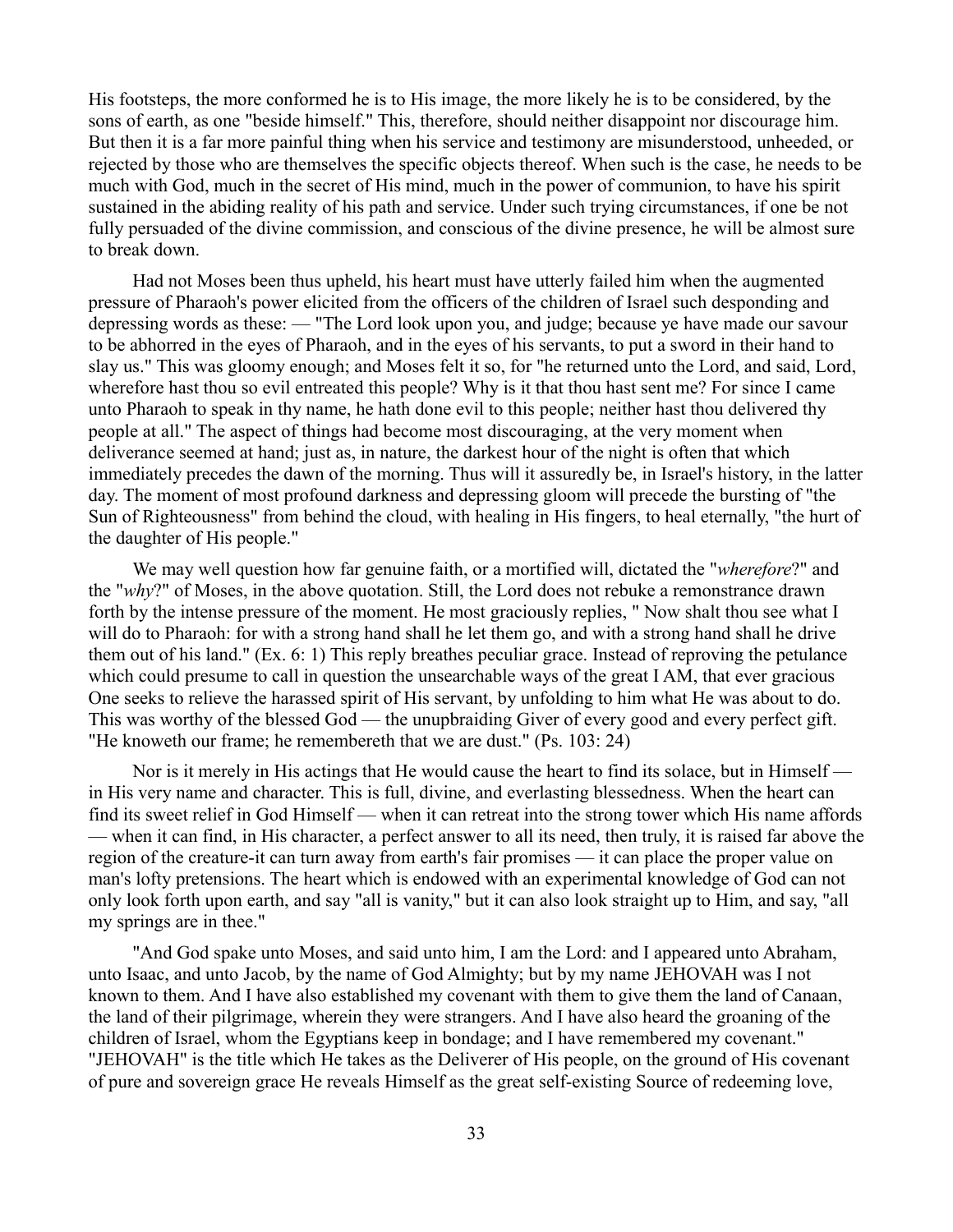His footsteps, the more conformed he is to His image, the more likely he is to be considered, by the sons of earth, as one "beside himself." This, therefore, should neither disappoint nor discourage him. But then it is a far more painful thing when his service and testimony are misunderstood, unheeded, or rejected by those who are themselves the specific objects thereof. When such is the case, he needs to be much with God, much in the secret of His mind, much in the power of communion, to have his spirit sustained in the abiding reality of his path and service. Under such trying circumstances, if one be not fully persuaded of the divine commission, and conscious of the divine presence, he will be almost sure to break down.

Had not Moses been thus upheld, his heart must have utterly failed him when the augmented pressure of Pharaoh's power elicited from the officers of the children of Israel such desponding and depressing words as these: — "The Lord look upon you, and judge; because ye have made our savour to be abhorred in the eyes of Pharaoh, and in the eyes of his servants, to put a sword in their hand to slay us." This was gloomy enough; and Moses felt it so, for "he returned unto the Lord, and said, Lord, wherefore hast thou so evil entreated this people? Why is it that thou hast sent me? For since I came unto Pharaoh to speak in thy name, he hath done evil to this people; neither hast thou delivered thy people at all." The aspect of things had become most discouraging, at the very moment when deliverance seemed at hand; just as, in nature, the darkest hour of the night is often that which immediately precedes the dawn of the morning. Thus will it assuredly be, in Israel's history, in the latter day. The moment of most profound darkness and depressing gloom will precede the bursting of "the Sun of Righteousness" from behind the cloud, with healing in His fingers, to heal eternally, "the hurt of the daughter of His people."

We may well question how far genuine faith, or a mortified will, dictated the "*wherefore*?" and the "*why*?" of Moses, in the above quotation. Still, the Lord does not rebuke a remonstrance drawn forth by the intense pressure of the moment. He most graciously replies, " Now shalt thou see what I will do to Pharaoh: for with a strong hand shall he let them go, and with a strong hand shall he drive them out of his land." (Ex. 6: 1) This reply breathes peculiar grace. Instead of reproving the petulance which could presume to call in question the unsearchable ways of the great I AM, that ever gracious One seeks to relieve the harassed spirit of His servant, by unfolding to him what He was about to do. This was worthy of the blessed God — the unupbraiding Giver of every good and every perfect gift. "He knoweth our frame; he remembereth that we are dust." (Ps. 103: 24)

Nor is it merely in His actings that He would cause the heart to find its solace, but in Himself in His very name and character. This is full, divine, and everlasting blessedness. When the heart can find its sweet relief in God Himself — when it can retreat into the strong tower which His name affords — when it can find, in His character, a perfect answer to all its need, then truly, it is raised far above the region of the creature-it can turn away from earth's fair promises — it can place the proper value on man's lofty pretensions. The heart which is endowed with an experimental knowledge of God can not only look forth upon earth, and say "all is vanity," but it can also look straight up to Him, and say, "all my springs are in thee."

"And God spake unto Moses, and said unto him, I am the Lord: and I appeared unto Abraham, unto Isaac, and unto Jacob, by the name of God Almighty; but by my name JEHOVAH was I not known to them. And I have also established my covenant with them to give them the land of Canaan, the land of their pilgrimage, wherein they were strangers. And I have also heard the groaning of the children of Israel, whom the Egyptians keep in bondage; and I have remembered my covenant." "JEHOVAH" is the title which He takes as the Deliverer of His people, on the ground of His covenant of pure and sovereign grace He reveals Himself as the great self-existing Source of redeeming love,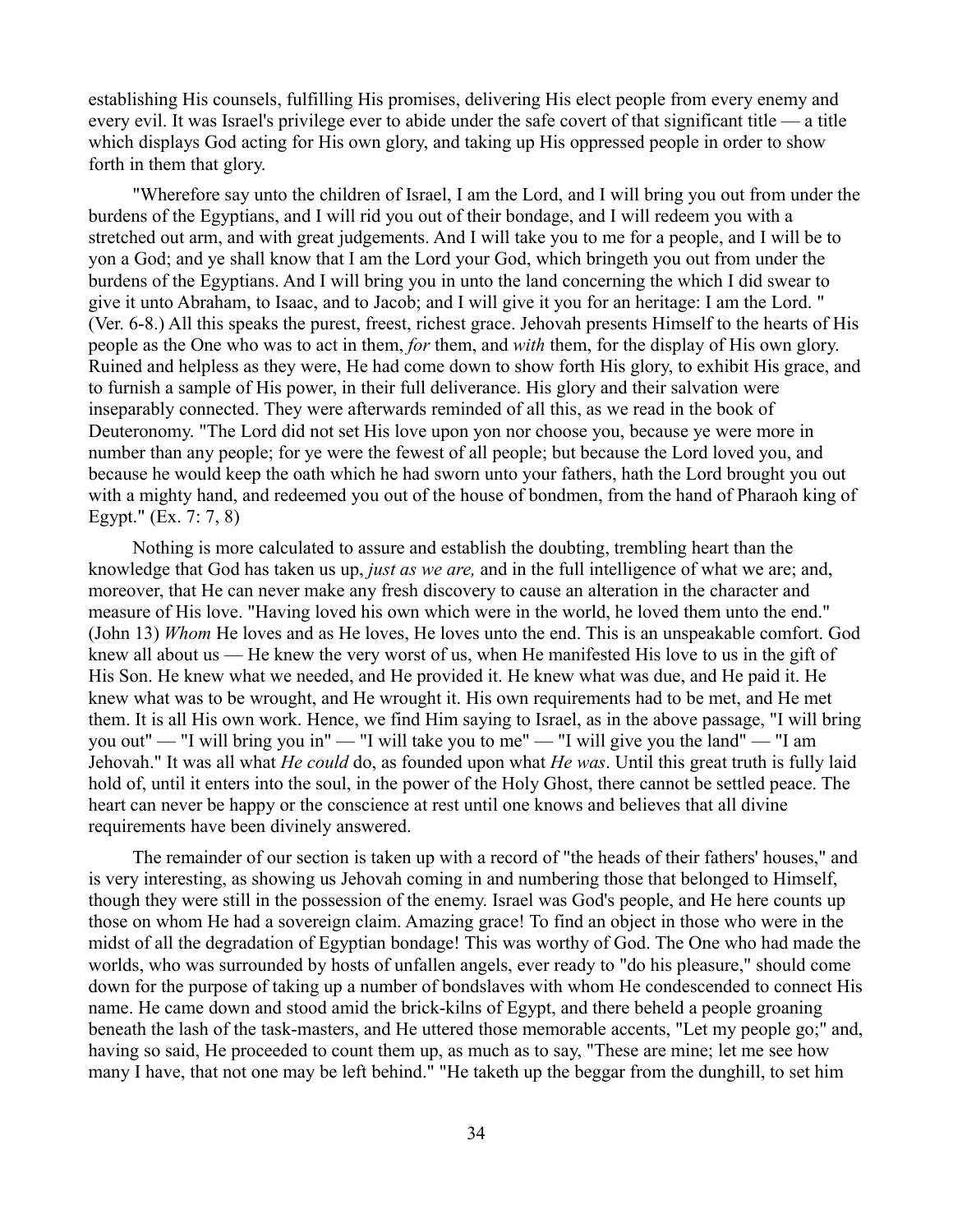establishing His counsels, fulfilling His promises, delivering His elect people from every enemy and every evil. It was Israel's privilege ever to abide under the safe covert of that significant title — a title which displays God acting for His own glory, and taking up His oppressed people in order to show forth in them that glory.

"Wherefore say unto the children of Israel, I am the Lord, and I will bring you out from under the burdens of the Egyptians, and I will rid you out of their bondage, and I will redeem you with a stretched out arm, and with great judgements. And I will take you to me for a people, and I will be to yon a God; and ye shall know that I am the Lord your God, which bringeth you out from under the burdens of the Egyptians. And I will bring you in unto the land concerning the which I did swear to give it unto Abraham, to Isaac, and to Jacob; and I will give it you for an heritage: I am the Lord. " (Ver. 6-8.) All this speaks the purest, freest, richest grace. Jehovah presents Himself to the hearts of His people as the One who was to act in them, *for* them, and *with* them, for the display of His own glory. Ruined and helpless as they were, He had come down to show forth His glory, to exhibit His grace, and to furnish a sample of His power, in their full deliverance. His glory and their salvation were inseparably connected. They were afterwards reminded of all this, as we read in the book of Deuteronomy. "The Lord did not set His love upon yon nor choose you, because ye were more in number than any people; for ye were the fewest of all people; but because the Lord loved you, and because he would keep the oath which he had sworn unto your fathers, hath the Lord brought you out with a mighty hand, and redeemed you out of the house of bondmen, from the hand of Pharaoh king of Egypt." (Ex. 7: 7, 8)

Nothing is more calculated to assure and establish the doubting, trembling heart than the knowledge that God has taken us up, *just as we are,* and in the full intelligence of what we are; and, moreover, that He can never make any fresh discovery to cause an alteration in the character and measure of His love. "Having loved his own which were in the world, he loved them unto the end." (John 13) *Whom* He loves and as He loves, He loves unto the end. This is an unspeakable comfort. God knew all about us — He knew the very worst of us, when He manifested His love to us in the gift of His Son. He knew what we needed, and He provided it. He knew what was due, and He paid it. He knew what was to be wrought, and He wrought it. His own requirements had to be met, and He met them. It is all His own work. Hence, we find Him saying to Israel, as in the above passage, "I will bring you out" — "I will bring you in" — "I will take you to me" — "I will give you the land" — "I am Jehovah." It was all what *He could* do, as founded upon what *He was*. Until this great truth is fully laid hold of, until it enters into the soul, in the power of the Holy Ghost, there cannot be settled peace. The heart can never be happy or the conscience at rest until one knows and believes that all divine requirements have been divinely answered.

The remainder of our section is taken up with a record of "the heads of their fathers' houses," and is very interesting, as showing us Jehovah coming in and numbering those that belonged to Himself, though they were still in the possession of the enemy. Israel was God's people, and He here counts up those on whom He had a sovereign claim. Amazing grace! To find an object in those who were in the midst of all the degradation of Egyptian bondage! This was worthy of God. The One who had made the worlds, who was surrounded by hosts of unfallen angels, ever ready to "do his pleasure," should come down for the purpose of taking up a number of bondslaves with whom He condescended to connect His name. He came down and stood amid the brick-kilns of Egypt, and there beheld a people groaning beneath the lash of the task-masters, and He uttered those memorable accents, "Let my people go;" and, having so said, He proceeded to count them up, as much as to say, "These are mine; let me see how many I have, that not one may be left behind." "He taketh up the beggar from the dunghill, to set him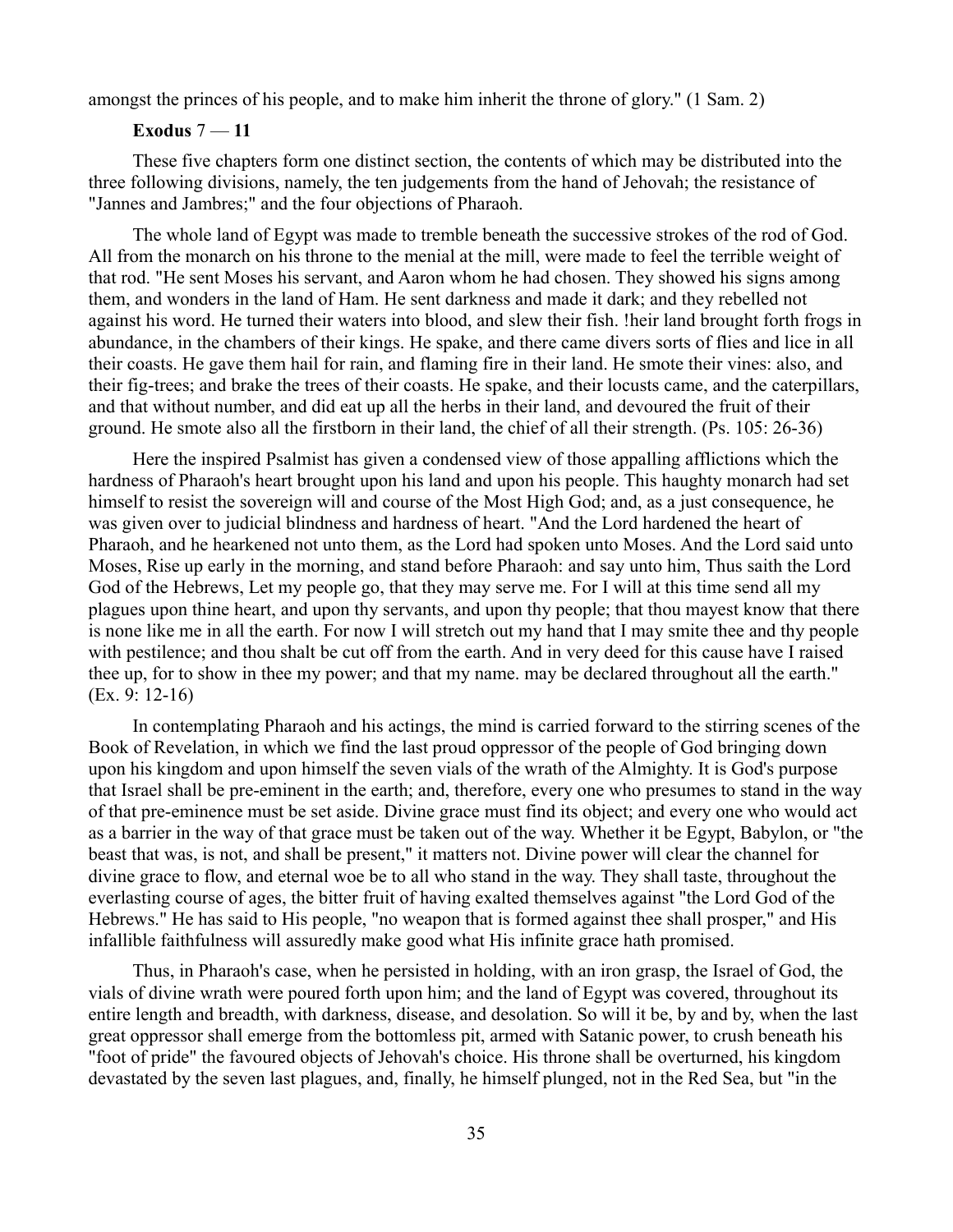amongst the princes of his people, and to make him inherit the throne of glory." (1 Sam. 2)

### **Exodus** 7 — **11**

These five chapters form one distinct section, the contents of which may be distributed into the three following divisions, namely, the ten judgements from the hand of Jehovah; the resistance of "Jannes and Jambres;" and the four objections of Pharaoh.

The whole land of Egypt was made to tremble beneath the successive strokes of the rod of God. All from the monarch on his throne to the menial at the mill, were made to feel the terrible weight of that rod. "He sent Moses his servant, and Aaron whom he had chosen. They showed his signs among them, and wonders in the land of Ham. He sent darkness and made it dark; and they rebelled not against his word. He turned their waters into blood, and slew their fish. !heir land brought forth frogs in abundance, in the chambers of their kings. He spake, and there came divers sorts of flies and lice in all their coasts. He gave them hail for rain, and flaming fire in their land. He smote their vines: also, and their fig-trees; and brake the trees of their coasts. He spake, and their locusts came, and the caterpillars, and that without number, and did eat up all the herbs in their land, and devoured the fruit of their ground. He smote also all the firstborn in their land, the chief of all their strength. (Ps. 105: 26-36)

Here the inspired Psalmist has given a condensed view of those appalling afflictions which the hardness of Pharaoh's heart brought upon his land and upon his people. This haughty monarch had set himself to resist the sovereign will and course of the Most High God; and, as a just consequence, he was given over to judicial blindness and hardness of heart. "And the Lord hardened the heart of Pharaoh, and he hearkened not unto them, as the Lord had spoken unto Moses. And the Lord said unto Moses, Rise up early in the morning, and stand before Pharaoh: and say unto him, Thus saith the Lord God of the Hebrews, Let my people go, that they may serve me. For I will at this time send all my plagues upon thine heart, and upon thy servants, and upon thy people; that thou mayest know that there is none like me in all the earth. For now I will stretch out my hand that I may smite thee and thy people with pestilence; and thou shalt be cut off from the earth. And in very deed for this cause have I raised thee up, for to show in thee my power; and that my name. may be declared throughout all the earth." (Ex. 9: 12-16)

In contemplating Pharaoh and his actings, the mind is carried forward to the stirring scenes of the Book of Revelation, in which we find the last proud oppressor of the people of God bringing down upon his kingdom and upon himself the seven vials of the wrath of the Almighty. It is God's purpose that Israel shall be pre-eminent in the earth; and, therefore, every one who presumes to stand in the way of that pre-eminence must be set aside. Divine grace must find its object; and every one who would act as a barrier in the way of that grace must be taken out of the way. Whether it be Egypt, Babylon, or "the beast that was, is not, and shall be present," it matters not. Divine power will clear the channel for divine grace to flow, and eternal woe be to all who stand in the way. They shall taste, throughout the everlasting course of ages, the bitter fruit of having exalted themselves against "the Lord God of the Hebrews." He has said to His people, "no weapon that is formed against thee shall prosper," and His infallible faithfulness will assuredly make good what His infinite grace hath promised.

Thus, in Pharaoh's case, when he persisted in holding, with an iron grasp, the Israel of God, the vials of divine wrath were poured forth upon him; and the land of Egypt was covered, throughout its entire length and breadth, with darkness, disease, and desolation. So will it be, by and by, when the last great oppressor shall emerge from the bottomless pit, armed with Satanic power, to crush beneath his "foot of pride" the favoured objects of Jehovah's choice. His throne shall be overturned, his kingdom devastated by the seven last plagues, and, finally, he himself plunged, not in the Red Sea, but "in the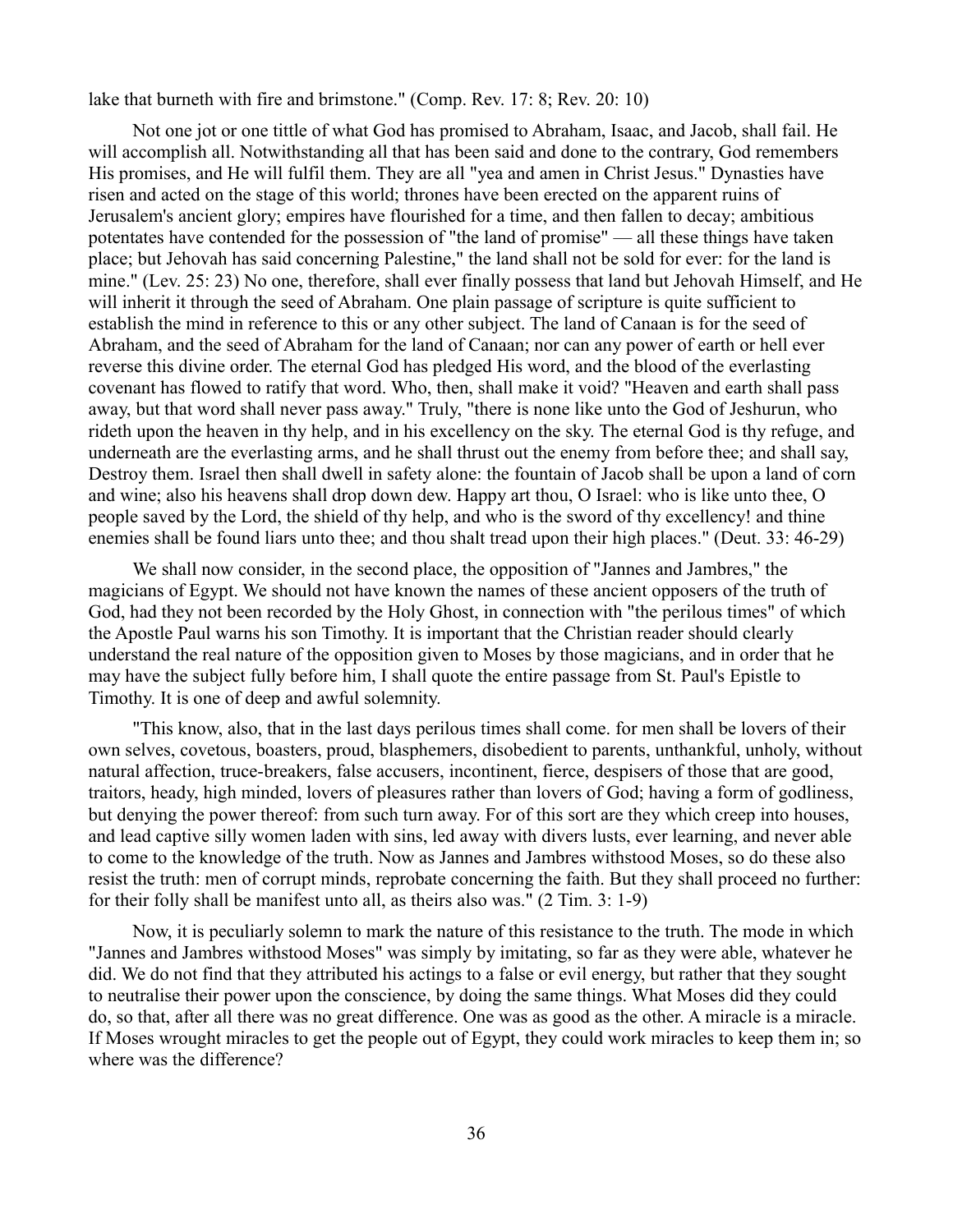lake that burneth with fire and brimstone." (Comp. Rev. 17: 8; Rev. 20: 10)

Not one jot or one tittle of what God has promised to Abraham, Isaac, and Jacob, shall fail. He will accomplish all. Notwithstanding all that has been said and done to the contrary, God remembers His promises, and He will fulfil them. They are all "yea and amen in Christ Jesus." Dynasties have risen and acted on the stage of this world; thrones have been erected on the apparent ruins of Jerusalem's ancient glory; empires have flourished for a time, and then fallen to decay; ambitious potentates have contended for the possession of "the land of promise" — all these things have taken place; but Jehovah has said concerning Palestine," the land shall not be sold for ever: for the land is mine." (Lev. 25: 23) No one, therefore, shall ever finally possess that land but Jehovah Himself, and He will inherit it through the seed of Abraham. One plain passage of scripture is quite sufficient to establish the mind in reference to this or any other subject. The land of Canaan is for the seed of Abraham, and the seed of Abraham for the land of Canaan; nor can any power of earth or hell ever reverse this divine order. The eternal God has pledged His word, and the blood of the everlasting covenant has flowed to ratify that word. Who, then, shall make it void? "Heaven and earth shall pass away, but that word shall never pass away." Truly, "there is none like unto the God of Jeshurun, who rideth upon the heaven in thy help, and in his excellency on the sky. The eternal God is thy refuge, and underneath are the everlasting arms, and he shall thrust out the enemy from before thee; and shall say, Destroy them. Israel then shall dwell in safety alone: the fountain of Jacob shall be upon a land of corn and wine; also his heavens shall drop down dew. Happy art thou, O Israel: who is like unto thee, O people saved by the Lord, the shield of thy help, and who is the sword of thy excellency! and thine enemies shall be found liars unto thee; and thou shalt tread upon their high places." (Deut. 33: 46-29)

We shall now consider, in the second place, the opposition of "Jannes and Jambres," the magicians of Egypt. We should not have known the names of these ancient opposers of the truth of God, had they not been recorded by the Holy Ghost, in connection with "the perilous times" of which the Apostle Paul warns his son Timothy. It is important that the Christian reader should clearly understand the real nature of the opposition given to Moses by those magicians, and in order that he may have the subject fully before him, I shall quote the entire passage from St. Paul's Epistle to Timothy. It is one of deep and awful solemnity.

"This know, also, that in the last days perilous times shall come. for men shall be lovers of their own selves, covetous, boasters, proud, blasphemers, disobedient to parents, unthankful, unholy, without natural affection, truce-breakers, false accusers, incontinent, fierce, despisers of those that are good, traitors, heady, high minded, lovers of pleasures rather than lovers of God; having a form of godliness, but denying the power thereof: from such turn away. For of this sort are they which creep into houses, and lead captive silly women laden with sins, led away with divers lusts, ever learning, and never able to come to the knowledge of the truth. Now as Jannes and Jambres withstood Moses, so do these also resist the truth: men of corrupt minds, reprobate concerning the faith. But they shall proceed no further: for their folly shall be manifest unto all, as theirs also was." (2 Tim. 3: 1-9)

Now, it is peculiarly solemn to mark the nature of this resistance to the truth. The mode in which "Jannes and Jambres withstood Moses" was simply by imitating, so far as they were able, whatever he did. We do not find that they attributed his actings to a false or evil energy, but rather that they sought to neutralise their power upon the conscience, by doing the same things. What Moses did they could do, so that, after all there was no great difference. One was as good as the other. A miracle is a miracle. If Moses wrought miracles to get the people out of Egypt, they could work miracles to keep them in; so where was the difference?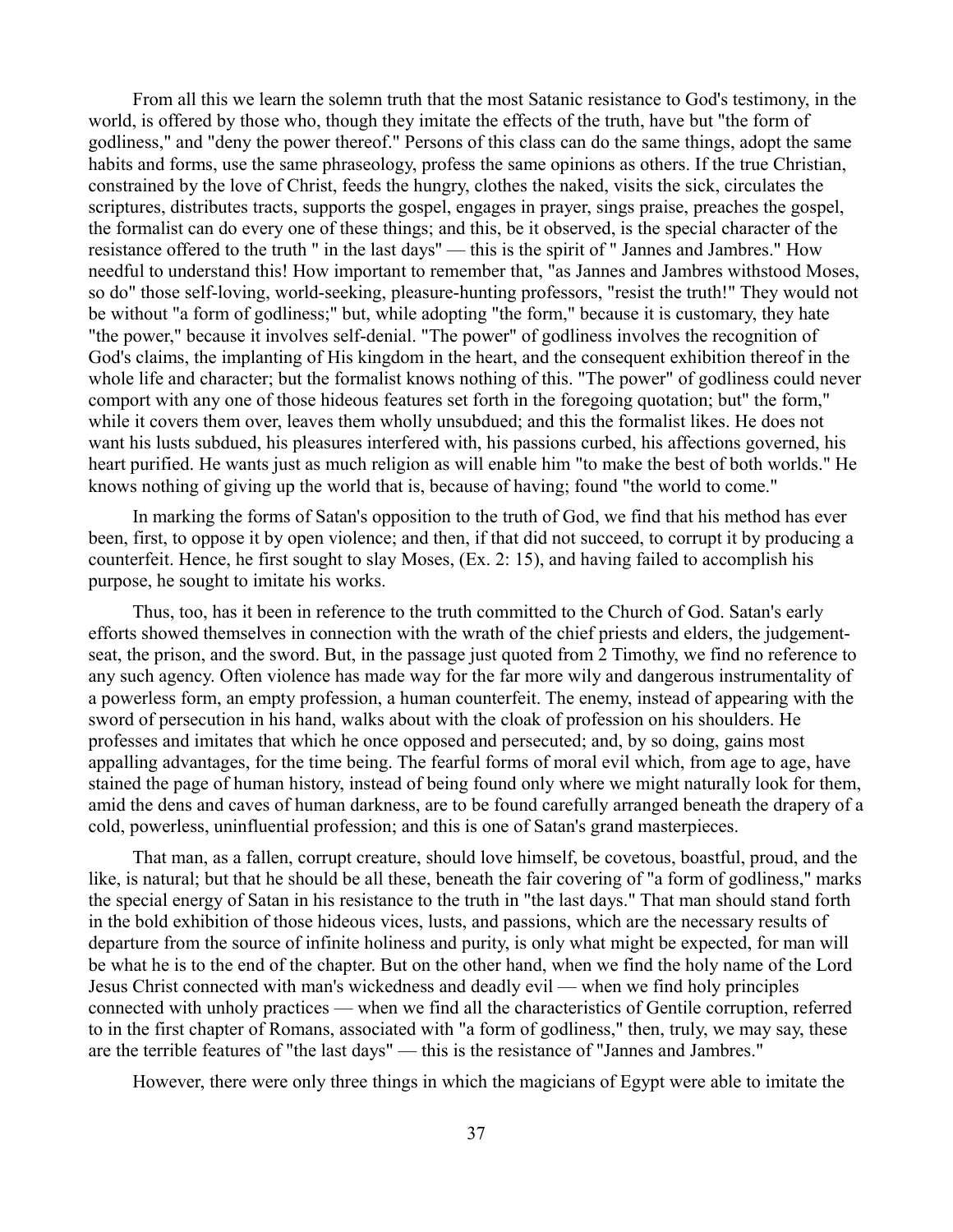From all this we learn the solemn truth that the most Satanic resistance to God's testimony, in the world, is offered by those who, though they imitate the effects of the truth, have but "the form of godliness," and "deny the power thereof." Persons of this class can do the same things, adopt the same habits and forms, use the same phraseology, profess the same opinions as others. If the true Christian, constrained by the love of Christ, feeds the hungry, clothes the naked, visits the sick, circulates the scriptures, distributes tracts, supports the gospel, engages in prayer, sings praise, preaches the gospel, the formalist can do every one of these things; and this, be it observed, is the special character of the resistance offered to the truth " in the last days'' — this is the spirit of " Jannes and Jambres." How needful to understand this! How important to remember that, "as Jannes and Jambres withstood Moses, so do" those self-loving, world-seeking, pleasure-hunting professors, "resist the truth!" They would not be without "a form of godliness;" but, while adopting "the form," because it is customary, they hate "the power," because it involves self-denial. "The power" of godliness involves the recognition of God's claims, the implanting of His kingdom in the heart, and the consequent exhibition thereof in the whole life and character; but the formalist knows nothing of this. "The power" of godliness could never comport with any one of those hideous features set forth in the foregoing quotation; but" the form," while it covers them over, leaves them wholly unsubdued; and this the formalist likes. He does not want his lusts subdued, his pleasures interfered with, his passions curbed, his affections governed, his heart purified. He wants just as much religion as will enable him "to make the best of both worlds." He knows nothing of giving up the world that is, because of having; found "the world to come."

In marking the forms of Satan's opposition to the truth of God, we find that his method has ever been, first, to oppose it by open violence; and then, if that did not succeed, to corrupt it by producing a counterfeit. Hence, he first sought to slay Moses, (Ex. 2: 15), and having failed to accomplish his purpose, he sought to imitate his works.

Thus, too, has it been in reference to the truth committed to the Church of God. Satan's early efforts showed themselves in connection with the wrath of the chief priests and elders, the judgementseat, the prison, and the sword. But, in the passage just quoted from 2 Timothy, we find no reference to any such agency. Often violence has made way for the far more wily and dangerous instrumentality of a powerless form, an empty profession, a human counterfeit. The enemy, instead of appearing with the sword of persecution in his hand, walks about with the cloak of profession on his shoulders. He professes and imitates that which he once opposed and persecuted; and, by so doing, gains most appalling advantages, for the time being. The fearful forms of moral evil which, from age to age, have stained the page of human history, instead of being found only where we might naturally look for them, amid the dens and caves of human darkness, are to be found carefully arranged beneath the drapery of a cold, powerless, uninfluential profession; and this is one of Satan's grand masterpieces.

That man, as a fallen, corrupt creature, should love himself, be covetous, boastful, proud, and the like, is natural; but that he should be all these, beneath the fair covering of "a form of godliness," marks the special energy of Satan in his resistance to the truth in "the last days." That man should stand forth in the bold exhibition of those hideous vices, lusts, and passions, which are the necessary results of departure from the source of infinite holiness and purity, is only what might be expected, for man will be what he is to the end of the chapter. But on the other hand, when we find the holy name of the Lord Jesus Christ connected with man's wickedness and deadly evil — when we find holy principles connected with unholy practices — when we find all the characteristics of Gentile corruption, referred to in the first chapter of Romans, associated with "a form of godliness," then, truly, we may say, these are the terrible features of "the last days" — this is the resistance of "Jannes and Jambres."

However, there were only three things in which the magicians of Egypt were able to imitate the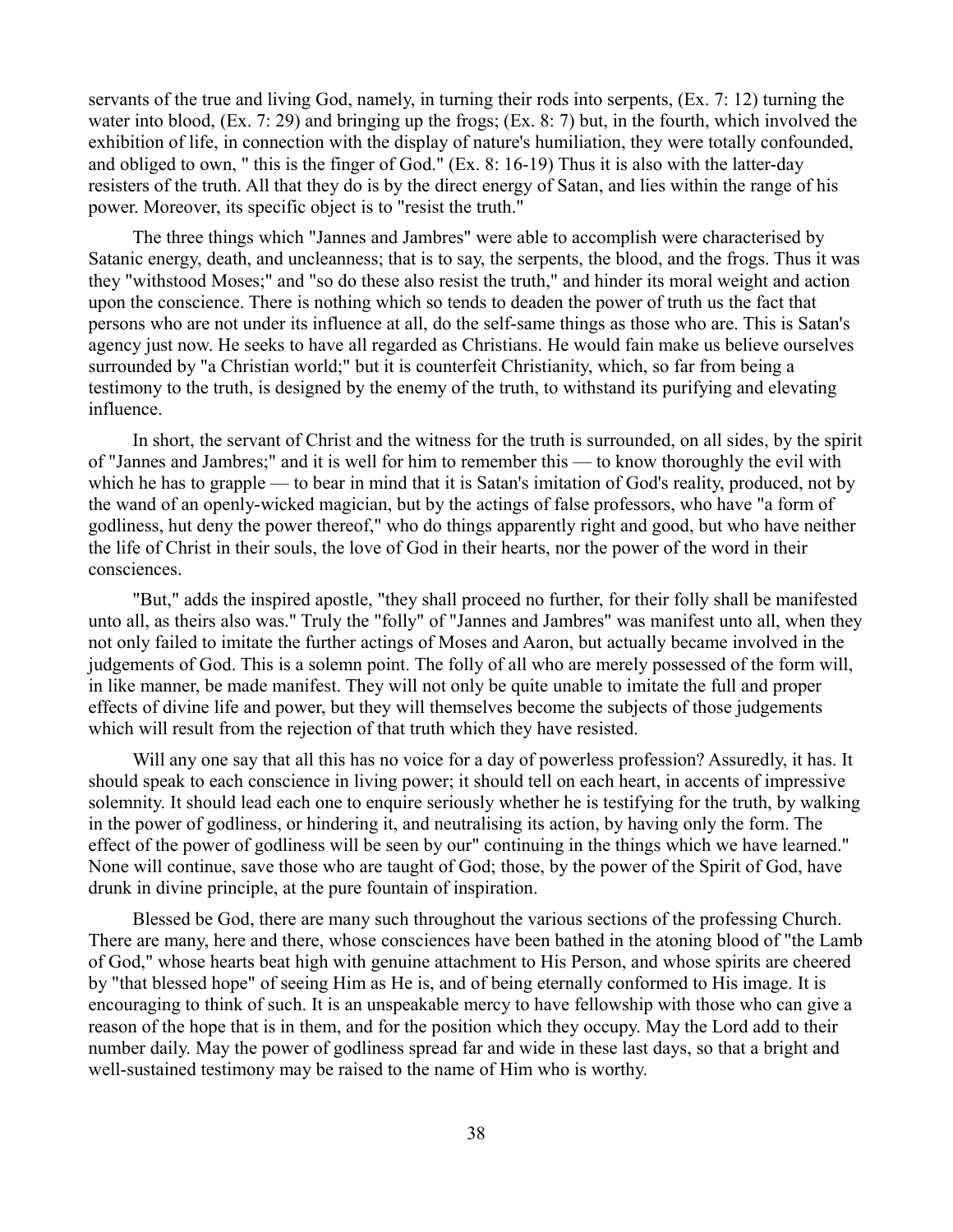servants of the true and living God, namely, in turning their rods into serpents, (Ex. 7: 12) turning the water into blood, (Ex. 7: 29) and bringing up the frogs; (Ex. 8: 7) but, in the fourth, which involved the exhibition of life, in connection with the display of nature's humiliation, they were totally confounded, and obliged to own, " this is the finger of God." (Ex. 8: 16-19) Thus it is also with the latter-day resisters of the truth. All that they do is by the direct energy of Satan, and lies within the range of his power. Moreover, its specific object is to "resist the truth."

The three things which "Jannes and Jambres" were able to accomplish were characterised by Satanic energy, death, and uncleanness; that is to say, the serpents, the blood, and the frogs. Thus it was they "withstood Moses;" and "so do these also resist the truth," and hinder its moral weight and action upon the conscience. There is nothing which so tends to deaden the power of truth us the fact that persons who are not under its influence at all, do the self-same things as those who are. This is Satan's agency just now. He seeks to have all regarded as Christians. He would fain make us believe ourselves surrounded by "a Christian world;" but it is counterfeit Christianity, which, so far from being a testimony to the truth, is designed by the enemy of the truth, to withstand its purifying and elevating influence.

In short, the servant of Christ and the witness for the truth is surrounded, on all sides, by the spirit of "Jannes and Jambres;" and it is well for him to remember this — to know thoroughly the evil with which he has to grapple — to bear in mind that it is Satan's imitation of God's reality, produced, not by the wand of an openly-wicked magician, but by the actings of false professors, who have "a form of godliness, hut deny the power thereof," who do things apparently right and good, but who have neither the life of Christ in their souls, the love of God in their hearts, nor the power of the word in their consciences.

"But," adds the inspired apostle, "they shall proceed no further, for their folly shall be manifested unto all, as theirs also was." Truly the "folly" of "Jannes and Jambres" was manifest unto all, when they not only failed to imitate the further actings of Moses and Aaron, but actually became involved in the judgements of God. This is a solemn point. The folly of all who are merely possessed of the form will, in like manner, be made manifest. They will not only be quite unable to imitate the full and proper effects of divine life and power, but they will themselves become the subjects of those judgements which will result from the rejection of that truth which they have resisted.

Will any one say that all this has no voice for a day of powerless profession? Assuredly, it has. It should speak to each conscience in living power; it should tell on each heart, in accents of impressive solemnity. It should lead each one to enquire seriously whether he is testifying for the truth, by walking in the power of godliness, or hindering it, and neutralising its action, by having only the form. The effect of the power of godliness will be seen by our" continuing in the things which we have learned." None will continue, save those who are taught of God; those, by the power of the Spirit of God, have drunk in divine principle, at the pure fountain of inspiration.

Blessed be God, there are many such throughout the various sections of the professing Church. There are many, here and there, whose consciences have been bathed in the atoning blood of "the Lamb of God," whose hearts beat high with genuine attachment to His Person, and whose spirits are cheered by "that blessed hope" of seeing Him as He is, and of being eternally conformed to His image. It is encouraging to think of such. It is an unspeakable mercy to have fellowship with those who can give a reason of the hope that is in them, and for the position which they occupy. May the Lord add to their number daily. May the power of godliness spread far and wide in these last days, so that a bright and well-sustained testimony may be raised to the name of Him who is worthy.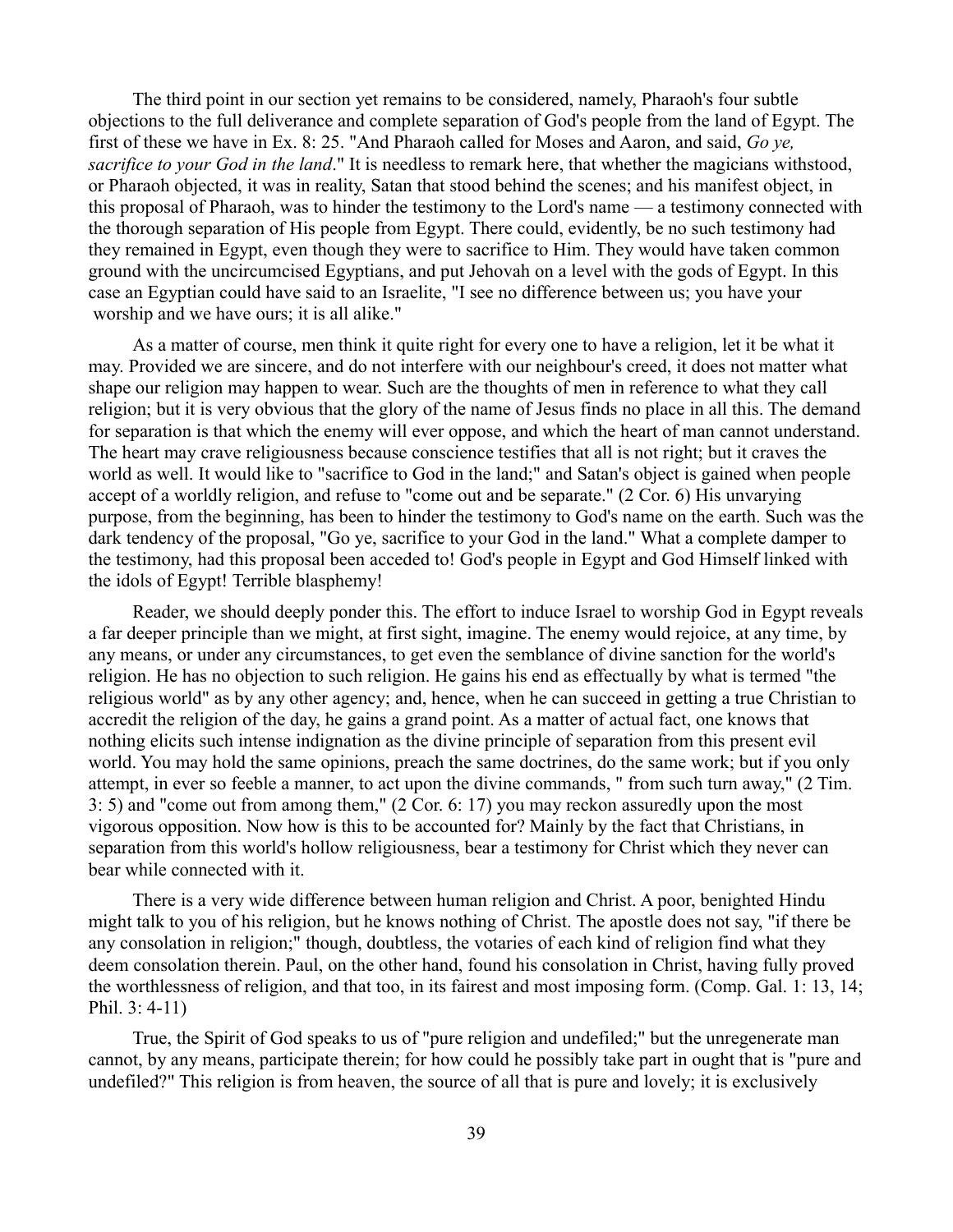The third point in our section yet remains to be considered, namely, Pharaoh's four subtle objections to the full deliverance and complete separation of God's people from the land of Egypt. The first of these we have in Ex. 8: 25. "And Pharaoh called for Moses and Aaron, and said, *Go ye, sacrifice to your God in the land*." It is needless to remark here, that whether the magicians withstood, or Pharaoh objected, it was in reality, Satan that stood behind the scenes; and his manifest object, in this proposal of Pharaoh, was to hinder the testimony to the Lord's name — a testimony connected with the thorough separation of His people from Egypt. There could, evidently, be no such testimony had they remained in Egypt, even though they were to sacrifice to Him. They would have taken common ground with the uncircumcised Egyptians, and put Jehovah on a level with the gods of Egypt. In this case an Egyptian could have said to an Israelite, "I see no difference between us; you have your worship and we have ours; it is all alike."

As a matter of course, men think it quite right for every one to have a religion, let it be what it may. Provided we are sincere, and do not interfere with our neighbour's creed, it does not matter what shape our religion may happen to wear. Such are the thoughts of men in reference to what they call religion; but it is very obvious that the glory of the name of Jesus finds no place in all this. The demand for separation is that which the enemy will ever oppose, and which the heart of man cannot understand. The heart may crave religiousness because conscience testifies that all is not right; but it craves the world as well. It would like to "sacrifice to God in the land;" and Satan's object is gained when people accept of a worldly religion, and refuse to "come out and be separate." (2 Cor. 6) His unvarying purpose, from the beginning, has been to hinder the testimony to God's name on the earth. Such was the dark tendency of the proposal, "Go ye, sacrifice to your God in the land." What a complete damper to the testimony, had this proposal been acceded to! God's people in Egypt and God Himself linked with the idols of Egypt! Terrible blasphemy!

Reader, we should deeply ponder this. The effort to induce Israel to worship God in Egypt reveals a far deeper principle than we might, at first sight, imagine. The enemy would rejoice, at any time, by any means, or under any circumstances, to get even the semblance of divine sanction for the world's religion. He has no objection to such religion. He gains his end as effectually by what is termed "the religious world" as by any other agency; and, hence, when he can succeed in getting a true Christian to accredit the religion of the day, he gains a grand point. As a matter of actual fact, one knows that nothing elicits such intense indignation as the divine principle of separation from this present evil world. You may hold the same opinions, preach the same doctrines, do the same work; but if you only attempt, in ever so feeble a manner, to act upon the divine commands, " from such turn away," (2 Tim. 3: 5) and "come out from among them," (2 Cor. 6: 17) you may reckon assuredly upon the most vigorous opposition. Now how is this to be accounted for? Mainly by the fact that Christians, in separation from this world's hollow religiousness, bear a testimony for Christ which they never can bear while connected with it.

There is a very wide difference between human religion and Christ. A poor, benighted Hindu might talk to you of his religion, but he knows nothing of Christ. The apostle does not say, "if there be any consolation in religion;" though, doubtless, the votaries of each kind of religion find what they deem consolation therein. Paul, on the other hand, found his consolation in Christ, having fully proved the worthlessness of religion, and that too, in its fairest and most imposing form. (Comp. Gal. 1: 13, 14; Phil. 3: 4-11)

True, the Spirit of God speaks to us of "pure religion and undefiled;" but the unregenerate man cannot, by any means, participate therein; for how could he possibly take part in ought that is "pure and undefiled?" This religion is from heaven, the source of all that is pure and lovely; it is exclusively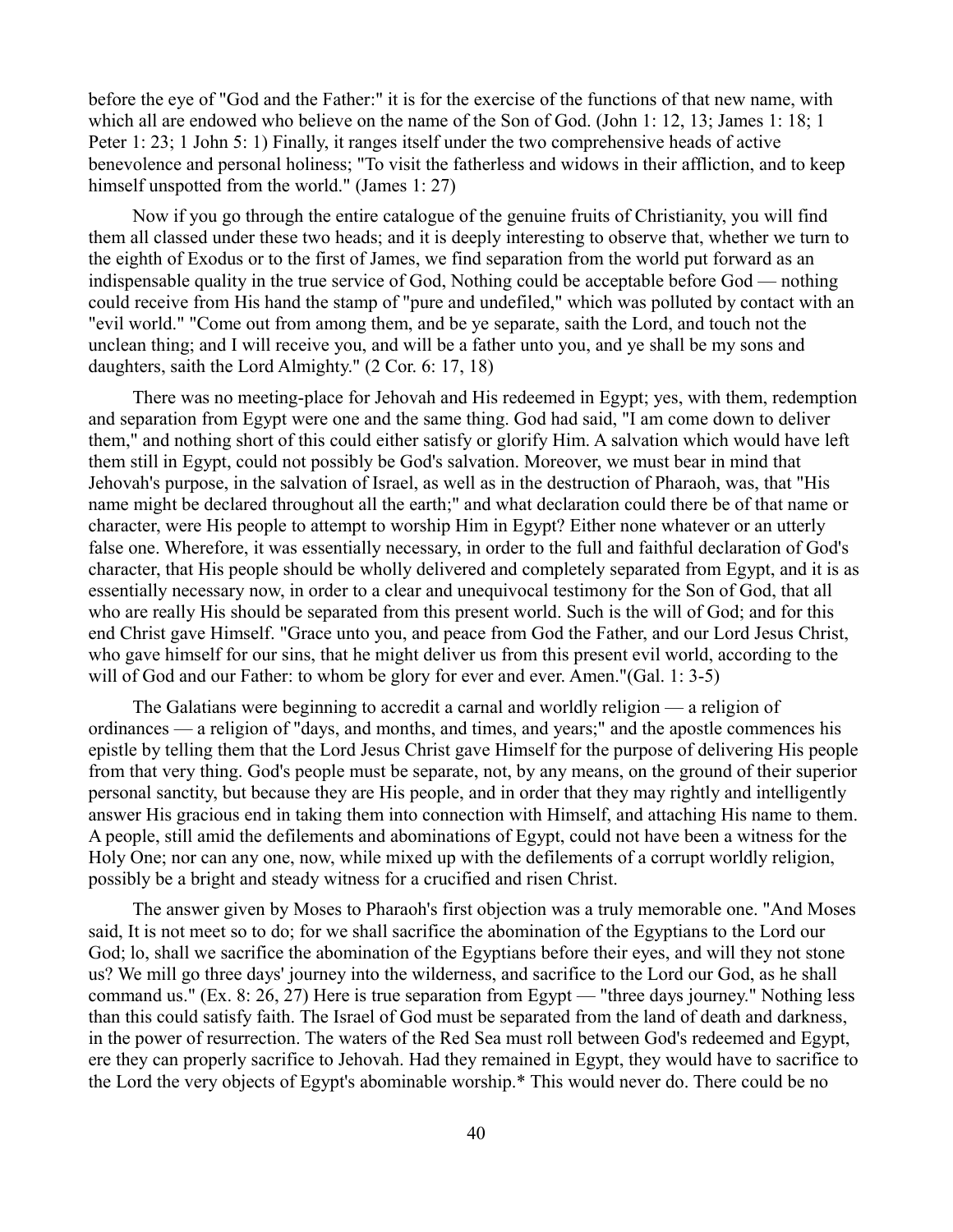before the eye of "God and the Father:" it is for the exercise of the functions of that new name, with which all are endowed who believe on the name of the Son of God. (John 1: 12, 13; James 1: 18; 1 Peter 1: 23; 1 John 5: 1) Finally, it ranges itself under the two comprehensive heads of active benevolence and personal holiness; "To visit the fatherless and widows in their affliction, and to keep himself unspotted from the world." (James 1: 27)

Now if you go through the entire catalogue of the genuine fruits of Christianity, you will find them all classed under these two heads; and it is deeply interesting to observe that, whether we turn to the eighth of Exodus or to the first of James, we find separation from the world put forward as an indispensable quality in the true service of God, Nothing could be acceptable before God — nothing could receive from His hand the stamp of "pure and undefiled," which was polluted by contact with an "evil world." "Come out from among them, and be ye separate, saith the Lord, and touch not the unclean thing; and I will receive you, and will be a father unto you, and ye shall be my sons and daughters, saith the Lord Almighty." (2 Cor. 6: 17, 18)

There was no meeting-place for Jehovah and His redeemed in Egypt; yes, with them, redemption and separation from Egypt were one and the same thing. God had said, "I am come down to deliver them," and nothing short of this could either satisfy or glorify Him. A salvation which would have left them still in Egypt, could not possibly be God's salvation. Moreover, we must bear in mind that Jehovah's purpose, in the salvation of Israel, as well as in the destruction of Pharaoh, was, that "His name might be declared throughout all the earth;" and what declaration could there be of that name or character, were His people to attempt to worship Him in Egypt? Either none whatever or an utterly false one. Wherefore, it was essentially necessary, in order to the full and faithful declaration of God's character, that His people should be wholly delivered and completely separated from Egypt, and it is as essentially necessary now, in order to a clear and unequivocal testimony for the Son of God, that all who are really His should be separated from this present world. Such is the will of God; and for this end Christ gave Himself. "Grace unto you, and peace from God the Father, and our Lord Jesus Christ, who gave himself for our sins, that he might deliver us from this present evil world, according to the will of God and our Father: to whom be glory for ever and ever. Amen."(Gal. 1: 3-5)

The Galatians were beginning to accredit a carnal and worldly religion — a religion of ordinances — a religion of "days, and months, and times, and years;" and the apostle commences his epistle by telling them that the Lord Jesus Christ gave Himself for the purpose of delivering His people from that very thing. God's people must be separate, not, by any means, on the ground of their superior personal sanctity, but because they are His people, and in order that they may rightly and intelligently answer His gracious end in taking them into connection with Himself, and attaching His name to them. A people, still amid the defilements and abominations of Egypt, could not have been a witness for the Holy One; nor can any one, now, while mixed up with the defilements of a corrupt worldly religion, possibly be a bright and steady witness for a crucified and risen Christ.

The answer given by Moses to Pharaoh's first objection was a truly memorable one. "And Moses said, It is not meet so to do; for we shall sacrifice the abomination of the Egyptians to the Lord our God; lo, shall we sacrifice the abomination of the Egyptians before their eyes, and will they not stone us? We mill go three days' journey into the wilderness, and sacrifice to the Lord our God, as he shall command us." (Ex. 8: 26, 27) Here is true separation from Egypt — "three days journey." Nothing less than this could satisfy faith. The Israel of God must be separated from the land of death and darkness, in the power of resurrection. The waters of the Red Sea must roll between God's redeemed and Egypt, ere they can properly sacrifice to Jehovah. Had they remained in Egypt, they would have to sacrifice to the Lord the very objects of Egypt's abominable worship.\* This would never do. There could be no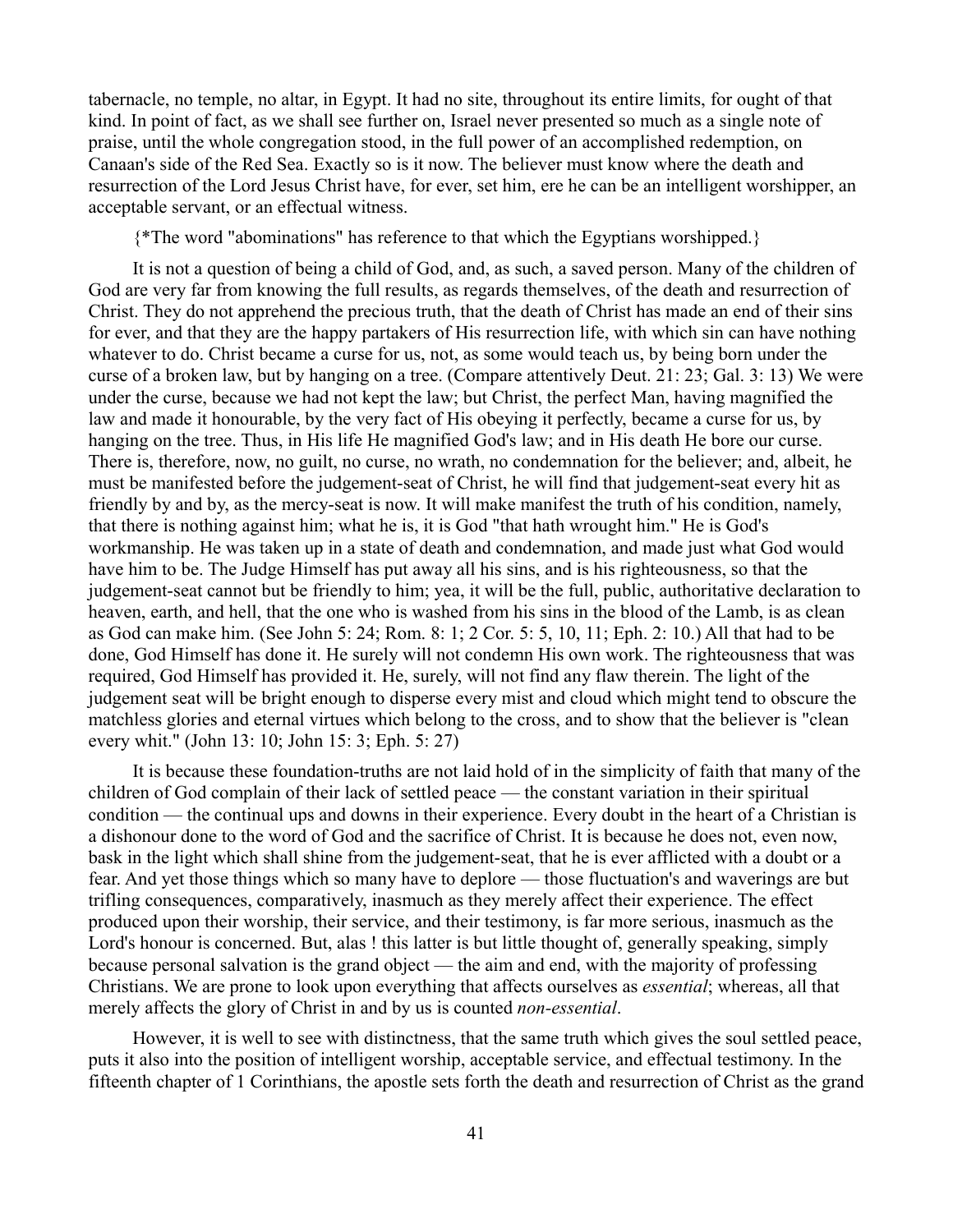tabernacle, no temple, no altar, in Egypt. It had no site, throughout its entire limits, for ought of that kind. In point of fact, as we shall see further on, Israel never presented so much as a single note of praise, until the whole congregation stood, in the full power of an accomplished redemption, on Canaan's side of the Red Sea. Exactly so is it now. The believer must know where the death and resurrection of the Lord Jesus Christ have, for ever, set him, ere he can be an intelligent worshipper, an acceptable servant, or an effectual witness.

{\*The word "abominations" has reference to that which the Egyptians worshipped.}

It is not a question of being a child of God, and, as such, a saved person. Many of the children of God are very far from knowing the full results, as regards themselves, of the death and resurrection of Christ. They do not apprehend the precious truth, that the death of Christ has made an end of their sins for ever, and that they are the happy partakers of His resurrection life, with which sin can have nothing whatever to do. Christ became a curse for us, not, as some would teach us, by being born under the curse of a broken law, but by hanging on a tree. (Compare attentively Deut. 21: 23; Gal. 3: 13) We were under the curse, because we had not kept the law; but Christ, the perfect Man, having magnified the law and made it honourable, by the very fact of His obeying it perfectly, became a curse for us, by hanging on the tree. Thus, in His life He magnified God's law; and in His death He bore our curse. There is, therefore, now, no guilt, no curse, no wrath, no condemnation for the believer; and, albeit, he must be manifested before the judgement-seat of Christ, he will find that judgement-seat every hit as friendly by and by, as the mercy-seat is now. It will make manifest the truth of his condition, namely, that there is nothing against him; what he is, it is God "that hath wrought him." He is God's workmanship. He was taken up in a state of death and condemnation, and made just what God would have him to be. The Judge Himself has put away all his sins, and is his righteousness, so that the judgement-seat cannot but be friendly to him; yea, it will be the full, public, authoritative declaration to heaven, earth, and hell, that the one who is washed from his sins in the blood of the Lamb, is as clean as God can make him. (See John 5: 24; Rom. 8: 1; 2 Cor. 5: 5, 10, 11; Eph. 2: 10.) All that had to be done, God Himself has done it. He surely will not condemn His own work. The righteousness that was required, God Himself has provided it. He, surely, will not find any flaw therein. The light of the judgement seat will be bright enough to disperse every mist and cloud which might tend to obscure the matchless glories and eternal virtues which belong to the cross, and to show that the believer is "clean every whit." (John 13: 10; John 15: 3; Eph. 5: 27)

It is because these foundation-truths are not laid hold of in the simplicity of faith that many of the children of God complain of their lack of settled peace — the constant variation in their spiritual condition — the continual ups and downs in their experience. Every doubt in the heart of a Christian is a dishonour done to the word of God and the sacrifice of Christ. It is because he does not, even now, bask in the light which shall shine from the judgement-seat, that he is ever afflicted with a doubt or a fear. And yet those things which so many have to deplore — those fluctuation's and waverings are but trifling consequences, comparatively, inasmuch as they merely affect their experience. The effect produced upon their worship, their service, and their testimony, is far more serious, inasmuch as the Lord's honour is concerned. But, alas! this latter is but little thought of, generally speaking, simply because personal salvation is the grand object — the aim and end, with the majority of professing Christians. We are prone to look upon everything that affects ourselves as *essential*; whereas, all that merely affects the glory of Christ in and by us is counted *non-essential*.

However, it is well to see with distinctness, that the same truth which gives the soul settled peace, puts it also into the position of intelligent worship, acceptable service, and effectual testimony. In the fifteenth chapter of 1 Corinthians, the apostle sets forth the death and resurrection of Christ as the grand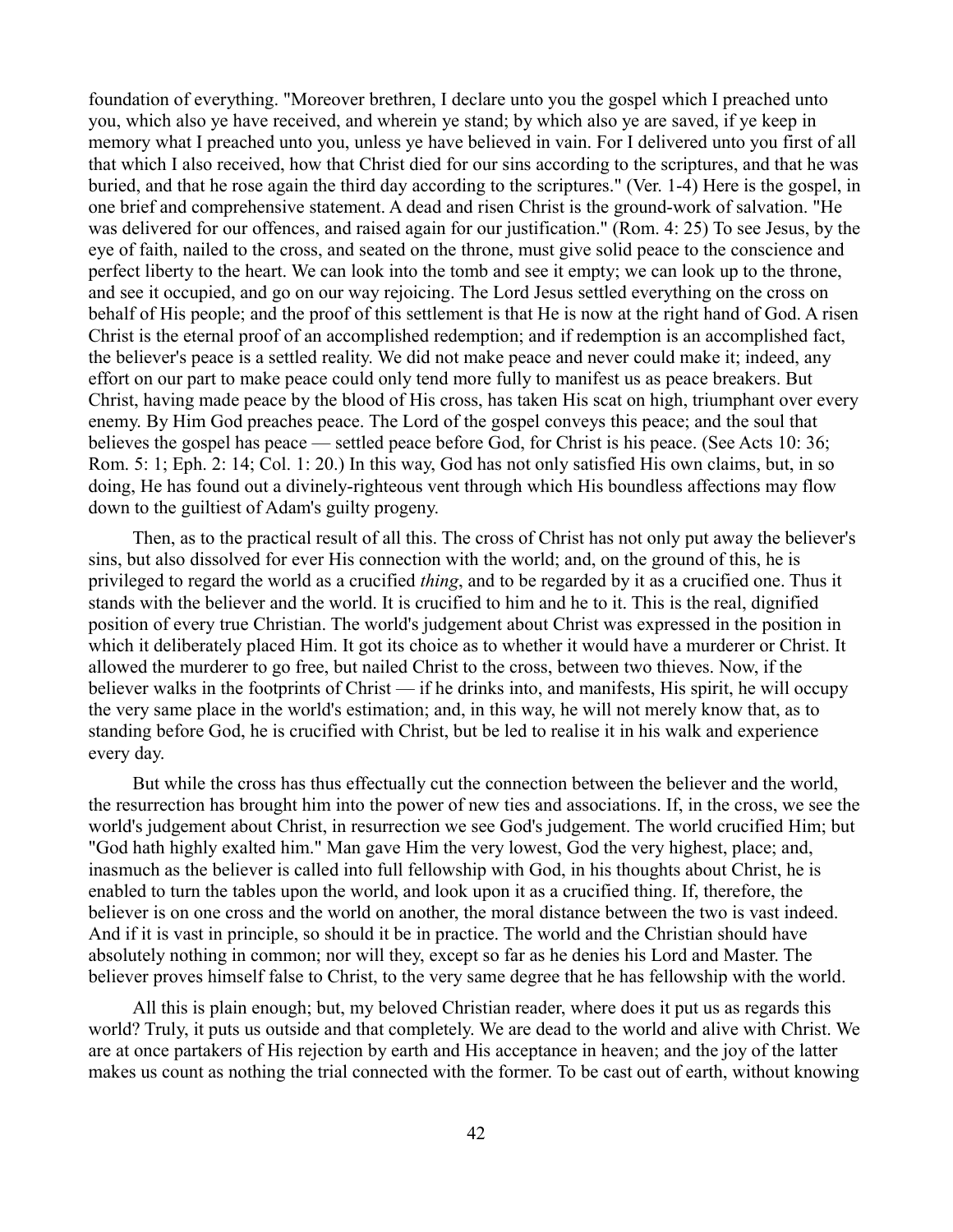foundation of everything. "Moreover brethren, I declare unto you the gospel which I preached unto you, which also ye have received, and wherein ye stand; by which also ye are saved, if ye keep in memory what I preached unto you, unless ye have believed in vain. For I delivered unto you first of all that which I also received, how that Christ died for our sins according to the scriptures, and that he was buried, and that he rose again the third day according to the scriptures." (Ver. 1-4) Here is the gospel, in one brief and comprehensive statement. A dead and risen Christ is the ground-work of salvation. "He was delivered for our offences, and raised again for our justification." (Rom. 4: 25) To see Jesus, by the eye of faith, nailed to the cross, and seated on the throne, must give solid peace to the conscience and perfect liberty to the heart. We can look into the tomb and see it empty; we can look up to the throne, and see it occupied, and go on our way rejoicing. The Lord Jesus settled everything on the cross on behalf of His people; and the proof of this settlement is that He is now at the right hand of God. A risen Christ is the eternal proof of an accomplished redemption; and if redemption is an accomplished fact, the believer's peace is a settled reality. We did not make peace and never could make it; indeed, any effort on our part to make peace could only tend more fully to manifest us as peace breakers. But Christ, having made peace by the blood of His cross, has taken His scat on high, triumphant over every enemy. By Him God preaches peace. The Lord of the gospel conveys this peace; and the soul that believes the gospel has peace — settled peace before God, for Christ is his peace. (See Acts 10: 36; Rom. 5: 1; Eph. 2: 14; Col. 1: 20.) In this way, God has not only satisfied His own claims, but, in so doing, He has found out a divinely-righteous vent through which His boundless affections may flow down to the guiltiest of Adam's guilty progeny.

Then, as to the practical result of all this. The cross of Christ has not only put away the believer's sins, but also dissolved for ever His connection with the world; and, on the ground of this, he is privileged to regard the world as a crucified *thing*, and to be regarded by it as a crucified one. Thus it stands with the believer and the world. It is crucified to him and he to it. This is the real, dignified position of every true Christian. The world's judgement about Christ was expressed in the position in which it deliberately placed Him. It got its choice as to whether it would have a murderer or Christ. It allowed the murderer to go free, but nailed Christ to the cross, between two thieves. Now, if the believer walks in the footprints of Christ — if he drinks into, and manifests, His spirit, he will occupy the very same place in the world's estimation; and, in this way, he will not merely know that, as to standing before God, he is crucified with Christ, but be led to realise it in his walk and experience every day.

But while the cross has thus effectually cut the connection between the believer and the world, the resurrection has brought him into the power of new ties and associations. If, in the cross, we see the world's judgement about Christ, in resurrection we see God's judgement. The world crucified Him; but "God hath highly exalted him." Man gave Him the very lowest, God the very highest, place; and, inasmuch as the believer is called into full fellowship with God, in his thoughts about Christ, he is enabled to turn the tables upon the world, and look upon it as a crucified thing. If, therefore, the believer is on one cross and the world on another, the moral distance between the two is vast indeed. And if it is vast in principle, so should it be in practice. The world and the Christian should have absolutely nothing in common; nor will they, except so far as he denies his Lord and Master. The believer proves himself false to Christ, to the very same degree that he has fellowship with the world.

All this is plain enough; but, my beloved Christian reader, where does it put us as regards this world? Truly, it puts us outside and that completely. We are dead to the world and alive with Christ. We are at once partakers of His rejection by earth and His acceptance in heaven; and the joy of the latter makes us count as nothing the trial connected with the former. To be cast out of earth, without knowing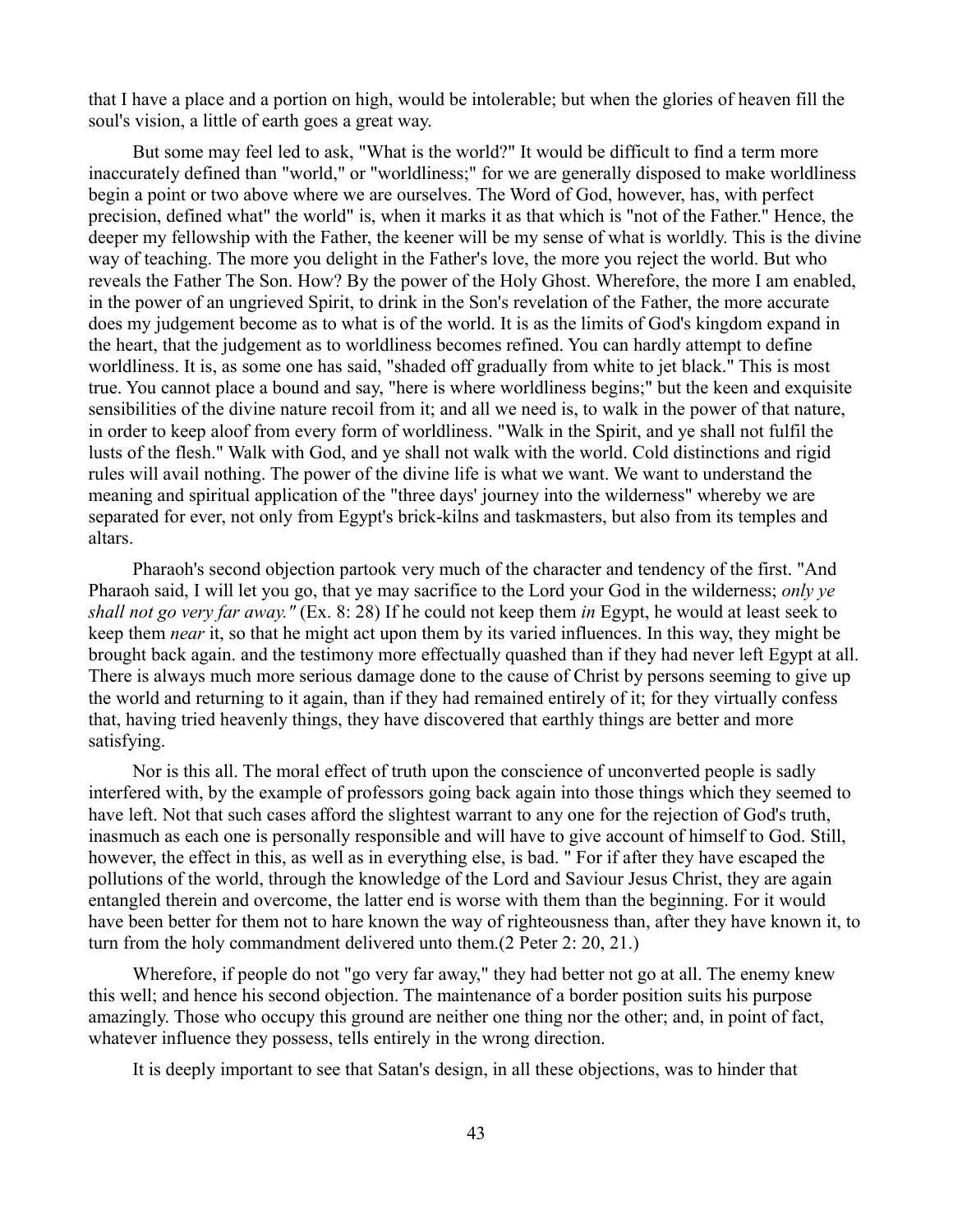that I have a place and a portion on high, would be intolerable; but when the glories of heaven fill the soul's vision, a little of earth goes a great way.

But some may feel led to ask, "What is the world?" It would be difficult to find a term more inaccurately defined than "world," or "worldliness;" for we are generally disposed to make worldliness begin a point or two above where we are ourselves. The Word of God, however, has, with perfect precision, defined what" the world" is, when it marks it as that which is "not of the Father." Hence, the deeper my fellowship with the Father, the keener will be my sense of what is worldly. This is the divine way of teaching. The more you delight in the Father's love, the more you reject the world. But who reveals the Father The Son. How? By the power of the Holy Ghost. Wherefore, the more I am enabled, in the power of an ungrieved Spirit, to drink in the Son's revelation of the Father, the more accurate does my judgement become as to what is of the world. It is as the limits of God's kingdom expand in the heart, that the judgement as to worldliness becomes refined. You can hardly attempt to define worldliness. It is, as some one has said, "shaded off gradually from white to jet black." This is most true. You cannot place a bound and say, "here is where worldliness begins;" but the keen and exquisite sensibilities of the divine nature recoil from it; and all we need is, to walk in the power of that nature, in order to keep aloof from every form of worldliness. "Walk in the Spirit, and ye shall not fulfil the lusts of the flesh." Walk with God, and ye shall not walk with the world. Cold distinctions and rigid rules will avail nothing. The power of the divine life is what we want. We want to understand the meaning and spiritual application of the "three days' journey into the wilderness" whereby we are separated for ever, not only from Egypt's brick-kilns and taskmasters, but also from its temples and altars.

Pharaoh's second objection partook very much of the character and tendency of the first. "And Pharaoh said, I will let you go, that ye may sacrifice to the Lord your God in the wilderness; *only ye shall not go very far away."* (Ex. 8: 28) If he could not keep them *in* Egypt, he would at least seek to keep them *near* it, so that he might act upon them by its varied influences. In this way, they might be brought back again. and the testimony more effectually quashed than if they had never left Egypt at all. There is always much more serious damage done to the cause of Christ by persons seeming to give up the world and returning to it again, than if they had remained entirely of it; for they virtually confess that, having tried heavenly things, they have discovered that earthly things are better and more satisfying.

Nor is this all. The moral effect of truth upon the conscience of unconverted people is sadly interfered with, by the example of professors going back again into those things which they seemed to have left. Not that such cases afford the slightest warrant to any one for the rejection of God's truth, inasmuch as each one is personally responsible and will have to give account of himself to God. Still, however, the effect in this, as well as in everything else, is bad. " For if after they have escaped the pollutions of the world, through the knowledge of the Lord and Saviour Jesus Christ, they are again entangled therein and overcome, the latter end is worse with them than the beginning. For it would have been better for them not to hare known the way of righteousness than, after they have known it, to turn from the holy commandment delivered unto them.(2 Peter 2: 20, 21.)

Wherefore, if people do not "go very far away," they had better not go at all. The enemy knew this well; and hence his second objection. The maintenance of a border position suits his purpose amazingly. Those who occupy this ground are neither one thing nor the other; and, in point of fact, whatever influence they possess, tells entirely in the wrong direction.

It is deeply important to see that Satan's design, in all these objections, was to hinder that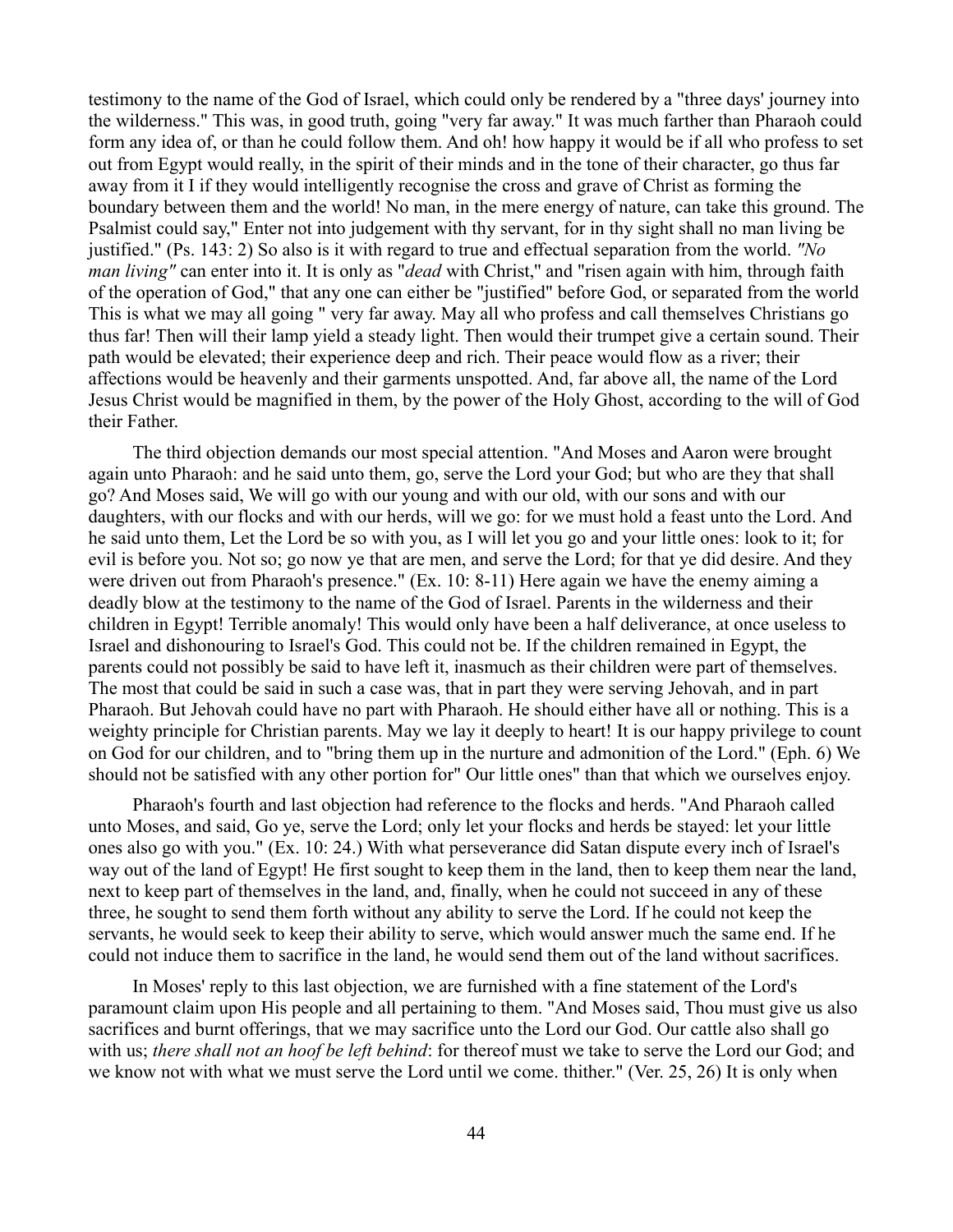testimony to the name of the God of Israel, which could only be rendered by a "three days' journey into the wilderness." This was, in good truth, going "very far away." It was much farther than Pharaoh could form any idea of, or than he could follow them. And oh! how happy it would be if all who profess to set out from Egypt would really, in the spirit of their minds and in the tone of their character, go thus far away from it I if they would intelligently recognise the cross and grave of Christ as forming the boundary between them and the world! No man, in the mere energy of nature, can take this ground. The Psalmist could say," Enter not into judgement with thy servant, for in thy sight shall no man living be justified." (Ps. 143: 2) So also is it with regard to true and effectual separation from the world. *"No man living"* can enter into it. It is only as "*dead* with Christ,'' and "risen again with him, through faith of the operation of God," that any one can either be "justified" before God, or separated from the world This is what we may all going " very far away. May all who profess and call themselves Christians go thus far! Then will their lamp yield a steady light. Then would their trumpet give a certain sound. Their path would be elevated; their experience deep and rich. Their peace would flow as a river; their affections would be heavenly and their garments unspotted. And, far above all, the name of the Lord Jesus Christ would be magnified in them, by the power of the Holy Ghost, according to the will of God their Father.

The third objection demands our most special attention. "And Moses and Aaron were brought again unto Pharaoh: and he said unto them, go, serve the Lord your God; but who are they that shall go? And Moses said, We will go with our young and with our old, with our sons and with our daughters, with our flocks and with our herds, will we go: for we must hold a feast unto the Lord. And he said unto them, Let the Lord be so with you, as I will let you go and your little ones: look to it; for evil is before you. Not so; go now ye that are men, and serve the Lord; for that ye did desire. And they were driven out from Pharaoh's presence." (Ex. 10: 8-11) Here again we have the enemy aiming a deadly blow at the testimony to the name of the God of Israel. Parents in the wilderness and their children in Egypt! Terrible anomaly! This would only have been a half deliverance, at once useless to Israel and dishonouring to Israel's God. This could not be. If the children remained in Egypt, the parents could not possibly be said to have left it, inasmuch as their children were part of themselves. The most that could be said in such a case was, that in part they were serving Jehovah, and in part Pharaoh. But Jehovah could have no part with Pharaoh. He should either have all or nothing. This is a weighty principle for Christian parents. May we lay it deeply to heart! It is our happy privilege to count on God for our children, and to "bring them up in the nurture and admonition of the Lord." (Eph. 6) We should not be satisfied with any other portion for" Our little ones" than that which we ourselves enjoy.

Pharaoh's fourth and last objection had reference to the flocks and herds. "And Pharaoh called unto Moses, and said, Go ye, serve the Lord; only let your flocks and herds be stayed: let your little ones also go with you." (Ex. 10: 24.) With what perseverance did Satan dispute every inch of Israel's way out of the land of Egypt! He first sought to keep them in the land, then to keep them near the land, next to keep part of themselves in the land, and, finally, when he could not succeed in any of these three, he sought to send them forth without any ability to serve the Lord. If he could not keep the servants, he would seek to keep their ability to serve, which would answer much the same end. If he could not induce them to sacrifice in the land, he would send them out of the land without sacrifices.

In Moses' reply to this last objection, we are furnished with a fine statement of the Lord's paramount claim upon His people and all pertaining to them. "And Moses said, Thou must give us also sacrifices and burnt offerings, that we may sacrifice unto the Lord our God. Our cattle also shall go with us; *there shall not an hoof be left behind*: for thereof must we take to serve the Lord our God; and we know not with what we must serve the Lord until we come. thither." (Ver. 25, 26) It is only when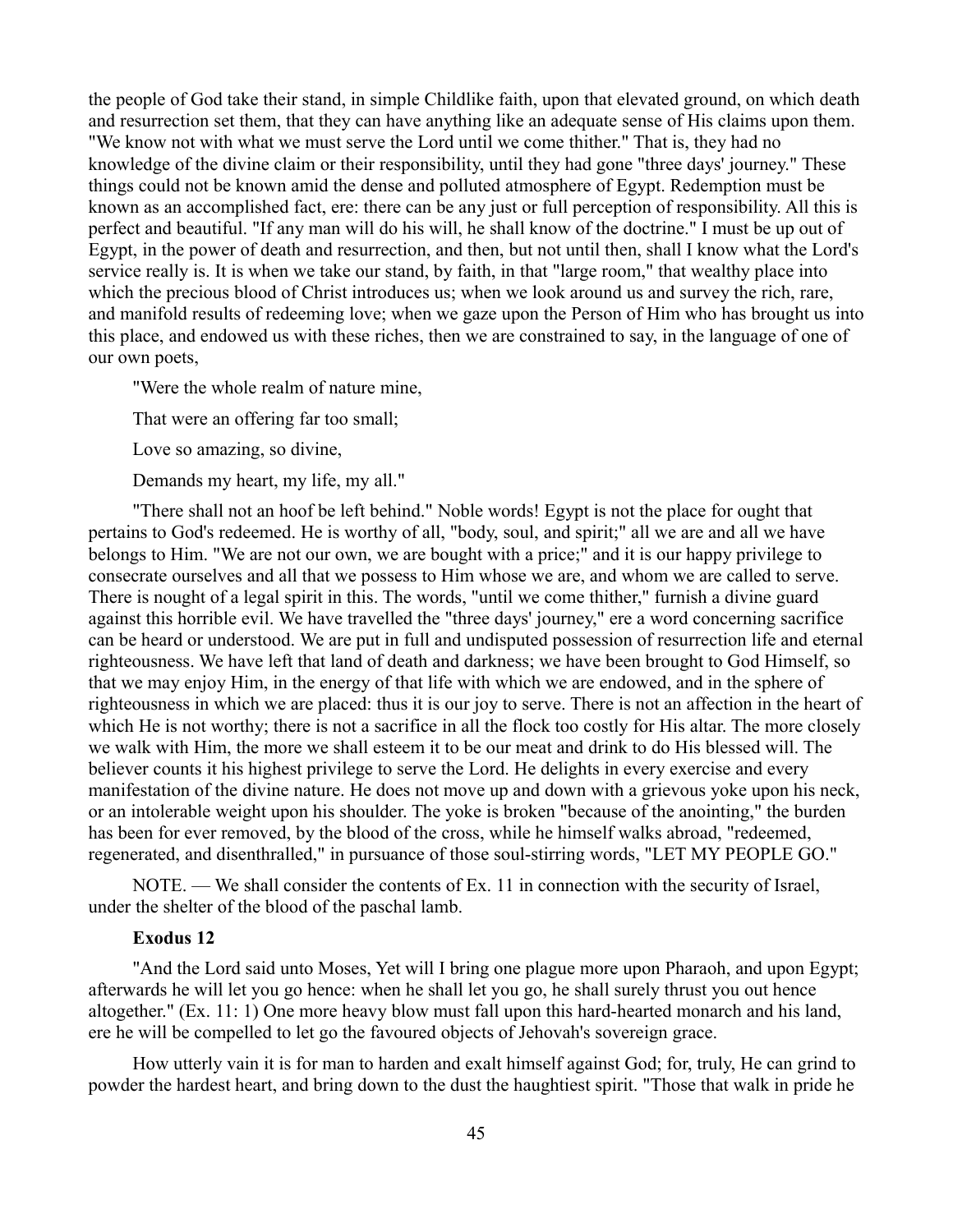the people of God take their stand, in simple Childlike faith, upon that elevated ground, on which death and resurrection set them, that they can have anything like an adequate sense of His claims upon them. "We know not with what we must serve the Lord until we come thither." That is, they had no knowledge of the divine claim or their responsibility, until they had gone "three days' journey." These things could not be known amid the dense and polluted atmosphere of Egypt. Redemption must be known as an accomplished fact, ere: there can be any just or full perception of responsibility. All this is perfect and beautiful. "If any man will do his will, he shall know of the doctrine." I must be up out of Egypt, in the power of death and resurrection, and then, but not until then, shall I know what the Lord's service really is. It is when we take our stand, by faith, in that "large room," that wealthy place into which the precious blood of Christ introduces us; when we look around us and survey the rich, rare, and manifold results of redeeming love; when we gaze upon the Person of Him who has brought us into this place, and endowed us with these riches, then we are constrained to say, in the language of one of our own poets,

"Were the whole realm of nature mine,

That were an offering far too small;

Love so amazing, so divine,

Demands my heart, my life, my all."

"There shall not an hoof be left behind." Noble words! Egypt is not the place for ought that pertains to God's redeemed. He is worthy of all, "body, soul, and spirit;" all we are and all we have belongs to Him. "We are not our own, we are bought with a price;" and it is our happy privilege to consecrate ourselves and all that we possess to Him whose we are, and whom we are called to serve. There is nought of a legal spirit in this. The words, "until we come thither," furnish a divine guard against this horrible evil. We have travelled the "three days' journey," ere a word concerning sacrifice can be heard or understood. We are put in full and undisputed possession of resurrection life and eternal righteousness. We have left that land of death and darkness; we have been brought to God Himself, so that we may enjoy Him, in the energy of that life with which we are endowed, and in the sphere of righteousness in which we are placed: thus it is our joy to serve. There is not an affection in the heart of which He is not worthy; there is not a sacrifice in all the flock too costly for His altar. The more closely we walk with Him, the more we shall esteem it to be our meat and drink to do His blessed will. The believer counts it his highest privilege to serve the Lord. He delights in every exercise and every manifestation of the divine nature. He does not move up and down with a grievous yoke upon his neck, or an intolerable weight upon his shoulder. The yoke is broken "because of the anointing," the burden has been for ever removed, by the blood of the cross, while he himself walks abroad, "redeemed, regenerated, and disenthralled," in pursuance of those soul-stirring words, "LET MY PEOPLE GO."

NOTE. — We shall consider the contents of Ex. 11 in connection with the security of Israel, under the shelter of the blood of the paschal lamb.

#### **Exodus 12**

"And the Lord said unto Moses, Yet will I bring one plague more upon Pharaoh, and upon Egypt; afterwards he will let you go hence: when he shall let you go, he shall surely thrust you out hence altogether." (Ex. 11: 1) One more heavy blow must fall upon this hard-hearted monarch and his land, ere he will be compelled to let go the favoured objects of Jehovah's sovereign grace.

How utterly vain it is for man to harden and exalt himself against God; for, truly, He can grind to powder the hardest heart, and bring down to the dust the haughtiest spirit. "Those that walk in pride he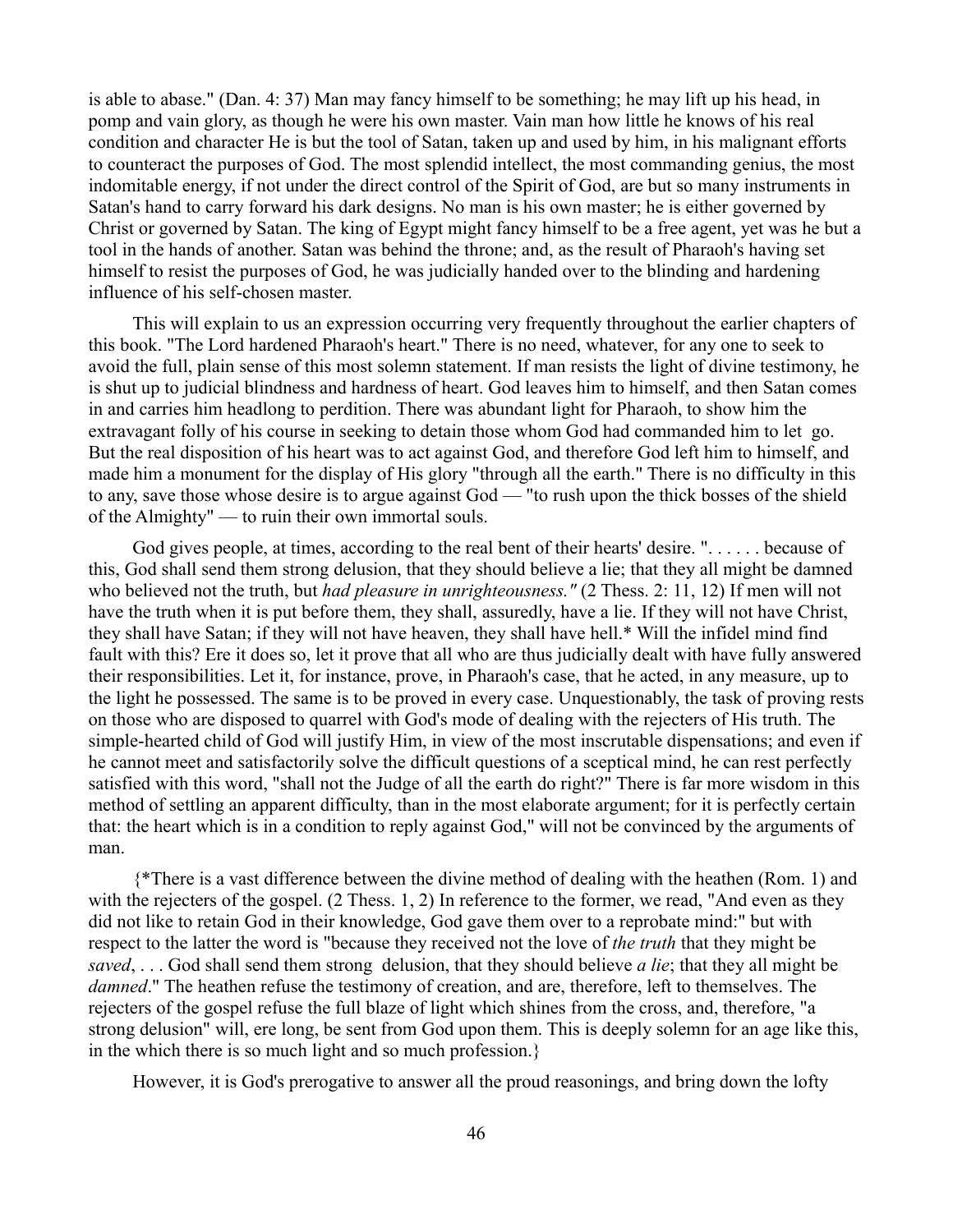is able to abase." (Dan. 4: 37) Man may fancy himself to be something; he may lift up his head, in pomp and vain glory, as though he were his own master. Vain man how little he knows of his real condition and character He is but the tool of Satan, taken up and used by him, in his malignant efforts to counteract the purposes of God. The most splendid intellect, the most commanding genius, the most indomitable energy, if not under the direct control of the Spirit of God, are but so many instruments in Satan's hand to carry forward his dark designs. No man is his own master; he is either governed by Christ or governed by Satan. The king of Egypt might fancy himself to be a free agent, yet was he but a tool in the hands of another. Satan was behind the throne; and, as the result of Pharaoh's having set himself to resist the purposes of God, he was judicially handed over to the blinding and hardening influence of his self-chosen master.

This will explain to us an expression occurring very frequently throughout the earlier chapters of this book. "The Lord hardened Pharaoh's heart." There is no need, whatever, for any one to seek to avoid the full, plain sense of this most solemn statement. If man resists the light of divine testimony, he is shut up to judicial blindness and hardness of heart. God leaves him to himself, and then Satan comes in and carries him headlong to perdition. There was abundant light for Pharaoh, to show him the extravagant folly of his course in seeking to detain those whom God had commanded him to let go. But the real disposition of his heart was to act against God, and therefore God left him to himself, and made him a monument for the display of His glory "through all the earth." There is no difficulty in this to any, save those whose desire is to argue against God — "to rush upon the thick bosses of the shield of the Almighty" — to ruin their own immortal souls.

God gives people, at times, according to the real bent of their hearts' desire. ". . . . . . because of this, God shall send them strong delusion, that they should believe a lie; that they all might be damned who believed not the truth, but *had pleasure in unrighteousness.*" (2 Thess. 2: 11, 12) If men will not have the truth when it is put before them, they shall, assuredly, have a lie. If they will not have Christ, they shall have Satan; if they will not have heaven, they shall have hell.\* Will the infidel mind find fault with this? Ere it does so, let it prove that all who are thus judicially dealt with have fully answered their responsibilities. Let it, for instance, prove, in Pharaoh's case, that he acted, in any measure, up to the light he possessed. The same is to be proved in every case. Unquestionably, the task of proving rests on those who are disposed to quarrel with God's mode of dealing with the rejecters of His truth. The simple-hearted child of God will justify Him, in view of the most inscrutable dispensations; and even if he cannot meet and satisfactorily solve the difficult questions of a sceptical mind, he can rest perfectly satisfied with this word, "shall not the Judge of all the earth do right?" There is far more wisdom in this method of settling an apparent difficulty, than in the most elaborate argument; for it is perfectly certain that: the heart which is in a condition to reply against God," will not be convinced by the arguments of man.

{\*There is a vast difference between the divine method of dealing with the heathen (Rom. 1) and with the rejecters of the gospel. (2 Thess. 1, 2) In reference to the former, we read, "And even as they did not like to retain God in their knowledge, God gave them over to a reprobate mind:" but with respect to the latter the word is "because they received not the love of *the truth* that they might be *saved*, . . . God shall send them strong delusion, that they should believe *a lie*; that they all might be *damned*." The heathen refuse the testimony of creation, and are, therefore, left to themselves. The rejecters of the gospel refuse the full blaze of light which shines from the cross, and, therefore, "a strong delusion" will, ere long, be sent from God upon them. This is deeply solemn for an age like this, in the which there is so much light and so much profession.}

However, it is God's prerogative to answer all the proud reasonings, and bring down the lofty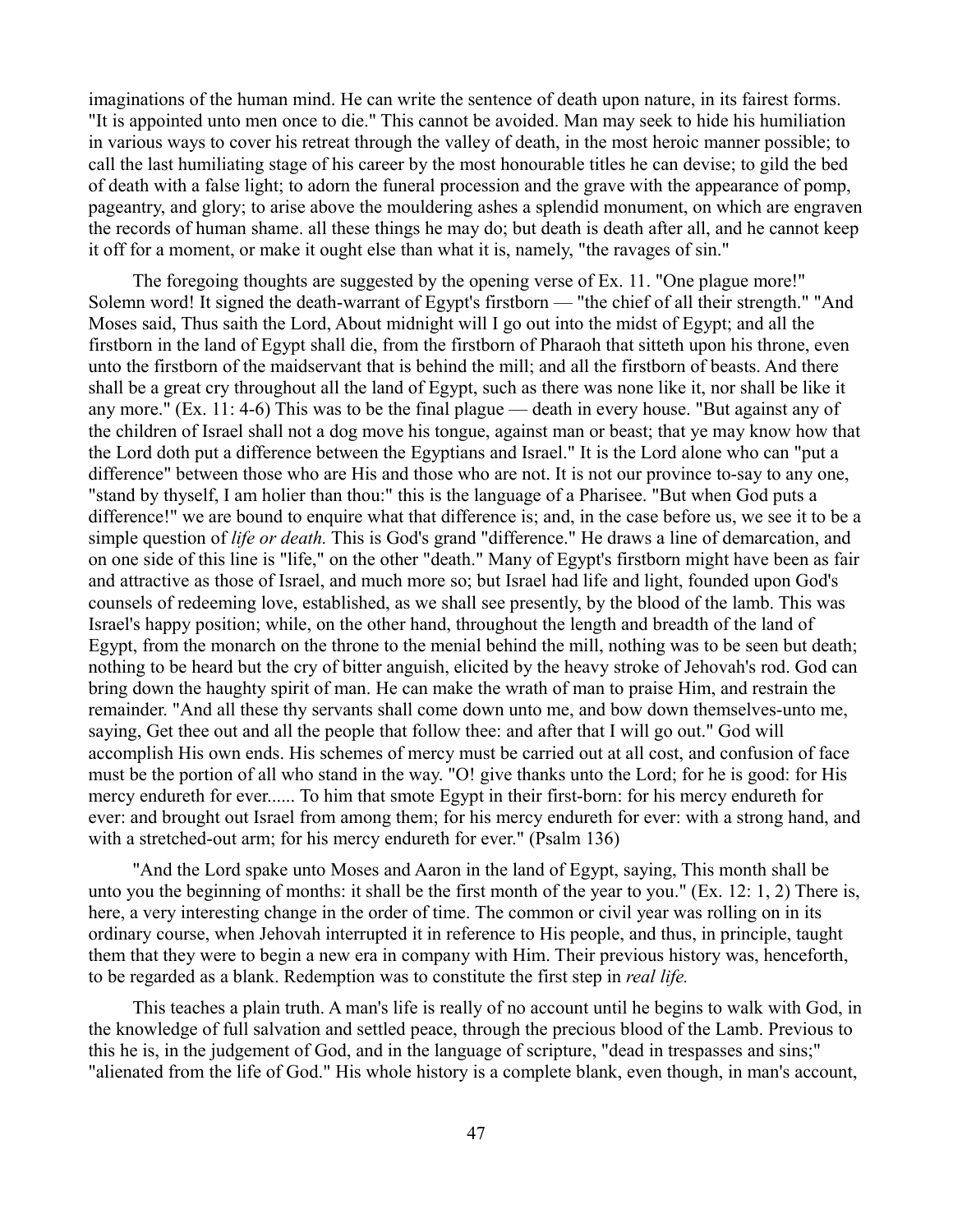imaginations of the human mind. He can write the sentence of death upon nature, in its fairest forms. "It is appointed unto men once to die." This cannot be avoided. Man may seek to hide his humiliation in various ways to cover his retreat through the valley of death, in the most heroic manner possible; to call the last humiliating stage of his career by the most honourable titles he can devise; to gild the bed of death with a false light; to adorn the funeral procession and the grave with the appearance of pomp, pageantry, and glory; to arise above the mouldering ashes a splendid monument, on which are engraven the records of human shame. all these things he may do; but death is death after all, and he cannot keep it off for a moment, or make it ought else than what it is, namely, "the ravages of sin."

The foregoing thoughts are suggested by the opening verse of Ex. 11. "One plague more!" Solemn word! It signed the death-warrant of Egypt's firstborn — "the chief of all their strength." "And Moses said, Thus saith the Lord, About midnight will I go out into the midst of Egypt; and all the firstborn in the land of Egypt shall die, from the firstborn of Pharaoh that sitteth upon his throne, even unto the firstborn of the maidservant that is behind the mill; and all the firstborn of beasts. And there shall be a great cry throughout all the land of Egypt, such as there was none like it, nor shall be like it any more." (Ex. 11: 4-6) This was to be the final plague — death in every house. "But against any of the children of Israel shall not a dog move his tongue, against man or beast; that ye may know how that the Lord doth put a difference between the Egyptians and Israel." It is the Lord alone who can "put a difference" between those who are His and those who are not. It is not our province to-say to any one, "stand by thyself, I am holier than thou:" this is the language of a Pharisee. "But when God puts a difference!" we are bound to enquire what that difference is; and, in the case before us, we see it to be a simple question of *life or death.* This is God's grand "difference." He draws a line of demarcation, and on one side of this line is "life," on the other "death." Many of Egypt's firstborn might have been as fair and attractive as those of Israel, and much more so; but Israel had life and light, founded upon God's counsels of redeeming love, established, as we shall see presently, by the blood of the lamb. This was Israel's happy position; while, on the other hand, throughout the length and breadth of the land of Egypt, from the monarch on the throne to the menial behind the mill, nothing was to be seen but death; nothing to be heard but the cry of bitter anguish, elicited by the heavy stroke of Jehovah's rod. God can bring down the haughty spirit of man. He can make the wrath of man to praise Him, and restrain the remainder. "And all these thy servants shall come down unto me, and bow down themselves-unto me, saying, Get thee out and all the people that follow thee: and after that I will go out." God will accomplish His own ends. His schemes of mercy must be carried out at all cost, and confusion of face must be the portion of all who stand in the way. "O! give thanks unto the Lord; for he is good: for His mercy endureth for ever...... To him that smote Egypt in their first-born: for his mercy endureth for ever: and brought out Israel from among them; for his mercy endureth for ever: with a strong hand, and with a stretched-out arm; for his mercy endureth for ever." (Psalm 136)

"And the Lord spake unto Moses and Aaron in the land of Egypt, saying, This month shall be unto you the beginning of months: it shall be the first month of the year to you." (Ex. 12: 1, 2) There is, here, a very interesting change in the order of time. The common or civil year was rolling on in its ordinary course, when Jehovah interrupted it in reference to His people, and thus, in principle, taught them that they were to begin a new era in company with Him. Their previous history was, henceforth, to be regarded as a blank. Redemption was to constitute the first step in *real life.*

This teaches a plain truth. A man's life is really of no account until he begins to walk with God, in the knowledge of full salvation and settled peace, through the precious blood of the Lamb. Previous to this he is, in the judgement of God, and in the language of scripture, "dead in trespasses and sins;" "alienated from the life of God." His whole history is a complete blank, even though, in man's account,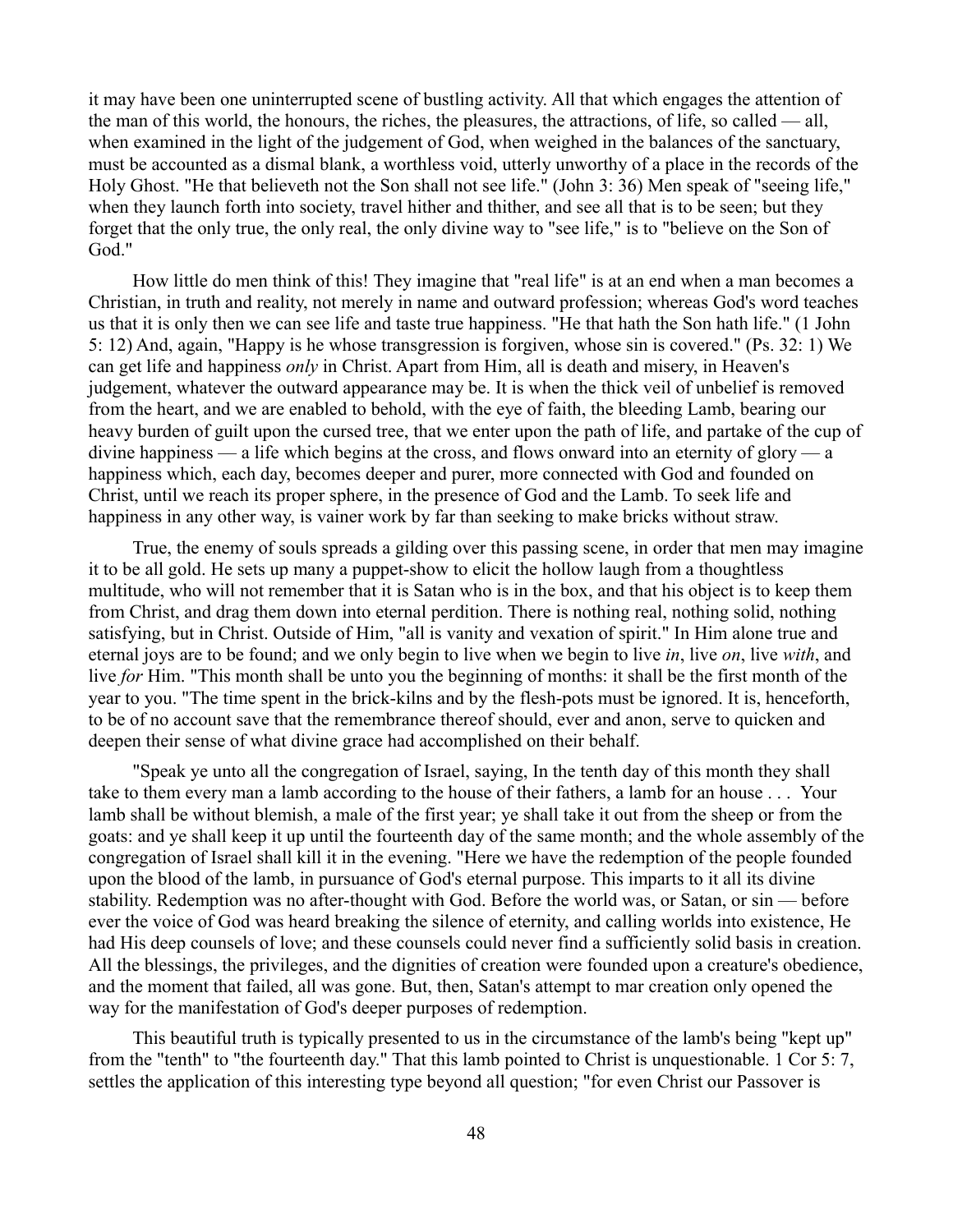it may have been one uninterrupted scene of bustling activity. All that which engages the attention of the man of this world, the honours, the riches, the pleasures, the attractions, of life, so called — all, when examined in the light of the judgement of God, when weighed in the balances of the sanctuary, must be accounted as a dismal blank, a worthless void, utterly unworthy of a place in the records of the Holy Ghost. "He that believeth not the Son shall not see life." (John 3: 36) Men speak of "seeing life," when they launch forth into society, travel hither and thither, and see all that is to be seen; but they forget that the only true, the only real, the only divine way to "see life," is to "believe on the Son of God."

How little do men think of this! They imagine that "real life" is at an end when a man becomes a Christian, in truth and reality, not merely in name and outward profession; whereas God's word teaches us that it is only then we can see life and taste true happiness. "He that hath the Son hath life." (1 John 5: 12) And, again, "Happy is he whose transgression is forgiven, whose sin is covered." (Ps. 32: 1) We can get life and happiness *only* in Christ. Apart from Him, all is death and misery, in Heaven's judgement, whatever the outward appearance may be. It is when the thick veil of unbelief is removed from the heart, and we are enabled to behold, with the eye of faith, the bleeding Lamb, bearing our heavy burden of guilt upon the cursed tree, that we enter upon the path of life, and partake of the cup of divine happiness — a life which begins at the cross, and flows onward into an eternity of glory — a happiness which, each day, becomes deeper and purer, more connected with God and founded on Christ, until we reach its proper sphere, in the presence of God and the Lamb. To seek life and happiness in any other way, is vainer work by far than seeking to make bricks without straw.

True, the enemy of souls spreads a gilding over this passing scene, in order that men may imagine it to be all gold. He sets up many a puppet-show to elicit the hollow laugh from a thoughtless multitude, who will not remember that it is Satan who is in the box, and that his object is to keep them from Christ, and drag them down into eternal perdition. There is nothing real, nothing solid, nothing satisfying, but in Christ. Outside of Him, "all is vanity and vexation of spirit." In Him alone true and eternal joys are to be found; and we only begin to live when we begin to live *in*, live *on*, live *with*, and live *for* Him. "This month shall be unto you the beginning of months: it shall be the first month of the year to you. "The time spent in the brick-kilns and by the flesh-pots must be ignored. It is, henceforth, to be of no account save that the remembrance thereof should, ever and anon, serve to quicken and deepen their sense of what divine grace had accomplished on their behalf.

"Speak ye unto all the congregation of Israel, saying, In the tenth day of this month they shall take to them every man a lamb according to the house of their fathers, a lamb for an house . . . Your lamb shall be without blemish, a male of the first year; ye shall take it out from the sheep or from the goats: and ye shall keep it up until the fourteenth day of the same month; and the whole assembly of the congregation of Israel shall kill it in the evening. "Here we have the redemption of the people founded upon the blood of the lamb, in pursuance of God's eternal purpose. This imparts to it all its divine stability. Redemption was no after-thought with God. Before the world was, or Satan, or sin — before ever the voice of God was heard breaking the silence of eternity, and calling worlds into existence, He had His deep counsels of love; and these counsels could never find a sufficiently solid basis in creation. All the blessings, the privileges, and the dignities of creation were founded upon a creature's obedience, and the moment that failed, all was gone. But, then, Satan's attempt to mar creation only opened the way for the manifestation of God's deeper purposes of redemption.

This beautiful truth is typically presented to us in the circumstance of the lamb's being "kept up" from the "tenth" to "the fourteenth day." That this lamb pointed to Christ is unquestionable. 1 Cor 5: 7, settles the application of this interesting type beyond all question; "for even Christ our Passover is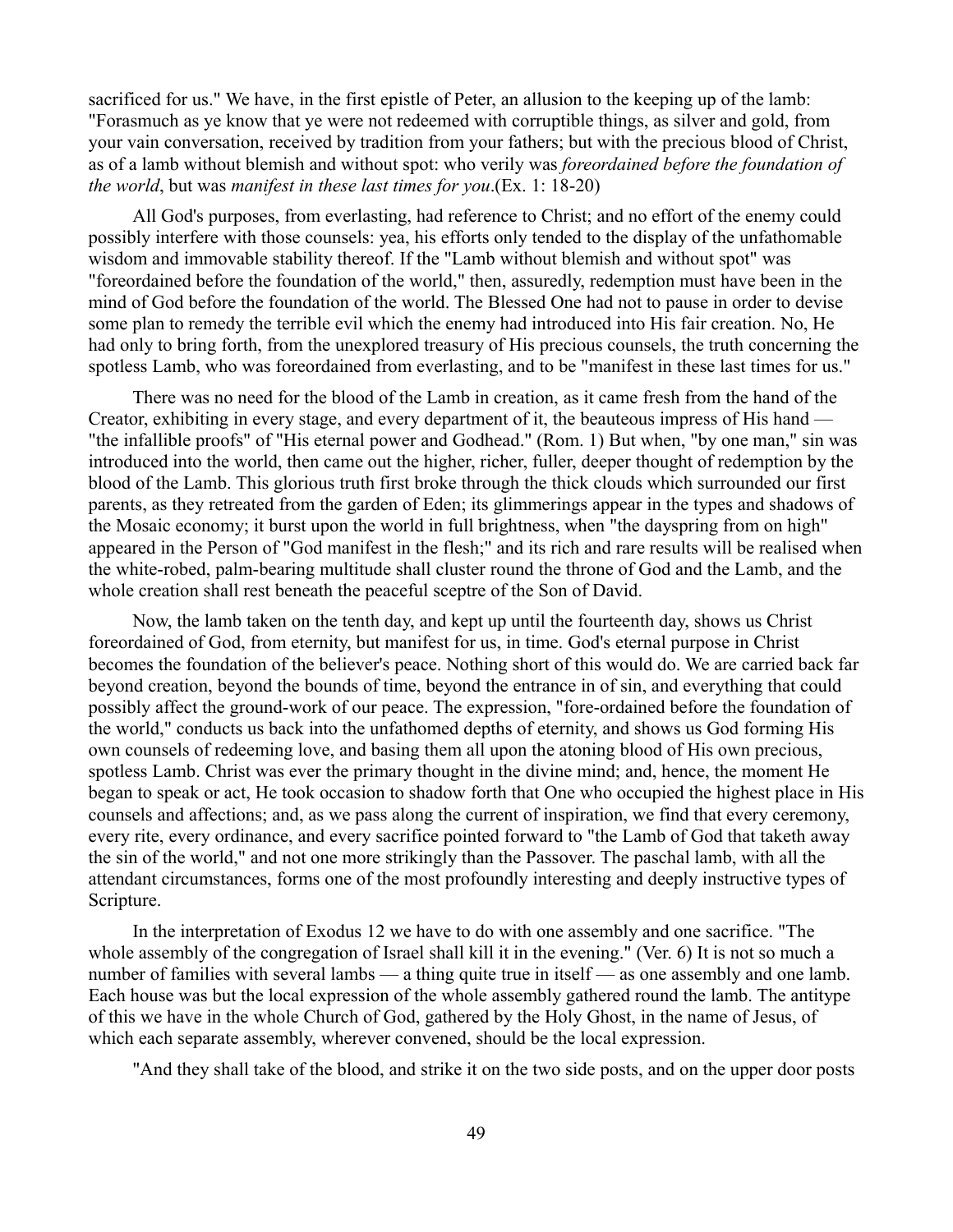sacrificed for us." We have, in the first epistle of Peter, an allusion to the keeping up of the lamb: "Forasmuch as ye know that ye were not redeemed with corruptible things, as silver and gold, from your vain conversation, received by tradition from your fathers; but with the precious blood of Christ, as of a lamb without blemish and without spot: who verily was *foreordained before the foundation of the world*, but was *manifest in these last times for you*.(Ex. 1: 18-20)

All God's purposes, from everlasting, had reference to Christ; and no effort of the enemy could possibly interfere with those counsels: yea, his efforts only tended to the display of the unfathomable wisdom and immovable stability thereof. If the "Lamb without blemish and without spot" was "foreordained before the foundation of the world," then, assuredly, redemption must have been in the mind of God before the foundation of the world. The Blessed One had not to pause in order to devise some plan to remedy the terrible evil which the enemy had introduced into His fair creation. No, He had only to bring forth, from the unexplored treasury of His precious counsels, the truth concerning the spotless Lamb, who was foreordained from everlasting, and to be "manifest in these last times for us."

There was no need for the blood of the Lamb in creation, as it came fresh from the hand of the Creator, exhibiting in every stage, and every department of it, the beauteous impress of His hand — "the infallible proofs" of "His eternal power and Godhead." (Rom. 1) But when, "by one man," sin was introduced into the world, then came out the higher, richer, fuller, deeper thought of redemption by the blood of the Lamb. This glorious truth first broke through the thick clouds which surrounded our first parents, as they retreated from the garden of Eden; its glimmerings appear in the types and shadows of the Mosaic economy; it burst upon the world in full brightness, when "the dayspring from on high" appeared in the Person of "God manifest in the flesh;" and its rich and rare results will be realised when the white-robed, palm-bearing multitude shall cluster round the throne of God and the Lamb, and the whole creation shall rest beneath the peaceful sceptre of the Son of David.

Now, the lamb taken on the tenth day, and kept up until the fourteenth day, shows us Christ foreordained of God, from eternity, but manifest for us, in time. God's eternal purpose in Christ becomes the foundation of the believer's peace. Nothing short of this would do. We are carried back far beyond creation, beyond the bounds of time, beyond the entrance in of sin, and everything that could possibly affect the ground-work of our peace. The expression, "fore-ordained before the foundation of the world," conducts us back into the unfathomed depths of eternity, and shows us God forming His own counsels of redeeming love, and basing them all upon the atoning blood of His own precious, spotless Lamb. Christ was ever the primary thought in the divine mind; and, hence, the moment He began to speak or act, He took occasion to shadow forth that One who occupied the highest place in His counsels and affections; and, as we pass along the current of inspiration, we find that every ceremony, every rite, every ordinance, and every sacrifice pointed forward to "the Lamb of God that taketh away the sin of the world," and not one more strikingly than the Passover. The paschal lamb, with all the attendant circumstances, forms one of the most profoundly interesting and deeply instructive types of Scripture.

In the interpretation of Exodus 12 we have to do with one assembly and one sacrifice. "The whole assembly of the congregation of Israel shall kill it in the evening." (Ver. 6) It is not so much a number of families with several lambs — a thing quite true in itself — as one assembly and one lamb. Each house was but the local expression of the whole assembly gathered round the lamb. The antitype of this we have in the whole Church of God, gathered by the Holy Ghost, in the name of Jesus, of which each separate assembly, wherever convened, should be the local expression.

"And they shall take of the blood, and strike it on the two side posts, and on the upper door posts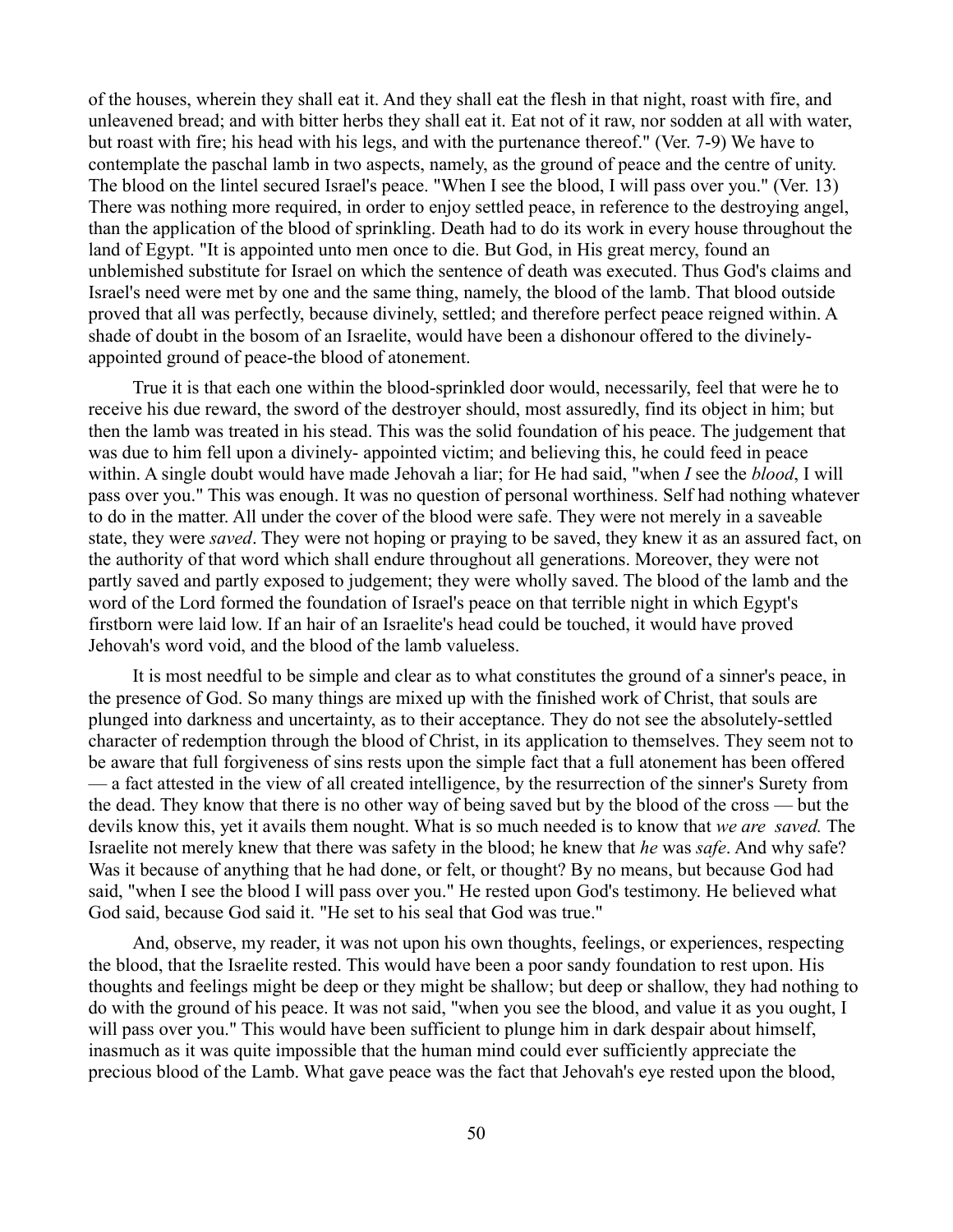of the houses, wherein they shall eat it. And they shall eat the flesh in that night, roast with fire, and unleavened bread; and with bitter herbs they shall eat it. Eat not of it raw, nor sodden at all with water, but roast with fire; his head with his legs, and with the purtenance thereof." (Ver. 7-9) We have to contemplate the paschal lamb in two aspects, namely, as the ground of peace and the centre of unity. The blood on the lintel secured Israel's peace. "When I see the blood, I will pass over you." (Ver. 13) There was nothing more required, in order to enjoy settled peace, in reference to the destroying angel, than the application of the blood of sprinkling. Death had to do its work in every house throughout the land of Egypt. "It is appointed unto men once to die. But God, in His great mercy, found an unblemished substitute for Israel on which the sentence of death was executed. Thus God's claims and Israel's need were met by one and the same thing, namely, the blood of the lamb. That blood outside proved that all was perfectly, because divinely, settled; and therefore perfect peace reigned within. A shade of doubt in the bosom of an Israelite, would have been a dishonour offered to the divinelyappointed ground of peace-the blood of atonement.

True it is that each one within the blood-sprinkled door would, necessarily, feel that were he to receive his due reward, the sword of the destroyer should, most assuredly, find its object in him; but then the lamb was treated in his stead. This was the solid foundation of his peace. The judgement that was due to him fell upon a divinely- appointed victim; and believing this, he could feed in peace within. A single doubt would have made Jehovah a liar; for He had said, "when *I* see the *blood*, I will pass over you." This was enough. It was no question of personal worthiness. Self had nothing whatever to do in the matter. All under the cover of the blood were safe. They were not merely in a saveable state, they were *saved*. They were not hoping or praying to be saved, they knew it as an assured fact, on the authority of that word which shall endure throughout all generations. Moreover, they were not partly saved and partly exposed to judgement; they were wholly saved. The blood of the lamb and the word of the Lord formed the foundation of Israel's peace on that terrible night in which Egypt's firstborn were laid low. If an hair of an Israelite's head could be touched, it would have proved Jehovah's word void, and the blood of the lamb valueless.

It is most needful to be simple and clear as to what constitutes the ground of a sinner's peace, in the presence of God. So many things are mixed up with the finished work of Christ, that souls are plunged into darkness and uncertainty, as to their acceptance. They do not see the absolutely-settled character of redemption through the blood of Christ, in its application to themselves. They seem not to be aware that full forgiveness of sins rests upon the simple fact that a full atonement has been offered — a fact attested in the view of all created intelligence, by the resurrection of the sinner's Surety from the dead. They know that there is no other way of being saved but by the blood of the cross — but the devils know this, yet it avails them nought. What is so much needed is to know that *we are saved.* The Israelite not merely knew that there was safety in the blood; he knew that *he* was *safe*. And why safe? Was it because of anything that he had done, or felt, or thought? By no means, but because God had said, "when I see the blood I will pass over you." He rested upon God's testimony. He believed what God said, because God said it. "He set to his seal that God was true."

And, observe, my reader, it was not upon his own thoughts, feelings, or experiences, respecting the blood, that the Israelite rested. This would have been a poor sandy foundation to rest upon. His thoughts and feelings might be deep or they might be shallow; but deep or shallow, they had nothing to do with the ground of his peace. It was not said, "when you see the blood, and value it as you ought, I will pass over you." This would have been sufficient to plunge him in dark despair about himself, inasmuch as it was quite impossible that the human mind could ever sufficiently appreciate the precious blood of the Lamb. What gave peace was the fact that Jehovah's eye rested upon the blood,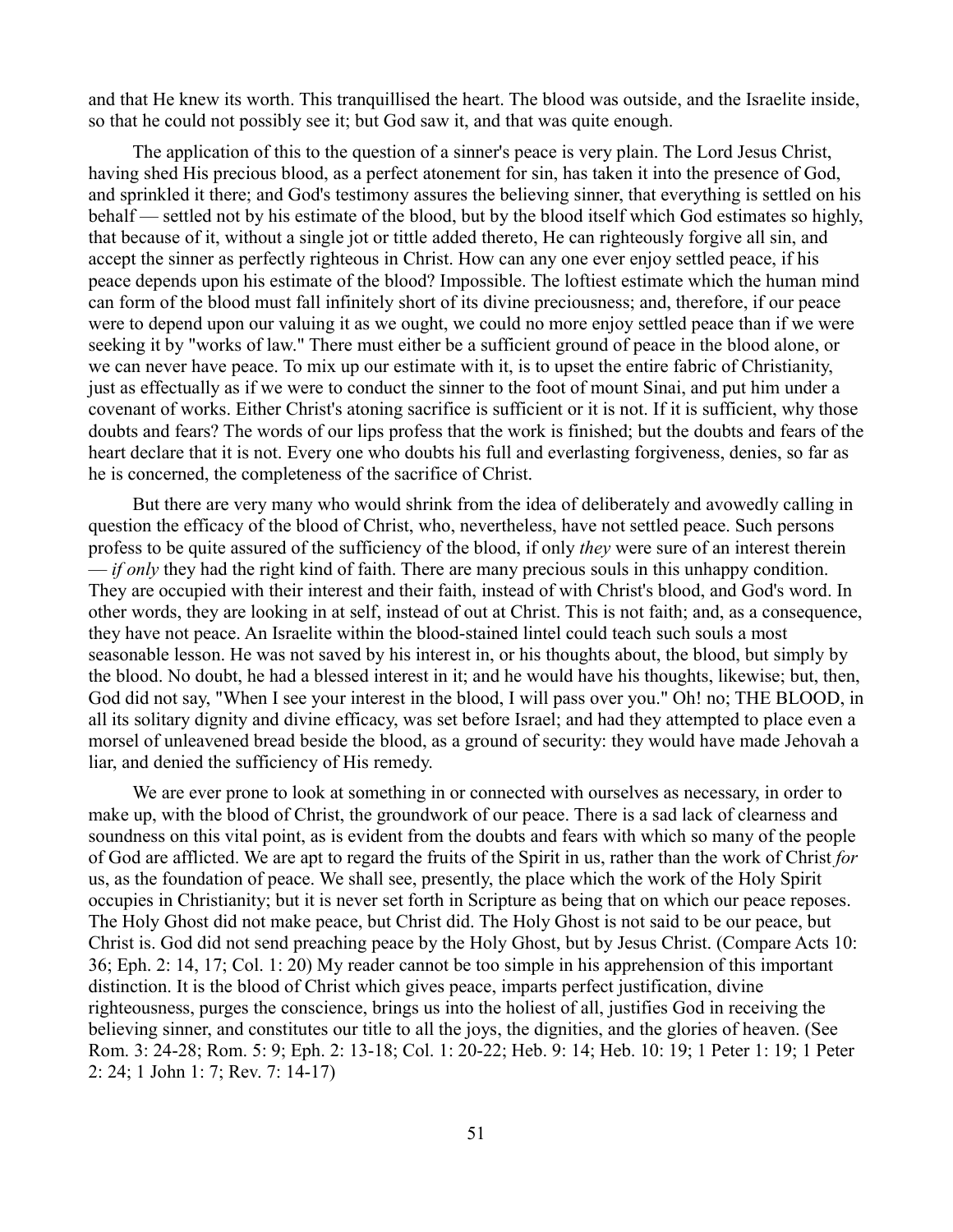and that He knew its worth. This tranquillised the heart. The blood was outside, and the Israelite inside, so that he could not possibly see it; but God saw it, and that was quite enough.

The application of this to the question of a sinner's peace is very plain. The Lord Jesus Christ, having shed His precious blood, as a perfect atonement for sin, has taken it into the presence of God, and sprinkled it there; and God's testimony assures the believing sinner, that everything is settled on his behalf — settled not by his estimate of the blood, but by the blood itself which God estimates so highly, that because of it, without a single jot or tittle added thereto, He can righteously forgive all sin, and accept the sinner as perfectly righteous in Christ. How can any one ever enjoy settled peace, if his peace depends upon his estimate of the blood? Impossible. The loftiest estimate which the human mind can form of the blood must fall infinitely short of its divine preciousness; and, therefore, if our peace were to depend upon our valuing it as we ought, we could no more enjoy settled peace than if we were seeking it by "works of law." There must either be a sufficient ground of peace in the blood alone, or we can never have peace. To mix up our estimate with it, is to upset the entire fabric of Christianity, just as effectually as if we were to conduct the sinner to the foot of mount Sinai, and put him under a covenant of works. Either Christ's atoning sacrifice is sufficient or it is not. If it is sufficient, why those doubts and fears? The words of our lips profess that the work is finished; but the doubts and fears of the heart declare that it is not. Every one who doubts his full and everlasting forgiveness, denies, so far as he is concerned, the completeness of the sacrifice of Christ.

But there are very many who would shrink from the idea of deliberately and avowedly calling in question the efficacy of the blood of Christ, who, nevertheless, have not settled peace. Such persons profess to be quite assured of the sufficiency of the blood, if only *they* were sure of an interest therein — *if only* they had the right kind of faith. There are many precious souls in this unhappy condition. They are occupied with their interest and their faith, instead of with Christ's blood, and God's word. In other words, they are looking in at self, instead of out at Christ. This is not faith; and, as a consequence, they have not peace. An Israelite within the blood-stained lintel could teach such souls a most seasonable lesson. He was not saved by his interest in, or his thoughts about, the blood, but simply by the blood. No doubt, he had a blessed interest in it; and he would have his thoughts, likewise; but, then, God did not say, "When I see your interest in the blood, I will pass over you." Oh! no; THE BLOOD, in all its solitary dignity and divine efficacy, was set before Israel; and had they attempted to place even a morsel of unleavened bread beside the blood, as a ground of security: they would have made Jehovah a liar, and denied the sufficiency of His remedy.

We are ever prone to look at something in or connected with ourselves as necessary, in order to make up, with the blood of Christ, the groundwork of our peace. There is a sad lack of clearness and soundness on this vital point, as is evident from the doubts and fears with which so many of the people of God are afflicted. We are apt to regard the fruits of the Spirit in us, rather than the work of Christ *for* us, as the foundation of peace. We shall see, presently, the place which the work of the Holy Spirit occupies in Christianity; but it is never set forth in Scripture as being that on which our peace reposes. The Holy Ghost did not make peace, but Christ did. The Holy Ghost is not said to be our peace, but Christ is. God did not send preaching peace by the Holy Ghost, but by Jesus Christ. (Compare Acts 10: 36; Eph. 2: 14, 17; Col. 1: 20) My reader cannot be too simple in his apprehension of this important distinction. It is the blood of Christ which gives peace, imparts perfect justification, divine righteousness, purges the conscience, brings us into the holiest of all, justifies God in receiving the believing sinner, and constitutes our title to all the joys, the dignities, and the glories of heaven. (See Rom. 3: 24-28; Rom. 5: 9; Eph. 2: 13-18; Col. 1: 20-22; Heb. 9: 14; Heb. 10: 19; 1 Peter 1: 19; 1 Peter 2: 24; 1 John 1: 7; Rev. 7: 14-17)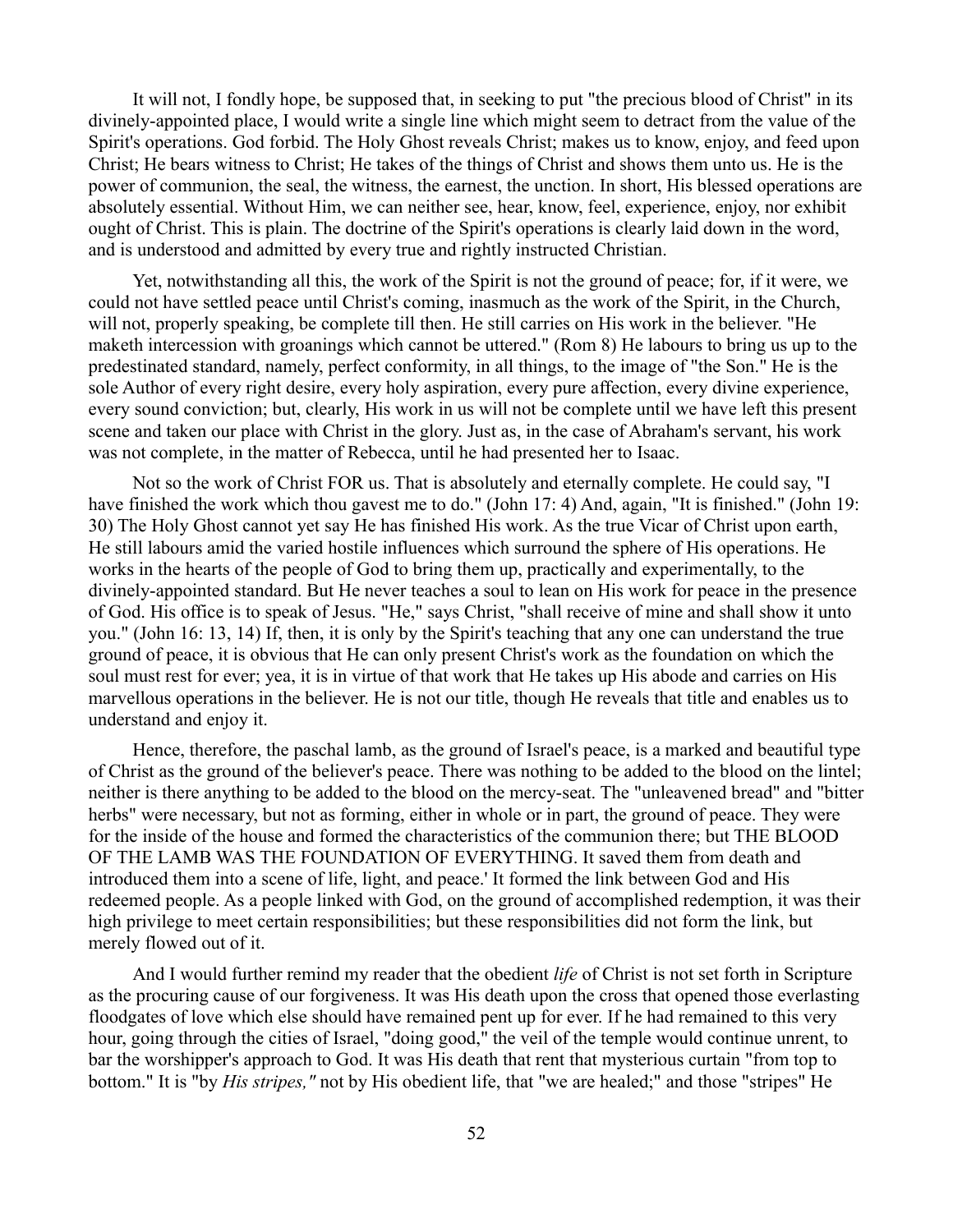It will not, I fondly hope, be supposed that, in seeking to put "the precious blood of Christ" in its divinely-appointed place, I would write a single line which might seem to detract from the value of the Spirit's operations. God forbid. The Holy Ghost reveals Christ; makes us to know, enjoy, and feed upon Christ; He bears witness to Christ; He takes of the things of Christ and shows them unto us. He is the power of communion, the seal, the witness, the earnest, the unction. In short, His blessed operations are absolutely essential. Without Him, we can neither see, hear, know, feel, experience, enjoy, nor exhibit ought of Christ. This is plain. The doctrine of the Spirit's operations is clearly laid down in the word, and is understood and admitted by every true and rightly instructed Christian.

Yet, notwithstanding all this, the work of the Spirit is not the ground of peace; for, if it were, we could not have settled peace until Christ's coming, inasmuch as the work of the Spirit, in the Church, will not, properly speaking, be complete till then. He still carries on His work in the believer. "He maketh intercession with groanings which cannot be uttered." (Rom 8) He labours to bring us up to the predestinated standard, namely, perfect conformity, in all things, to the image of "the Son." He is the sole Author of every right desire, every holy aspiration, every pure affection, every divine experience, every sound conviction; but, clearly, His work in us will not be complete until we have left this present scene and taken our place with Christ in the glory. Just as, in the case of Abraham's servant, his work was not complete, in the matter of Rebecca, until he had presented her to Isaac.

Not so the work of Christ FOR us. That is absolutely and eternally complete. He could say, "I have finished the work which thou gavest me to do." (John 17: 4) And, again, "It is finished." (John 19: 30) The Holy Ghost cannot yet say He has finished His work. As the true Vicar of Christ upon earth, He still labours amid the varied hostile influences which surround the sphere of His operations. He works in the hearts of the people of God to bring them up, practically and experimentally, to the divinely-appointed standard. But He never teaches a soul to lean on His work for peace in the presence of God. His office is to speak of Jesus. "He," says Christ, "shall receive of mine and shall show it unto you." (John 16: 13, 14) If, then, it is only by the Spirit's teaching that any one can understand the true ground of peace, it is obvious that He can only present Christ's work as the foundation on which the soul must rest for ever; yea, it is in virtue of that work that He takes up His abode and carries on His marvellous operations in the believer. He is not our title, though He reveals that title and enables us to understand and enjoy it.

Hence, therefore, the paschal lamb, as the ground of Israel's peace, is a marked and beautiful type of Christ as the ground of the believer's peace. There was nothing to be added to the blood on the lintel; neither is there anything to be added to the blood on the mercy-seat. The "unleavened bread" and "bitter herbs" were necessary, but not as forming, either in whole or in part, the ground of peace. They were for the inside of the house and formed the characteristics of the communion there; but THE BLOOD OF THE LAMB WAS THE FOUNDATION OF EVERYTHING. It saved them from death and introduced them into a scene of life, light, and peace.' It formed the link between God and His redeemed people. As a people linked with God, on the ground of accomplished redemption, it was their high privilege to meet certain responsibilities; but these responsibilities did not form the link, but merely flowed out of it.

And I would further remind my reader that the obedient *life* of Christ is not set forth in Scripture as the procuring cause of our forgiveness. It was His death upon the cross that opened those everlasting floodgates of love which else should have remained pent up for ever. If he had remained to this very hour, going through the cities of Israel, "doing good," the veil of the temple would continue unrent, to bar the worshipper's approach to God. It was His death that rent that mysterious curtain "from top to bottom." It is "by *His stripes,"* not by His obedient life, that "we are healed;" and those "stripes" He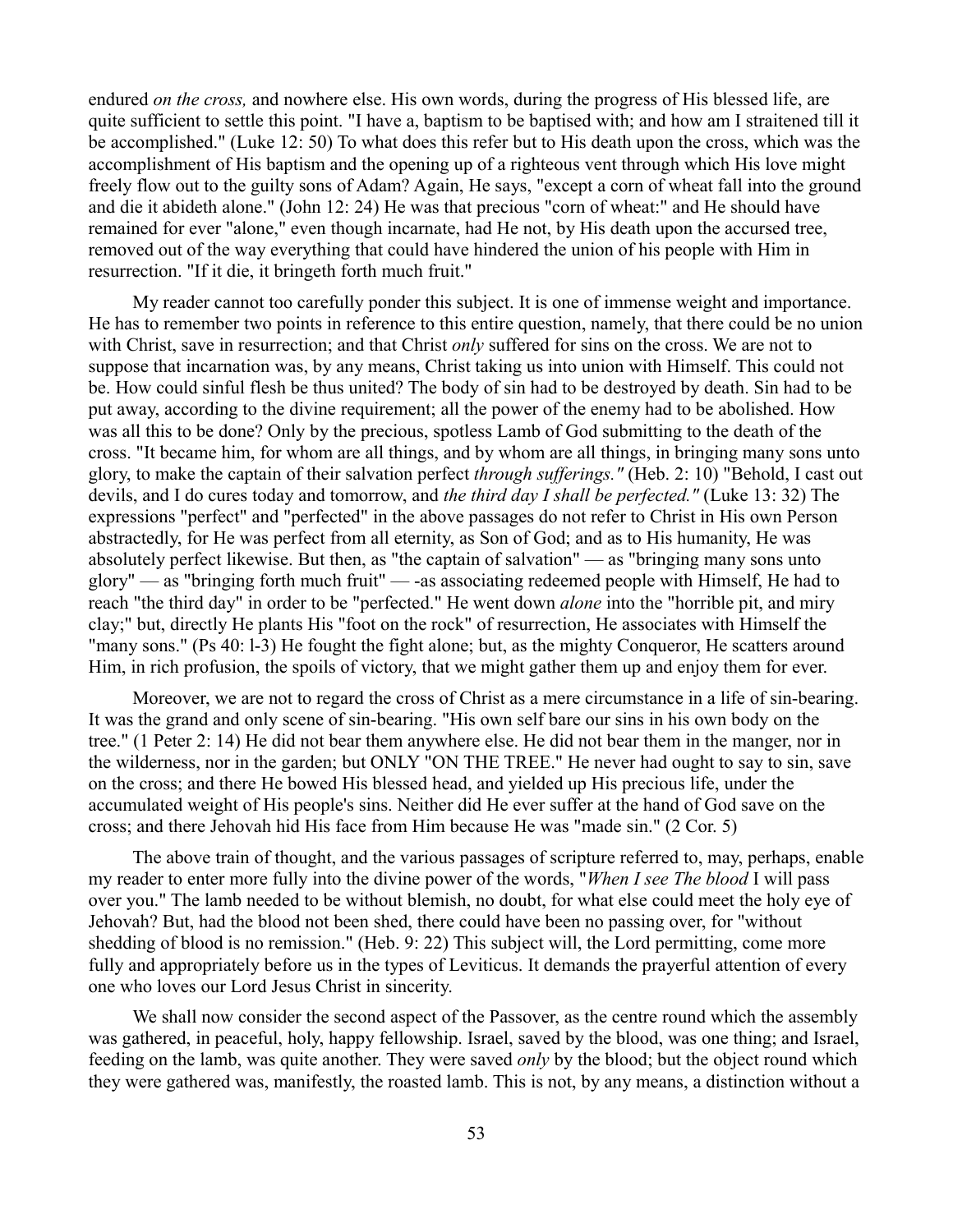endured *on the cross,* and nowhere else. His own words, during the progress of His blessed life, are quite sufficient to settle this point. "I have a, baptism to be baptised with; and how am I straitened till it be accomplished." (Luke 12: 50) To what does this refer but to His death upon the cross, which was the accomplishment of His baptism and the opening up of a righteous vent through which His love might freely flow out to the guilty sons of Adam? Again, He says, "except a corn of wheat fall into the ground and die it abideth alone." (John 12: 24) He was that precious "corn of wheat:" and He should have remained for ever "alone," even though incarnate, had He not, by His death upon the accursed tree, removed out of the way everything that could have hindered the union of his people with Him in resurrection. "If it die, it bringeth forth much fruit."

My reader cannot too carefully ponder this subject. It is one of immense weight and importance. He has to remember two points in reference to this entire question, namely, that there could be no union with Christ, save in resurrection; and that Christ *only* suffered for sins on the cross. We are not to suppose that incarnation was, by any means, Christ taking us into union with Himself. This could not be. How could sinful flesh be thus united? The body of sin had to be destroyed by death. Sin had to be put away, according to the divine requirement; all the power of the enemy had to be abolished. How was all this to be done? Only by the precious, spotless Lamb of God submitting to the death of the cross. "It became him, for whom are all things, and by whom are all things, in bringing many sons unto glory, to make the captain of their salvation perfect *through sufferings."* (Heb. 2: 10) "Behold, I cast out devils, and I do cures today and tomorrow, and *the third day I shall be perfected."* (Luke 13: 32) The expressions "perfect" and "perfected" in the above passages do not refer to Christ in His own Person abstractedly, for He was perfect from all eternity, as Son of God; and as to His humanity, He was absolutely perfect likewise. But then, as "the captain of salvation" — as "bringing many sons unto glory" — as "bringing forth much fruit" — -as associating redeemed people with Himself, He had to reach "the third day" in order to be "perfected." He went down *alone* into the "horrible pit, and miry clay;" but, directly He plants His "foot on the rock" of resurrection, He associates with Himself the "many sons." (Ps 40: 1-3) He fought the fight alone; but, as the mighty Conqueror, He scatters around Him, in rich profusion, the spoils of victory, that we might gather them up and enjoy them for ever.

Moreover, we are not to regard the cross of Christ as a mere circumstance in a life of sin-bearing. It was the grand and only scene of sin-bearing. "His own self bare our sins in his own body on the tree." (1 Peter 2: 14) He did not bear them anywhere else. He did not bear them in the manger, nor in the wilderness, nor in the garden; but ONLY "ON THE TREE." He never had ought to say to sin, save on the cross; and there He bowed His blessed head, and yielded up His precious life, under the accumulated weight of His people's sins. Neither did He ever suffer at the hand of God save on the cross; and there Jehovah hid His face from Him because He was "made sin." (2 Cor. 5)

The above train of thought, and the various passages of scripture referred to, may, perhaps, enable my reader to enter more fully into the divine power of the words, "*When I see The blood* I will pass over you." The lamb needed to be without blemish, no doubt, for what else could meet the holy eye of Jehovah? But, had the blood not been shed, there could have been no passing over, for "without shedding of blood is no remission." (Heb. 9: 22) This subject will, the Lord permitting, come more fully and appropriately before us in the types of Leviticus. It demands the prayerful attention of every one who loves our Lord Jesus Christ in sincerity.

We shall now consider the second aspect of the Passover, as the centre round which the assembly was gathered, in peaceful, holy, happy fellowship. Israel, saved by the blood, was one thing; and Israel, feeding on the lamb, was quite another. They were saved *only* by the blood; but the object round which they were gathered was, manifestly, the roasted lamb. This is not, by any means, a distinction without a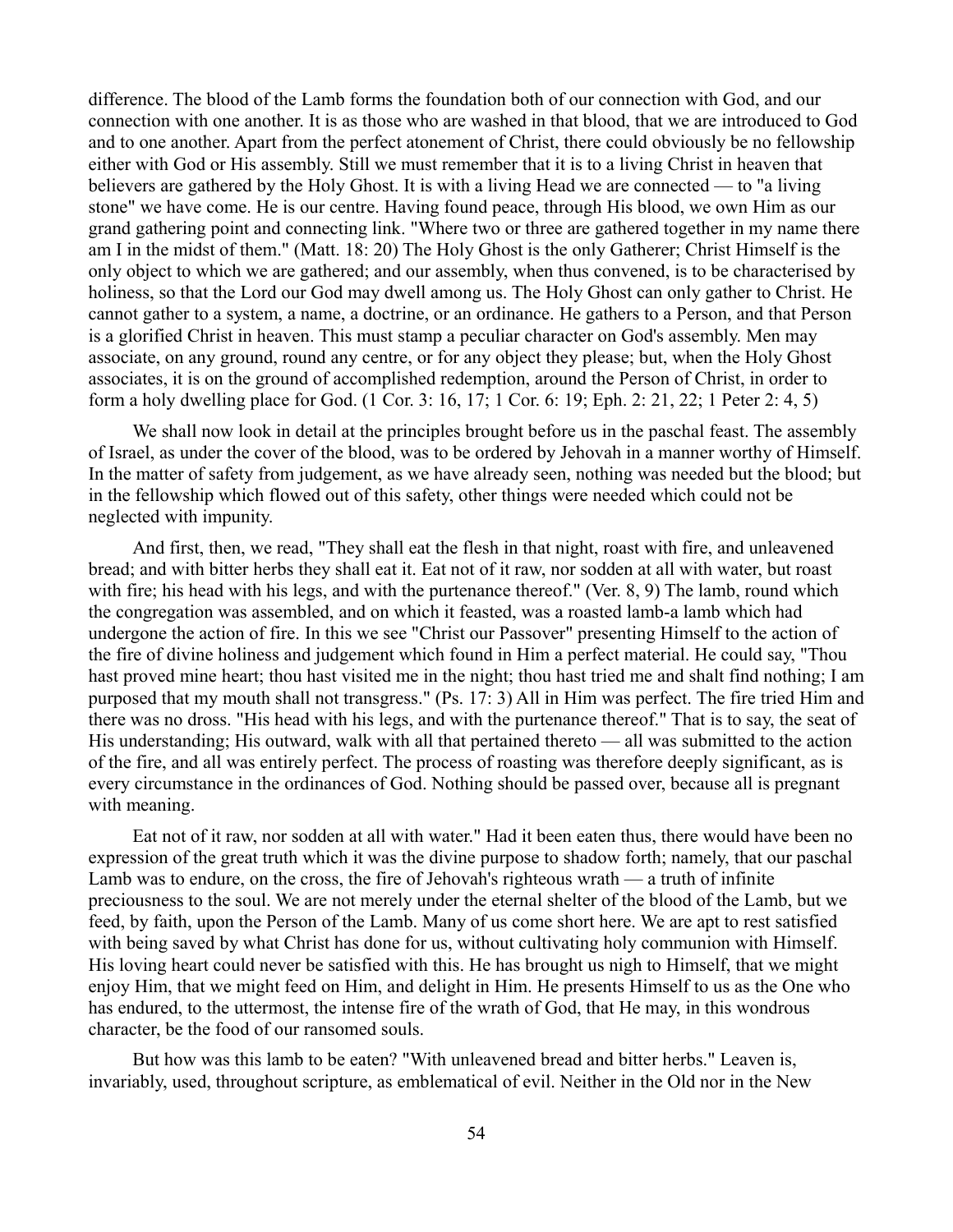difference. The blood of the Lamb forms the foundation both of our connection with God, and our connection with one another. It is as those who are washed in that blood, that we are introduced to God and to one another. Apart from the perfect atonement of Christ, there could obviously be no fellowship either with God or His assembly. Still we must remember that it is to a living Christ in heaven that believers are gathered by the Holy Ghost. It is with a living Head we are connected — to "a living stone" we have come. He is our centre. Having found peace, through His blood, we own Him as our grand gathering point and connecting link. "Where two or three are gathered together in my name there am I in the midst of them." (Matt. 18: 20) The Holy Ghost is the only Gatherer; Christ Himself is the only object to which we are gathered; and our assembly, when thus convened, is to be characterised by holiness, so that the Lord our God may dwell among us. The Holy Ghost can only gather to Christ. He cannot gather to a system, a name, a doctrine, or an ordinance. He gathers to a Person, and that Person is a glorified Christ in heaven. This must stamp a peculiar character on God's assembly. Men may associate, on any ground, round any centre, or for any object they please; but, when the Holy Ghost associates, it is on the ground of accomplished redemption, around the Person of Christ, in order to form a holy dwelling place for God. (1 Cor. 3: 16, 17; 1 Cor. 6: 19; Eph. 2: 21, 22; 1 Peter 2: 4, 5)

We shall now look in detail at the principles brought before us in the paschal feast. The assembly of Israel, as under the cover of the blood, was to be ordered by Jehovah in a manner worthy of Himself. In the matter of safety from judgement, as we have already seen, nothing was needed but the blood; but in the fellowship which flowed out of this safety, other things were needed which could not be neglected with impunity.

And first, then, we read, "They shall eat the flesh in that night, roast with fire, and unleavened bread; and with bitter herbs they shall eat it. Eat not of it raw, nor sodden at all with water, but roast with fire; his head with his legs, and with the purtenance thereof." (Ver. 8, 9) The lamb, round which the congregation was assembled, and on which it feasted, was a roasted lamb-a lamb which had undergone the action of fire. In this we see "Christ our Passover" presenting Himself to the action of the fire of divine holiness and judgement which found in Him a perfect material. He could say, "Thou hast proved mine heart; thou hast visited me in the night; thou hast tried me and shalt find nothing; I am purposed that my mouth shall not transgress." (Ps. 17: 3) All in Him was perfect. The fire tried Him and there was no dross. "His head with his legs, and with the purtenance thereof." That is to say, the seat of His understanding; His outward, walk with all that pertained thereto — all was submitted to the action of the fire, and all was entirely perfect. The process of roasting was therefore deeply significant, as is every circumstance in the ordinances of God. Nothing should be passed over, because all is pregnant with meaning.

Eat not of it raw, nor sodden at all with water." Had it been eaten thus, there would have been no expression of the great truth which it was the divine purpose to shadow forth; namely, that our paschal Lamb was to endure, on the cross, the fire of Jehovah's righteous wrath — a truth of infinite preciousness to the soul. We are not merely under the eternal shelter of the blood of the Lamb, but we feed, by faith, upon the Person of the Lamb. Many of us come short here. We are apt to rest satisfied with being saved by what Christ has done for us, without cultivating holy communion with Himself. His loving heart could never be satisfied with this. He has brought us nigh to Himself, that we might enjoy Him, that we might feed on Him, and delight in Him. He presents Himself to us as the One who has endured, to the uttermost, the intense fire of the wrath of God, that He may, in this wondrous character, be the food of our ransomed souls.

But how was this lamb to be eaten? "With unleavened bread and bitter herbs." Leaven is, invariably, used, throughout scripture, as emblematical of evil. Neither in the Old nor in the New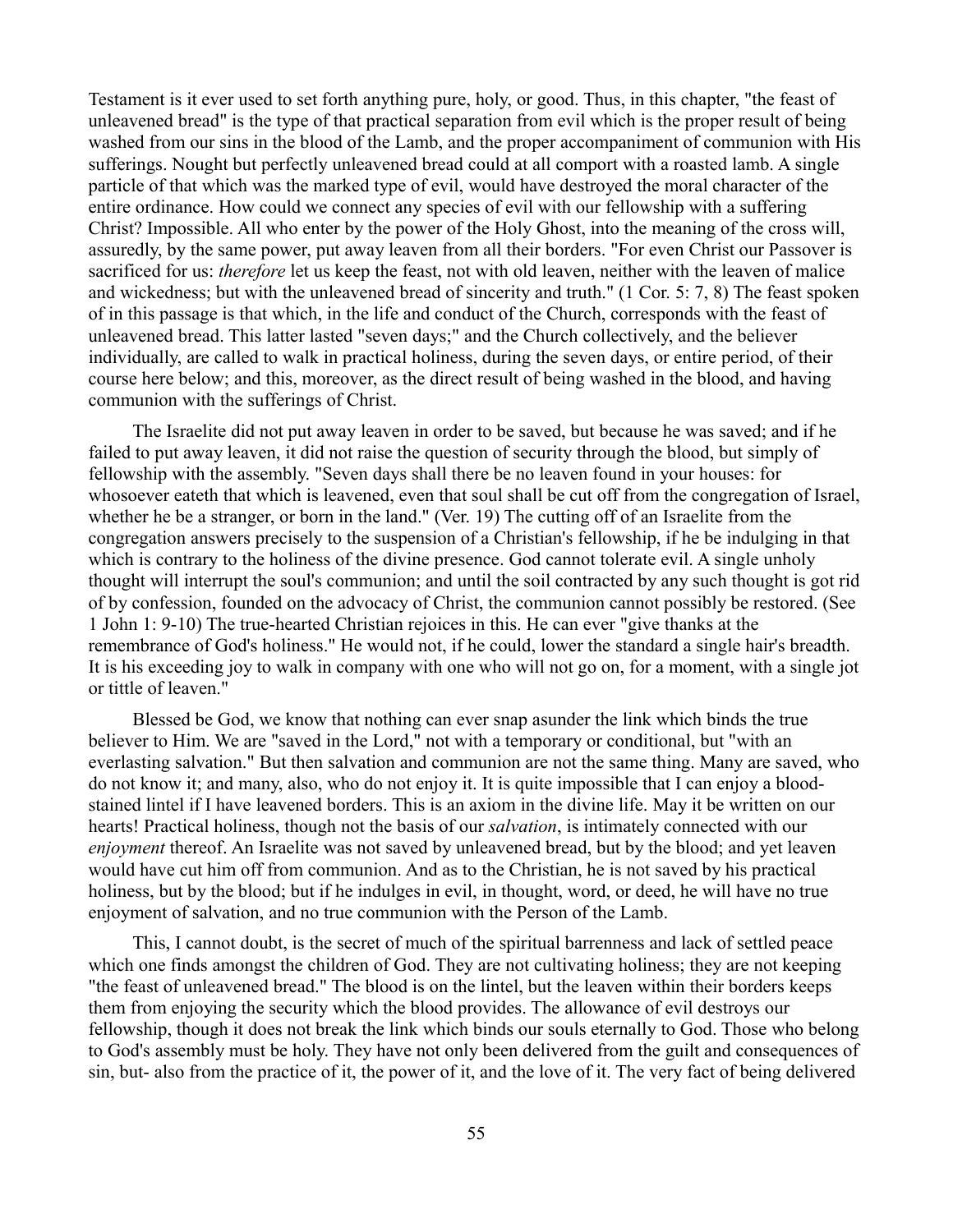Testament is it ever used to set forth anything pure, holy, or good. Thus, in this chapter, "the feast of unleavened bread" is the type of that practical separation from evil which is the proper result of being washed from our sins in the blood of the Lamb, and the proper accompaniment of communion with His sufferings. Nought but perfectly unleavened bread could at all comport with a roasted lamb. A single particle of that which was the marked type of evil, would have destroyed the moral character of the entire ordinance. How could we connect any species of evil with our fellowship with a suffering Christ? Impossible. All who enter by the power of the Holy Ghost, into the meaning of the cross will, assuredly, by the same power, put away leaven from all their borders. "For even Christ our Passover is sacrificed for us: *therefore* let us keep the feast, not with old leaven, neither with the leaven of malice and wickedness; but with the unleavened bread of sincerity and truth." (1 Cor. 5: 7, 8) The feast spoken of in this passage is that which, in the life and conduct of the Church, corresponds with the feast of unleavened bread. This latter lasted "seven days;" and the Church collectively, and the believer individually, are called to walk in practical holiness, during the seven days, or entire period, of their course here below; and this, moreover, as the direct result of being washed in the blood, and having communion with the sufferings of Christ.

The Israelite did not put away leaven in order to be saved, but because he was saved; and if he failed to put away leaven, it did not raise the question of security through the blood, but simply of fellowship with the assembly. "Seven days shall there be no leaven found in your houses: for whosoever eateth that which is leavened, even that soul shall be cut off from the congregation of Israel, whether he be a stranger, or born in the land." (Ver. 19) The cutting off of an Israelite from the congregation answers precisely to the suspension of a Christian's fellowship, if he be indulging in that which is contrary to the holiness of the divine presence. God cannot tolerate evil. A single unholy thought will interrupt the soul's communion; and until the soil contracted by any such thought is got rid of by confession, founded on the advocacy of Christ, the communion cannot possibly be restored. (See 1 John 1: 9-10) The true-hearted Christian rejoices in this. He can ever "give thanks at the remembrance of God's holiness." He would not, if he could, lower the standard a single hair's breadth. It is his exceeding joy to walk in company with one who will not go on, for a moment, with a single jot or tittle of leaven."

Blessed be God, we know that nothing can ever snap asunder the link which binds the true believer to Him. We are "saved in the Lord," not with a temporary or conditional, but "with an everlasting salvation." But then salvation and communion are not the same thing. Many are saved, who do not know it; and many, also, who do not enjoy it. It is quite impossible that I can enjoy a bloodstained lintel if I have leavened borders. This is an axiom in the divine life. May it be written on our hearts! Practical holiness, though not the basis of our *salvation*, is intimately connected with our *enjoyment* thereof. An Israelite was not saved by unleavened bread, but by the blood; and yet leaven would have cut him off from communion. And as to the Christian, he is not saved by his practical holiness, but by the blood; but if he indulges in evil, in thought, word, or deed, he will have no true enjoyment of salvation, and no true communion with the Person of the Lamb.

This, I cannot doubt, is the secret of much of the spiritual barrenness and lack of settled peace which one finds amongst the children of God. They are not cultivating holiness; they are not keeping "the feast of unleavened bread." The blood is on the lintel, but the leaven within their borders keeps them from enjoying the security which the blood provides. The allowance of evil destroys our fellowship, though it does not break the link which binds our souls eternally to God. Those who belong to God's assembly must be holy. They have not only been delivered from the guilt and consequences of sin, but- also from the practice of it, the power of it, and the love of it. The very fact of being delivered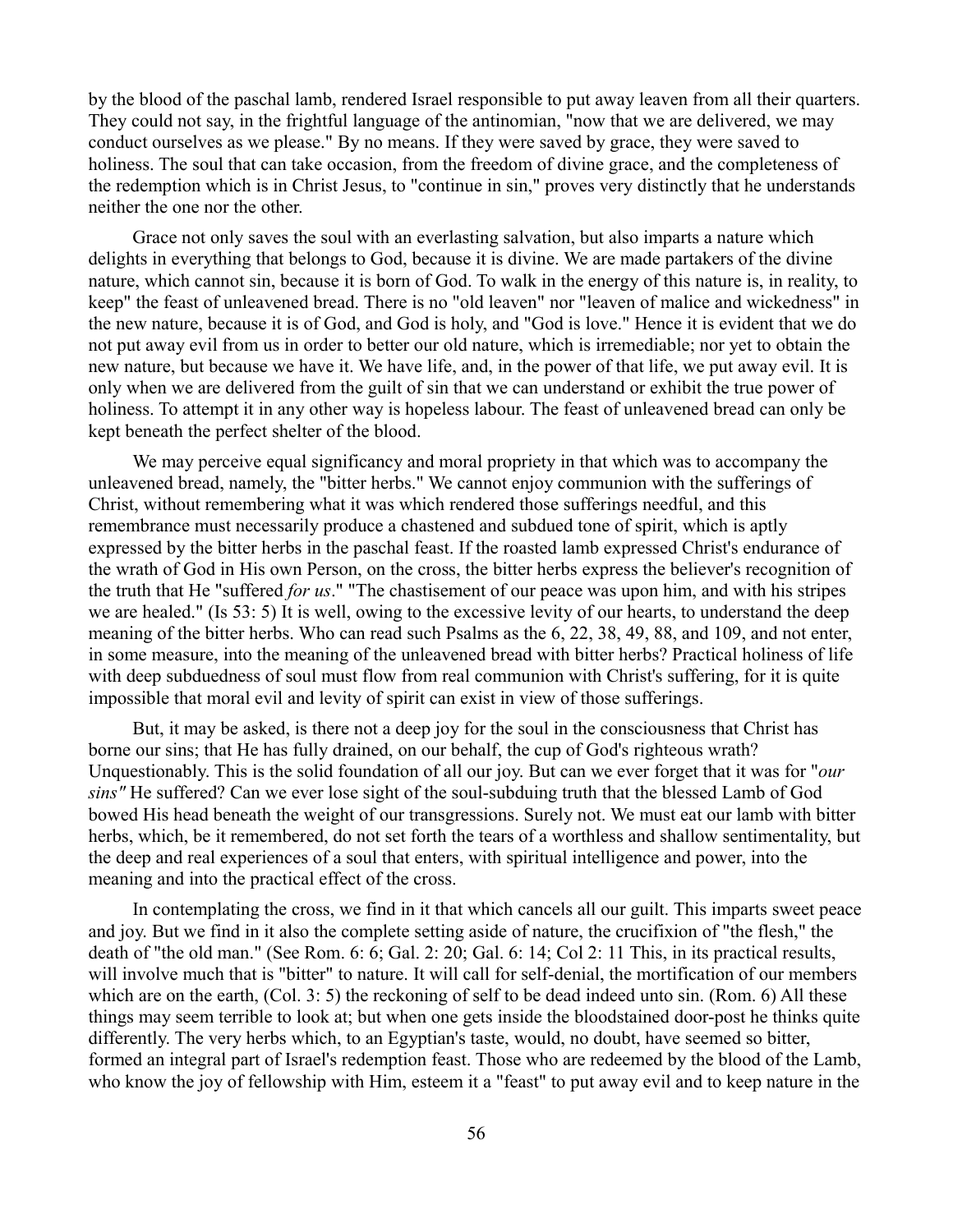by the blood of the paschal lamb, rendered Israel responsible to put away leaven from all their quarters. They could not say, in the frightful language of the antinomian, "now that we are delivered, we may conduct ourselves as we please." By no means. If they were saved by grace, they were saved to holiness. The soul that can take occasion, from the freedom of divine grace, and the completeness of the redemption which is in Christ Jesus, to "continue in sin," proves very distinctly that he understands neither the one nor the other.

Grace not only saves the soul with an everlasting salvation, but also imparts a nature which delights in everything that belongs to God, because it is divine. We are made partakers of the divine nature, which cannot sin, because it is born of God. To walk in the energy of this nature is, in reality, to keep" the feast of unleavened bread. There is no "old leaven" nor "leaven of malice and wickedness" in the new nature, because it is of God, and God is holy, and "God is love." Hence it is evident that we do not put away evil from us in order to better our old nature, which is irremediable; nor yet to obtain the new nature, but because we have it. We have life, and, in the power of that life, we put away evil. It is only when we are delivered from the guilt of sin that we can understand or exhibit the true power of holiness. To attempt it in any other way is hopeless labour. The feast of unleavened bread can only be kept beneath the perfect shelter of the blood.

We may perceive equal significancy and moral propriety in that which was to accompany the unleavened bread, namely, the "bitter herbs." We cannot enjoy communion with the sufferings of Christ, without remembering what it was which rendered those sufferings needful, and this remembrance must necessarily produce a chastened and subdued tone of spirit, which is aptly expressed by the bitter herbs in the paschal feast. If the roasted lamb expressed Christ's endurance of the wrath of God in His own Person, on the cross, the bitter herbs express the believer's recognition of the truth that He "suffered *for us*." "The chastisement of our peace was upon him, and with his stripes we are healed." (Is 53: 5) It is well, owing to the excessive levity of our hearts, to understand the deep meaning of the bitter herbs. Who can read such Psalms as the 6, 22, 38, 49, 88, and 109, and not enter, in some measure, into the meaning of the unleavened bread with bitter herbs? Practical holiness of life with deep subduedness of soul must flow from real communion with Christ's suffering, for it is quite impossible that moral evil and levity of spirit can exist in view of those sufferings.

But, it may be asked, is there not a deep joy for the soul in the consciousness that Christ has borne our sins; that He has fully drained, on our behalf, the cup of God's righteous wrath? Unquestionably. This is the solid foundation of all our joy. But can we ever forget that it was for "*our sins"* He suffered? Can we ever lose sight of the soul-subduing truth that the blessed Lamb of God bowed His head beneath the weight of our transgressions. Surely not. We must eat our lamb with bitter herbs, which, be it remembered, do not set forth the tears of a worthless and shallow sentimentality, but the deep and real experiences of a soul that enters, with spiritual intelligence and power, into the meaning and into the practical effect of the cross.

In contemplating the cross, we find in it that which cancels all our guilt. This imparts sweet peace and joy. But we find in it also the complete setting aside of nature, the crucifixion of "the flesh," the death of "the old man." (See Rom. 6: 6; Gal. 2: 20; Gal. 6: 14; Col 2: 11 This, in its practical results, will involve much that is "bitter" to nature. It will call for self-denial, the mortification of our members which are on the earth, (Col. 3: 5) the reckoning of self to be dead indeed unto sin. (Rom. 6) All these things may seem terrible to look at; but when one gets inside the bloodstained door-post he thinks quite differently. The very herbs which, to an Egyptian's taste, would, no doubt, have seemed so bitter, formed an integral part of Israel's redemption feast. Those who are redeemed by the blood of the Lamb, who know the joy of fellowship with Him, esteem it a "feast" to put away evil and to keep nature in the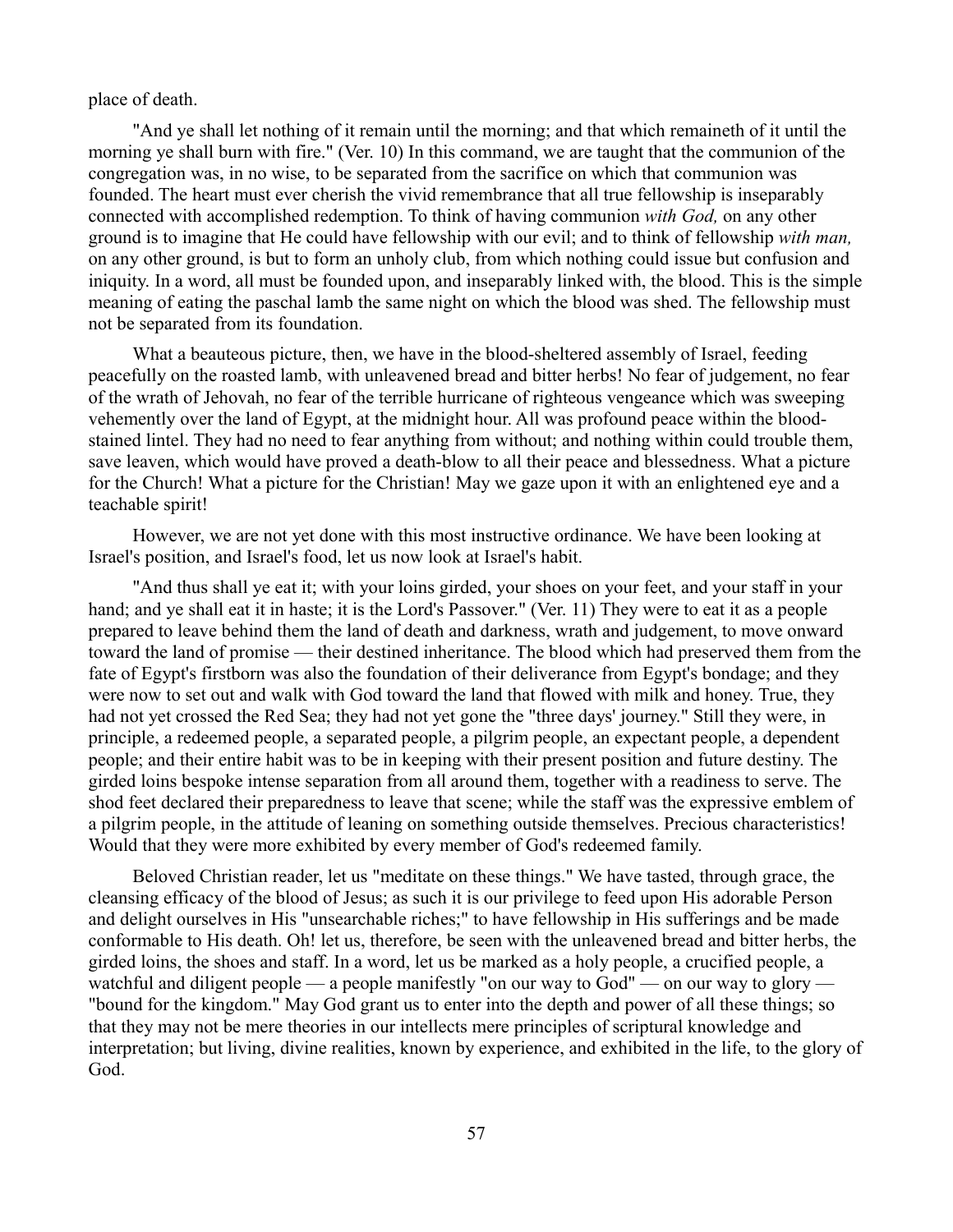place of death.

"And ye shall let nothing of it remain until the morning; and that which remaineth of it until the morning ye shall burn with fire." (Ver. 10) In this command, we are taught that the communion of the congregation was, in no wise, to be separated from the sacrifice on which that communion was founded. The heart must ever cherish the vivid remembrance that all true fellowship is inseparably connected with accomplished redemption. To think of having communion *with God,* on any other ground is to imagine that He could have fellowship with our evil; and to think of fellowship *with man,* on any other ground, is but to form an unholy club, from which nothing could issue but confusion and iniquity. In a word, all must be founded upon, and inseparably linked with, the blood. This is the simple meaning of eating the paschal lamb the same night on which the blood was shed. The fellowship must not be separated from its foundation.

What a beauteous picture, then, we have in the blood-sheltered assembly of Israel, feeding peacefully on the roasted lamb, with unleavened bread and bitter herbs! No fear of judgement, no fear of the wrath of Jehovah, no fear of the terrible hurricane of righteous vengeance which was sweeping vehemently over the land of Egypt, at the midnight hour. All was profound peace within the bloodstained lintel. They had no need to fear anything from without; and nothing within could trouble them, save leaven, which would have proved a death-blow to all their peace and blessedness. What a picture for the Church! What a picture for the Christian! May we gaze upon it with an enlightened eye and a teachable spirit!

However, we are not yet done with this most instructive ordinance. We have been looking at Israel's position, and Israel's food, let us now look at Israel's habit.

"And thus shall ye eat it; with your loins girded, your shoes on your feet, and your staff in your hand; and ye shall eat it in haste; it is the Lord's Passover." (Ver. 11) They were to eat it as a people prepared to leave behind them the land of death and darkness, wrath and judgement, to move onward toward the land of promise — their destined inheritance. The blood which had preserved them from the fate of Egypt's firstborn was also the foundation of their deliverance from Egypt's bondage; and they were now to set out and walk with God toward the land that flowed with milk and honey. True, they had not yet crossed the Red Sea; they had not yet gone the "three days' journey." Still they were, in principle, a redeemed people, a separated people, a pilgrim people, an expectant people, a dependent people; and their entire habit was to be in keeping with their present position and future destiny. The girded loins bespoke intense separation from all around them, together with a readiness to serve. The shod feet declared their preparedness to leave that scene; while the staff was the expressive emblem of a pilgrim people, in the attitude of leaning on something outside themselves. Precious characteristics! Would that they were more exhibited by every member of God's redeemed family.

Beloved Christian reader, let us "meditate on these things." We have tasted, through grace, the cleansing efficacy of the blood of Jesus; as such it is our privilege to feed upon His adorable Person and delight ourselves in His "unsearchable riches;" to have fellowship in His sufferings and be made conformable to His death. Oh! let us, therefore, be seen with the unleavened bread and bitter herbs, the girded loins, the shoes and staff. In a word, let us be marked as a holy people, a crucified people, a watchful and diligent people — a people manifestly "on our way to God" — on our way to glory — "bound for the kingdom." May God grant us to enter into the depth and power of all these things; so that they may not be mere theories in our intellects mere principles of scriptural knowledge and interpretation; but living, divine realities, known by experience, and exhibited in the life, to the glory of God.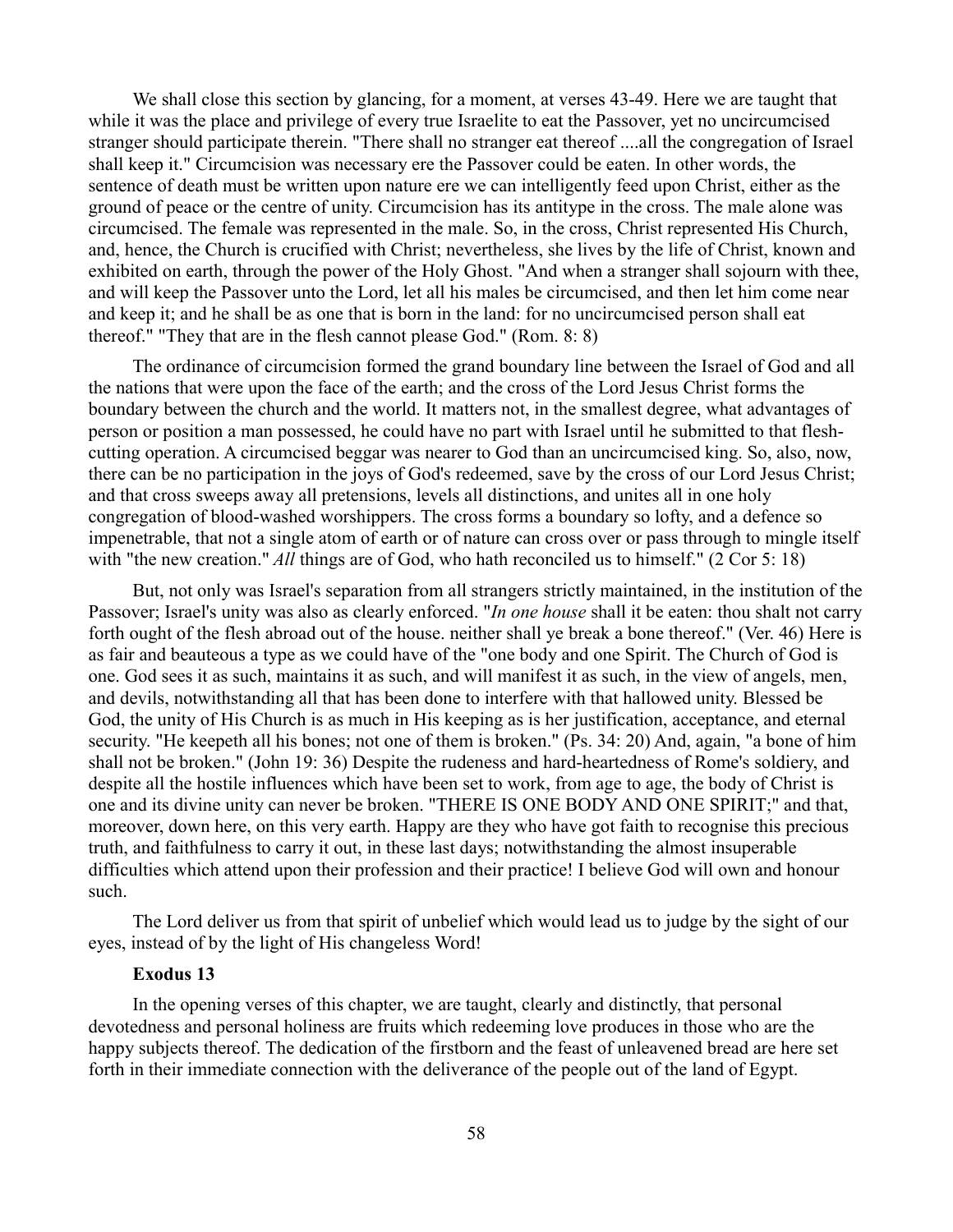We shall close this section by glancing, for a moment, at verses 43-49. Here we are taught that while it was the place and privilege of every true Israelite to eat the Passover, yet no uncircumcised stranger should participate therein. "There shall no stranger eat thereof ....all the congregation of Israel shall keep it." Circumcision was necessary ere the Passover could be eaten. In other words, the sentence of death must be written upon nature ere we can intelligently feed upon Christ, either as the ground of peace or the centre of unity. Circumcision has its antitype in the cross. The male alone was circumcised. The female was represented in the male. So, in the cross, Christ represented His Church, and, hence, the Church is crucified with Christ; nevertheless, she lives by the life of Christ, known and exhibited on earth, through the power of the Holy Ghost. "And when a stranger shall sojourn with thee, and will keep the Passover unto the Lord, let all his males be circumcised, and then let him come near and keep it; and he shall be as one that is born in the land: for no uncircumcised person shall eat thereof." "They that are in the flesh cannot please God." (Rom. 8: 8)

The ordinance of circumcision formed the grand boundary line between the Israel of God and all the nations that were upon the face of the earth; and the cross of the Lord Jesus Christ forms the boundary between the church and the world. It matters not, in the smallest degree, what advantages of person or position a man possessed, he could have no part with Israel until he submitted to that fleshcutting operation. A circumcised beggar was nearer to God than an uncircumcised king. So, also, now, there can be no participation in the joys of God's redeemed, save by the cross of our Lord Jesus Christ; and that cross sweeps away all pretensions, levels all distinctions, and unites all in one holy congregation of blood-washed worshippers. The cross forms a boundary so lofty, and a defence so impenetrable, that not a single atom of earth or of nature can cross over or pass through to mingle itself with "the new creation." *All* things are of God, who hath reconciled us to himself." (2 Cor 5: 18)

But, not only was Israel's separation from all strangers strictly maintained, in the institution of the Passover; Israel's unity was also as clearly enforced. "*In one house* shall it be eaten: thou shalt not carry forth ought of the flesh abroad out of the house. neither shall ye break a bone thereof." (Ver. 46) Here is as fair and beauteous a type as we could have of the "one body and one Spirit. The Church of God is one. God sees it as such, maintains it as such, and will manifest it as such, in the view of angels, men, and devils, notwithstanding all that has been done to interfere with that hallowed unity. Blessed be God, the unity of His Church is as much in His keeping as is her justification, acceptance, and eternal security. "He keepeth all his bones; not one of them is broken." (Ps. 34: 20) And, again, "a bone of him shall not be broken." (John 19: 36) Despite the rudeness and hard-heartedness of Rome's soldiery, and despite all the hostile influences which have been set to work, from age to age, the body of Christ is one and its divine unity can never be broken. "THERE IS ONE BODY AND ONE SPIRIT;" and that, moreover, down here, on this very earth. Happy are they who have got faith to recognise this precious truth, and faithfulness to carry it out, in these last days; notwithstanding the almost insuperable difficulties which attend upon their profession and their practice! I believe God will own and honour such.

The Lord deliver us from that spirit of unbelief which would lead us to judge by the sight of our eyes, instead of by the light of His changeless Word!

#### **Exodus 13**

In the opening verses of this chapter, we are taught, clearly and distinctly, that personal devotedness and personal holiness are fruits which redeeming love produces in those who are the happy subjects thereof. The dedication of the firstborn and the feast of unleavened bread are here set forth in their immediate connection with the deliverance of the people out of the land of Egypt.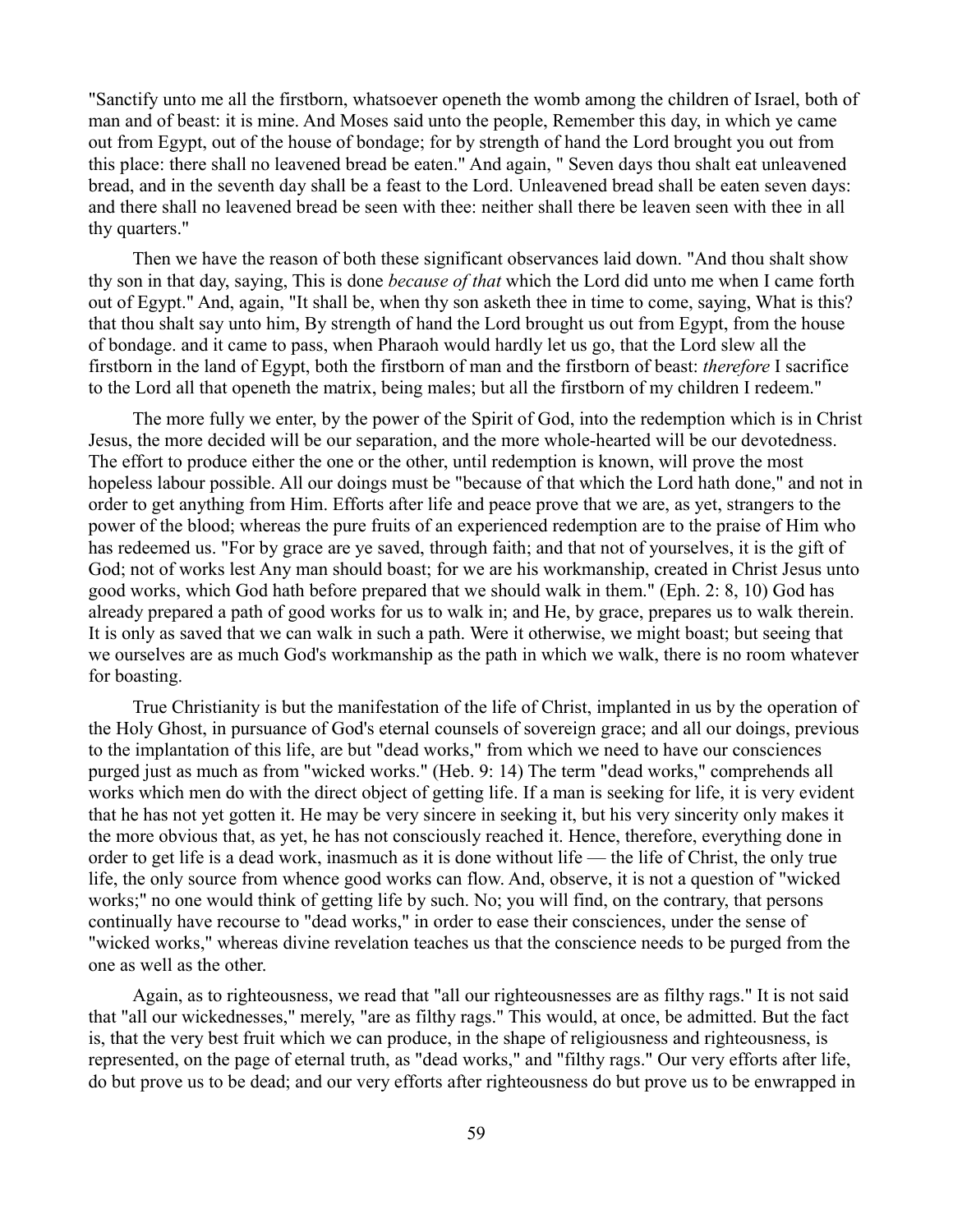"Sanctify unto me all the firstborn, whatsoever openeth the womb among the children of Israel, both of man and of beast: it is mine. And Moses said unto the people, Remember this day, in which ye came out from Egypt, out of the house of bondage; for by strength of hand the Lord brought you out from this place: there shall no leavened bread be eaten." And again, " Seven days thou shalt eat unleavened bread, and in the seventh day shall be a feast to the Lord. Unleavened bread shall be eaten seven days: and there shall no leavened bread be seen with thee: neither shall there be leaven seen with thee in all thy quarters."

Then we have the reason of both these significant observances laid down. "And thou shalt show thy son in that day, saying, This is done *because of that* which the Lord did unto me when I came forth out of Egypt." And, again, "It shall be, when thy son asketh thee in time to come, saying, What is this? that thou shalt say unto him, By strength of hand the Lord brought us out from Egypt, from the house of bondage. and it came to pass, when Pharaoh would hardly let us go, that the Lord slew all the firstborn in the land of Egypt, both the firstborn of man and the firstborn of beast: *therefore* I sacrifice to the Lord all that openeth the matrix, being males; but all the firstborn of my children I redeem."

The more fully we enter, by the power of the Spirit of God, into the redemption which is in Christ Jesus, the more decided will be our separation, and the more whole-hearted will be our devotedness. The effort to produce either the one or the other, until redemption is known, will prove the most hopeless labour possible. All our doings must be "because of that which the Lord hath done," and not in order to get anything from Him. Efforts after life and peace prove that we are, as yet, strangers to the power of the blood; whereas the pure fruits of an experienced redemption are to the praise of Him who has redeemed us. "For by grace are ye saved, through faith; and that not of yourselves, it is the gift of God; not of works lest Any man should boast; for we are his workmanship, created in Christ Jesus unto good works, which God hath before prepared that we should walk in them." (Eph. 2: 8, 10) God has already prepared a path of good works for us to walk in; and He, by grace, prepares us to walk therein. It is only as saved that we can walk in such a path. Were it otherwise, we might boast; but seeing that we ourselves are as much God's workmanship as the path in which we walk, there is no room whatever for boasting.

True Christianity is but the manifestation of the life of Christ, implanted in us by the operation of the Holy Ghost, in pursuance of God's eternal counsels of sovereign grace; and all our doings, previous to the implantation of this life, are but "dead works," from which we need to have our consciences purged just as much as from "wicked works." (Heb. 9: 14) The term "dead works," comprehends all works which men do with the direct object of getting life. If a man is seeking for life, it is very evident that he has not yet gotten it. He may be very sincere in seeking it, but his very sincerity only makes it the more obvious that, as yet, he has not consciously reached it. Hence, therefore, everything done in order to get life is a dead work, inasmuch as it is done without life — the life of Christ, the only true life, the only source from whence good works can flow. And, observe, it is not a question of "wicked works;" no one would think of getting life by such. No; you will find, on the contrary, that persons continually have recourse to "dead works," in order to ease their consciences, under the sense of "wicked works," whereas divine revelation teaches us that the conscience needs to be purged from the one as well as the other.

Again, as to righteousness, we read that "all our righteousnesses are as filthy rags." It is not said that "all our wickednesses," merely, "are as filthy rags." This would, at once, be admitted. But the fact is, that the very best fruit which we can produce, in the shape of religiousness and righteousness, is represented, on the page of eternal truth, as "dead works," and "filthy rags." Our very efforts after life, do but prove us to be dead; and our very efforts after righteousness do but prove us to be enwrapped in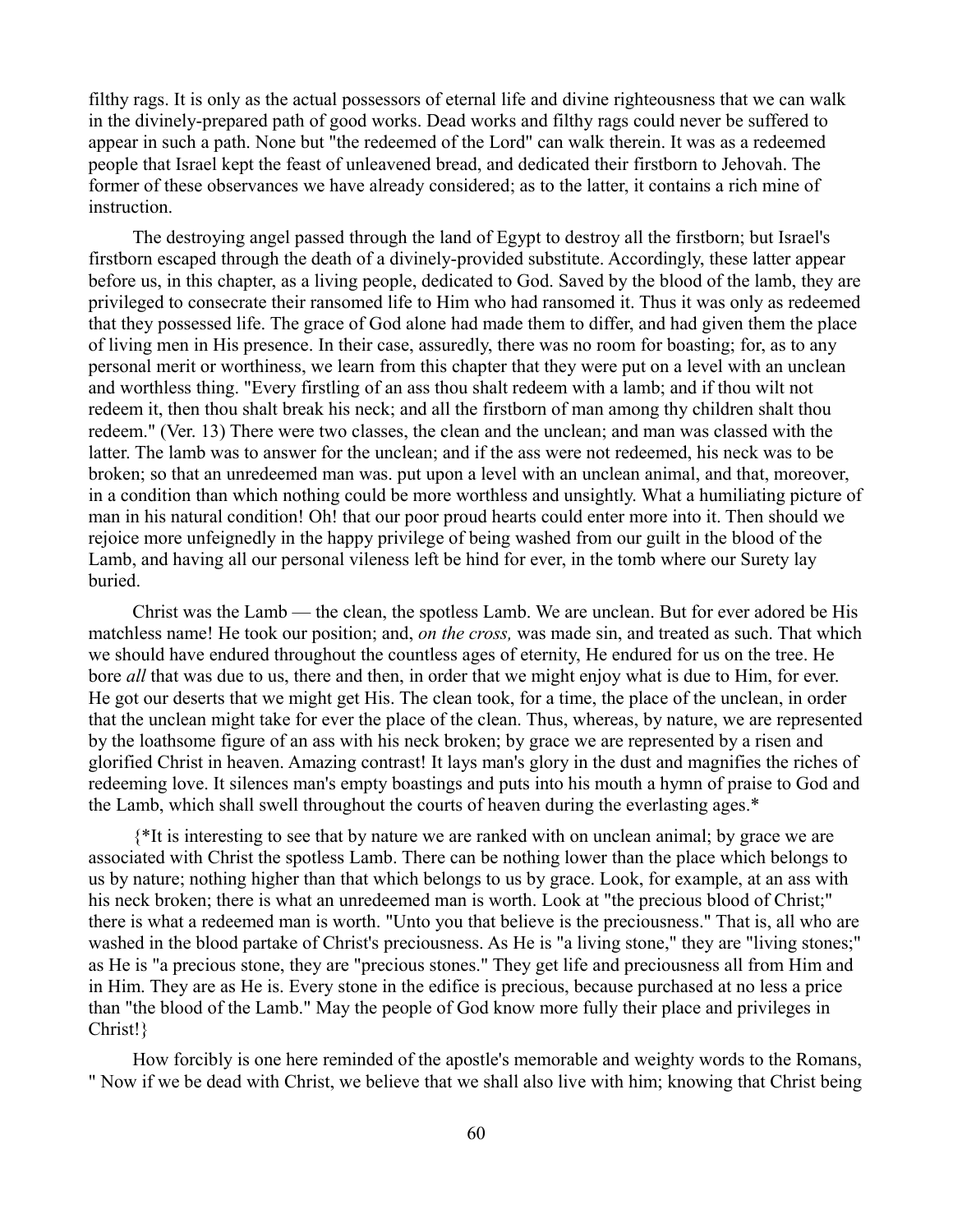filthy rags. It is only as the actual possessors of eternal life and divine righteousness that we can walk in the divinely-prepared path of good works. Dead works and filthy rags could never be suffered to appear in such a path. None but "the redeemed of the Lord" can walk therein. It was as a redeemed people that Israel kept the feast of unleavened bread, and dedicated their firstborn to Jehovah. The former of these observances we have already considered; as to the latter, it contains a rich mine of instruction.

The destroying angel passed through the land of Egypt to destroy all the firstborn; but Israel's firstborn escaped through the death of a divinely-provided substitute. Accordingly, these latter appear before us, in this chapter, as a living people, dedicated to God. Saved by the blood of the lamb, they are privileged to consecrate their ransomed life to Him who had ransomed it. Thus it was only as redeemed that they possessed life. The grace of God alone had made them to differ, and had given them the place of living men in His presence. In their case, assuredly, there was no room for boasting; for, as to any personal merit or worthiness, we learn from this chapter that they were put on a level with an unclean and worthless thing. "Every firstling of an ass thou shalt redeem with a lamb; and if thou wilt not redeem it, then thou shalt break his neck; and all the firstborn of man among thy children shalt thou redeem." (Ver. 13) There were two classes, the clean and the unclean; and man was classed with the latter. The lamb was to answer for the unclean; and if the ass were not redeemed, his neck was to be broken; so that an unredeemed man was. put upon a level with an unclean animal, and that, moreover, in a condition than which nothing could be more worthless and unsightly. What a humiliating picture of man in his natural condition! Oh! that our poor proud hearts could enter more into it. Then should we rejoice more unfeignedly in the happy privilege of being washed from our guilt in the blood of the Lamb, and having all our personal vileness left be hind for ever, in the tomb where our Surety lay buried.

Christ was the Lamb — the clean, the spotless Lamb. We are unclean. But for ever adored be His matchless name! He took our position; and, *on the cross,* was made sin, and treated as such. That which we should have endured throughout the countless ages of eternity, He endured for us on the tree. He bore *all* that was due to us, there and then, in order that we might enjoy what is due to Him, for ever. He got our deserts that we might get His. The clean took, for a time, the place of the unclean, in order that the unclean might take for ever the place of the clean. Thus, whereas, by nature, we are represented by the loathsome figure of an ass with his neck broken; by grace we are represented by a risen and glorified Christ in heaven. Amazing contrast! It lays man's glory in the dust and magnifies the riches of redeeming love. It silences man's empty boastings and puts into his mouth a hymn of praise to God and the Lamb, which shall swell throughout the courts of heaven during the everlasting ages.\*

{\*It is interesting to see that by nature we are ranked with on unclean animal; by grace we are associated with Christ the spotless Lamb. There can be nothing lower than the place which belongs to us by nature; nothing higher than that which belongs to us by grace. Look, for example, at an ass with his neck broken; there is what an unredeemed man is worth. Look at "the precious blood of Christ;" there is what a redeemed man is worth. "Unto you that believe is the preciousness." That is, all who are washed in the blood partake of Christ's preciousness. As He is "a living stone," they are "living stones;" as He is "a precious stone, they are "precious stones." They get life and preciousness all from Him and in Him. They are as He is. Every stone in the edifice is precious, because purchased at no less a price than "the blood of the Lamb." May the people of God know more fully their place and privileges in Christ!}

How forcibly is one here reminded of the apostle's memorable and weighty words to the Romans, " Now if we be dead with Christ, we believe that we shall also live with him; knowing that Christ being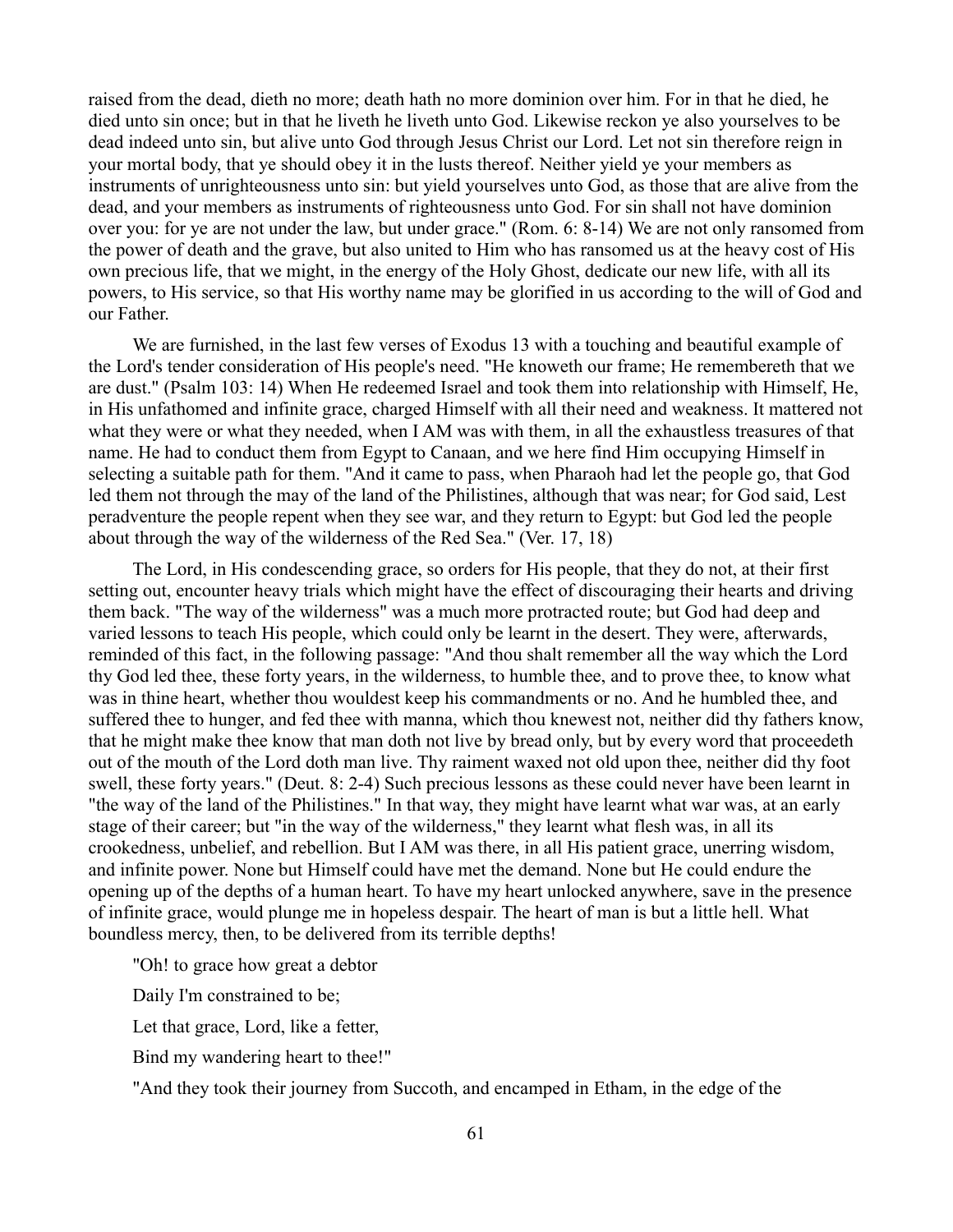raised from the dead, dieth no more; death hath no more dominion over him. For in that he died, he died unto sin once; but in that he liveth he liveth unto God. Likewise reckon ye also yourselves to be dead indeed unto sin, but alive unto God through Jesus Christ our Lord. Let not sin therefore reign in your mortal body, that ye should obey it in the lusts thereof. Neither yield ye your members as instruments of unrighteousness unto sin: but yield yourselves unto God, as those that are alive from the dead, and your members as instruments of righteousness unto God. For sin shall not have dominion over you: for ye are not under the law, but under grace." (Rom. 6: 8-14) We are not only ransomed from the power of death and the grave, but also united to Him who has ransomed us at the heavy cost of His own precious life, that we might, in the energy of the Holy Ghost, dedicate our new life, with all its powers, to His service, so that His worthy name may be glorified in us according to the will of God and our Father.

We are furnished, in the last few verses of Exodus 13 with a touching and beautiful example of the Lord's tender consideration of His people's need. "He knoweth our frame; He remembereth that we are dust." (Psalm 103: 14) When He redeemed Israel and took them into relationship with Himself, He, in His unfathomed and infinite grace, charged Himself with all their need and weakness. It mattered not what they were or what they needed, when I AM was with them, in all the exhaustless treasures of that name. He had to conduct them from Egypt to Canaan, and we here find Him occupying Himself in selecting a suitable path for them. "And it came to pass, when Pharaoh had let the people go, that God led them not through the may of the land of the Philistines, although that was near; for God said, Lest peradventure the people repent when they see war, and they return to Egypt: but God led the people about through the way of the wilderness of the Red Sea." (Ver. 17, 18)

The Lord, in His condescending grace, so orders for His people, that they do not, at their first setting out, encounter heavy trials which might have the effect of discouraging their hearts and driving them back. "The way of the wilderness" was a much more protracted route; but God had deep and varied lessons to teach His people, which could only be learnt in the desert. They were, afterwards, reminded of this fact, in the following passage: "And thou shalt remember all the way which the Lord thy God led thee, these forty years, in the wilderness, to humble thee, and to prove thee, to know what was in thine heart, whether thou wouldest keep his commandments or no. And he humbled thee, and suffered thee to hunger, and fed thee with manna, which thou knewest not, neither did thy fathers know, that he might make thee know that man doth not live by bread only, but by every word that proceedeth out of the mouth of the Lord doth man live. Thy raiment waxed not old upon thee, neither did thy foot swell, these forty years." (Deut. 8: 2-4) Such precious lessons as these could never have been learnt in "the way of the land of the Philistines." In that way, they might have learnt what war was, at an early stage of their career; but "in the way of the wilderness," they learnt what flesh was, in all its crookedness, unbelief, and rebellion. But I AM was there, in all His patient grace, unerring wisdom, and infinite power. None but Himself could have met the demand. None but He could endure the opening up of the depths of a human heart. To have my heart unlocked anywhere, save in the presence of infinite grace, would plunge me in hopeless despair. The heart of man is but a little hell. What boundless mercy, then, to be delivered from its terrible depths!

"Oh! to grace how great a debtor

Daily I'm constrained to be;

Let that grace, Lord, like a fetter,

Bind my wandering heart to thee!"

"And they took their journey from Succoth, and encamped in Etham, in the edge of the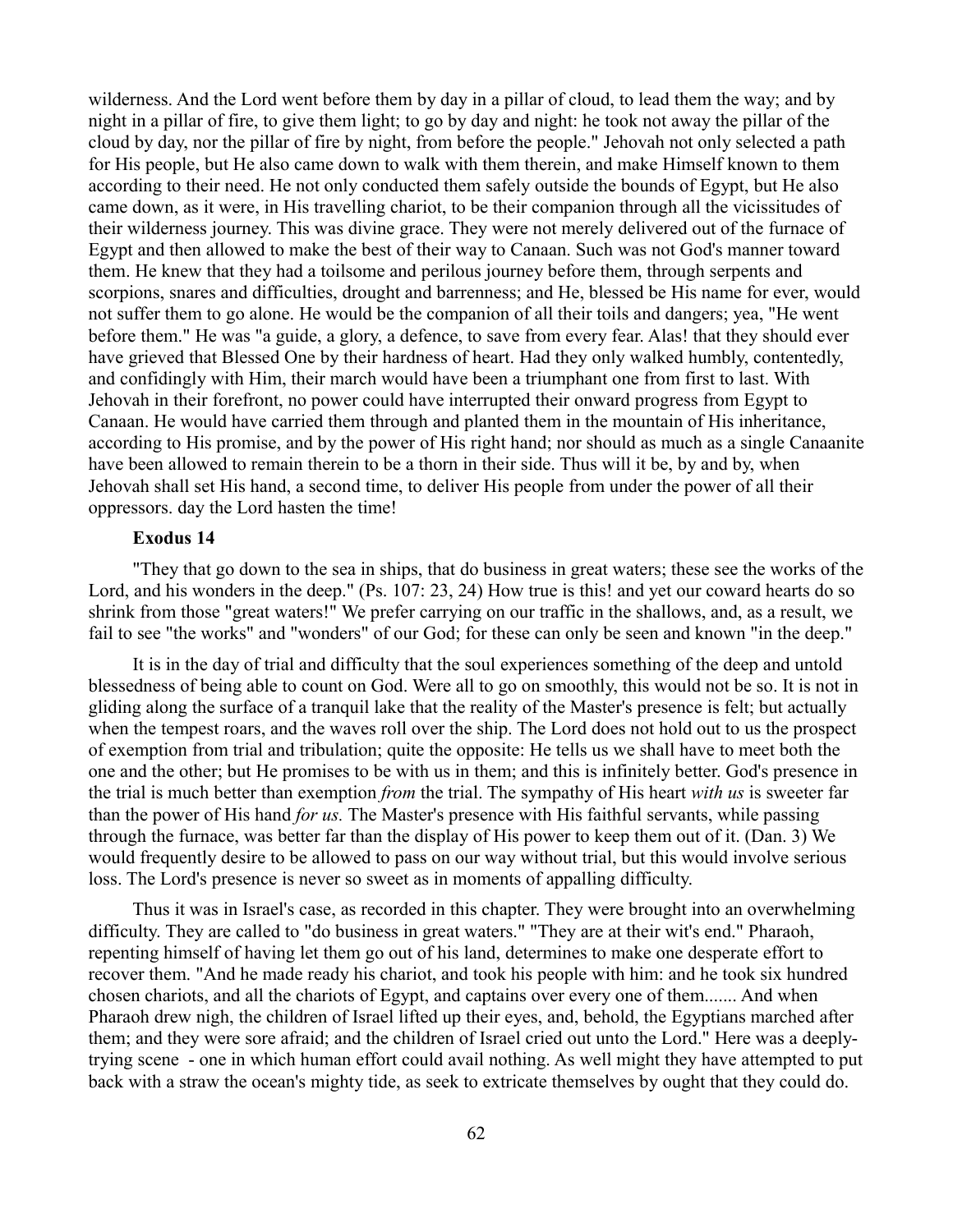wilderness. And the Lord went before them by day in a pillar of cloud, to lead them the way; and by night in a pillar of fire, to give them light; to go by day and night: he took not away the pillar of the cloud by day, nor the pillar of fire by night, from before the people." Jehovah not only selected a path for His people, but He also came down to walk with them therein, and make Himself known to them according to their need. He not only conducted them safely outside the bounds of Egypt, but He also came down, as it were, in His travelling chariot, to be their companion through all the vicissitudes of their wilderness journey. This was divine grace. They were not merely delivered out of the furnace of Egypt and then allowed to make the best of their way to Canaan. Such was not God's manner toward them. He knew that they had a toilsome and perilous journey before them, through serpents and scorpions, snares and difficulties, drought and barrenness; and He, blessed be His name for ever, would not suffer them to go alone. He would be the companion of all their toils and dangers; yea, "He went before them." He was "a guide, a glory, a defence, to save from every fear. Alas! that they should ever have grieved that Blessed One by their hardness of heart. Had they only walked humbly, contentedly, and confidingly with Him, their march would have been a triumphant one from first to last. With Jehovah in their forefront, no power could have interrupted their onward progress from Egypt to Canaan. He would have carried them through and planted them in the mountain of His inheritance, according to His promise, and by the power of His right hand; nor should as much as a single Canaanite have been allowed to remain therein to be a thorn in their side. Thus will it be, by and by, when Jehovah shall set His hand, a second time, to deliver His people from under the power of all their oppressors. day the Lord hasten the time!

# **Exodus 14**

"They that go down to the sea in ships, that do business in great waters; these see the works of the Lord, and his wonders in the deep." (Ps. 107: 23, 24) How true is this! and yet our coward hearts do so shrink from those "great waters!" We prefer carrying on our traffic in the shallows, and, as a result, we fail to see "the works" and "wonders" of our God; for these can only be seen and known "in the deep."

It is in the day of trial and difficulty that the soul experiences something of the deep and untold blessedness of being able to count on God. Were all to go on smoothly, this would not be so. It is not in gliding along the surface of a tranquil lake that the reality of the Master's presence is felt; but actually when the tempest roars, and the waves roll over the ship. The Lord does not hold out to us the prospect of exemption from trial and tribulation; quite the opposite: He tells us we shall have to meet both the one and the other; but He promises to be with us in them; and this is infinitely better. God's presence in the trial is much better than exemption *from* the trial. The sympathy of His heart *with us* is sweeter far than the power of His hand *for us.* The Master's presence with His faithful servants, while passing through the furnace, was better far than the display of His power to keep them out of it. (Dan. 3) We would frequently desire to be allowed to pass on our way without trial, but this would involve serious loss. The Lord's presence is never so sweet as in moments of appalling difficulty.

Thus it was in Israel's case, as recorded in this chapter. They were brought into an overwhelming difficulty. They are called to "do business in great waters." "They are at their wit's end." Pharaoh, repenting himself of having let them go out of his land, determines to make one desperate effort to recover them. "And he made ready his chariot, and took his people with him: and he took six hundred chosen chariots, and all the chariots of Egypt, and captains over every one of them....... And when Pharaoh drew nigh, the children of Israel lifted up their eyes, and, behold, the Egyptians marched after them; and they were sore afraid; and the children of Israel cried out unto the Lord." Here was a deeplytrying scene - one in which human effort could avail nothing. As well might they have attempted to put back with a straw the ocean's mighty tide, as seek to extricate themselves by ought that they could do.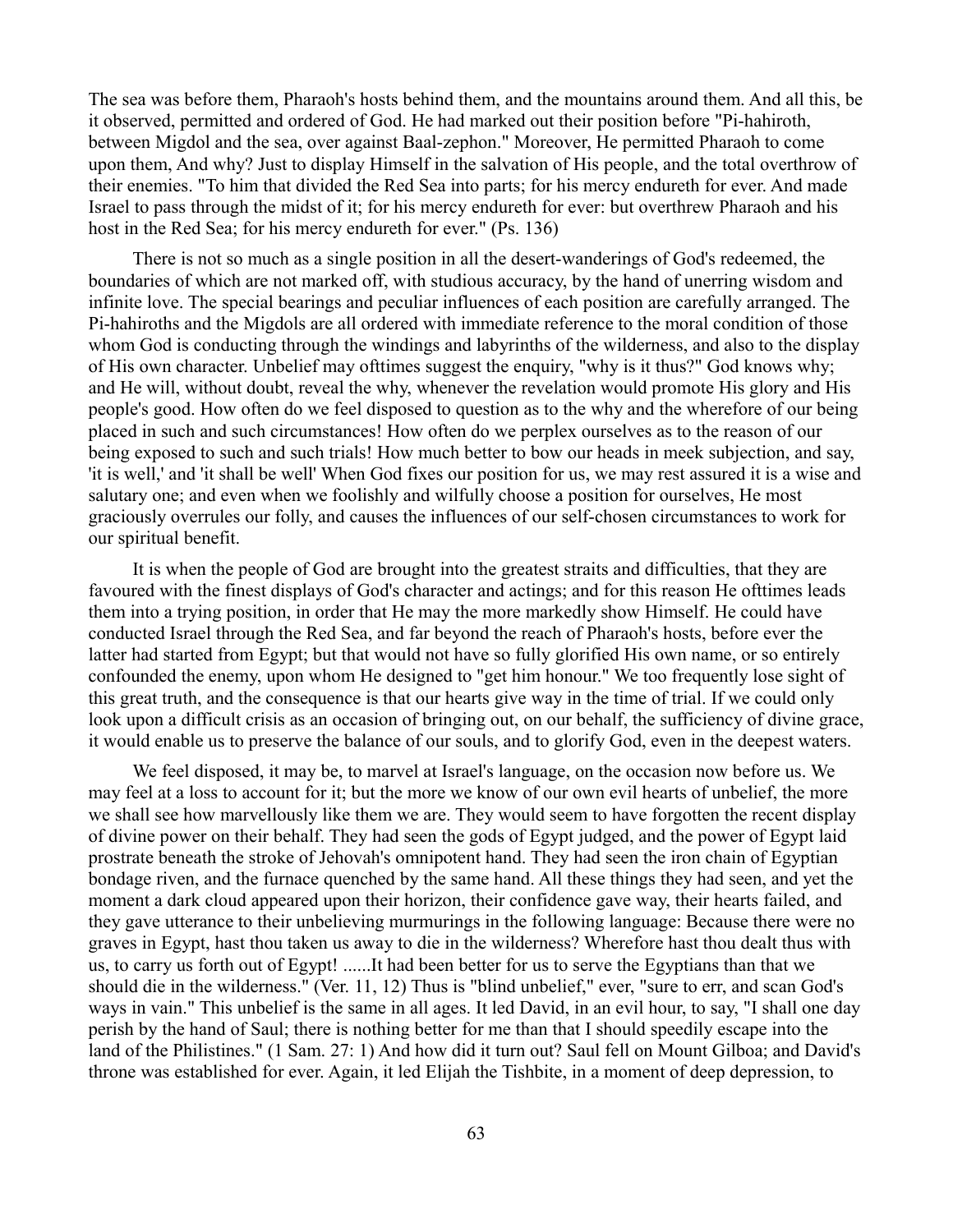The sea was before them, Pharaoh's hosts behind them, and the mountains around them. And all this, be it observed, permitted and ordered of God. He had marked out their position before "Pi-hahiroth, between Migdol and the sea, over against Baal-zephon." Moreover, He permitted Pharaoh to come upon them, And why? Just to display Himself in the salvation of His people, and the total overthrow of their enemies. "To him that divided the Red Sea into parts; for his mercy endureth for ever. And made Israel to pass through the midst of it; for his mercy endureth for ever: but overthrew Pharaoh and his host in the Red Sea; for his mercy endureth for ever." (Ps. 136)

There is not so much as a single position in all the desert-wanderings of God's redeemed, the boundaries of which are not marked off, with studious accuracy, by the hand of unerring wisdom and infinite love. The special bearings and peculiar influences of each position are carefully arranged. The Pi-hahiroths and the Migdols are all ordered with immediate reference to the moral condition of those whom God is conducting through the windings and labyrinths of the wilderness, and also to the display of His own character. Unbelief may ofttimes suggest the enquiry, "why is it thus?" God knows why; and He will, without doubt, reveal the why, whenever the revelation would promote His glory and His people's good. How often do we feel disposed to question as to the why and the wherefore of our being placed in such and such circumstances! How often do we perplex ourselves as to the reason of our being exposed to such and such trials! How much better to bow our heads in meek subjection, and say, 'it is well,' and 'it shall be well' When God fixes our position for us, we may rest assured it is a wise and salutary one; and even when we foolishly and wilfully choose a position for ourselves, He most graciously overrules our folly, and causes the influences of our self-chosen circumstances to work for our spiritual benefit.

It is when the people of God are brought into the greatest straits and difficulties, that they are favoured with the finest displays of God's character and actings; and for this reason He ofttimes leads them into a trying position, in order that He may the more markedly show Himself. He could have conducted Israel through the Red Sea, and far beyond the reach of Pharaoh's hosts, before ever the latter had started from Egypt; but that would not have so fully glorified His own name, or so entirely confounded the enemy, upon whom He designed to "get him honour." We too frequently lose sight of this great truth, and the consequence is that our hearts give way in the time of trial. If we could only look upon a difficult crisis as an occasion of bringing out, on our behalf, the sufficiency of divine grace, it would enable us to preserve the balance of our souls, and to glorify God, even in the deepest waters.

We feel disposed, it may be, to marvel at Israel's language, on the occasion now before us. We may feel at a loss to account for it; but the more we know of our own evil hearts of unbelief, the more we shall see how marvellously like them we are. They would seem to have forgotten the recent display of divine power on their behalf. They had seen the gods of Egypt judged, and the power of Egypt laid prostrate beneath the stroke of Jehovah's omnipotent hand. They had seen the iron chain of Egyptian bondage riven, and the furnace quenched by the same hand. All these things they had seen, and yet the moment a dark cloud appeared upon their horizon, their confidence gave way, their hearts failed, and they gave utterance to their unbelieving murmurings in the following language: Because there were no graves in Egypt, hast thou taken us away to die in the wilderness? Wherefore hast thou dealt thus with us, to carry us forth out of Egypt! ......It had been better for us to serve the Egyptians than that we should die in the wilderness." (Ver. 11, 12) Thus is "blind unbelief," ever, "sure to err, and scan God's ways in vain." This unbelief is the same in all ages. It led David, in an evil hour, to say, "I shall one day perish by the hand of Saul; there is nothing better for me than that I should speedily escape into the land of the Philistines." (1 Sam. 27: 1) And how did it turn out? Saul fell on Mount Gilboa; and David's throne was established for ever. Again, it led Elijah the Tishbite, in a moment of deep depression, to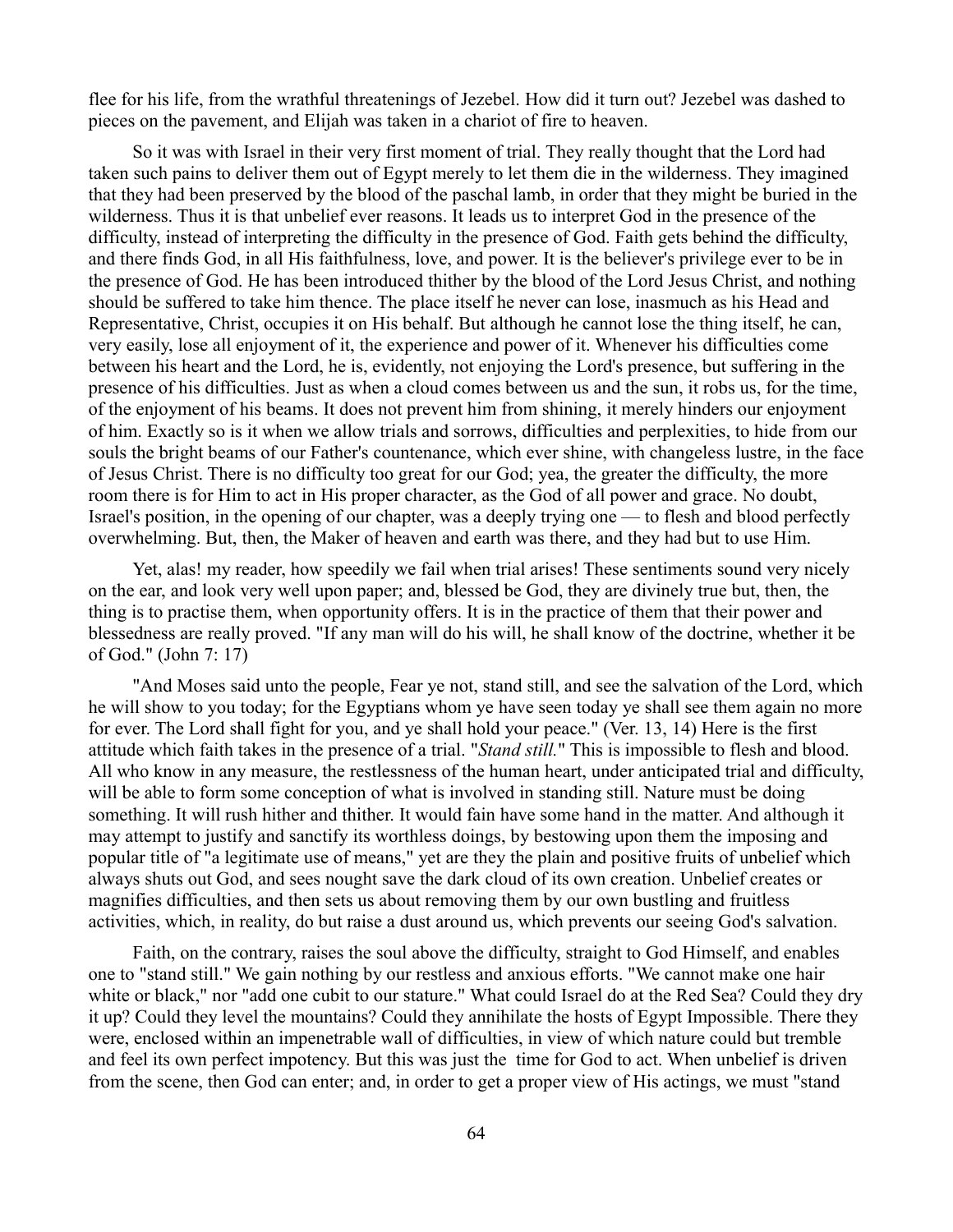flee for his life, from the wrathful threatenings of Jezebel. How did it turn out? Jezebel was dashed to pieces on the pavement, and Elijah was taken in a chariot of fire to heaven.

So it was with Israel in their very first moment of trial. They really thought that the Lord had taken such pains to deliver them out of Egypt merely to let them die in the wilderness. They imagined that they had been preserved by the blood of the paschal lamb, in order that they might be buried in the wilderness. Thus it is that unbelief ever reasons. It leads us to interpret God in the presence of the difficulty, instead of interpreting the difficulty in the presence of God. Faith gets behind the difficulty, and there finds God, in all His faithfulness, love, and power. It is the believer's privilege ever to be in the presence of God. He has been introduced thither by the blood of the Lord Jesus Christ, and nothing should be suffered to take him thence. The place itself he never can lose, inasmuch as his Head and Representative, Christ, occupies it on His behalf. But although he cannot lose the thing itself, he can, very easily, lose all enjoyment of it, the experience and power of it. Whenever his difficulties come between his heart and the Lord, he is, evidently, not enjoying the Lord's presence, but suffering in the presence of his difficulties. Just as when a cloud comes between us and the sun, it robs us, for the time, of the enjoyment of his beams. It does not prevent him from shining, it merely hinders our enjoyment of him. Exactly so is it when we allow trials and sorrows, difficulties and perplexities, to hide from our souls the bright beams of our Father's countenance, which ever shine, with changeless lustre, in the face of Jesus Christ. There is no difficulty too great for our God; yea, the greater the difficulty, the more room there is for Him to act in His proper character, as the God of all power and grace. No doubt, Israel's position, in the opening of our chapter, was a deeply trying one — to flesh and blood perfectly overwhelming. But, then, the Maker of heaven and earth was there, and they had but to use Him.

Yet, alas! my reader, how speedily we fail when trial arises! These sentiments sound very nicely on the ear, and look very well upon paper; and, blessed be God, they are divinely true but, then, the thing is to practise them, when opportunity offers. It is in the practice of them that their power and blessedness are really proved. "If any man will do his will, he shall know of the doctrine, whether it be of God." (John 7: 17)

"And Moses said unto the people, Fear ye not, stand still, and see the salvation of the Lord, which he will show to you today; for the Egyptians whom ye have seen today ye shall see them again no more for ever. The Lord shall fight for you, and ye shall hold your peace." (Ver. 13, 14) Here is the first attitude which faith takes in the presence of a trial. "*Stand still.*" This is impossible to flesh and blood. All who know in any measure, the restlessness of the human heart, under anticipated trial and difficulty, will be able to form some conception of what is involved in standing still. Nature must be doing something. It will rush hither and thither. It would fain have some hand in the matter. And although it may attempt to justify and sanctify its worthless doings, by bestowing upon them the imposing and popular title of "a legitimate use of means," yet are they the plain and positive fruits of unbelief which always shuts out God, and sees nought save the dark cloud of its own creation. Unbelief creates or magnifies difficulties, and then sets us about removing them by our own bustling and fruitless activities, which, in reality, do but raise a dust around us, which prevents our seeing God's salvation.

Faith, on the contrary, raises the soul above the difficulty, straight to God Himself, and enables one to "stand still." We gain nothing by our restless and anxious efforts. "We cannot make one hair white or black," nor "add one cubit to our stature." What could Israel do at the Red Sea? Could they dry it up? Could they level the mountains? Could they annihilate the hosts of Egypt Impossible. There they were, enclosed within an impenetrable wall of difficulties, in view of which nature could but tremble and feel its own perfect impotency. But this was just the time for God to act. When unbelief is driven from the scene, then God can enter; and, in order to get a proper view of His actings, we must "stand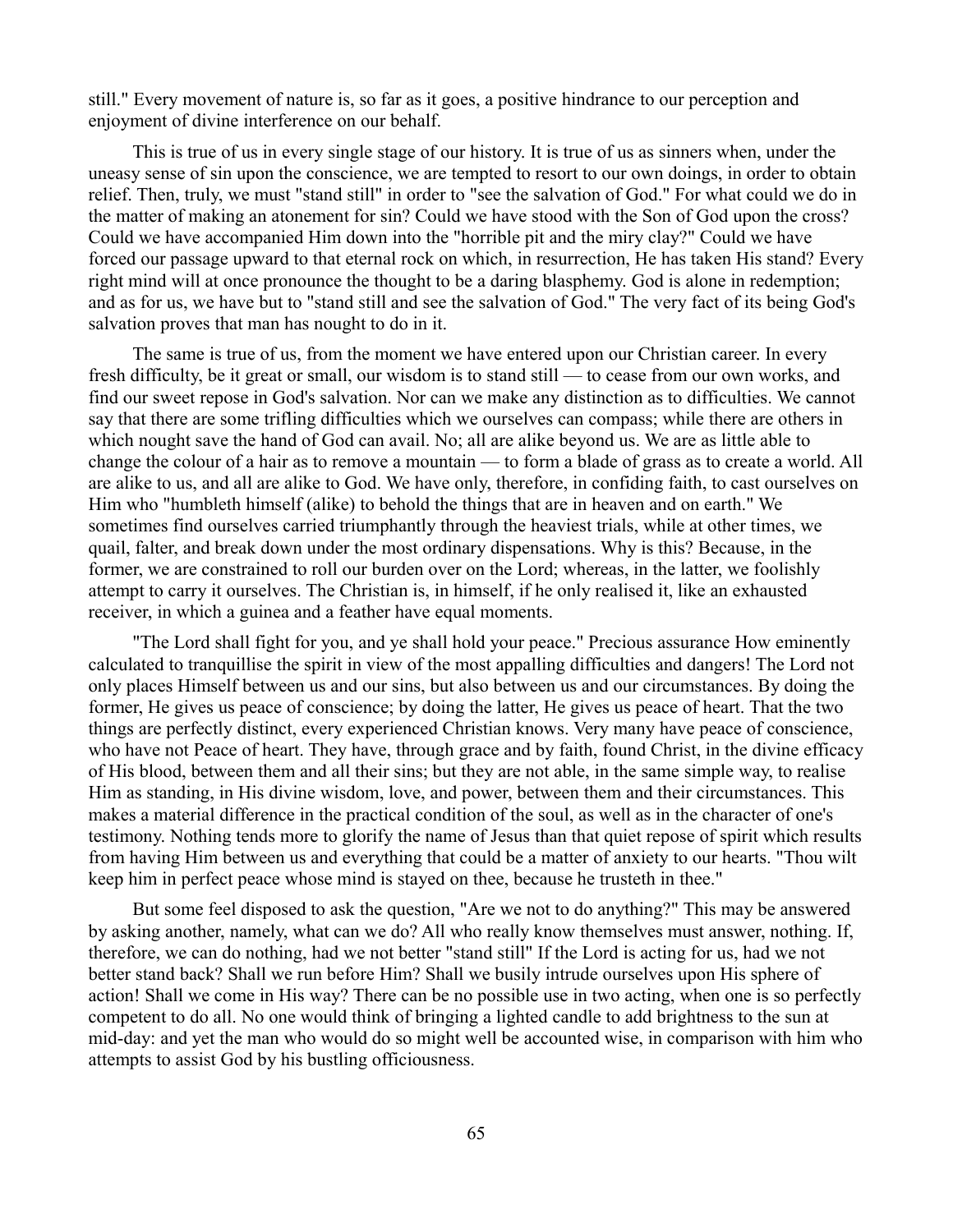still." Every movement of nature is, so far as it goes, a positive hindrance to our perception and enjoyment of divine interference on our behalf.

This is true of us in every single stage of our history. It is true of us as sinners when, under the uneasy sense of sin upon the conscience, we are tempted to resort to our own doings, in order to obtain relief. Then, truly, we must "stand still" in order to "see the salvation of God." For what could we do in the matter of making an atonement for sin? Could we have stood with the Son of God upon the cross? Could we have accompanied Him down into the "horrible pit and the miry clay?" Could we have forced our passage upward to that eternal rock on which, in resurrection, He has taken His stand? Every right mind will at once pronounce the thought to be a daring blasphemy. God is alone in redemption; and as for us, we have but to "stand still and see the salvation of God." The very fact of its being God's salvation proves that man has nought to do in it.

The same is true of us, from the moment we have entered upon our Christian career. In every fresh difficulty, be it great or small, our wisdom is to stand still — to cease from our own works, and find our sweet repose in God's salvation. Nor can we make any distinction as to difficulties. We cannot say that there are some trifling difficulties which we ourselves can compass; while there are others in which nought save the hand of God can avail. No; all are alike beyond us. We are as little able to change the colour of a hair as to remove a mountain — to form a blade of grass as to create a world. All are alike to us, and all are alike to God. We have only, therefore, in confiding faith, to cast ourselves on Him who "humbleth himself (alike) to behold the things that are in heaven and on earth." We sometimes find ourselves carried triumphantly through the heaviest trials, while at other times, we quail, falter, and break down under the most ordinary dispensations. Why is this? Because, in the former, we are constrained to roll our burden over on the Lord; whereas, in the latter, we foolishly attempt to carry it ourselves. The Christian is, in himself, if he only realised it, like an exhausted receiver, in which a guinea and a feather have equal moments.

"The Lord shall fight for you, and ye shall hold your peace." Precious assurance How eminently calculated to tranquillise the spirit in view of the most appalling difficulties and dangers! The Lord not only places Himself between us and our sins, but also between us and our circumstances. By doing the former, He gives us peace of conscience; by doing the latter, He gives us peace of heart. That the two things are perfectly distinct, every experienced Christian knows. Very many have peace of conscience, who have not Peace of heart. They have, through grace and by faith, found Christ, in the divine efficacy of His blood, between them and all their sins; but they are not able, in the same simple way, to realise Him as standing, in His divine wisdom, love, and power, between them and their circumstances. This makes a material difference in the practical condition of the soul, as well as in the character of one's testimony. Nothing tends more to glorify the name of Jesus than that quiet repose of spirit which results from having Him between us and everything that could be a matter of anxiety to our hearts. "Thou wilt keep him in perfect peace whose mind is stayed on thee, because he trusteth in thee."

But some feel disposed to ask the question, "Are we not to do anything?" This may be answered by asking another, namely, what can we do? All who really know themselves must answer, nothing. If, therefore, we can do nothing, had we not better "stand still" If the Lord is acting for us, had we not better stand back? Shall we run before Him? Shall we busily intrude ourselves upon His sphere of action! Shall we come in His way? There can be no possible use in two acting, when one is so perfectly competent to do all. No one would think of bringing a lighted candle to add brightness to the sun at mid-day: and yet the man who would do so might well be accounted wise, in comparison with him who attempts to assist God by his bustling officiousness.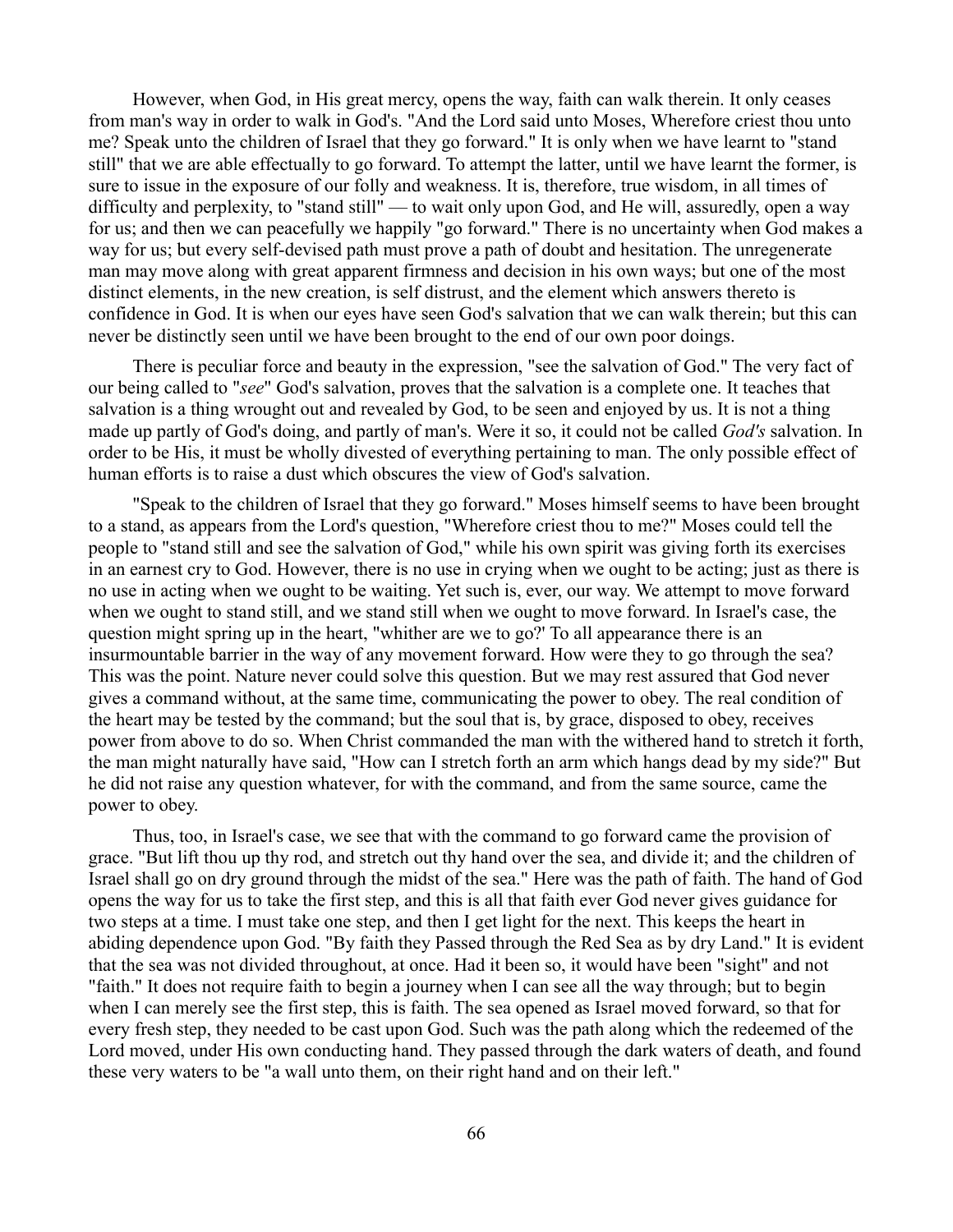However, when God, in His great mercy, opens the way, faith can walk therein. It only ceases from man's way in order to walk in God's. "And the Lord said unto Moses, Wherefore criest thou unto me? Speak unto the children of Israel that they go forward." It is only when we have learnt to "stand still" that we are able effectually to go forward. To attempt the latter, until we have learnt the former, is sure to issue in the exposure of our folly and weakness. It is, therefore, true wisdom, in all times of difficulty and perplexity, to "stand still" — to wait only upon God, and He will, assuredly, open a way for us; and then we can peacefully we happily "go forward." There is no uncertainty when God makes a way for us; but every self-devised path must prove a path of doubt and hesitation. The unregenerate man may move along with great apparent firmness and decision in his own ways; but one of the most distinct elements, in the new creation, is self distrust, and the element which answers thereto is confidence in God. It is when our eyes have seen God's salvation that we can walk therein; but this can never be distinctly seen until we have been brought to the end of our own poor doings.

There is peculiar force and beauty in the expression, "see the salvation of God." The very fact of our being called to "*see*" God's salvation, proves that the salvation is a complete one. It teaches that salvation is a thing wrought out and revealed by God, to be seen and enjoyed by us. It is not a thing made up partly of God's doing, and partly of man's. Were it so, it could not be called *God's* salvation. In order to be His, it must be wholly divested of everything pertaining to man. The only possible effect of human efforts is to raise a dust which obscures the view of God's salvation.

"Speak to the children of Israel that they go forward." Moses himself seems to have been brought to a stand, as appears from the Lord's question, "Wherefore criest thou to me?" Moses could tell the people to "stand still and see the salvation of God," while his own spirit was giving forth its exercises in an earnest cry to God. However, there is no use in crying when we ought to be acting; just as there is no use in acting when we ought to be waiting. Yet such is, ever, our way. We attempt to move forward when we ought to stand still, and we stand still when we ought to move forward. In Israel's case, the question might spring up in the heart, "whither are we to go?' To all appearance there is an insurmountable barrier in the way of any movement forward. How were they to go through the sea? This was the point. Nature never could solve this question. But we may rest assured that God never gives a command without, at the same time, communicating the power to obey. The real condition of the heart may be tested by the command; but the soul that is, by grace, disposed to obey, receives power from above to do so. When Christ commanded the man with the withered hand to stretch it forth, the man might naturally have said, "How can I stretch forth an arm which hangs dead by my side?" But he did not raise any question whatever, for with the command, and from the same source, came the power to obey.

Thus, too, in Israel's case, we see that with the command to go forward came the provision of grace. "But lift thou up thy rod, and stretch out thy hand over the sea, and divide it; and the children of Israel shall go on dry ground through the midst of the sea." Here was the path of faith. The hand of God opens the way for us to take the first step, and this is all that faith ever God never gives guidance for two steps at a time. I must take one step, and then I get light for the next. This keeps the heart in abiding dependence upon God. "By faith they Passed through the Red Sea as by dry Land." It is evident that the sea was not divided throughout, at once. Had it been so, it would have been "sight" and not "faith." It does not require faith to begin a journey when I can see all the way through; but to begin when I can merely see the first step, this is faith. The sea opened as Israel moved forward, so that for every fresh step, they needed to be cast upon God. Such was the path along which the redeemed of the Lord moved, under His own conducting hand. They passed through the dark waters of death, and found these very waters to be "a wall unto them, on their right hand and on their left."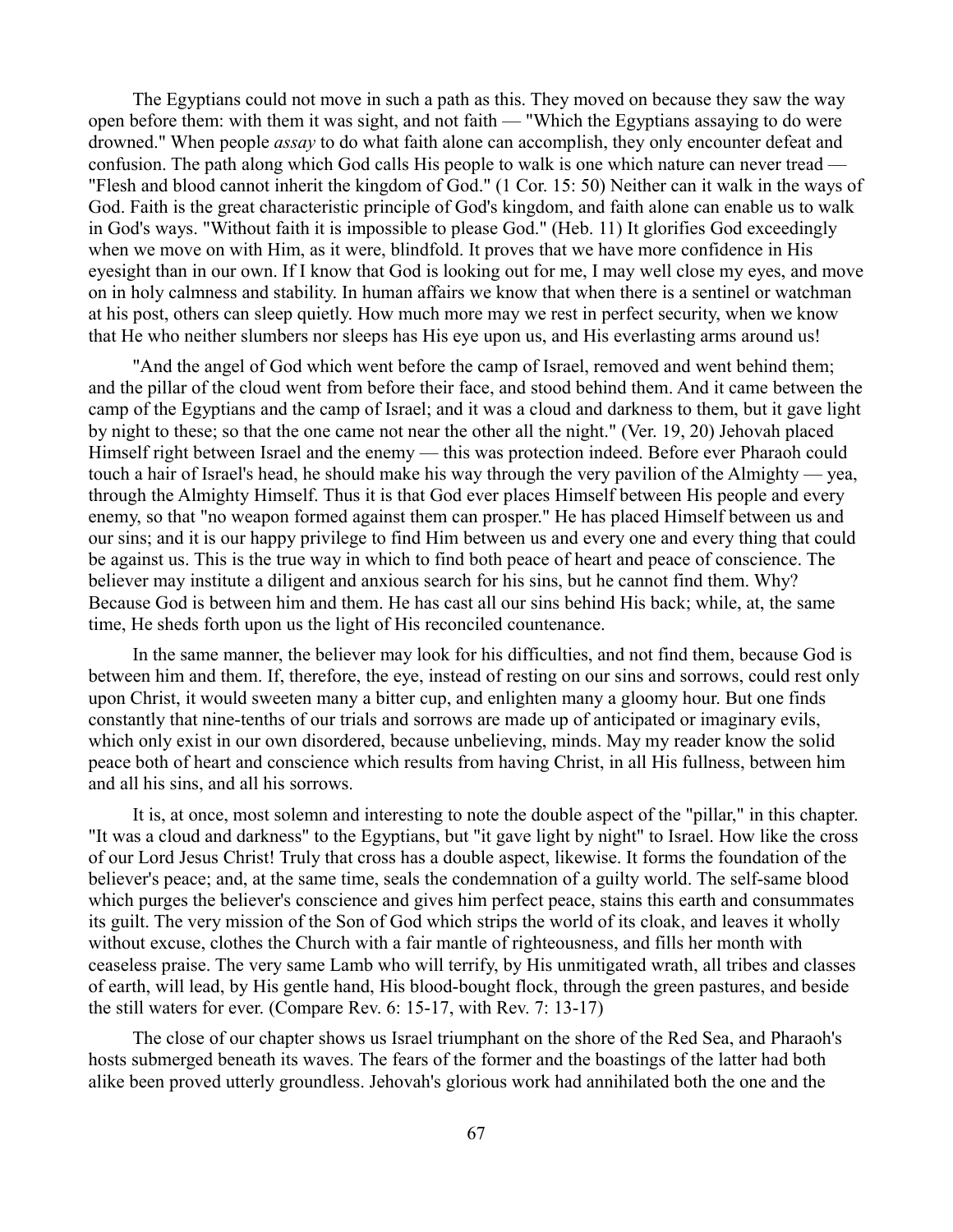The Egyptians could not move in such a path as this. They moved on because they saw the way open before them: with them it was sight, and not faith — "Which the Egyptians assaying to do were drowned." When people *assay* to do what faith alone can accomplish, they only encounter defeat and confusion. The path along which God calls His people to walk is one which nature can never tread — "Flesh and blood cannot inherit the kingdom of God." (1 Cor. 15: 50) Neither can it walk in the ways of God. Faith is the great characteristic principle of God's kingdom, and faith alone can enable us to walk in God's ways. "Without faith it is impossible to please God." (Heb. 11) It glorifies God exceedingly when we move on with Him, as it were, blindfold. It proves that we have more confidence in His eyesight than in our own. If I know that God is looking out for me, I may well close my eyes, and move on in holy calmness and stability. In human affairs we know that when there is a sentinel or watchman at his post, others can sleep quietly. How much more may we rest in perfect security, when we know that He who neither slumbers nor sleeps has His eye upon us, and His everlasting arms around us!

"And the angel of God which went before the camp of Israel, removed and went behind them; and the pillar of the cloud went from before their face, and stood behind them. And it came between the camp of the Egyptians and the camp of Israel; and it was a cloud and darkness to them, but it gave light by night to these; so that the one came not near the other all the night." (Ver. 19, 20) Jehovah placed Himself right between Israel and the enemy — this was protection indeed. Before ever Pharaoh could touch a hair of Israel's head, he should make his way through the very pavilion of the Almighty — yea, through the Almighty Himself. Thus it is that God ever places Himself between His people and every enemy, so that "no weapon formed against them can prosper." He has placed Himself between us and our sins; and it is our happy privilege to find Him between us and every one and every thing that could be against us. This is the true way in which to find both peace of heart and peace of conscience. The believer may institute a diligent and anxious search for his sins, but he cannot find them. Why? Because God is between him and them. He has cast all our sins behind His back; while, at, the same time, He sheds forth upon us the light of His reconciled countenance.

In the same manner, the believer may look for his difficulties, and not find them, because God is between him and them. If, therefore, the eye, instead of resting on our sins and sorrows, could rest only upon Christ, it would sweeten many a bitter cup, and enlighten many a gloomy hour. But one finds constantly that nine-tenths of our trials and sorrows are made up of anticipated or imaginary evils, which only exist in our own disordered, because unbelieving, minds. May my reader know the solid peace both of heart and conscience which results from having Christ, in all His fullness, between him and all his sins, and all his sorrows.

It is, at once, most solemn and interesting to note the double aspect of the "pillar," in this chapter. "It was a cloud and darkness" to the Egyptians, but "it gave light by night" to Israel. How like the cross of our Lord Jesus Christ! Truly that cross has a double aspect, likewise. It forms the foundation of the believer's peace; and, at the same time, seals the condemnation of a guilty world. The self-same blood which purges the believer's conscience and gives him perfect peace, stains this earth and consummates its guilt. The very mission of the Son of God which strips the world of its cloak, and leaves it wholly without excuse, clothes the Church with a fair mantle of righteousness, and fills her month with ceaseless praise. The very same Lamb who will terrify, by His unmitigated wrath, all tribes and classes of earth, will lead, by His gentle hand, His blood-bought flock, through the green pastures, and beside the still waters for ever. (Compare Rev. 6: 15-17, with Rev. 7: 13-17)

The close of our chapter shows us Israel triumphant on the shore of the Red Sea, and Pharaoh's hosts submerged beneath its waves. The fears of the former and the boastings of the latter had both alike been proved utterly groundless. Jehovah's glorious work had annihilated both the one and the